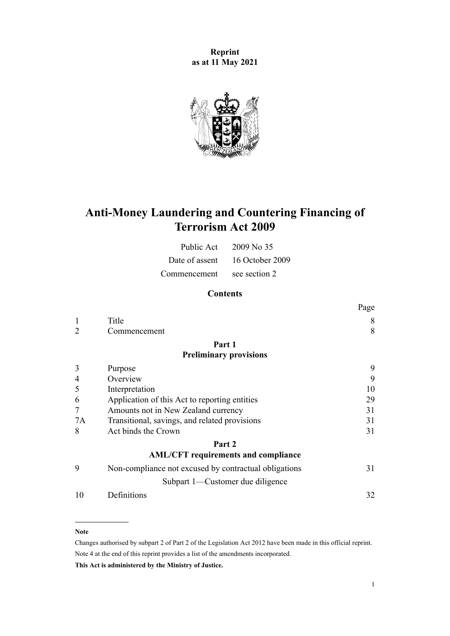**Reprint as at 11 May 2021**



# **Anti-Money Laundering and Countering Financing of Terrorism Act 2009**

| Public Act   | 2009 No 35                     |
|--------------|--------------------------------|
|              | Date of assent 16 October 2009 |
| Commencement | see section 2                  |

# **Contents**

|                                                       | Page |
|-------------------------------------------------------|------|
| Title                                                 | 8    |
| Commencement                                          | 8    |
| Part 1                                                |      |
| <b>Preliminary provisions</b>                         |      |
| Purpose                                               | 9    |
| Overview                                              | 9    |
| Interpretation                                        | 10   |
| Application of this Act to reporting entities         | 29   |
| Amounts not in New Zealand currency                   | 31   |
| Transitional, savings, and related provisions         | 31   |
| Act binds the Crown                                   | 31   |
| Part 2                                                |      |
| <b>AML/CFT</b> requirements and compliance            |      |
| Non-compliance not excused by contractual obligations | 31   |
| Subpart 1—Customer due diligence                      |      |
| Definitions                                           | 32   |
|                                                       |      |

#### **Note**

Changes authorised by [subpart 2](http://legislation.govt.nz/pdflink.aspx?id=DLM2998524) of Part 2 of the Legislation Act 2012 have been made in this official reprint. Note 4 at the end of this reprint provides a list of the amendments incorporated.

**This Act is administered by the Ministry of Justice.**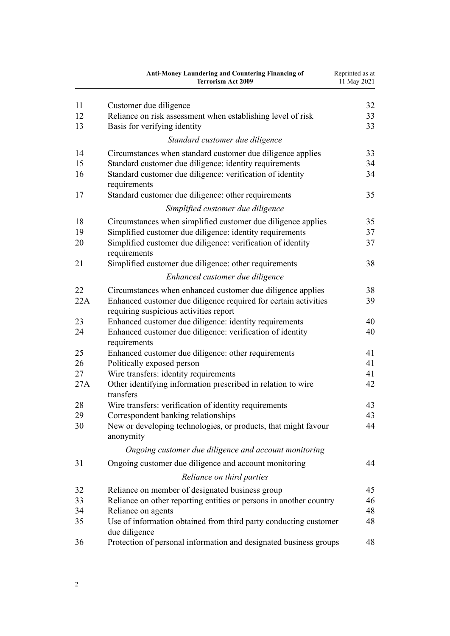|     | <b>Anti-Money Laundering and Countering Financing of</b><br><b>Terrorism Act 2009</b>                     | Reprinted as at<br>11 May 2021 |
|-----|-----------------------------------------------------------------------------------------------------------|--------------------------------|
| 11  | Customer due diligence                                                                                    | 32                             |
| 12  | Reliance on risk assessment when establishing level of risk                                               | 33                             |
| 13  | Basis for verifying identity                                                                              | 33                             |
|     | Standard customer due diligence                                                                           |                                |
| 14  | Circumstances when standard customer due diligence applies                                                | 33                             |
| 15  | Standard customer due diligence: identity requirements                                                    | 34                             |
| 16  | Standard customer due diligence: verification of identity<br>requirements                                 | 34                             |
| 17  | Standard customer due diligence: other requirements                                                       | 35                             |
|     | Simplified customer due diligence                                                                         |                                |
| 18  | Circumstances when simplified customer due diligence applies                                              | 35                             |
| 19  | Simplified customer due diligence: identity requirements                                                  | 37                             |
| 20  | Simplified customer due diligence: verification of identity<br>requirements                               | 37                             |
| 21  | Simplified customer due diligence: other requirements                                                     | 38                             |
|     | Enhanced customer due diligence                                                                           |                                |
| 22  | Circumstances when enhanced customer due diligence applies                                                | 38                             |
| 22A | Enhanced customer due diligence required for certain activities<br>requiring suspicious activities report | 39                             |
| 23  | Enhanced customer due diligence: identity requirements                                                    | 40                             |
| 24  | Enhanced customer due diligence: verification of identity<br>requirements                                 | 40                             |
| 25  | Enhanced customer due diligence: other requirements                                                       | 41                             |
| 26  | Politically exposed person                                                                                | 41                             |
| 27  | Wire transfers: identity requirements                                                                     | 41                             |
| 27A | Other identifying information prescribed in relation to wire<br>transfers                                 | 42                             |
| 28  | Wire transfers: verification of identity requirements                                                     | 43                             |
| 29  | Correspondent banking relationships                                                                       | 43                             |
| 30  | New or developing technologies, or products, that might favour<br>anonymity                               | 44                             |
|     | Ongoing customer due diligence and account monitoring                                                     |                                |
| 31  | Ongoing customer due diligence and account monitoring                                                     | 44                             |
|     | Reliance on third parties                                                                                 |                                |
| 32  | Reliance on member of designated business group                                                           | 45                             |
| 33  | Reliance on other reporting entities or persons in another country                                        | 46                             |
| 34  | Reliance on agents                                                                                        | 48                             |
| 35  | Use of information obtained from third party conducting customer<br>due diligence                         | 48                             |
| 36  | Protection of personal information and designated business groups                                         | 48                             |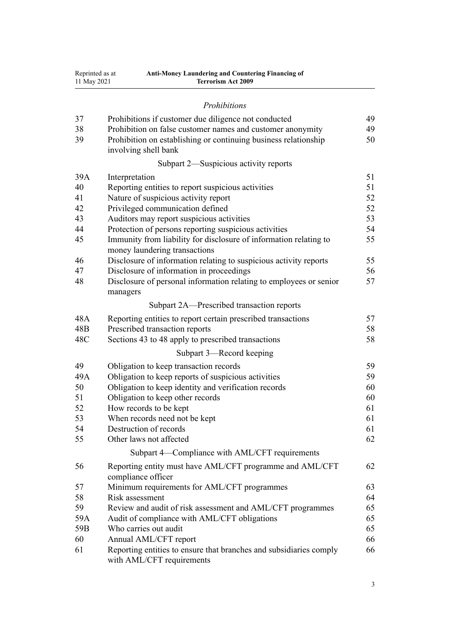| Reprinted as at | <b>Anti-Money Laundering and Countering Financing of</b> |
|-----------------|----------------------------------------------------------|
| 11 May 2021     | <b>Terrorism Act 2009</b>                                |

# *[Prohibitions](#page-48-0)*

| 37  | Prohibitions if customer due diligence not conducted                                               | 49 |
|-----|----------------------------------------------------------------------------------------------------|----|
| 38  | Prohibition on false customer names and customer anonymity                                         | 49 |
| 39  | Prohibition on establishing or continuing business relationship<br>involving shell bank            | 50 |
|     | Subpart 2—Suspicious activity reports                                                              |    |
| 39A | Interpretation                                                                                     | 51 |
| 40  | Reporting entities to report suspicious activities                                                 | 51 |
| 41  | Nature of suspicious activity report                                                               | 52 |
| 42  | Privileged communication defined                                                                   | 52 |
| 43  | Auditors may report suspicious activities                                                          | 53 |
| 44  | Protection of persons reporting suspicious activities                                              | 54 |
| 45  | Immunity from liability for disclosure of information relating to<br>money laundering transactions | 55 |
| 46  | Disclosure of information relating to suspicious activity reports                                  | 55 |
| 47  | Disclosure of information in proceedings                                                           | 56 |
| 48  | Disclosure of personal information relating to employees or senior<br>managers                     | 57 |
|     | Subpart 2A—Prescribed transaction reports                                                          |    |
| 48A | Reporting entities to report certain prescribed transactions                                       | 57 |
| 48B | Prescribed transaction reports                                                                     | 58 |
| 48C | Sections 43 to 48 apply to prescribed transactions                                                 | 58 |
|     | Subpart 3—Record keeping                                                                           |    |
| 49  | Obligation to keep transaction records                                                             | 59 |
| 49A | Obligation to keep reports of suspicious activities                                                | 59 |
| 50  | Obligation to keep identity and verification records                                               | 60 |
| 51  | Obligation to keep other records                                                                   | 60 |
| 52  | How records to be kept                                                                             | 61 |
| 53  | When records need not be kept                                                                      | 61 |
| 54  | Destruction of records                                                                             | 61 |
| 55  | Other laws not affected                                                                            | 62 |
|     | Subpart 4-Compliance with AML/CFT requirements                                                     |    |
| 56  | Reporting entity must have AML/CFT programme and AML/CFT<br>compliance officer                     | 62 |
| 57  | Minimum requirements for AML/CFT programmes                                                        | 63 |
| 58  | Risk assessment                                                                                    | 64 |
| 59  | Review and audit of risk assessment and AML/CFT programmes                                         | 65 |
| 59A | Audit of compliance with AML/CFT obligations                                                       | 65 |
| 59B | Who carries out audit                                                                              | 65 |
| 60  | Annual AML/CFT report                                                                              | 66 |
| 61  | Reporting entities to ensure that branches and subsidiaries comply                                 | 66 |
|     | with AML/CFT requirements                                                                          |    |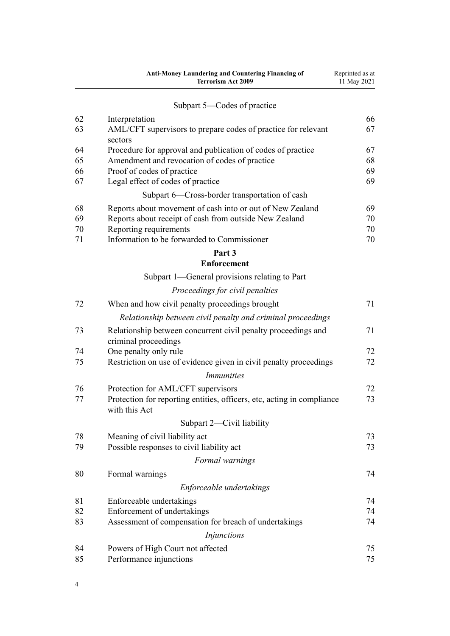| Subpart 5—Codes of practice<br>66<br>62<br>Interpretation<br>67<br>63<br>AML/CFT supervisors to prepare codes of practice for relevant<br>sectors<br>64<br>Procedure for approval and publication of codes of practice<br>67<br>65<br>Amendment and revocation of codes of practice<br>68<br>Proof of codes of practice<br>69<br>66<br>Legal effect of codes of practice<br>69<br>67<br>Subpart 6-Cross-border transportation of cash<br>68<br>Reports about movement of cash into or out of New Zealand<br>69<br>69<br>Reports about receipt of cash from outside New Zealand<br>70<br>Reporting requirements<br>70<br>70<br>Information to be forwarded to Commissioner<br>71<br>70<br>Part 3<br><b>Enforcement</b><br>Subpart 1—General provisions relating to Part<br>Proceedings for civil penalties<br>71<br>72<br>When and how civil penalty proceedings brought<br>Relationship between civil penalty and criminal proceedings<br>71<br>73<br>Relationship between concurrent civil penalty proceedings and<br>criminal proceedings<br>One penalty only rule<br>72<br>74<br>Restriction on use of evidence given in civil penalty proceedings<br>72<br>75<br><i>Immunities</i><br>Protection for AML/CFT supervisors<br>72<br>76<br>Protection for reporting entities, officers, etc, acting in compliance<br>73<br>77<br>with this Act<br>Subpart 2-Civil liability<br>Meaning of civil liability act<br>78<br>73<br>73<br>79<br>Possible responses to civil liability act<br>Formal warnings<br>74<br>80<br>Formal warnings<br>Enforceable undertakings<br>81<br>Enforceable undertakings<br>74<br>82<br>Enforcement of undertakings<br>74<br>83<br>Assessment of compensation for breach of undertakings<br>74<br><i>Injunctions</i><br>84<br>Powers of High Court not affected<br>75<br>85<br>Performance injunctions<br>75 | Anti-Money Laundering and Countering Financing of<br><b>Terrorism Act 2009</b> | Reprinted as at<br>11 May 2021 |
|-----------------------------------------------------------------------------------------------------------------------------------------------------------------------------------------------------------------------------------------------------------------------------------------------------------------------------------------------------------------------------------------------------------------------------------------------------------------------------------------------------------------------------------------------------------------------------------------------------------------------------------------------------------------------------------------------------------------------------------------------------------------------------------------------------------------------------------------------------------------------------------------------------------------------------------------------------------------------------------------------------------------------------------------------------------------------------------------------------------------------------------------------------------------------------------------------------------------------------------------------------------------------------------------------------------------------------------------------------------------------------------------------------------------------------------------------------------------------------------------------------------------------------------------------------------------------------------------------------------------------------------------------------------------------------------------------------------------------------------------------------------------------------------------------------------------------------------------|--------------------------------------------------------------------------------|--------------------------------|
|                                                                                                                                                                                                                                                                                                                                                                                                                                                                                                                                                                                                                                                                                                                                                                                                                                                                                                                                                                                                                                                                                                                                                                                                                                                                                                                                                                                                                                                                                                                                                                                                                                                                                                                                                                                                                                         |                                                                                |                                |
|                                                                                                                                                                                                                                                                                                                                                                                                                                                                                                                                                                                                                                                                                                                                                                                                                                                                                                                                                                                                                                                                                                                                                                                                                                                                                                                                                                                                                                                                                                                                                                                                                                                                                                                                                                                                                                         |                                                                                |                                |
|                                                                                                                                                                                                                                                                                                                                                                                                                                                                                                                                                                                                                                                                                                                                                                                                                                                                                                                                                                                                                                                                                                                                                                                                                                                                                                                                                                                                                                                                                                                                                                                                                                                                                                                                                                                                                                         |                                                                                |                                |
|                                                                                                                                                                                                                                                                                                                                                                                                                                                                                                                                                                                                                                                                                                                                                                                                                                                                                                                                                                                                                                                                                                                                                                                                                                                                                                                                                                                                                                                                                                                                                                                                                                                                                                                                                                                                                                         |                                                                                |                                |
|                                                                                                                                                                                                                                                                                                                                                                                                                                                                                                                                                                                                                                                                                                                                                                                                                                                                                                                                                                                                                                                                                                                                                                                                                                                                                                                                                                                                                                                                                                                                                                                                                                                                                                                                                                                                                                         |                                                                                |                                |
|                                                                                                                                                                                                                                                                                                                                                                                                                                                                                                                                                                                                                                                                                                                                                                                                                                                                                                                                                                                                                                                                                                                                                                                                                                                                                                                                                                                                                                                                                                                                                                                                                                                                                                                                                                                                                                         |                                                                                |                                |
|                                                                                                                                                                                                                                                                                                                                                                                                                                                                                                                                                                                                                                                                                                                                                                                                                                                                                                                                                                                                                                                                                                                                                                                                                                                                                                                                                                                                                                                                                                                                                                                                                                                                                                                                                                                                                                         |                                                                                |                                |
|                                                                                                                                                                                                                                                                                                                                                                                                                                                                                                                                                                                                                                                                                                                                                                                                                                                                                                                                                                                                                                                                                                                                                                                                                                                                                                                                                                                                                                                                                                                                                                                                                                                                                                                                                                                                                                         |                                                                                |                                |
|                                                                                                                                                                                                                                                                                                                                                                                                                                                                                                                                                                                                                                                                                                                                                                                                                                                                                                                                                                                                                                                                                                                                                                                                                                                                                                                                                                                                                                                                                                                                                                                                                                                                                                                                                                                                                                         |                                                                                |                                |
|                                                                                                                                                                                                                                                                                                                                                                                                                                                                                                                                                                                                                                                                                                                                                                                                                                                                                                                                                                                                                                                                                                                                                                                                                                                                                                                                                                                                                                                                                                                                                                                                                                                                                                                                                                                                                                         |                                                                                |                                |
|                                                                                                                                                                                                                                                                                                                                                                                                                                                                                                                                                                                                                                                                                                                                                                                                                                                                                                                                                                                                                                                                                                                                                                                                                                                                                                                                                                                                                                                                                                                                                                                                                                                                                                                                                                                                                                         |                                                                                |                                |
|                                                                                                                                                                                                                                                                                                                                                                                                                                                                                                                                                                                                                                                                                                                                                                                                                                                                                                                                                                                                                                                                                                                                                                                                                                                                                                                                                                                                                                                                                                                                                                                                                                                                                                                                                                                                                                         |                                                                                |                                |
|                                                                                                                                                                                                                                                                                                                                                                                                                                                                                                                                                                                                                                                                                                                                                                                                                                                                                                                                                                                                                                                                                                                                                                                                                                                                                                                                                                                                                                                                                                                                                                                                                                                                                                                                                                                                                                         |                                                                                |                                |
|                                                                                                                                                                                                                                                                                                                                                                                                                                                                                                                                                                                                                                                                                                                                                                                                                                                                                                                                                                                                                                                                                                                                                                                                                                                                                                                                                                                                                                                                                                                                                                                                                                                                                                                                                                                                                                         |                                                                                |                                |
|                                                                                                                                                                                                                                                                                                                                                                                                                                                                                                                                                                                                                                                                                                                                                                                                                                                                                                                                                                                                                                                                                                                                                                                                                                                                                                                                                                                                                                                                                                                                                                                                                                                                                                                                                                                                                                         |                                                                                |                                |
|                                                                                                                                                                                                                                                                                                                                                                                                                                                                                                                                                                                                                                                                                                                                                                                                                                                                                                                                                                                                                                                                                                                                                                                                                                                                                                                                                                                                                                                                                                                                                                                                                                                                                                                                                                                                                                         |                                                                                |                                |
|                                                                                                                                                                                                                                                                                                                                                                                                                                                                                                                                                                                                                                                                                                                                                                                                                                                                                                                                                                                                                                                                                                                                                                                                                                                                                                                                                                                                                                                                                                                                                                                                                                                                                                                                                                                                                                         |                                                                                |                                |
|                                                                                                                                                                                                                                                                                                                                                                                                                                                                                                                                                                                                                                                                                                                                                                                                                                                                                                                                                                                                                                                                                                                                                                                                                                                                                                                                                                                                                                                                                                                                                                                                                                                                                                                                                                                                                                         |                                                                                |                                |
|                                                                                                                                                                                                                                                                                                                                                                                                                                                                                                                                                                                                                                                                                                                                                                                                                                                                                                                                                                                                                                                                                                                                                                                                                                                                                                                                                                                                                                                                                                                                                                                                                                                                                                                                                                                                                                         |                                                                                |                                |
|                                                                                                                                                                                                                                                                                                                                                                                                                                                                                                                                                                                                                                                                                                                                                                                                                                                                                                                                                                                                                                                                                                                                                                                                                                                                                                                                                                                                                                                                                                                                                                                                                                                                                                                                                                                                                                         |                                                                                |                                |
|                                                                                                                                                                                                                                                                                                                                                                                                                                                                                                                                                                                                                                                                                                                                                                                                                                                                                                                                                                                                                                                                                                                                                                                                                                                                                                                                                                                                                                                                                                                                                                                                                                                                                                                                                                                                                                         |                                                                                |                                |
|                                                                                                                                                                                                                                                                                                                                                                                                                                                                                                                                                                                                                                                                                                                                                                                                                                                                                                                                                                                                                                                                                                                                                                                                                                                                                                                                                                                                                                                                                                                                                                                                                                                                                                                                                                                                                                         |                                                                                |                                |
|                                                                                                                                                                                                                                                                                                                                                                                                                                                                                                                                                                                                                                                                                                                                                                                                                                                                                                                                                                                                                                                                                                                                                                                                                                                                                                                                                                                                                                                                                                                                                                                                                                                                                                                                                                                                                                         |                                                                                |                                |
|                                                                                                                                                                                                                                                                                                                                                                                                                                                                                                                                                                                                                                                                                                                                                                                                                                                                                                                                                                                                                                                                                                                                                                                                                                                                                                                                                                                                                                                                                                                                                                                                                                                                                                                                                                                                                                         |                                                                                |                                |
|                                                                                                                                                                                                                                                                                                                                                                                                                                                                                                                                                                                                                                                                                                                                                                                                                                                                                                                                                                                                                                                                                                                                                                                                                                                                                                                                                                                                                                                                                                                                                                                                                                                                                                                                                                                                                                         |                                                                                |                                |
|                                                                                                                                                                                                                                                                                                                                                                                                                                                                                                                                                                                                                                                                                                                                                                                                                                                                                                                                                                                                                                                                                                                                                                                                                                                                                                                                                                                                                                                                                                                                                                                                                                                                                                                                                                                                                                         |                                                                                |                                |
|                                                                                                                                                                                                                                                                                                                                                                                                                                                                                                                                                                                                                                                                                                                                                                                                                                                                                                                                                                                                                                                                                                                                                                                                                                                                                                                                                                                                                                                                                                                                                                                                                                                                                                                                                                                                                                         |                                                                                |                                |
|                                                                                                                                                                                                                                                                                                                                                                                                                                                                                                                                                                                                                                                                                                                                                                                                                                                                                                                                                                                                                                                                                                                                                                                                                                                                                                                                                                                                                                                                                                                                                                                                                                                                                                                                                                                                                                         |                                                                                |                                |
|                                                                                                                                                                                                                                                                                                                                                                                                                                                                                                                                                                                                                                                                                                                                                                                                                                                                                                                                                                                                                                                                                                                                                                                                                                                                                                                                                                                                                                                                                                                                                                                                                                                                                                                                                                                                                                         |                                                                                |                                |
|                                                                                                                                                                                                                                                                                                                                                                                                                                                                                                                                                                                                                                                                                                                                                                                                                                                                                                                                                                                                                                                                                                                                                                                                                                                                                                                                                                                                                                                                                                                                                                                                                                                                                                                                                                                                                                         |                                                                                |                                |
|                                                                                                                                                                                                                                                                                                                                                                                                                                                                                                                                                                                                                                                                                                                                                                                                                                                                                                                                                                                                                                                                                                                                                                                                                                                                                                                                                                                                                                                                                                                                                                                                                                                                                                                                                                                                                                         |                                                                                |                                |
|                                                                                                                                                                                                                                                                                                                                                                                                                                                                                                                                                                                                                                                                                                                                                                                                                                                                                                                                                                                                                                                                                                                                                                                                                                                                                                                                                                                                                                                                                                                                                                                                                                                                                                                                                                                                                                         |                                                                                |                                |
|                                                                                                                                                                                                                                                                                                                                                                                                                                                                                                                                                                                                                                                                                                                                                                                                                                                                                                                                                                                                                                                                                                                                                                                                                                                                                                                                                                                                                                                                                                                                                                                                                                                                                                                                                                                                                                         |                                                                                |                                |
|                                                                                                                                                                                                                                                                                                                                                                                                                                                                                                                                                                                                                                                                                                                                                                                                                                                                                                                                                                                                                                                                                                                                                                                                                                                                                                                                                                                                                                                                                                                                                                                                                                                                                                                                                                                                                                         |                                                                                |                                |
|                                                                                                                                                                                                                                                                                                                                                                                                                                                                                                                                                                                                                                                                                                                                                                                                                                                                                                                                                                                                                                                                                                                                                                                                                                                                                                                                                                                                                                                                                                                                                                                                                                                                                                                                                                                                                                         |                                                                                |                                |
|                                                                                                                                                                                                                                                                                                                                                                                                                                                                                                                                                                                                                                                                                                                                                                                                                                                                                                                                                                                                                                                                                                                                                                                                                                                                                                                                                                                                                                                                                                                                                                                                                                                                                                                                                                                                                                         |                                                                                |                                |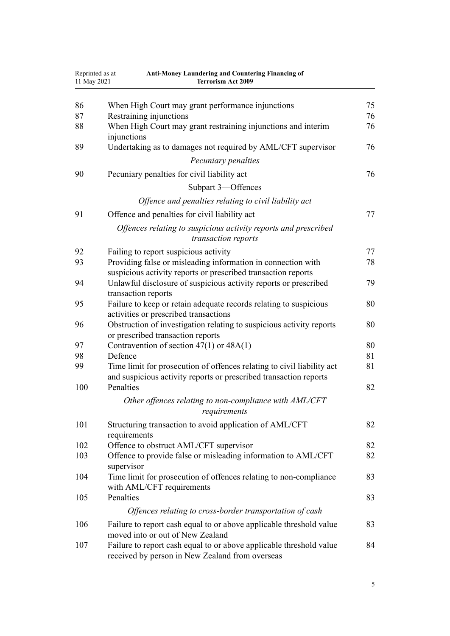| Reprinted as at<br>11 May 2021 | <b>Anti-Money Laundering and Countering Financing of</b><br><b>Terrorism Act 2009</b>                                  |          |
|--------------------------------|------------------------------------------------------------------------------------------------------------------------|----------|
| 86                             | When High Court may grant performance injunctions                                                                      | 75       |
| 87                             | Restraining injunctions                                                                                                | 76       |
| 88                             | When High Court may grant restraining injunctions and interim                                                          | 76       |
|                                | injunctions                                                                                                            |          |
| 89                             | Undertaking as to damages not required by AML/CFT supervisor                                                           | 76       |
|                                | Pecuniary penalties                                                                                                    |          |
| 90                             | Pecuniary penalties for civil liability act                                                                            | 76       |
|                                | Subpart 3-Offences                                                                                                     |          |
|                                | Offence and penalties relating to civil liability act                                                                  |          |
| 91                             | Offence and penalties for civil liability act                                                                          | 77       |
|                                | Offences relating to suspicious activity reports and prescribed<br>transaction reports                                 |          |
| 92                             | Failing to report suspicious activity                                                                                  | 77       |
| 93                             | Providing false or misleading information in connection with                                                           | 78       |
|                                | suspicious activity reports or prescribed transaction reports                                                          |          |
| 94                             | Unlawful disclosure of suspicious activity reports or prescribed<br>transaction reports                                | 79       |
| 95                             | Failure to keep or retain adequate records relating to suspicious                                                      | 80       |
|                                | activities or prescribed transactions                                                                                  |          |
| 96                             | Obstruction of investigation relating to suspicious activity reports                                                   | 80       |
|                                | or prescribed transaction reports                                                                                      |          |
| 97                             | Contravention of section $47(1)$ or $48A(1)$<br>Defence                                                                | 80       |
| 98<br>99                       | Time limit for prosecution of offences relating to civil liability act                                                 | 81<br>81 |
|                                | and suspicious activity reports or prescribed transaction reports                                                      |          |
| 100                            | Penalties                                                                                                              | 82       |
|                                | Other offences relating to non-compliance with AML/CFT<br>requirements                                                 |          |
| 101                            | Structuring transaction to avoid application of AML/CFT<br>requirements                                                | 82       |
| 102                            | Offence to obstruct AML/CFT supervisor                                                                                 | 82       |
| 103                            | Offence to provide false or misleading information to AML/CFT<br>supervisor                                            | 82       |
| 104                            | Time limit for prosecution of offences relating to non-compliance<br>with AML/CFT requirements                         | 83       |
| 105                            | Penalties                                                                                                              | 83       |
|                                | Offences relating to cross-border transportation of cash                                                               |          |
| 106                            | Failure to report cash equal to or above applicable threshold value<br>moved into or out of New Zealand                | 83       |
| 107                            | Failure to report cash equal to or above applicable threshold value<br>received by person in New Zealand from overseas | 84       |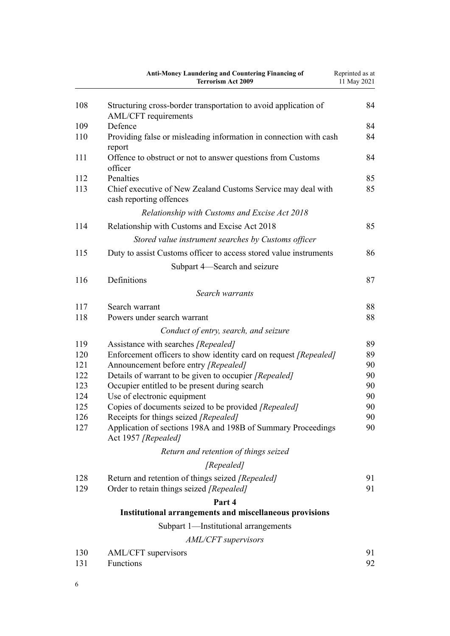|            | Anti-Money Laundering and Countering Financing of<br><b>Terrorism Act 2009</b>                           | Reprinted as at<br>11 May 2021 |
|------------|----------------------------------------------------------------------------------------------------------|--------------------------------|
| 108        | Structuring cross-border transportation to avoid application of<br>AML/CFT requirements                  | 84                             |
| 109        | Defence                                                                                                  | 84                             |
| 110        | Providing false or misleading information in connection with cash<br>report                              | 84                             |
| 111        | Offence to obstruct or not to answer questions from Customs<br>officer                                   | 84                             |
| 112        | Penalties                                                                                                | 85                             |
| 113        | Chief executive of New Zealand Customs Service may deal with<br>cash reporting offences                  | 85                             |
|            | Relationship with Customs and Excise Act 2018                                                            |                                |
| 114        | Relationship with Customs and Excise Act 2018                                                            | 85                             |
|            | Stored value instrument searches by Customs officer                                                      |                                |
| 115        | Duty to assist Customs officer to access stored value instruments                                        | 86                             |
|            | Subpart 4—Search and seizure                                                                             |                                |
| 116        | Definitions                                                                                              | 87                             |
|            |                                                                                                          |                                |
|            | Search warrants                                                                                          |                                |
| 117<br>118 | Search warrant<br>Powers under search warrant                                                            | 88<br>88                       |
|            |                                                                                                          |                                |
|            | Conduct of entry, search, and seizure                                                                    |                                |
| 119<br>120 | Assistance with searches [Repealed]                                                                      | 89<br>89                       |
| 121        | Enforcement officers to show identity card on request [Repealed]<br>Announcement before entry [Repealed] | 90                             |
| 122        | Details of warrant to be given to occupier [Repealed]                                                    | 90                             |
| 123        | Occupier entitled to be present during search                                                            | 90                             |
| 124        | Use of electronic equipment                                                                              | 90                             |
| 125        | Copies of documents seized to be provided [Repealed]                                                     | 90                             |
| 126        | Receipts for things seized [Repealed]                                                                    | 90                             |
| 127        | Application of sections 198A and 198B of Summary Proceedings<br>Act 1957 [Repealed]                      | 90                             |
|            | Return and retention of things seized                                                                    |                                |
|            | [Repealed]                                                                                               |                                |
| 128        | Return and retention of things seized [Repealed]                                                         | 91                             |
| 129        | Order to retain things seized [Repealed]                                                                 | 91                             |
|            | Part 4                                                                                                   |                                |
|            | <b>Institutional arrangements and miscellaneous provisions</b>                                           |                                |
|            | Subpart 1-Institutional arrangements                                                                     |                                |
|            | AML/CFT supervisors                                                                                      |                                |
| 130        | AML/CFT supervisors                                                                                      | 91                             |
| 131        | Functions                                                                                                | 92                             |

6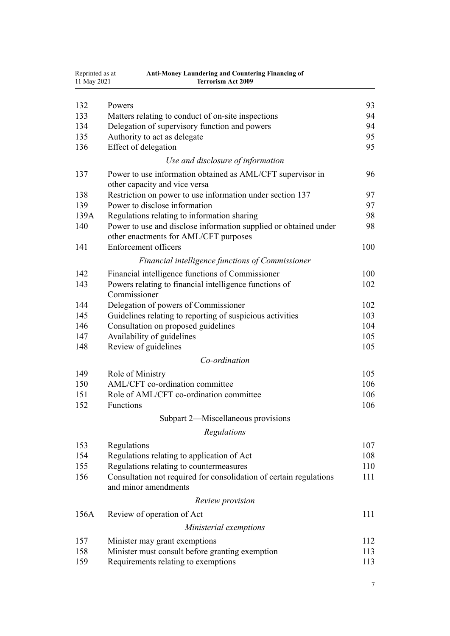| Reprinted as at<br>11 May 2021 | <b>Anti-Money Laundering and Countering Financing of</b><br><b>Terrorism Act 2009</b>      |     |
|--------------------------------|--------------------------------------------------------------------------------------------|-----|
|                                |                                                                                            |     |
| 132                            | Powers                                                                                     | 93  |
| 133                            | Matters relating to conduct of on-site inspections                                         | 94  |
| 134                            | Delegation of supervisory function and powers                                              | 94  |
| 135                            | Authority to act as delegate                                                               | 95  |
| 136                            | Effect of delegation                                                                       | 95  |
|                                | Use and disclosure of information                                                          |     |
| 137                            | Power to use information obtained as AML/CFT supervisor in                                 | 96  |
|                                | other capacity and vice versa                                                              |     |
| 138                            | Restriction on power to use information under section 137                                  | 97  |
| 139                            | Power to disclose information                                                              | 97  |
| 139A                           | Regulations relating to information sharing                                                | 98  |
| 140                            | Power to use and disclose information supplied or obtained under                           | 98  |
|                                | other enactments for AML/CFT purposes                                                      |     |
| 141                            | Enforcement officers                                                                       | 100 |
|                                | Financial intelligence functions of Commissioner                                           |     |
| 142                            | Financial intelligence functions of Commissioner                                           | 100 |
| 143                            | Powers relating to financial intelligence functions of                                     | 102 |
|                                | Commissioner                                                                               |     |
| 144                            | Delegation of powers of Commissioner                                                       | 102 |
| 145                            | Guidelines relating to reporting of suspicious activities                                  | 103 |
| 146                            | Consultation on proposed guidelines                                                        | 104 |
| 147                            | Availability of guidelines                                                                 | 105 |
| 148                            | Review of guidelines                                                                       | 105 |
|                                | Co-ordination                                                                              |     |
| 149                            | Role of Ministry                                                                           | 105 |
| 150                            | AML/CFT co-ordination committee                                                            | 106 |
| 151                            | Role of AML/CFT co-ordination committee                                                    | 106 |
| 152                            | Functions                                                                                  | 106 |
|                                | Subpart 2—Miscellaneous provisions                                                         |     |
|                                |                                                                                            |     |
|                                | Regulations                                                                                |     |
| 153                            | Regulations                                                                                | 107 |
| 154                            | Regulations relating to application of Act                                                 | 108 |
| 155                            | Regulations relating to countermeasures                                                    | 110 |
| 156                            | Consultation not required for consolidation of certain regulations<br>and minor amendments | 111 |
|                                | Review provision                                                                           |     |
| 156A                           | Review of operation of Act                                                                 | 111 |
|                                | Ministerial exemptions                                                                     |     |
| 157                            | Minister may grant exemptions                                                              | 112 |
| 158                            | Minister must consult before granting exemption                                            | 113 |
| 159                            | Requirements relating to exemptions                                                        | 113 |
|                                |                                                                                            |     |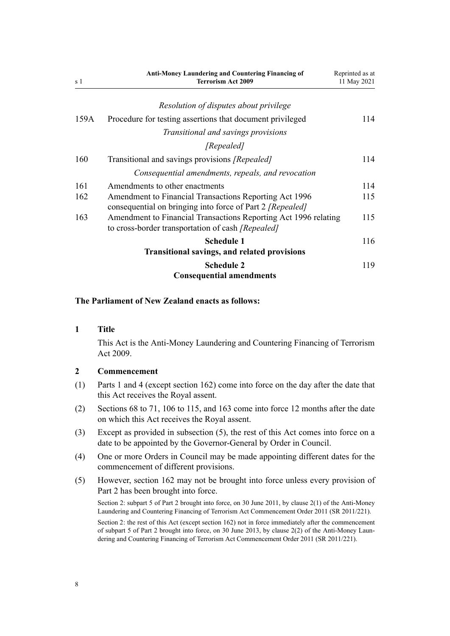<span id="page-7-0"></span>

| s 1  | <b>Anti-Money Laundering and Countering Financing of</b><br><b>Terrorism Act 2009</b>                                | Reprinted as at<br>11 May 2021 |
|------|----------------------------------------------------------------------------------------------------------------------|--------------------------------|
|      | Resolution of disputes about privilege                                                                               |                                |
| 159A | Procedure for testing assertions that document privileged                                                            | 114                            |
|      | Transitional and savings provisions                                                                                  |                                |
|      | [Repealed]                                                                                                           |                                |
| 160  | Transitional and savings provisions [Repealed]                                                                       | 114                            |
|      | Consequential amendments, repeals, and revocation                                                                    |                                |
| 161  | Amendments to other enactments                                                                                       | 114                            |
| 162  | Amendment to Financial Transactions Reporting Act 1996<br>consequential on bringing into force of Part 2 [Repealed]  | 115                            |
| 163  | Amendment to Financial Transactions Reporting Act 1996 relating<br>to cross-border transportation of cash [Repealed] | 115                            |
|      | <b>Schedule 1</b>                                                                                                    | 116                            |
|      | <b>Transitional savings, and related provisions</b>                                                                  |                                |
|      | <b>Schedule 2</b><br><b>Consequential amendments</b>                                                                 | 119                            |

# **The Parliament of New Zealand enacts as follows:**

#### **1 Title**

This Act is the Anti-Money Laundering and Countering Financing of Terrorism Act 2009.

#### **2 Commencement**

- (1) [Parts 1](#page-8-0) and [4](#page-90-0) (except [section 162](#page-114-0)) come into force on the day after the date that this Act receives the Royal assent.
- (2) [Sections 68 to 71,](#page-68-0) [106 to 115,](#page-82-0) and [163](#page-114-0) come into force 12 months after the date on which this Act receives the Royal assent.
- (3) Except as provided in subsection (5), the rest of this Act comes into force on a date to be appointed by the Governor-General by Order in Council.
- (4) One or more Orders in Council may be made appointing different dates for the commencement of different provisions.
- (5) However, [section 162](#page-114-0) may not be brought into force unless every provision of [Part 2](#page-30-0) has been brought into force.

Section 2: subpart 5 of Part 2 brought into force, on 30 June 2011, by [clause 2\(1\)](http://legislation.govt.nz/pdflink.aspx?id=DLM3831005) of the Anti-Money Laundering and Countering Financing of Terrorism Act Commencement Order 2011 (SR 2011/221).

Section 2: the rest of this Act (except section 162) not in force immediately after the commencement of subpart 5 of Part 2 brought into force, on 30 June 2013, by [clause 2\(2\)](http://legislation.govt.nz/pdflink.aspx?id=DLM3831005) of the Anti-Money Laundering and Countering Financing of Terrorism Act Commencement Order 2011 (SR 2011/221).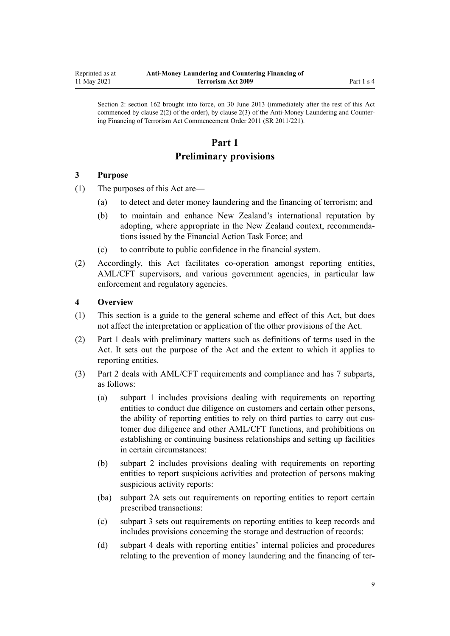<span id="page-8-0"></span>Section 2: section 162 brought into force, on 30 June 2013 (immediately after the rest of this Act commenced by clause 2(2) of the order), by [clause 2\(3\)](http://legislation.govt.nz/pdflink.aspx?id=DLM3831005) of the Anti-Money Laundering and Counter‐ ing Financing of Terrorism Act Commencement Order 2011 (SR 2011/221).

# **Part 1**

# **Preliminary provisions**

## **3 Purpose**

- (1) The purposes of this Act are—
	- (a) to detect and deter money laundering and the financing of terrorism; and
	- (b) to maintain and enhance New Zealand's international reputation by adopting, where appropriate in the New Zealand context, recommenda‐ tions issued by the Financial Action Task Force; and
	- (c) to contribute to public confidence in the financial system.
- (2) Accordingly, this Act facilitates co-operation amongst reporting entities, AML/CFT supervisors, and various government agencies, in particular law enforcement and regulatory agencies.

# **4 Overview**

- (1) This section is a guide to the general scheme and effect of this Act, but does not affect the interpretation or application of the other provisions of the Act.
- (2) Part 1 deals with preliminary matters such as definitions of terms used in the Act. It sets out the purpose of the Act and the extent to which it applies to reporting entities.
- (3) [Part 2](#page-30-0) deals with AML/CFT requirements and compliance and has 7 subparts, as follows:
	- (a) [subpart 1](#page-31-0) includes provisions dealing with requirements on reporting entities to conduct due diligence on customers and certain other persons, the ability of reporting entities to rely on third parties to carry out cus‐ tomer due diligence and other AML/CFT functions, and prohibitions on establishing or continuing business relationships and setting up facilities in certain circumstances:
	- (b) [subpart 2](#page-50-0) includes provisions dealing with requirements on reporting entities to report suspicious activities and protection of persons making suspicious activity reports:
	- (ba) [subpart 2A](#page-56-0) sets out requirements on reporting entities to report certain prescribed transactions:
	- (c) [subpart 3](#page-58-0) sets out requirements on reporting entities to keep records and includes provisions concerning the storage and destruction of records:
	- (d) [subpart 4](#page-61-0) deals with reporting entities' internal policies and procedures relating to the prevention of money laundering and the financing of ter‐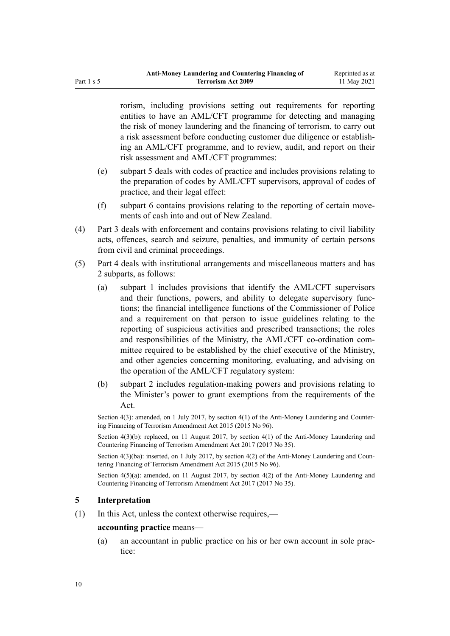<span id="page-9-0"></span>rorism, including provisions setting out requirements for reporting entities to have an AML/CFT programme for detecting and managing the risk of money laundering and the financing of terrorism, to carry out a risk assessment before conducting customer due diligence or establish‐ ing an AML/CFT programme, and to review, audit, and report on their risk assessment and AML/CFT programmes:

- (e) [subpart 5](#page-65-0) deals with codes of practice and includes provisions relating to the preparation of codes by AML/CFT supervisors, approval of codes of practice, and their legal effect:
- (f) [subpart 6](#page-68-0) contains provisions relating to the reporting of certain move‐ ments of cash into and out of New Zealand.
- (4) [Part 3](#page-70-0) deals with enforcement and contains provisions relating to civil liability acts, offences, search and seizure, penalties, and immunity of certain persons from civil and criminal proceedings.
- (5) [Part 4](#page-90-0) deals with institutional arrangements and miscellaneous matters and has 2 subparts, as follows:
	- (a) [subpart 1](#page-90-0) includes provisions that identify the AML/CFT supervisors and their functions, powers, and ability to delegate supervisory func‐ tions; the financial intelligence functions of the Commissioner of Police and a requirement on that person to issue guidelines relating to the reporting of suspicious activities and prescribed transactions; the roles and responsibilities of the Ministry, the AML/CFT co-ordination com‐ mittee required to be established by the chief executive of the Ministry, and other agencies concerning monitoring, evaluating, and advising on the operation of the AML/CFT regulatory system:
	- (b) [subpart 2](#page-106-0) includes regulation-making powers and provisions relating to the Minister's power to grant exemptions from the requirements of the  $\Delta$  ct.

Section 4(3): amended, on 1 July 2017, by [section 4\(1\)](http://legislation.govt.nz/pdflink.aspx?id=DLM6602208) of the Anti-Money Laundering and Countering Financing of Terrorism Amendment Act 2015 (2015 No 96).

Section  $4(3)(b)$ : replaced, on 11 August 2017, by section  $4(1)$  of the Anti-Money Laundering and Countering Financing of Terrorism Amendment Act 2017 (2017 No 35).

Section  $4(3)(ba)$ : inserted, on 1 July 2017, by section  $4(2)$  of the Anti-Money Laundering and Countering Financing of Terrorism Amendment Act 2015 (2015 No 96).

Section  $4(5)(a)$ : amended, on 11 August 2017, by section  $4(2)$  of the Anti-Money Laundering and Countering Financing of Terrorism Amendment Act 2017 (2017 No 35).

## **5 Interpretation**

(1) In this Act, unless the context otherwise requires,—

#### **accounting practice** means—

(a) an accountant in public practice on his or her own account in sole prac‐ tice: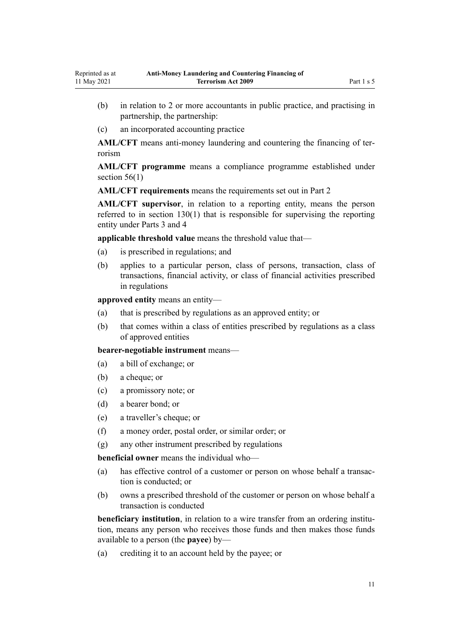- (b) in relation to 2 or more accountants in public practice, and practising in partnership, the partnership:
- (c) an incorporated accounting practice

**AML/CFT** means anti-money laundering and countering the financing of ter‐ rorism

**AML/CFT programme** means a compliance programme established under section  $56(1)$ 

**AML/CFT requirements** means the requirements set out in [Part 2](#page-30-0)

**AML/CFT supervisor**, in relation to a reporting entity, means the person referred to in [section 130\(1\)](#page-90-0) that is responsible for supervising the reporting entity under [Parts 3](#page-70-0) and [4](#page-90-0)

**applicable threshold value** means the threshold value that—

- (a) is prescribed in regulations; and
- (b) applies to a particular person, class of persons, transaction, class of transactions, financial activity, or class of financial activities prescribed in regulations

**approved entity** means an entity—

- (a) that is prescribed by regulations as an approved entity; or
- (b) that comes within a class of entities prescribed by regulations as a class of approved entities

**bearer-negotiable instrument** means—

- (a) a bill of exchange; or
- (b) a cheque; or
- (c) a promissory note; or
- (d) a bearer bond; or
- (e) a traveller's cheque; or
- (f) a money order, postal order, or similar order; or
- (g) any other instrument prescribed by regulations

**beneficial owner** means the individual who—

- (a) has effective control of a customer or person on whose behalf a transaction is conducted; or
- (b) owns a prescribed threshold of the customer or person on whose behalf a transaction is conducted

**beneficiary institution**, in relation to a wire transfer from an ordering institution, means any person who receives those funds and then makes those funds available to a person (the **payee**) by—

(a) crediting it to an account held by the payee; or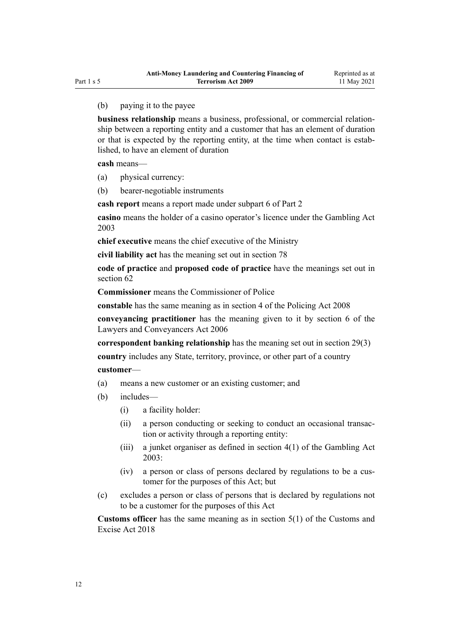#### (b) paying it to the payee

**business relationship** means a business, professional, or commercial relationship between a reporting entity and a customer that has an element of duration or that is expected by the reporting entity, at the time when contact is established, to have an element of duration

**cash** means—

- (a) physical currency:
- (b) bearer-negotiable instruments

**cash report** means a report made under [subpart 6](#page-68-0) of Part 2

**casino** means the holder of a casino operator's licence under the [Gambling Act](http://legislation.govt.nz/pdflink.aspx?id=DLM207496) [2003](http://legislation.govt.nz/pdflink.aspx?id=DLM207496)

**chief executive** means the chief executive of the Ministry

**civil liability act** has the meaning set out in [section 78](#page-72-0)

**code of practice** and **proposed code of practice** have the meanings set out in [section 62](#page-65-0)

**Commissioner** means the Commissioner of Police

**constable** has the same meaning as in [section 4](http://legislation.govt.nz/pdflink.aspx?id=DLM1102132) of the Policing Act 2008

**conveyancing practitioner** has the meaning given to it by [section 6](http://legislation.govt.nz/pdflink.aspx?id=DLM364948) of the Lawyers and Conveyancers Act 2006

**correspondent banking relationship** has the meaning set out in [section 29\(3\)](#page-42-0)

**country** includes any State, territory, province, or other part of a country

#### **customer**—

- (a) means a new customer or an existing customer; and
- (b) includes—
	- (i) a facility holder:
	- (ii) a person conducting or seeking to conduct an occasional transac‐ tion or activity through a reporting entity:
	- (iii) a junket organiser as defined in [section 4\(1\)](http://legislation.govt.nz/pdflink.aspx?id=DLM207804) of the Gambling Act 2003:
	- (iv) a person or class of persons declared by regulations to be a cus‐ tomer for the purposes of this Act; but
- (c) excludes a person or class of persons that is declared by regulations not to be a customer for the purposes of this Act

**Customs officer** has the same meaning as in [section 5\(1\)](http://legislation.govt.nz/pdflink.aspx?id=DLM7038971) of the Customs and Excise Act 2018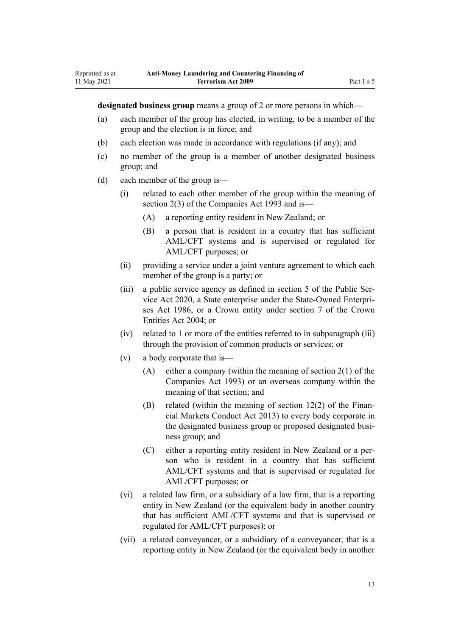**designated business group** means a group of 2 or more persons in which—

- (a) each member of the group has elected, in writing, to be a member of the group and the election is in force; and
- (b) each election was made in accordance with regulations (if any); and
- (c) no member of the group is a member of another designated business group; and
- (d) each member of the group is—

Reprinted as at 11 May 2021

- (i) related to each other member of the group within the meaning of [section 2\(3\)](http://legislation.govt.nz/pdflink.aspx?id=DLM319576) of the Companies Act 1993 and is—
	- (A) a reporting entity resident in New Zealand; or
	- (B) a person that is resident in a country that has sufficient AML/CFT systems and is supervised or regulated for AML/CFT purposes; or
- (ii) providing a service under a joint venture agreement to which each member of the group is a party; or
- (iii) a public service agency as defined in [section 5](http://legislation.govt.nz/pdflink.aspx?id=LMS356868) of the Public Ser‐ vice Act 2020, a State enterprise under the [State-Owned Enterpri‐](http://legislation.govt.nz/pdflink.aspx?id=DLM97376) [ses Act 1986,](http://legislation.govt.nz/pdflink.aspx?id=DLM97376) or a Crown entity under [section 7](http://legislation.govt.nz/pdflink.aspx?id=DLM329641) of the Crown Entities Act 2004; or
- (iv) related to 1 or more of the entities referred to in subparagraph (iii) through the provision of common products or services; or
- (v) a body corporate that is—
	- (A) either a company (within the meaning of [section 2\(1\)](http://legislation.govt.nz/pdflink.aspx?id=DLM319576) of the Companies Act 1993) or an overseas company within the meaning of that section; and
	- (B) related (within the meaning of section  $12(2)$  of the Financial Markets Conduct Act 2013) to every body corporate in the designated business group or proposed designated business group; and
	- (C) either a reporting entity resident in New Zealand or a per‐ son who is resident in a country that has sufficient AML/CFT systems and that is supervised or regulated for AML/CFT purposes; or
- (vi) a related law firm, or a subsidiary of a law firm, that is a reporting entity in New Zealand (or the equivalent body in another country that has sufficient AML/CFT systems and that is supervised or regulated for AML/CFT purposes); or
- (vii) a related conveyancer, or a subsidiary of a conveyancer, that is a reporting entity in New Zealand (or the equivalent body in another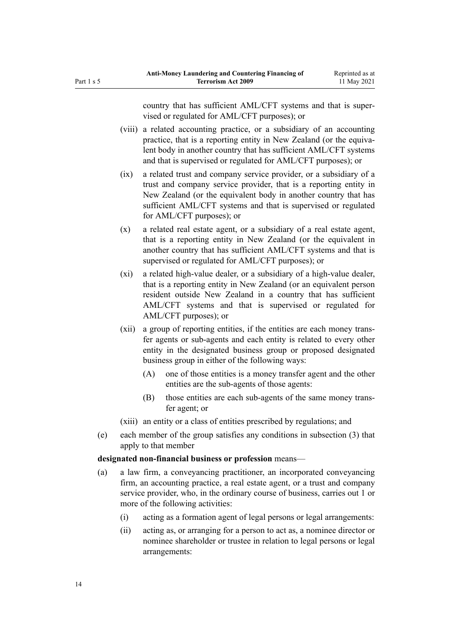country that has sufficient AML/CFT systems and that is super‐ vised or regulated for AML/CFT purposes); or

- (viii) a related accounting practice, or a subsidiary of an accounting practice, that is a reporting entity in New Zealand (or the equivalent body in another country that has sufficient AML/CFT systems and that is supervised or regulated for AML/CFT purposes); or
- (ix) a related trust and company service provider, or a subsidiary of a trust and company service provider, that is a reporting entity in New Zealand (or the equivalent body in another country that has sufficient AML/CFT systems and that is supervised or regulated for AML/CFT purposes); or
- (x) a related real estate agent, or a subsidiary of a real estate agent, that is a reporting entity in New Zealand (or the equivalent in another country that has sufficient AML/CFT systems and that is supervised or regulated for AML/CFT purposes); or
- (xi) a related high-value dealer, or a subsidiary of a high-value dealer, that is a reporting entity in New Zealand (or an equivalent person resident outside New Zealand in a country that has sufficient AML/CFT systems and that is supervised or regulated for AML/CFT purposes); or
- (xii) a group of reporting entities, if the entities are each money trans‐ fer agents or sub-agents and each entity is related to every other entity in the designated business group or proposed designated business group in either of the following ways:
	- (A) one of those entities is a money transfer agent and the other entities are the sub-agents of those agents:
	- (B) those entities are each sub-agents of the same money transfer agent; or
- (xiii) an entity or a class of entities prescribed by regulations; and
- (e) each member of the group satisfies any conditions in subsection (3) that apply to that member

#### **designated non-financial business or profession** means—

- (a) a law firm, a conveyancing practitioner, an incorporated conveyancing firm, an accounting practice, a real estate agent, or a trust and company service provider, who, in the ordinary course of business, carries out 1 or more of the following activities:
	- (i) acting as a formation agent of legal persons or legal arrangements:
	- (ii) acting as, or arranging for a person to act as, a nominee director or nominee shareholder or trustee in relation to legal persons or legal arrangements: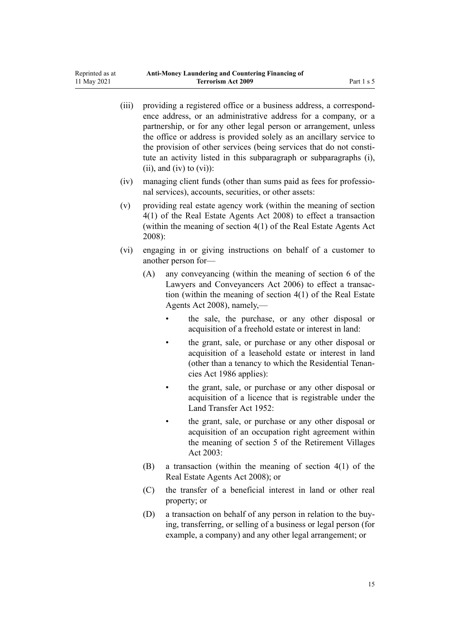| (iii) | providing a registered office or a business address, a correspond-<br>ence address, or an administrative address for a company, or a<br>partnership, or for any other legal person or arrangement, unless<br>the office or address is provided solely as an ancillary service to<br>the provision of other services (being services that do not consti-<br>tute an activity listed in this subparagraph or subparagraphs (i),<br>$(ii)$ , and $(iv)$ to $(vi)$ : |                                                                                                                                                                                                                    |  |  |
|-------|------------------------------------------------------------------------------------------------------------------------------------------------------------------------------------------------------------------------------------------------------------------------------------------------------------------------------------------------------------------------------------------------------------------------------------------------------------------|--------------------------------------------------------------------------------------------------------------------------------------------------------------------------------------------------------------------|--|--|
| (iv)  |                                                                                                                                                                                                                                                                                                                                                                                                                                                                  | managing client funds (other than sums paid as fees for professio-<br>nal services), accounts, securities, or other assets:                                                                                        |  |  |
| (v)   | providing real estate agency work (within the meaning of section<br>4(1) of the Real Estate Agents Act 2008) to effect a transaction<br>(within the meaning of section 4(1) of the Real Estate Agents Act<br>$2008$ :                                                                                                                                                                                                                                            |                                                                                                                                                                                                                    |  |  |
| (vi)  |                                                                                                                                                                                                                                                                                                                                                                                                                                                                  | engaging in or giving instructions on behalf of a customer to<br>another person for-                                                                                                                               |  |  |
|       | (A)                                                                                                                                                                                                                                                                                                                                                                                                                                                              | any conveyancing (within the meaning of section 6 of the<br>Lawyers and Conveyancers Act 2006) to effect a transac-<br>tion (within the meaning of section $4(1)$ of the Real Estate<br>Agents Act 2008), namely,- |  |  |
|       |                                                                                                                                                                                                                                                                                                                                                                                                                                                                  | the sale, the purchase, or any other disposal or<br>acquisition of a freehold estate or interest in land:                                                                                                          |  |  |
|       |                                                                                                                                                                                                                                                                                                                                                                                                                                                                  | the grant, sale, or purchase or any other disposal or<br>acquisition of a leasehold estate or interest in land<br>(other than a tenancy to which the Residential Tenan-<br>cies Act 1986 applies):                 |  |  |
|       |                                                                                                                                                                                                                                                                                                                                                                                                                                                                  | the grant, sale, or purchase or any other disposal or<br>acquisition of a licence that is registrable under the<br>Land Transfer Act 1952:                                                                         |  |  |
|       |                                                                                                                                                                                                                                                                                                                                                                                                                                                                  | the grant, sale, or purchase or any other disposal or<br>acquisition of an occupation right agreement within<br>the meaning of section 5 of the Retirement Villages<br>Act 2003:                                   |  |  |
|       | (B)                                                                                                                                                                                                                                                                                                                                                                                                                                                              | a transaction (within the meaning of section $4(1)$ of the<br>Real Estate Agents Act 2008); or                                                                                                                     |  |  |
|       | (C)                                                                                                                                                                                                                                                                                                                                                                                                                                                              | the transfer of a beneficial interest in land or other real<br>property; or                                                                                                                                        |  |  |

(D) a transaction on behalf of any person in relation to the buying, transferring, or selling of a business or legal person (for example, a company) and any other legal arrangement; or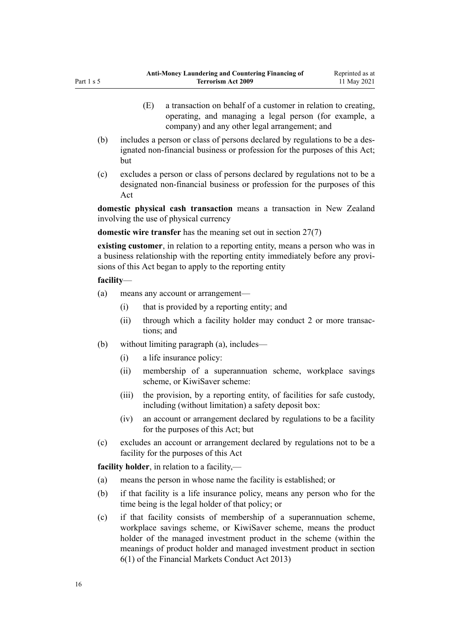- (E) a transaction on behalf of a customer in relation to creating, operating, and managing a legal person (for example, a company) and any other legal arrangement; and
- (b) includes a person or class of persons declared by regulations to be a des‐ ignated non-financial business or profession for the purposes of this Act; but
- (c) excludes a person or class of persons declared by regulations not to be a designated non-financial business or profession for the purposes of this Act

**domestic physical cash transaction** means a transaction in New Zealand involving the use of physical currency

**domestic wire transfer** has the meaning set out in [section 27\(7\)](#page-40-0)

**existing customer**, in relation to a reporting entity, means a person who was in a business relationship with the reporting entity immediately before any provi‐ sions of this Act began to apply to the reporting entity

#### **facility**—

- (a) means any account or arrangement—
	- (i) that is provided by a reporting entity; and
	- (ii) through which a facility holder may conduct 2 or more transactions; and
- (b) without limiting paragraph (a), includes—
	- (i) a life insurance policy:
	- (ii) membership of a superannuation scheme, workplace savings scheme, or KiwiSaver scheme:
	- (iii) the provision, by a reporting entity, of facilities for safe custody, including (without limitation) a safety deposit box:
	- (iv) an account or arrangement declared by regulations to be a facility for the purposes of this Act; but
- (c) excludes an account or arrangement declared by regulations not to be a facility for the purposes of this Act

**facility holder**, in relation to a facility,—

- (a) means the person in whose name the facility is established; or
- (b) if that facility is a life insurance policy, means any person who for the time being is the legal holder of that policy; or
- (c) if that facility consists of membership of a superannuation scheme, workplace savings scheme, or KiwiSaver scheme, means the product holder of the managed investment product in the scheme (within the meanings of product holder and managed investment product in [section](http://legislation.govt.nz/pdflink.aspx?id=DLM4090590) [6\(1\)](http://legislation.govt.nz/pdflink.aspx?id=DLM4090590) of the Financial Markets Conduct Act 2013)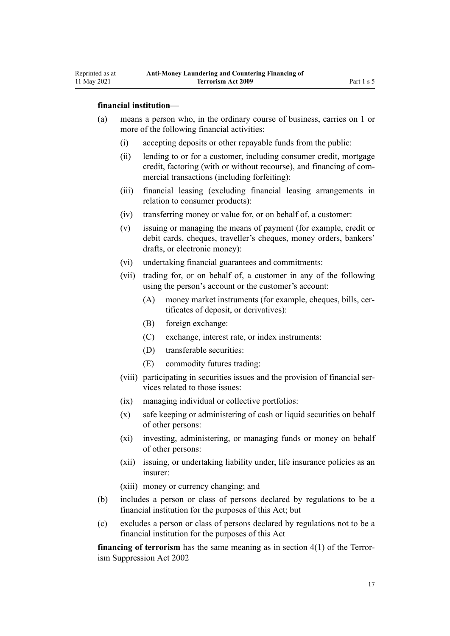- (a) means a person who, in the ordinary course of business, carries on 1 or more of the following financial activities:
	- (i) accepting deposits or other repayable funds from the public:
	- (ii) lending to or for a customer, including consumer credit, mortgage credit, factoring (with or without recourse), and financing of com‐ mercial transactions (including forfeiting):
	- (iii) financial leasing (excluding financial leasing arrangements in relation to consumer products):
	- (iv) transferring money or value for, or on behalf of, a customer:
	- (v) issuing or managing the means of payment (for example, credit or debit cards, cheques, traveller's cheques, money orders, bankers' drafts, or electronic money):
	- (vi) undertaking financial guarantees and commitments:
	- (vii) trading for, or on behalf of, a customer in any of the following using the person's account or the customer's account:
		- (A) money market instruments (for example, cheques, bills, certificates of deposit, or derivatives):
		- (B) foreign exchange:
		- (C) exchange, interest rate, or index instruments:
		- (D) transferable securities:
		- (E) commodity futures trading:
	- (viii) participating in securities issues and the provision of financial services related to those issues:
	- (ix) managing individual or collective portfolios:
	- (x) safe keeping or administering of cash or liquid securities on behalf of other persons:
	- (xi) investing, administering, or managing funds or money on behalf of other persons:
	- (xii) issuing, or undertaking liability under, life insurance policies as an insurer:
	- (xiii) money or currency changing; and
- (b) includes a person or class of persons declared by regulations to be a financial institution for the purposes of this Act; but
- (c) excludes a person or class of persons declared by regulations not to be a financial institution for the purposes of this Act

**financing of terrorism** has the same meaning as in [section 4\(1\)](http://legislation.govt.nz/pdflink.aspx?id=DLM152400) of the Terrorism Suppression Act 2002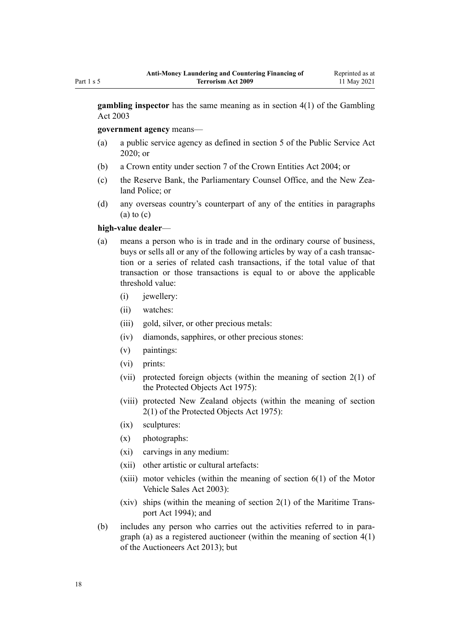**gambling inspector** has the same meaning as in [section 4\(1\)](http://legislation.govt.nz/pdflink.aspx?id=DLM207804) of the Gambling Act 2003

**government agency** means—

- (a) a public service agency as defined in [section 5](http://legislation.govt.nz/pdflink.aspx?id=LMS356868) of the Public Service Act 2020; or
- (b) a Crown entity under [section 7](http://legislation.govt.nz/pdflink.aspx?id=DLM329641) of the Crown Entities Act 2004; or
- (c) the Reserve Bank, the Parliamentary Counsel Office, and the New Zea‐ land Police; or
- (d) any overseas country's counterpart of any of the entities in paragraphs  $(a)$  to  $(c)$

#### **high-value dealer**—

- (a) means a person who is in trade and in the ordinary course of business, buys or sells all or any of the following articles by way of a cash transac‐ tion or a series of related cash transactions, if the total value of that transaction or those transactions is equal to or above the applicable threshold value:
	- (i) iewellery:
	- (ii) watches:
	- (iii) gold, silver, or other precious metals:
	- (iv) diamonds, sapphires, or other precious stones:
	- (v) paintings:
	- (vi) prints:
	- (vii) protected foreign objects (within the meaning of [section 2\(1\)](http://legislation.govt.nz/pdflink.aspx?id=DLM432125) of the Protected Objects Act 1975):
	- (viii) protected New Zealand objects (within the meaning of [section](http://legislation.govt.nz/pdflink.aspx?id=DLM432125) [2\(1\)](http://legislation.govt.nz/pdflink.aspx?id=DLM432125) of the Protected Objects Act 1975):
	- (ix) sculptures:
	- (x) photographs:
	- (xi) carvings in any medium:
	- (xii) other artistic or cultural artefacts:
	- $(xiii)$  motor vehicles (within the meaning of section  $6(1)$  of the Motor Vehicle Sales Act 2003):
	- $(xiv)$  ships (within the meaning of [section 2\(1\)](http://legislation.govt.nz/pdflink.aspx?id=DLM334667) of the Maritime Transport Act 1994); and
- (b) includes any person who carries out the activities referred to in paragraph (a) as a registered auctioneer (within the meaning of [section 4\(1\)](http://legislation.govt.nz/pdflink.aspx?id=DLM5788508) of the Auctioneers Act 2013); but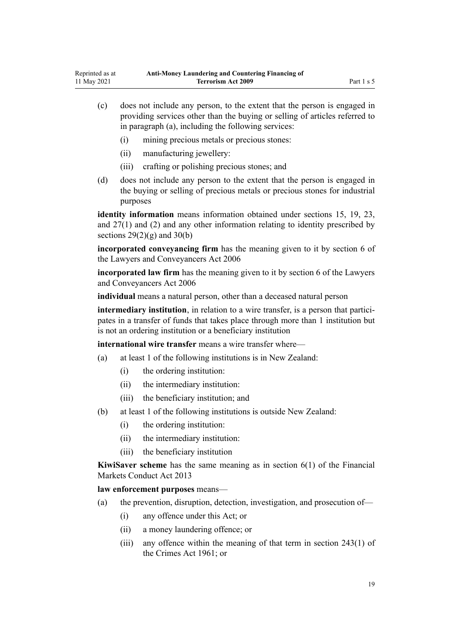- (c) does not include any person, to the extent that the person is engaged in providing services other than the buying or selling of articles referred to in paragraph (a), including the following services:
	- (i) mining precious metals or precious stones:
	- (ii) manufacturing jewellery:
	- (iii) crafting or polishing precious stones; and
- (d) does not include any person to the extent that the person is engaged in the buying or selling of precious metals or precious stones for industrial purposes

**identity information** means information obtained under [sections 15](#page-33-0), [19](#page-36-0), [23](#page-39-0), and [27\(1\) and \(2\)](#page-40-0) and any other information relating to identity prescribed by sections  $29(2)(g)$  and  $30(b)$ 

**incorporated conveyancing firm** has the meaning given to it by [section 6](http://legislation.govt.nz/pdflink.aspx?id=DLM364948) of the Lawyers and Conveyancers Act 2006

**incorporated law firm** has the meaning given to it by [section 6](http://legislation.govt.nz/pdflink.aspx?id=DLM364948) of the Lawyers and Conveyancers Act 2006

**individual** means a natural person, other than a deceased natural person

**intermediary institution**, in relation to a wire transfer, is a person that participates in a transfer of funds that takes place through more than 1 institution but is not an ordering institution or a beneficiary institution

**international wire transfer** means a wire transfer where—

- (a) at least 1 of the following institutions is in New Zealand:
	- (i) the ordering institution:
	- (ii) the intermediary institution:
	- (iii) the beneficiary institution; and
- (b) at least 1 of the following institutions is outside New Zealand:
	- (i) the ordering institution:
	- (ii) the intermediary institution:
	- (iii) the beneficiary institution

**KiwiSaver scheme** has the same meaning as in [section 6\(1\)](http://legislation.govt.nz/pdflink.aspx?id=DLM4090590) of the Financial Markets Conduct Act 2013

**law enforcement purposes** means—

- (a) the prevention, disruption, detection, investigation, and prosecution of—
	- (i) any offence under this Act; or
	- (ii) a money laundering offence; or
	- (iii) any offence within the meaning of that term in [section 243\(1\)](http://legislation.govt.nz/pdflink.aspx?id=DLM330289) of the Crimes Act 1961; or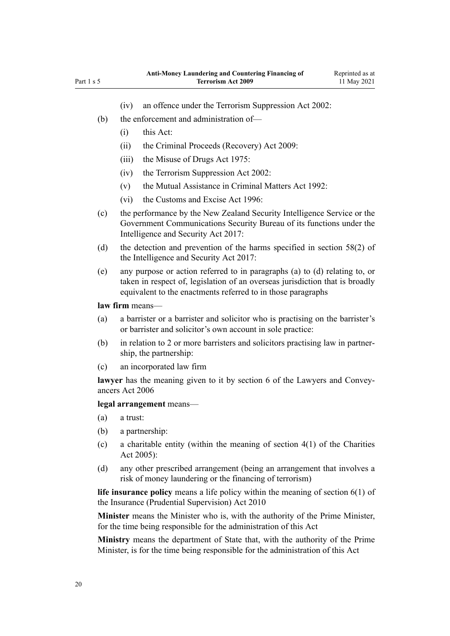- (iv) an offence under the [Terrorism Suppression Act 2002:](http://legislation.govt.nz/pdflink.aspx?id=DLM151490)
- (b) the enforcement and administration of—
	- (i) this Act:
	- (ii) the [Criminal Proceeds \(Recovery\) Act 2009](http://legislation.govt.nz/pdflink.aspx?id=BILL-SCDRAFT-7242):
	- (iii) the [Misuse of Drugs Act 1975](http://legislation.govt.nz/pdflink.aspx?id=DLM436100):
	- (iv) the [Terrorism Suppression Act 2002:](http://legislation.govt.nz/pdflink.aspx?id=DLM151490)
	- (v) the [Mutual Assistance in Criminal Matters Act 1992](http://legislation.govt.nz/pdflink.aspx?id=DLM273056):
	- (vi) the [Customs and Excise Act 1996:](http://legislation.govt.nz/pdflink.aspx?id=DLM377336)
- (c) the performance by the New Zealand Security Intelligence Service or the Government Communications Security Bureau of its functions under the [Intelligence and Security Act 2017:](http://legislation.govt.nz/pdflink.aspx?id=DLM6920802)
- (d) the detection and prevention of the harms specified in [section 58\(2\)](http://legislation.govt.nz/pdflink.aspx?id=DLM7118931) of the Intelligence and Security Act 2017:
- (e) any purpose or action referred to in paragraphs (a) to (d) relating to, or taken in respect of, legislation of an overseas jurisdiction that is broadly equivalent to the enactments referred to in those paragraphs

## **law firm** means—

- (a) a barrister or a barrister and solicitor who is practising on the barrister's or barrister and solicitor's own account in sole practice:
- (b) in relation to 2 or more barristers and solicitors practising law in partner‐ ship, the partnership:
- (c) an incorporated law firm

lawyer has the meaning given to it by [section 6](http://legislation.govt.nz/pdflink.aspx?id=DLM364948) of the Lawyers and Conveyancers Act 2006

## **legal arrangement** means—

- (a) a trust:
- (b) a partnership:
- (c) a charitable entity (within the meaning of section  $4(1)$  of the Charities Act 2005):
- (d) any other prescribed arrangement (being an arrangement that involves a risk of money laundering or the financing of terrorism)

**life insurance policy** means a life policy within the meaning of [section 6\(1\)](http://legislation.govt.nz/pdflink.aspx?id=DLM2478128) of the Insurance (Prudential Supervision) Act 2010

**Minister** means the Minister who is, with the authority of the Prime Minister, for the time being responsible for the administration of this Act

**Ministry** means the department of State that, with the authority of the Prime Minister, is for the time being responsible for the administration of this Act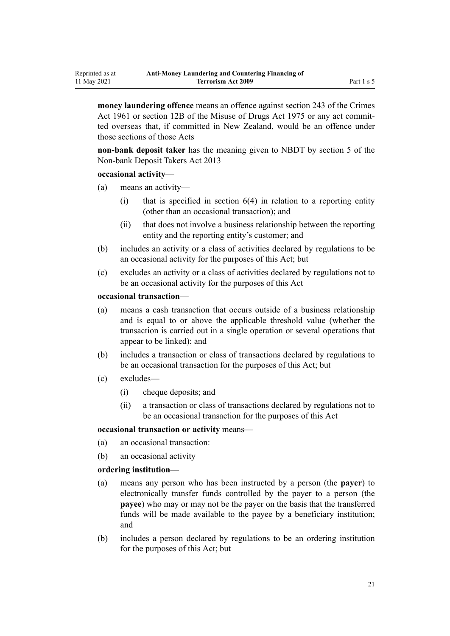**money laundering offence** means an offence against [section 243](http://legislation.govt.nz/pdflink.aspx?id=DLM330289) of the Crimes Act 1961 or [section 12B](http://legislation.govt.nz/pdflink.aspx?id=DLM436285) of the Misuse of Drugs Act 1975 or any act committed overseas that, if committed in New Zealand, would be an offence under those sections of those Acts

**non-bank deposit taker** has the meaning given to NBDT by [section 5](http://legislation.govt.nz/pdflink.aspx?id=DLM3918989) of the Non-bank Deposit Takers Act 2013

#### **occasional activity**—

Reprinted as at 11 May 2021

- (a) means an activity—
	- $(i)$  that is specified in section  $6(4)$  in relation to a reporting entity (other than an occasional transaction); and
	- (ii) that does not involve a business relationship between the reporting entity and the reporting entity's customer; and
- (b) includes an activity or a class of activities declared by regulations to be an occasional activity for the purposes of this Act; but
- (c) excludes an activity or a class of activities declared by regulations not to be an occasional activity for the purposes of this Act

#### **occasional transaction**—

- (a) means a cash transaction that occurs outside of a business relationship and is equal to or above the applicable threshold value (whether the transaction is carried out in a single operation or several operations that appear to be linked); and
- (b) includes a transaction or class of transactions declared by regulations to be an occasional transaction for the purposes of this Act; but
- (c) excludes—
	- (i) cheque deposits; and
	- (ii) a transaction or class of transactions declared by regulations not to be an occasional transaction for the purposes of this Act

#### **occasional transaction or activity** means—

- (a) an occasional transaction:
- (b) an occasional activity

## **ordering institution**—

- (a) means any person who has been instructed by a person (the **payer**) to electronically transfer funds controlled by the payer to a person (the **payee**) who may or may not be the payer on the basis that the transferred funds will be made available to the payee by a beneficiary institution; and
- (b) includes a person declared by regulations to be an ordering institution for the purposes of this Act; but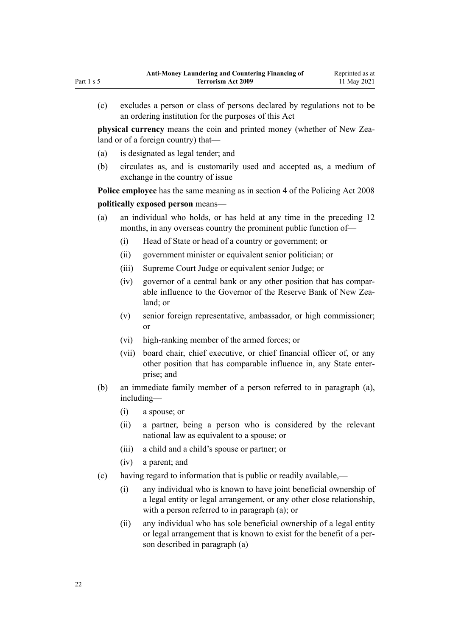(c) excludes a person or class of persons declared by regulations not to be an ordering institution for the purposes of this Act

**physical currency** means the coin and printed money (whether of New Zealand or of a foreign country) that—

- (a) is designated as legal tender; and
- (b) circulates as, and is customarily used and accepted as, a medium of exchange in the country of issue

**Police employee** has the same meaning as in [section 4](http://legislation.govt.nz/pdflink.aspx?id=DLM1102132) of the Policing Act 2008

# **politically exposed person** means—

- (a) an individual who holds, or has held at any time in the preceding 12 months, in any overseas country the prominent public function of—
	- (i) Head of State or head of a country or government; or
	- (ii) government minister or equivalent senior politician; or
	- (iii) Supreme Court Judge or equivalent senior Judge; or
	- (iv) governor of a central bank or any other position that has compar‐ able influence to the Governor of the Reserve Bank of New Zealand; or
	- (v) senior foreign representative, ambassador, or high commissioner; or
	- (vi) high-ranking member of the armed forces; or
	- (vii) board chair, chief executive, or chief financial officer of, or any other position that has comparable influence in, any State enter‐ prise; and
- (b) an immediate family member of a person referred to in paragraph (a), including—
	- (i) a spouse; or
	- (ii) a partner, being a person who is considered by the relevant national law as equivalent to a spouse; or
	- (iii) a child and a child's spouse or partner; or
	- (iv) a parent; and
- (c) having regard to information that is public or readily available,—
	- (i) any individual who is known to have joint beneficial ownership of a legal entity or legal arrangement, or any other close relationship, with a person referred to in paragraph (a); or
	- (ii) any individual who has sole beneficial ownership of a legal entity or legal arrangement that is known to exist for the benefit of a per‐ son described in paragraph (a)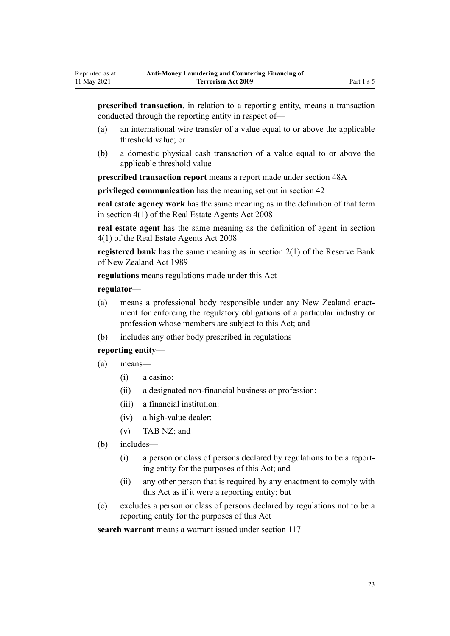**prescribed transaction**, in relation to a reporting entity, means a transaction conducted through the reporting entity in respect of—

- (a) an international wire transfer of a value equal to or above the applicable threshold value; or
- (b) a domestic physical cash transaction of a value equal to or above the applicable threshold value

**prescribed transaction report** means a report made under [section 48A](#page-56-0)

**privileged communication** has the meaning set out in [section 42](#page-51-0)

**real estate agency work** has the same meaning as in the definition of that term in [section 4\(1\)](http://legislation.govt.nz/pdflink.aspx?id=DLM1151928) of the Real Estate Agents Act 2008

**real estate agent** has the same meaning as the definition of agent in [section](http://legislation.govt.nz/pdflink.aspx?id=DLM1151928) [4\(1\)](http://legislation.govt.nz/pdflink.aspx?id=DLM1151928) of the Real Estate Agents Act 2008

**registered bank** has the same meaning as in [section 2\(1\)](http://legislation.govt.nz/pdflink.aspx?id=DLM199370) of the Reserve Bank of New Zealand Act 1989

**regulations** means regulations made under this Act

#### **regulator**—

- (a) means a professional body responsible under any New Zealand enactment for enforcing the regulatory obligations of a particular industry or profession whose members are subject to this Act; and
- (b) includes any other body prescribed in regulations

#### **reporting entity**—

- (a) means—
	- (i) a casino:
	- (ii) a designated non-financial business or profession:
	- (iii) a financial institution:
	- (iv) a high-value dealer:
	- (v) TAB NZ; and
- (b) includes—
	- (i) a person or class of persons declared by regulations to be a report‐ ing entity for the purposes of this Act; and
	- (ii) any other person that is required by any enactment to comply with this Act as if it were a reporting entity; but
- (c) excludes a person or class of persons declared by regulations not to be a reporting entity for the purposes of this Act

**search warrant** means a warrant issued under [section 117](#page-87-0)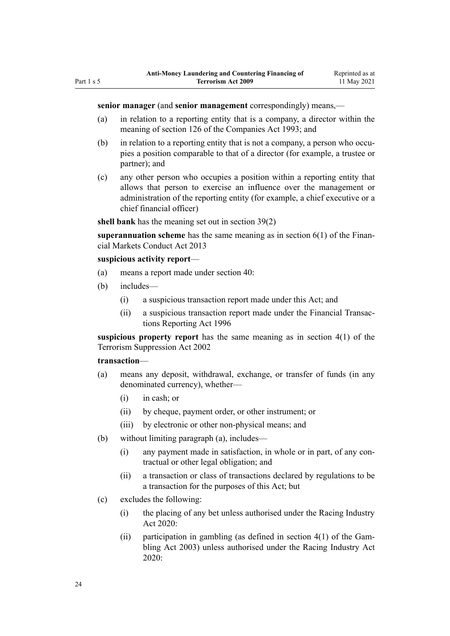- (a) in relation to a reporting entity that is a company, a director within the meaning of [section 126](http://legislation.govt.nz/pdflink.aspx?id=DLM320630) of the Companies Act 1993; and
- (b) in relation to a reporting entity that is not a company, a person who occupies a position comparable to that of a director (for example, a trustee or partner); and
- (c) any other person who occupies a position within a reporting entity that allows that person to exercise an influence over the management or administration of the reporting entity (for example, a chief executive or a chief financial officer)

**shell bank** has the meaning set out in [section 39\(2\)](#page-49-0)

**superannuation scheme** has the same meaning as in [section 6\(1\)](http://legislation.govt.nz/pdflink.aspx?id=DLM4090590) of the Financial Markets Conduct Act 2013

#### **suspicious activity report**—

- (a) means a report made under [section 40:](#page-50-0)
- (b) includes—
	- (i) a suspicious transaction report made under this Act; and
	- (ii) a suspicious transaction report made under the [Financial Transac‐](http://legislation.govt.nz/pdflink.aspx?id=DLM373803) [tions Reporting Act 1996](http://legislation.govt.nz/pdflink.aspx?id=DLM373803)

**suspicious property report** has the same meaning as in [section 4\(1\)](http://legislation.govt.nz/pdflink.aspx?id=DLM152400) of the Terrorism Suppression Act 2002

#### **transaction**—

- (a) means any deposit, withdrawal, exchange, or transfer of funds (in any denominated currency), whether—
	- (i) in cash; or
	- (ii) by cheque, payment order, or other instrument; or
	- (iii) by electronic or other non-physical means; and
- (b) without limiting paragraph (a), includes—
	- (i) any payment made in satisfaction, in whole or in part, of any contractual or other legal obligation; and
	- (ii) a transaction or class of transactions declared by regulations to be a transaction for the purposes of this Act; but
- (c) excludes the following:
	- (i) the placing of any bet unless authorised under the [Racing Industry](http://legislation.govt.nz/pdflink.aspx?id=LMS291909) [Act 2020:](http://legislation.govt.nz/pdflink.aspx?id=LMS291909)
	- (ii) participation in gambling (as defined in section  $4(1)$  of the Gambling Act 2003) unless authorised under the [Racing Industry Act](http://legislation.govt.nz/pdflink.aspx?id=LMS291909) [2020](http://legislation.govt.nz/pdflink.aspx?id=LMS291909):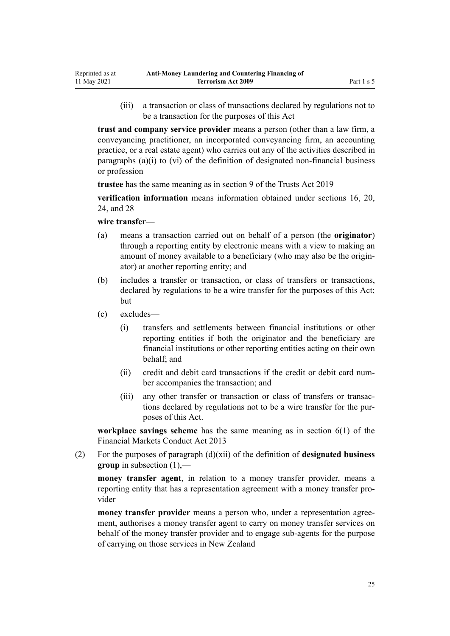(iii) a transaction or class of transactions declared by regulations not to be a transaction for the purposes of this Act

**trust and company service provider** means a person (other than a law firm, a conveyancing practitioner, an incorporated conveyancing firm, an accounting practice, or a real estate agent) who carries out any of the activities described in paragraphs (a)(i) to (vi) of the definition of designated non-financial business or profession

**trustee** has the same meaning as in [section 9](http://legislation.govt.nz/pdflink.aspx?id=DLM7382827) of the Trusts Act 2019

**verification information** means information obtained under [sections 16](#page-33-0), [20](#page-36-0), [24,](#page-39-0) and [28](#page-42-0)

**wire transfer**—

- (a) means a transaction carried out on behalf of a person (the **originator**) through a reporting entity by electronic means with a view to making an amount of money available to a beneficiary (who may also be the origin‐ ator) at another reporting entity; and
- (b) includes a transfer or transaction, or class of transfers or transactions, declared by regulations to be a wire transfer for the purposes of this Act; but
- (c) excludes—
	- (i) transfers and settlements between financial institutions or other reporting entities if both the originator and the beneficiary are financial institutions or other reporting entities acting on their own behalf; and
	- (ii) credit and debit card transactions if the credit or debit card num‐ ber accompanies the transaction; and
	- (iii) any other transfer or transaction or class of transfers or transac‐ tions declared by regulations not to be a wire transfer for the pur‐ poses of this Act.

**workplace savings scheme** has the same meaning as in [section 6\(1\)](http://legislation.govt.nz/pdflink.aspx?id=DLM4090590) of the Financial Markets Conduct Act 2013

(2) For the purposes of paragraph (d)(xii) of the definition of **designated business group** in subsection (1),—

**money transfer agent**, in relation to a money transfer provider, means a reporting entity that has a representation agreement with a money transfer provider

**money transfer provider** means a person who, under a representation agreement, authorises a money transfer agent to carry on money transfer services on behalf of the money transfer provider and to engage sub-agents for the purpose of carrying on those services in New Zealand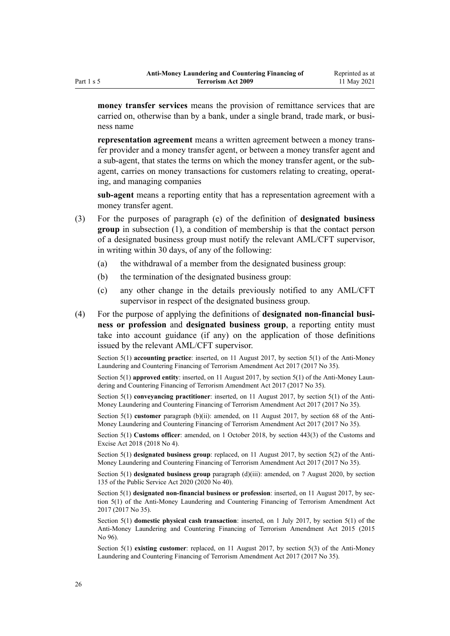**money transfer services** means the provision of remittance services that are carried on, otherwise than by a bank, under a single brand, trade mark, or business name

**representation agreement** means a written agreement between a money trans‐ fer provider and a money transfer agent, or between a money transfer agent and a sub-agent, that states the terms on which the money transfer agent, or the subagent, carries on money transactions for customers relating to creating, operating, and managing companies

**sub-agent** means a reporting entity that has a representation agreement with a money transfer agent.

- (3) For the purposes of paragraph (e) of the definition of **designated business group** in subsection (1), a condition of membership is that the contact person of a designated business group must notify the relevant AML/CFT supervisor, in writing within 30 days, of any of the following:
	- (a) the withdrawal of a member from the designated business group:
	- (b) the termination of the designated business group:
	- (c) any other change in the details previously notified to any AML/CFT supervisor in respect of the designated business group.
- (4) For the purpose of applying the definitions of **designated non-financial busi‐ ness or profession** and **designated business group**, a reporting entity must take into account guidance (if any) on the application of those definitions issued by the relevant AML/CFT supervisor.

Section 5(1) **accounting practice**: inserted, on 11 August 2017, by [section 5\(1\)](http://legislation.govt.nz/pdflink.aspx?id=DLM7161216) of the Anti-Money Laundering and Countering Financing of Terrorism Amendment Act 2017 (2017 No 35).

Section 5(1) **approved entity**: inserted, on 11 August 2017, by [section 5\(1\)](http://legislation.govt.nz/pdflink.aspx?id=DLM7161216) of the Anti-Money Laundering and Countering Financing of Terrorism Amendment Act 2017 (2017 No 35).

Section 5(1) **conveyancing practitioner**: inserted, on 11 August 2017, by [section 5\(1\)](http://legislation.govt.nz/pdflink.aspx?id=DLM7161216) of the Anti-Money Laundering and Countering Financing of Terrorism Amendment Act 2017 (2017 No 35).

Section 5(1) **customer** paragraph (b)(ii): amended, on 11 August 2017, by [section 68](http://legislation.govt.nz/pdflink.aspx?id=DLM7340644) of the Anti-Money Laundering and Countering Financing of Terrorism Amendment Act 2017 (2017 No 35).

Section 5(1) **Customs officer**: amended, on 1 October 2018, by [section 443\(3\)](http://legislation.govt.nz/pdflink.aspx?id=DLM7039957) of the Customs and Excise Act 2018 (2018 No 4).

Section 5(1) **designated business group**: replaced, on 11 August 2017, by [section 5\(2\)](http://legislation.govt.nz/pdflink.aspx?id=DLM7161216) of the Anti-Money Laundering and Countering Financing of Terrorism Amendment Act 2017 (2017 No 35).

Section 5(1) **designated business group** paragraph (d)(iii): amended, on 7 August 2020, by [section](http://legislation.govt.nz/pdflink.aspx?id=LMS176959) [135](http://legislation.govt.nz/pdflink.aspx?id=LMS176959) of the Public Service Act 2020 (2020 No 40).

Section 5(1) designated non-financial business or profession: inserted, on 11 August 2017, by sec[tion 5\(1\)](http://legislation.govt.nz/pdflink.aspx?id=DLM7161216) of the Anti-Money Laundering and Countering Financing of Terrorism Amendment Act 2017 (2017 No 35).

Section 5(1) **domestic physical cash transaction**: inserted, on 1 July 2017, by [section 5\(1\)](http://legislation.govt.nz/pdflink.aspx?id=DLM6602209) of the Anti-Money Laundering and Countering Financing of Terrorism Amendment Act 2015 (2015 No 96).

Section 5(1) **existing customer**: replaced, on 11 August 2017, by [section 5\(3\)](http://legislation.govt.nz/pdflink.aspx?id=DLM7161216) of the Anti-Money Laundering and Countering Financing of Terrorism Amendment Act 2017 (2017 No 35).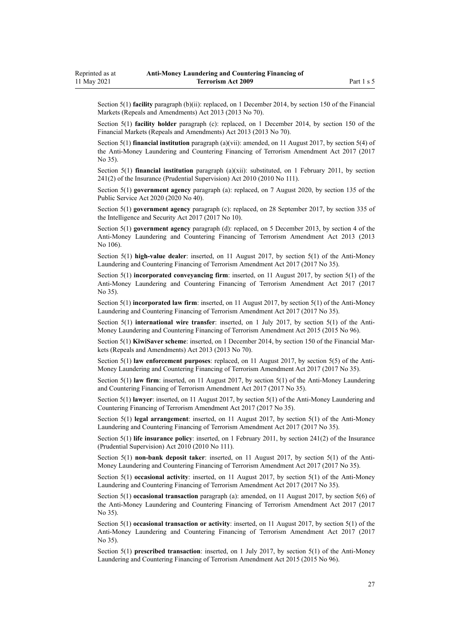Section 5(1) **facility** paragraph (b)(ii): replaced, on 1 December 2014, by [section 150](http://legislation.govt.nz/pdflink.aspx?id=DLM5561603) of the Financial Markets (Repeals and Amendments) Act 2013 (2013 No 70).

Section 5(1) **facility holder** paragraph (c): replaced, on 1 December 2014, by [section 150](http://legislation.govt.nz/pdflink.aspx?id=DLM5561603) of the Financial Markets (Repeals and Amendments) Act 2013 (2013 No 70).

Section 5(1) **financial institution** paragraph (a)(vii): amended, on 11 August 2017, by [section 5\(4\)](http://legislation.govt.nz/pdflink.aspx?id=DLM7161216) of the Anti-Money Laundering and Countering Financing of Terrorism Amendment Act 2017 (2017 No 35).

Section 5(1) **financial institution** paragraph (a)(xii): substituted, on 1 February 2011, by [section](http://legislation.govt.nz/pdflink.aspx?id=DLM2478612) [241\(2\)](http://legislation.govt.nz/pdflink.aspx?id=DLM2478612) of the Insurance (Prudential Supervision) Act 2010 (2010 No 111).

Section 5(1) **government agency** paragraph (a): replaced, on 7 August 2020, by [section 135](http://legislation.govt.nz/pdflink.aspx?id=LMS176959) of the Public Service Act 2020 (2020 No 40).

Section 5(1) **government agency** paragraph (c): replaced, on 28 September 2017, by [section 335](http://legislation.govt.nz/pdflink.aspx?id=DLM6921475) of the Intelligence and Security Act 2017 (2017 No 10).

Section 5(1) **government agency** paragraph (d): replaced, on 5 December 2013, by [section 4](http://legislation.govt.nz/pdflink.aspx?id=DLM5621507) of the Anti-Money Laundering and Countering Financing of Terrorism Amendment Act 2013 (2013 No 106).

Section 5(1) **high-value dealer**: inserted, on 11 August 2017, by [section 5\(1\)](http://legislation.govt.nz/pdflink.aspx?id=DLM7161216) of the Anti-Money Laundering and Countering Financing of Terrorism Amendment Act 2017 (2017 No 35).

Section 5(1) **incorporated conveyancing firm**: inserted, on 11 August 2017, by [section 5\(1\)](http://legislation.govt.nz/pdflink.aspx?id=DLM7161216) of the Anti-Money Laundering and Countering Financing of Terrorism Amendment Act 2017 (2017 No 35).

Section 5(1) **incorporated law firm**: inserted, on 11 August 2017, by [section 5\(1\)](http://legislation.govt.nz/pdflink.aspx?id=DLM7161216) of the Anti-Money Laundering and Countering Financing of Terrorism Amendment Act 2017 (2017 No 35).

Section 5(1) **international wire transfer**: inserted, on 1 July 2017, by [section 5\(1\)](http://legislation.govt.nz/pdflink.aspx?id=DLM6602209) of the Anti-Money Laundering and Countering Financing of Terrorism Amendment Act 2015 (2015 No 96).

Section 5(1) **KiwiSaver scheme**: inserted, on 1 December 2014, by [section 150](http://legislation.govt.nz/pdflink.aspx?id=DLM5561603) of the Financial Markets (Repeals and Amendments) Act 2013 (2013 No 70).

Section 5(1) **law enforcement purposes**: replaced, on 11 August 2017, by [section 5\(5\)](http://legislation.govt.nz/pdflink.aspx?id=DLM7161216) of the Anti-Money Laundering and Countering Financing of Terrorism Amendment Act 2017 (2017 No 35).

Section 5(1) **law firm**: inserted, on 11 August 2017, by [section 5\(1\)](http://legislation.govt.nz/pdflink.aspx?id=DLM7161216) of the Anti-Money Laundering and Countering Financing of Terrorism Amendment Act 2017 (2017 No 35).

Section 5(1) **lawyer**: inserted, on 11 August 2017, by [section 5\(1\)](http://legislation.govt.nz/pdflink.aspx?id=DLM7161216) of the Anti-Money Laundering and Countering Financing of Terrorism Amendment Act 2017 (2017 No 35).

Section 5(1) **legal arrangement**: inserted, on 11 August 2017, by [section 5\(1\)](http://legislation.govt.nz/pdflink.aspx?id=DLM7161216) of the Anti-Money Laundering and Countering Financing of Terrorism Amendment Act 2017 (2017 No 35).

Section 5(1) **life insurance policy**: inserted, on 1 February 2011, by [section 241\(2\)](http://legislation.govt.nz/pdflink.aspx?id=DLM2478612) of the Insurance (Prudential Supervision) Act 2010 (2010 No 111).

Section 5(1) **non-bank deposit taker**: inserted, on 11 August 2017, by [section 5\(1\)](http://legislation.govt.nz/pdflink.aspx?id=DLM7161216) of the Anti-Money Laundering and Countering Financing of Terrorism Amendment Act 2017 (2017 No 35).

Section 5(1) **occasional activity**: inserted, on 11 August 2017, by [section 5\(1\)](http://legislation.govt.nz/pdflink.aspx?id=DLM7161216) of the Anti-Money Laundering and Countering Financing of Terrorism Amendment Act 2017 (2017 No 35).

Section 5(1) **occasional transaction** paragraph (a): amended, on 11 August 2017, by [section 5\(6\)](http://legislation.govt.nz/pdflink.aspx?id=DLM7161216) of the Anti-Money Laundering and Countering Financing of Terrorism Amendment Act 2017 (2017 No 35).

Section 5(1) **occasional transaction or activity**: inserted, on 11 August 2017, by [section 5\(1\)](http://legislation.govt.nz/pdflink.aspx?id=DLM7161216) of the Anti-Money Laundering and Countering Financing of Terrorism Amendment Act 2017 (2017 No 35).

Section 5(1) **prescribed transaction**: inserted, on 1 July 2017, by [section 5\(1\)](http://legislation.govt.nz/pdflink.aspx?id=DLM6602209) of the Anti-Money Laundering and Countering Financing of Terrorism Amendment Act 2015 (2015 No 96).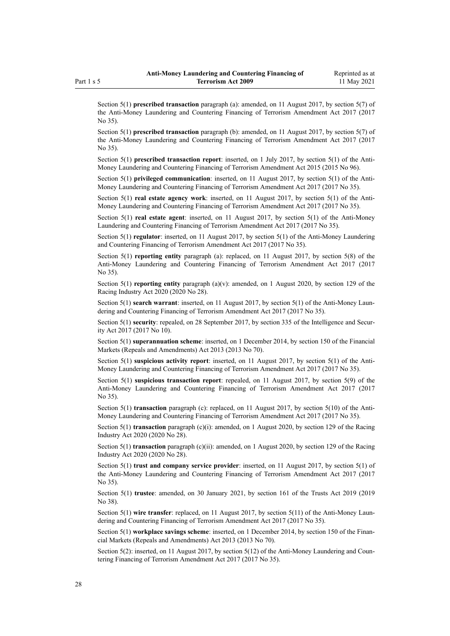Section 5(1) **prescribed transaction** paragraph (a): amended, on 11 August 2017, by [section 5\(7\)](http://legislation.govt.nz/pdflink.aspx?id=DLM7161216) of the Anti-Money Laundering and Countering Financing of Terrorism Amendment Act 2017 (2017 No 35).

Section 5(1) **prescribed transaction** paragraph (b): amended, on 11 August 2017, by [section 5\(7\)](http://legislation.govt.nz/pdflink.aspx?id=DLM7161216) of the Anti-Money Laundering and Countering Financing of Terrorism Amendment Act 2017 (2017 No 35).

Section 5(1) **prescribed transaction report**: inserted, on 1 July 2017, by [section 5\(1\)](http://legislation.govt.nz/pdflink.aspx?id=DLM6602209) of the Anti-Money Laundering and Countering Financing of Terrorism Amendment Act 2015 (2015 No 96).

Section 5(1) **privileged communication**: inserted, on 11 August 2017, by [section 5\(1\)](http://legislation.govt.nz/pdflink.aspx?id=DLM7161216) of the Anti-Money Laundering and Countering Financing of Terrorism Amendment Act 2017 (2017 No 35).

Section 5(1) **real estate agency work**: inserted, on 11 August 2017, by [section 5\(1\)](http://legislation.govt.nz/pdflink.aspx?id=DLM7161216) of the Anti-Money Laundering and Countering Financing of Terrorism Amendment Act 2017 (2017 No 35).

Section 5(1) **real estate agent**: inserted, on 11 August 2017, by [section 5\(1\)](http://legislation.govt.nz/pdflink.aspx?id=DLM7161216) of the Anti-Money Laundering and Countering Financing of Terrorism Amendment Act 2017 (2017 No 35).

Section 5(1) **regulator**: inserted, on 11 August 2017, by [section 5\(1\)](http://legislation.govt.nz/pdflink.aspx?id=DLM7161216) of the Anti-Money Laundering and Countering Financing of Terrorism Amendment Act 2017 (2017 No 35).

Section 5(1) **reporting entity** paragraph (a): replaced, on 11 August 2017, by [section 5\(8\)](http://legislation.govt.nz/pdflink.aspx?id=DLM7161216) of the Anti-Money Laundering and Countering Financing of Terrorism Amendment Act 2017 (2017 No 35).

Section 5(1) **reporting entity** paragraph (a)(v): amended, on 1 August 2020, by [section 129](http://legislation.govt.nz/pdflink.aspx?id=LMS292230) of the Racing Industry Act 2020 (2020 No 28).

Section 5(1) **search warrant**: inserted, on 11 August 2017, by [section 5\(1\)](http://legislation.govt.nz/pdflink.aspx?id=DLM7161216) of the Anti-Money Laundering and Countering Financing of Terrorism Amendment Act 2017 (2017 No 35).

Section 5(1) **security**: repealed, on 28 September 2017, by [section 335](http://legislation.govt.nz/pdflink.aspx?id=DLM6921475) of the Intelligence and Security Act 2017 (2017 No 10).

Section 5(1) **superannuation scheme**: inserted, on 1 December 2014, by [section 150](http://legislation.govt.nz/pdflink.aspx?id=DLM5561603) of the Financial Markets (Repeals and Amendments) Act 2013 (2013 No 70).

Section 5(1) **suspicious activity report**: inserted, on 11 August 2017, by [section 5\(1\)](http://legislation.govt.nz/pdflink.aspx?id=DLM7161216) of the Anti-Money Laundering and Countering Financing of Terrorism Amendment Act 2017 (2017 No 35).

Section 5(1) **suspicious transaction report**: repealed, on 11 August 2017, by [section 5\(9\)](http://legislation.govt.nz/pdflink.aspx?id=DLM7161216) of the Anti-Money Laundering and Countering Financing of Terrorism Amendment Act 2017 (2017 No 35).

Section 5(1) **transaction** paragraph (c): replaced, on 11 August 2017, by [section 5\(10\)](http://legislation.govt.nz/pdflink.aspx?id=DLM7161216) of the Anti-Money Laundering and Countering Financing of Terrorism Amendment Act 2017 (2017 No 35).

Section 5(1) **transaction** paragraph (c)(i): amended, on 1 August 2020, by [section 129](http://legislation.govt.nz/pdflink.aspx?id=LMS292230) of the Racing Industry Act 2020 (2020 No 28).

Section 5(1) **transaction** paragraph (c)(ii): amended, on 1 August 2020, by [section 129](http://legislation.govt.nz/pdflink.aspx?id=LMS292230) of the Racing Industry Act 2020 (2020 No 28).

Section 5(1) **trust and company service provider**: inserted, on 11 August 2017, by [section 5\(1\)](http://legislation.govt.nz/pdflink.aspx?id=DLM7161216) of the Anti-Money Laundering and Countering Financing of Terrorism Amendment Act 2017 (2017 No 35).

Section 5(1) **trustee**: amended, on 30 January 2021, by [section 161](http://legislation.govt.nz/pdflink.aspx?id=DLM7383110) of the Trusts Act 2019 (2019 No 38).

Section 5(1) wire transfer: replaced, on 11 August 2017, by [section 5\(11\)](http://legislation.govt.nz/pdflink.aspx?id=DLM7161216) of the Anti-Money Laundering and Countering Financing of Terrorism Amendment Act 2017 (2017 No 35).

Section 5(1) **workplace savings scheme**: inserted, on 1 December 2014, by [section 150](http://legislation.govt.nz/pdflink.aspx?id=DLM5561603) of the Financial Markets (Repeals and Amendments) Act 2013 (2013 No 70).

Section  $5(2)$ : inserted, on 11 August 2017, by section  $5(12)$  of the Anti-Money Laundering and Countering Financing of Terrorism Amendment Act 2017 (2017 No 35).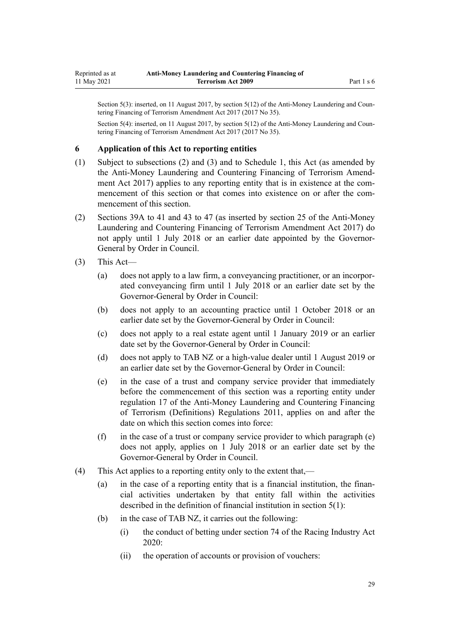<span id="page-28-0"></span>Section  $5(3)$ : inserted, on 11 August 2017, by section  $5(12)$  of the Anti-Money Laundering and Countering Financing of Terrorism Amendment Act 2017 (2017 No 35).

Section 5(4): inserted, on 11 August 2017, by [section 5\(12\)](http://legislation.govt.nz/pdflink.aspx?id=DLM7161216) of the Anti-Money Laundering and Countering Financing of Terrorism Amendment Act 2017 (2017 No 35).

### **6 Application of this Act to reporting entities**

- (1) Subject to subsections (2) and (3) and to [Schedule 1](#page-115-0), this Act (as amended by the [Anti-Money Laundering and Countering Financing of Terrorism Amend‐](http://legislation.govt.nz/pdflink.aspx?id=DLM7161200) [ment Act 2017](http://legislation.govt.nz/pdflink.aspx?id=DLM7161200)) applies to any reporting entity that is in existence at the commencement of this section or that comes into existence on or after the commencement of this section.
- (2) [Sections 39A to 41](#page-50-0) and [43 to 47](#page-52-0) (as inserted by [section 25](http://legislation.govt.nz/pdflink.aspx?id=DLM7161289) of the Anti-Money Laundering and Countering Financing of Terrorism Amendment Act 2017) do not apply until 1 July 2018 or an earlier date appointed by the Governor-General by Order in Council.
- (3) This Act—
	- (a) does not apply to a law firm, a conveyancing practitioner, or an incorpor‐ ated conveyancing firm until 1 July 2018 or an earlier date set by the Governor-General by Order in Council:
	- (b) does not apply to an accounting practice until 1 October 2018 or an earlier date set by the Governor-General by Order in Council:
	- (c) does not apply to a real estate agent until 1 January 2019 or an earlier date set by the Governor-General by Order in Council:
	- (d) does not apply to TAB NZ or a high-value dealer until 1 August 2019 or an earlier date set by the Governor-General by Order in Council:
	- (e) in the case of a trust and company service provider that immediately before the commencement of this section was a reporting entity under [regulation 17](http://legislation.govt.nz/pdflink.aspx?id=DLM3845869) of the Anti-Money Laundering and Countering Financing of Terrorism (Definitions) Regulations 2011, applies on and after the date on which this section comes into force:
	- $(f)$  in the case of a trust or company service provider to which paragraph  $(e)$ does not apply, applies on 1 July 2018 or an earlier date set by the Governor-General by Order in Council.
- (4) This Act applies to a reporting entity only to the extent that,—
	- (a) in the case of a reporting entity that is a financial institution, the finan‐ cial activities undertaken by that entity fall within the activities described in the definition of financial institution in [section 5\(1\):](#page-9-0)
	- (b) in the case of TAB NZ, it carries out the following:
		- (i) the conduct of betting under [section 74](http://legislation.govt.nz/pdflink.aspx?id=LMS292132) of the Racing Industry Act 2020:
		- (ii) the operation of accounts or provision of vouchers: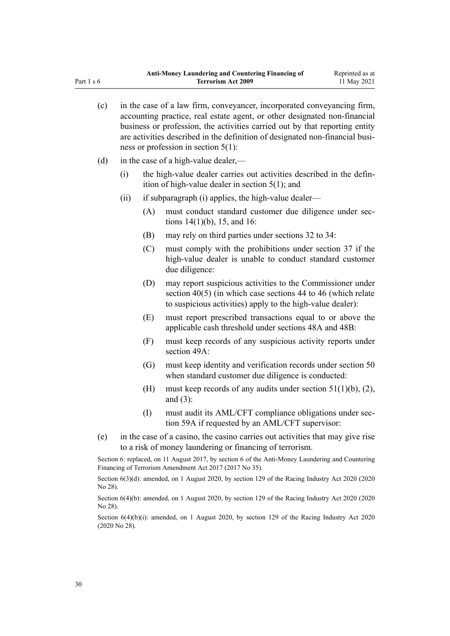| (c) |      |                   | in the case of a law firm, conveyancer, incorporated conveyancing firm,<br>accounting practice, real estate agent, or other designated non-financial<br>business or profession, the activities carried out by that reporting entity<br>are activities described in the definition of designated non-financial busi-<br>ness or profession in section $5(1)$ : |
|-----|------|-------------------|---------------------------------------------------------------------------------------------------------------------------------------------------------------------------------------------------------------------------------------------------------------------------------------------------------------------------------------------------------------|
| (d) |      |                   | in the case of a high-value dealer,—                                                                                                                                                                                                                                                                                                                          |
|     | (i)  |                   | the high-value dealer carries out activities described in the defin-<br>ition of high-value dealer in section $5(1)$ ; and                                                                                                                                                                                                                                    |
|     | (ii) |                   | if subparagraph (i) applies, the high-value dealer—                                                                                                                                                                                                                                                                                                           |
|     |      | (A)               | must conduct standard customer due diligence under sec-<br>tions $14(1)(b)$ , 15, and 16:                                                                                                                                                                                                                                                                     |
|     |      | (B)               | may rely on third parties under sections 32 to 34:                                                                                                                                                                                                                                                                                                            |
|     |      | (C)               | must comply with the prohibitions under section 37 if the<br>high-value dealer is unable to conduct standard customer<br>due diligence:                                                                                                                                                                                                                       |
|     |      | (D)               | may report suspicious activities to the Commissioner under<br>section $40(5)$ (in which case sections 44 to 46 (which relate<br>to suspicious activities) apply to the high-value dealer):                                                                                                                                                                    |
|     |      | (E)               | must report prescribed transactions equal to or above the<br>applicable cash threshold under sections 48A and 48B:                                                                                                                                                                                                                                            |
|     |      | (F)               | must keep records of any suspicious activity reports under<br>section 49A:                                                                                                                                                                                                                                                                                    |
|     |      | $\left( G\right)$ | must keep identity and verification records under section 50<br>when standard customer due diligence is conducted:                                                                                                                                                                                                                                            |
|     |      | (H)               | must keep records of any audits under section $51(1)(b)$ , (2),<br>and $(3)$ :                                                                                                                                                                                                                                                                                |
|     |      | (I)               | must audit its AML/CFT compliance obligations under sec-<br>tion 59A if requested by an AML/CFT supervisor:                                                                                                                                                                                                                                                   |
| (e) |      |                   | in the case of a casino, the casino carries out activities that may give rise<br>to a risk of money laundering or financing of terrorism.                                                                                                                                                                                                                     |
|     |      |                   |                                                                                                                                                                                                                                                                                                                                                               |

Section 6: replaced, on 11 August 2017, by [section 6](http://legislation.govt.nz/pdflink.aspx?id=DLM7161276) of the Anti-Money Laundering and Countering Financing of Terrorism Amendment Act 2017 (2017 No 35).

Section 6(3)(d): amended, on 1 August 2020, by [section 129](http://legislation.govt.nz/pdflink.aspx?id=LMS292230) of the Racing Industry Act 2020 (2020) No 28).

Section 6(4)(b): amended, on 1 August 2020, by [section 129](http://legislation.govt.nz/pdflink.aspx?id=LMS292230) of the Racing Industry Act 2020 (2020 No 28).

Section 6(4)(b)(i): amended, on 1 August 2020, by [section 129](http://legislation.govt.nz/pdflink.aspx?id=LMS292230) of the Racing Industry Act 2020 (2020 No 28).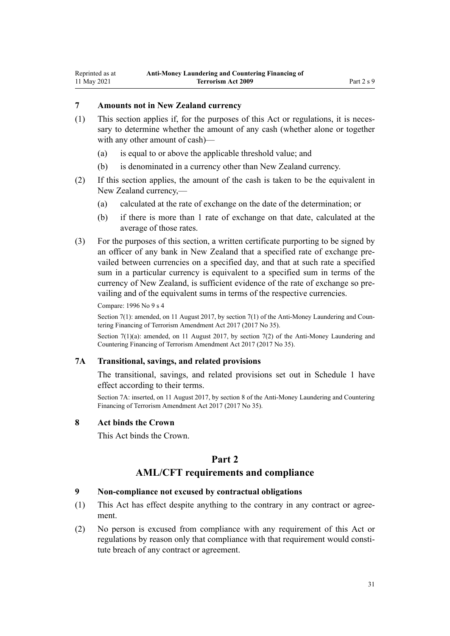# <span id="page-30-0"></span>**7 Amounts not in New Zealand currency**

- $(1)$  This section applies if, for the purposes of this Act or regulations, it is necessary to determine whether the amount of any cash (whether alone or together with any other amount of cash)—
	- (a) is equal to or above the applicable threshold value; and
	- (b) is denominated in a currency other than New Zealand currency.
- (2) If this section applies, the amount of the cash is taken to be the equivalent in New Zealand currency,—
	- (a) calculated at the rate of exchange on the date of the determination; or
	- (b) if there is more than 1 rate of exchange on that date, calculated at the average of those rates.
- (3) For the purposes of this section, a written certificate purporting to be signed by an officer of any bank in New Zealand that a specified rate of exchange pre‐ vailed between currencies on a specified day, and that at such rate a specified sum in a particular currency is equivalent to a specified sum in terms of the currency of New Zealand, is sufficient evidence of the rate of exchange so pre‐ vailing and of the equivalent sums in terms of the respective currencies.

Compare: 1996 No 9 [s 4](http://legislation.govt.nz/pdflink.aspx?id=DLM373879)

Section 7(1): amended, on 11 August 2017, by [section 7\(1\)](http://legislation.govt.nz/pdflink.aspx?id=DLM7161278) of the Anti-Money Laundering and Countering Financing of Terrorism Amendment Act 2017 (2017 No 35).

Section 7(1)(a): amended, on 11 August 2017, by [section 7\(2\)](http://legislation.govt.nz/pdflink.aspx?id=DLM7161278) of the Anti-Money Laundering and Countering Financing of Terrorism Amendment Act 2017 (2017 No 35).

## **7A Transitional, savings, and related provisions**

The transitional, savings, and related provisions set out in [Schedule 1](#page-115-0) have effect according to their terms.

Section 7A: inserted, on 11 August 2017, by [section 8](http://legislation.govt.nz/pdflink.aspx?id=DLM7340617) of the Anti-Money Laundering and Countering Financing of Terrorism Amendment Act 2017 (2017 No 35).

#### **8 Act binds the Crown**

This Act binds the Crown.

# **Part 2**

## **AML/CFT requirements and compliance**

#### **9 Non-compliance not excused by contractual obligations**

- (1) This Act has effect despite anything to the contrary in any contract or agree‐ ment.
- (2) No person is excused from compliance with any requirement of this Act or regulations by reason only that compliance with that requirement would constitute breach of any contract or agreement.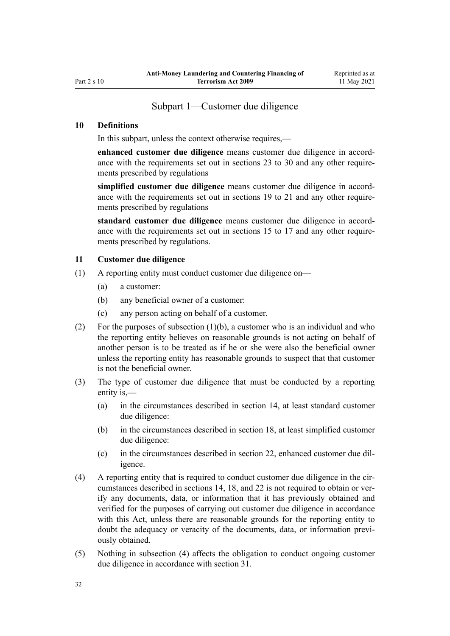# Subpart 1—Customer due diligence

### <span id="page-31-0"></span>**10 Definitions**

In this subpart, unless the context otherwise requires,—

**enhanced customer due diligence** means customer due diligence in accord‐ ance with the requirements set out in [sections 23 to 30](#page-39-0) and any other requirements prescribed by regulations

simplified customer due diligence means customer due diligence in accordance with the requirements set out in [sections 19 to 21](#page-36-0) and any other requirements prescribed by regulations

**standard customer due diligence** means customer due diligence in accord‐ ance with the requirements set out in [sections 15 to 17](#page-33-0) and any other requirements prescribed by regulations.

#### **11 Customer due diligence**

- (1) A reporting entity must conduct customer due diligence on—
	- (a) a customer:
	- (b) any beneficial owner of a customer:
	- (c) any person acting on behalf of a customer.
- (2) For the purposes of subsection (1)(b), a customer who is an individual and who the reporting entity believes on reasonable grounds is not acting on behalf of another person is to be treated as if he or she were also the beneficial owner unless the reporting entity has reasonable grounds to suspect that that customer is not the beneficial owner.
- (3) The type of customer due diligence that must be conducted by a reporting entity is,—
	- (a) in the circumstances described in [section 14](#page-32-0), at least standard customer due diligence:
	- (b) in the circumstances described in [section 18,](#page-34-0) at least simplified customer due diligence:
	- (c) in the circumstances described in [section 22,](#page-37-0) enhanced customer due dil‐ igence.
- (4) A reporting entity that is required to conduct customer due diligence in the circumstances described in [sections 14](#page-32-0), [18,](#page-34-0) and [22](#page-37-0) is not required to obtain or verify any documents, data, or information that it has previously obtained and verified for the purposes of carrying out customer due diligence in accordance with this Act, unless there are reasonable grounds for the reporting entity to doubt the adequacy or veracity of the documents, data, or information previously obtained.
- (5) Nothing in subsection (4) affects the obligation to conduct ongoing customer due diligence in accordance with [section 31](#page-43-0).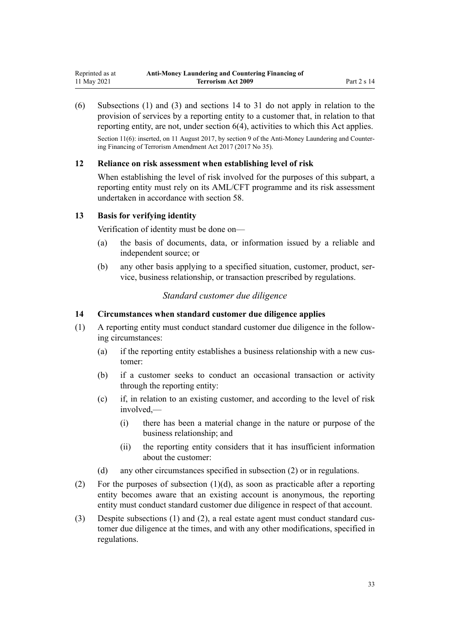<span id="page-32-0"></span>(6) Subsections (1) and (3) and sections 14 to 31 do not apply in relation to the provision of services by a reporting entity to a customer that, in relation to that reporting entity, are not, under [section 6\(4\)](#page-28-0), activities to which this Act applies.

Section 11(6): inserted, on 11 August 2017, by [section 9](http://legislation.govt.nz/pdflink.aspx?id=DLM7340619) of the Anti-Money Laundering and Countering Financing of Terrorism Amendment Act 2017 (2017 No 35).

#### **12 Reliance on risk assessment when establishing level of risk**

When establishing the level of risk involved for the purposes of this subpart, a reporting entity must rely on its AML/CFT programme and its risk assessment undertaken in accordance with [section 58.](#page-63-0)

# **13 Basis for verifying identity**

Verification of identity must be done on—

- (a) the basis of documents, data, or information issued by a reliable and independent source; or
- (b) any other basis applying to a specified situation, customer, product, service, business relationship, or transaction prescribed by regulations.

# *Standard customer due diligence*

#### **14 Circumstances when standard customer due diligence applies**

- (1) A reporting entity must conduct standard customer due diligence in the follow‐ ing circumstances:
	- (a) if the reporting entity establishes a business relationship with a new customer:
	- (b) if a customer seeks to conduct an occasional transaction or activity through the reporting entity:
	- (c) if, in relation to an existing customer, and according to the level of risk involved,—
		- (i) there has been a material change in the nature or purpose of the business relationship; and
		- (ii) the reporting entity considers that it has insufficient information about the customer:
	- (d) any other circumstances specified in subsection (2) or in regulations.
- (2) For the purposes of subsection  $(1)(d)$ , as soon as practicable after a reporting entity becomes aware that an existing account is anonymous, the reporting entity must conduct standard customer due diligence in respect of that account.
- (3) Despite subsections (1) and (2), a real estate agent must conduct standard customer due diligence at the times, and with any other modifications, specified in regulations.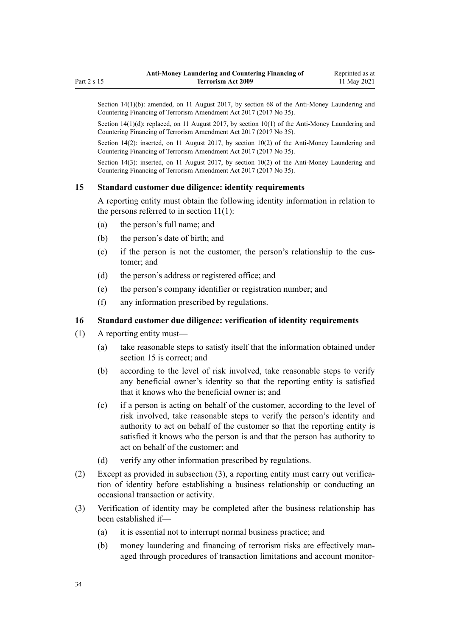<span id="page-33-0"></span>Section 14(1)(b): amended, on 11 August 2017, by [section 68](http://legislation.govt.nz/pdflink.aspx?id=DLM7340644) of the Anti-Money Laundering and Countering Financing of Terrorism Amendment Act 2017 (2017 No 35).

Section 14(1)(d): replaced, on 11 August 2017, by [section 10\(1\)](http://legislation.govt.nz/pdflink.aspx?id=DLM7161279) of the Anti-Money Laundering and Countering Financing of Terrorism Amendment Act 2017 (2017 No 35).

Section 14(2): inserted, on 11 August 2017, by [section 10\(2\)](http://legislation.govt.nz/pdflink.aspx?id=DLM7161279) of the Anti-Money Laundering and Countering Financing of Terrorism Amendment Act 2017 (2017 No 35).

Section 14(3): inserted, on 11 August 2017, by [section 10\(2\)](http://legislation.govt.nz/pdflink.aspx?id=DLM7161279) of the Anti-Money Laundering and Countering Financing of Terrorism Amendment Act 2017 (2017 No 35).

## **15 Standard customer due diligence: identity requirements**

A reporting entity must obtain the following identity information in relation to the persons referred to in [section 11\(1\):](#page-31-0)

- (a) the person's full name; and
- (b) the person's date of birth; and
- (c) if the person is not the customer, the person's relationship to the customer; and
- (d) the person's address or registered office; and
- (e) the person's company identifier or registration number; and
- (f) any information prescribed by regulations.

#### **16 Standard customer due diligence: verification of identity requirements**

- (1) A reporting entity must—
	- (a) take reasonable steps to satisfy itself that the information obtained under section 15 is correct; and
	- (b) according to the level of risk involved, take reasonable steps to verify any beneficial owner's identity so that the reporting entity is satisfied that it knows who the beneficial owner is; and
	- (c) if a person is acting on behalf of the customer, according to the level of risk involved, take reasonable steps to verify the person's identity and authority to act on behalf of the customer so that the reporting entity is satisfied it knows who the person is and that the person has authority to act on behalf of the customer; and
	- (d) verify any other information prescribed by regulations.
- (2) Except as provided in subsection (3), a reporting entity must carry out verifica‐ tion of identity before establishing a business relationship or conducting an occasional transaction or activity.
- (3) Verification of identity may be completed after the business relationship has been established if—
	- (a) it is essential not to interrupt normal business practice; and
	- (b) money laundering and financing of terrorism risks are effectively managed through procedures of transaction limitations and account monitor‐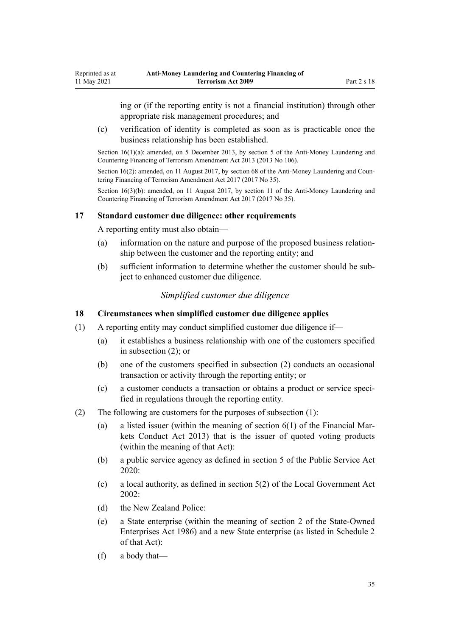ing or (if the reporting entity is not a financial institution) through other appropriate risk management procedures; and

(c) verification of identity is completed as soon as is practicable once the business relationship has been established.

Section 16(1)(a): amended, on 5 December 2013, by [section 5](http://legislation.govt.nz/pdflink.aspx?id=DLM5621509) of the Anti-Money Laundering and Countering Financing of Terrorism Amendment Act 2013 (2013 No 106).

Section  $16(2)$ : amended, on 11 August 2017, by [section 68](http://legislation.govt.nz/pdflink.aspx?id=DLM7340644) of the Anti-Money Laundering and Countering Financing of Terrorism Amendment Act 2017 (2017 No 35).

Section 16(3)(b): amended, on 11 August 2017, by [section 11](http://legislation.govt.nz/pdflink.aspx?id=DLM7340620) of the Anti-Money Laundering and Countering Financing of Terrorism Amendment Act 2017 (2017 No 35).

## **17 Standard customer due diligence: other requirements**

A reporting entity must also obtain—

<span id="page-34-0"></span>Reprinted as at 11 May 2021

- (a) information on the nature and purpose of the proposed business relation‐ ship between the customer and the reporting entity; and
- (b) sufficient information to determine whether the customer should be subject to enhanced customer due diligence.

# *Simplified customer due diligence*

#### **18 Circumstances when simplified customer due diligence applies**

- (1) A reporting entity may conduct simplified customer due diligence if—
	- (a) it establishes a business relationship with one of the customers specified in subsection (2); or
	- (b) one of the customers specified in subsection (2) conducts an occasional transaction or activity through the reporting entity; or
	- (c) a customer conducts a transaction or obtains a product or service speci‐ fied in regulations through the reporting entity.
- (2) The following are customers for the purposes of subsection (1):
	- (a) a listed issuer (within the meaning of section  $6(1)$  of the Financial Markets Conduct Act 2013) that is the issuer of quoted voting products (within the meaning of that Act):
	- (b) a public service agency as defined in [section 5](http://legislation.govt.nz/pdflink.aspx?id=LMS356868) of the Public Service Act 2020:
	- (c) a local authority, as defined in [section 5\(2\)](http://legislation.govt.nz/pdflink.aspx?id=DLM170881) of the Local Government Act 2002:
	- (d) the New Zealand Police:
	- (e) a State enterprise (within the meaning of [section 2](http://legislation.govt.nz/pdflink.aspx?id=DLM97382) of the State-Owned Enterprises Act 1986) and a new State enterprise (as listed in [Schedule 2](http://legislation.govt.nz/pdflink.aspx?id=DLM98602) of that Act):
	- (f) a body that—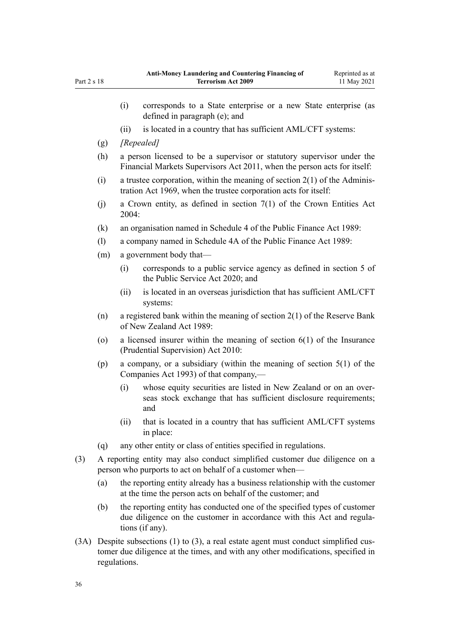|     |                                                                                                                                        | (i)                                                                                                                                                                   | corresponds to a State enterprise or a new State enterprise (as<br>defined in paragraph (e); and                                            |  |
|-----|----------------------------------------------------------------------------------------------------------------------------------------|-----------------------------------------------------------------------------------------------------------------------------------------------------------------------|---------------------------------------------------------------------------------------------------------------------------------------------|--|
|     |                                                                                                                                        | (ii)                                                                                                                                                                  | is located in a country that has sufficient AML/CFT systems:                                                                                |  |
|     | (g)                                                                                                                                    | [Repealed]                                                                                                                                                            |                                                                                                                                             |  |
|     | (h)                                                                                                                                    | a person licensed to be a supervisor or statutory supervisor under the<br>Financial Markets Supervisors Act 2011, when the person acts for itself:                    |                                                                                                                                             |  |
|     | (i)                                                                                                                                    | a trustee corporation, within the meaning of section $2(1)$ of the Adminis-<br>tration Act 1969, when the trustee corporation acts for itself:                        |                                                                                                                                             |  |
|     | (j)                                                                                                                                    | a Crown entity, as defined in section $7(1)$ of the Crown Entities Act<br>2004:                                                                                       |                                                                                                                                             |  |
|     | (k)                                                                                                                                    | an organisation named in Schedule 4 of the Public Finance Act 1989:                                                                                                   |                                                                                                                                             |  |
|     | (1)                                                                                                                                    | a company named in Schedule 4A of the Public Finance Act 1989:                                                                                                        |                                                                                                                                             |  |
|     | (m)                                                                                                                                    | a government body that—                                                                                                                                               |                                                                                                                                             |  |
|     |                                                                                                                                        | (i)                                                                                                                                                                   | corresponds to a public service agency as defined in section 5 of<br>the Public Service Act 2020; and                                       |  |
|     |                                                                                                                                        | (ii)                                                                                                                                                                  | is located in an overseas jurisdiction that has sufficient AML/CFT<br>systems:                                                              |  |
|     | (n)                                                                                                                                    | a registered bank within the meaning of section $2(1)$ of the Reserve Bank<br>of New Zealand Act 1989:                                                                |                                                                                                                                             |  |
|     | $\circ$                                                                                                                                | a licensed insurer within the meaning of section $6(1)$ of the Insurance<br>(Prudential Supervision) Act 2010:                                                        |                                                                                                                                             |  |
|     | (p)                                                                                                                                    |                                                                                                                                                                       | a company, or a subsidiary (within the meaning of section $5(1)$ of the<br>Companies Act 1993) of that company,—                            |  |
|     |                                                                                                                                        | (i)                                                                                                                                                                   | whose equity securities are listed in New Zealand or on an over-<br>seas stock exchange that has sufficient disclosure requirements;<br>and |  |
|     |                                                                                                                                        | (ii)                                                                                                                                                                  | that is located in a country that has sufficient AML/CFT systems<br>in place:                                                               |  |
|     | (q)                                                                                                                                    | any other entity or class of entities specified in regulations.                                                                                                       |                                                                                                                                             |  |
| (3) | A reporting entity may also conduct simplified customer due diligence on a<br>person who purports to act on behalf of a customer when— |                                                                                                                                                                       |                                                                                                                                             |  |
|     | (a)                                                                                                                                    | the reporting entity already has a business relationship with the customer<br>at the time the person acts on behalf of the customer; and                              |                                                                                                                                             |  |
|     | (b)                                                                                                                                    | the reporting entity has conducted one of the specified types of customer<br>due diligence on the customer in accordance with this Act and regula-<br>tions (if any). |                                                                                                                                             |  |
|     |                                                                                                                                        |                                                                                                                                                                       |                                                                                                                                             |  |

(3A) Despite subsections (1) to (3), a real estate agent must conduct simplified customer due diligence at the times, and with any other modifications, specified in regulations.

Part 2 s 18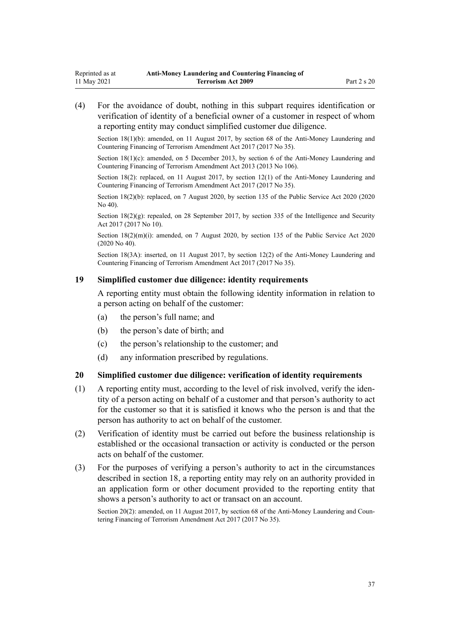<span id="page-36-0"></span>(4) For the avoidance of doubt, nothing in this subpart requires identification or verification of identity of a beneficial owner of a customer in respect of whom a reporting entity may conduct simplified customer due diligence.

Section 18(1)(b): amended, on 11 August 2017, by [section 68](http://legislation.govt.nz/pdflink.aspx?id=DLM7340644) of the Anti-Money Laundering and Countering Financing of Terrorism Amendment Act 2017 (2017 No 35).

Section 18(1)(c): amended, on 5 December 2013, by [section 6](http://legislation.govt.nz/pdflink.aspx?id=DLM5621510) of the Anti-Money Laundering and Countering Financing of Terrorism Amendment Act 2013 (2013 No 106).

Section 18(2): replaced, on 11 August 2017, by [section 12\(1\)](http://legislation.govt.nz/pdflink.aspx?id=DLM7161280) of the Anti-Money Laundering and Countering Financing of Terrorism Amendment Act 2017 (2017 No 35).

Section 18(2)(b): replaced, on 7 August 2020, by [section 135](http://legislation.govt.nz/pdflink.aspx?id=LMS176959) of the Public Service Act 2020 (2020) No 40).

Section  $18(2)(g)$ : repealed, on 28 September 2017, by [section 335](http://legislation.govt.nz/pdflink.aspx?id=DLM6921475) of the Intelligence and Security Act 2017 (2017 No 10).

Section  $18(2)(m)(i)$ : amended, on 7 August 2020, by [section 135](http://legislation.govt.nz/pdflink.aspx?id=LMS176959) of the Public Service Act 2020 (2020 No 40).

Section 18(3A): inserted, on 11 August 2017, by [section 12\(2\)](http://legislation.govt.nz/pdflink.aspx?id=DLM7161280) of the Anti-Money Laundering and Countering Financing of Terrorism Amendment Act 2017 (2017 No 35).

### **19 Simplified customer due diligence: identity requirements**

A reporting entity must obtain the following identity information in relation to a person acting on behalf of the customer:

- (a) the person's full name; and
- (b) the person's date of birth; and
- (c) the person's relationship to the customer; and
- (d) any information prescribed by regulations.

### **20 Simplified customer due diligence: verification of identity requirements**

- (1) A reporting entity must, according to the level of risk involved, verify the iden‐ tity of a person acting on behalf of a customer and that person's authority to act for the customer so that it is satisfied it knows who the person is and that the person has authority to act on behalf of the customer.
- (2) Verification of identity must be carried out before the business relationship is established or the occasional transaction or activity is conducted or the person acts on behalf of the customer.
- (3) For the purposes of verifying a person's authority to act in the circumstances described in [section 18](#page-34-0), a reporting entity may rely on an authority provided in an application form or other document provided to the reporting entity that shows a person's authority to act or transact on an account.

Section 20(2): amended, on 11 August 2017, by [section 68](http://legislation.govt.nz/pdflink.aspx?id=DLM7340644) of the Anti-Money Laundering and Countering Financing of Terrorism Amendment Act 2017 (2017 No 35).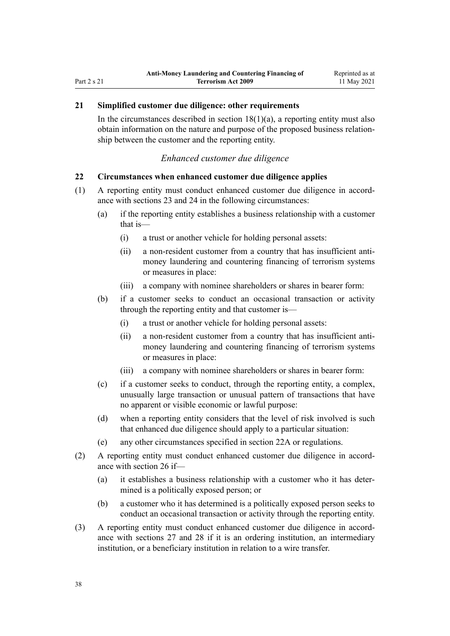### <span id="page-37-0"></span>**21 Simplified customer due diligence: other requirements**

In the circumstances described in section  $18(1)(a)$ , a reporting entity must also obtain information on the nature and purpose of the proposed business relation‐ ship between the customer and the reporting entity.

#### *Enhanced customer due diligence*

#### **22 Circumstances when enhanced customer due diligence applies**

- (1) A reporting entity must conduct enhanced customer due diligence in accord‐ ance with [sections 23](#page-39-0) and [24](#page-39-0) in the following circumstances:
	- (a) if the reporting entity establishes a business relationship with a customer that is—
		- (i) a trust or another vehicle for holding personal assets:
		- (ii) a non-resident customer from a country that has insufficient antimoney laundering and countering financing of terrorism systems or measures in place:
		- (iii) a company with nominee shareholders or shares in bearer form:
	- (b) if a customer seeks to conduct an occasional transaction or activity through the reporting entity and that customer is—
		- (i) a trust or another vehicle for holding personal assets:
		- (ii) a non-resident customer from a country that has insufficient antimoney laundering and countering financing of terrorism systems or measures in place:
		- (iii) a company with nominee shareholders or shares in bearer form:
	- (c) if a customer seeks to conduct, through the reporting entity, a complex, unusually large transaction or unusual pattern of transactions that have no apparent or visible economic or lawful purpose:
	- (d) when a reporting entity considers that the level of risk involved is such that enhanced due diligence should apply to a particular situation:
	- (e) any other circumstances specified in [section 22A](#page-38-0) or regulations.
- (2) A reporting entity must conduct enhanced customer due diligence in accord‐ ance with [section 26](#page-40-0) if—
	- (a) it establishes a business relationship with a customer who it has deter‐ mined is a politically exposed person; or
	- (b) a customer who it has determined is a politically exposed person seeks to conduct an occasional transaction or activity through the reporting entity.
- (3) A reporting entity must conduct enhanced customer due diligence in accord‐ ance with [sections 27](#page-40-0) and [28](#page-42-0) if it is an ordering institution, an intermediary institution, or a beneficiary institution in relation to a wire transfer.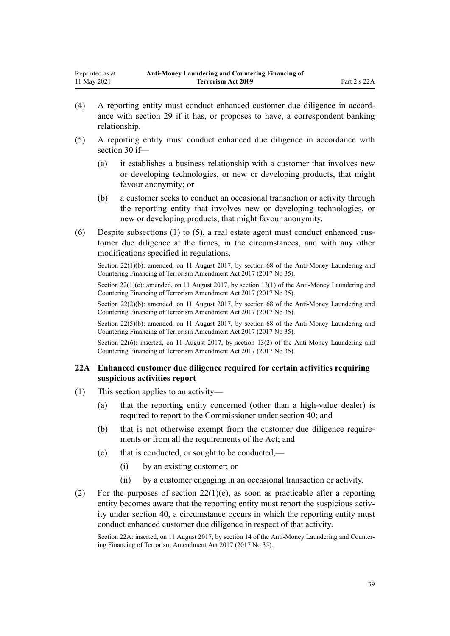- <span id="page-38-0"></span>(4) A reporting entity must conduct enhanced customer due diligence in accord‐ ance with [section 29](#page-42-0) if it has, or proposes to have, a correspondent banking relationship.
- (5) A reporting entity must conduct enhanced due diligence in accordance with [section 30](#page-43-0) if—
	- (a) it establishes a business relationship with a customer that involves new or developing technologies, or new or developing products, that might favour anonymity; or
	- (b) a customer seeks to conduct an occasional transaction or activity through the reporting entity that involves new or developing technologies, or new or developing products, that might favour anonymity.
- (6) Despite subsections (1) to (5), a real estate agent must conduct enhanced customer due diligence at the times, in the circumstances, and with any other modifications specified in regulations.

Section 22(1)(e): amended, on 11 August 2017, by [section 13\(1\)](http://legislation.govt.nz/pdflink.aspx?id=DLM7161281) of the Anti-Money Laundering and Countering Financing of Terrorism Amendment Act 2017 (2017 No 35).

Section 22(2)(b): amended, on 11 August 2017, by [section 68](http://legislation.govt.nz/pdflink.aspx?id=DLM7340644) of the Anti-Money Laundering and Countering Financing of Terrorism Amendment Act 2017 (2017 No 35).

Section 22(5)(b): amended, on 11 August 2017, by [section 68](http://legislation.govt.nz/pdflink.aspx?id=DLM7340644) of the Anti-Money Laundering and Countering Financing of Terrorism Amendment Act 2017 (2017 No 35).

Section 22(6): inserted, on 11 August 2017, by [section 13\(2\)](http://legislation.govt.nz/pdflink.aspx?id=DLM7161281) of the Anti-Money Laundering and Countering Financing of Terrorism Amendment Act 2017 (2017 No 35).

### **22A Enhanced customer due diligence required for certain activities requiring suspicious activities report**

- (1) This section applies to an activity—
	- (a) that the reporting entity concerned (other than a high-value dealer) is required to report to the Commissioner under [section 40](#page-50-0); and
	- (b) that is not otherwise exempt from the customer due diligence requirements or from all the requirements of the Act; and
	- (c) that is conducted, or sought to be conducted,—
		- (i) by an existing customer; or
		- (ii) by a customer engaging in an occasional transaction or activity.
- (2) For the purposes of section  $22(1)(e)$ , as soon as practicable after a reporting entity becomes aware that the reporting entity must report the suspicious activity under [section 40,](#page-50-0) a circumstance occurs in which the reporting entity must conduct enhanced customer due diligence in respect of that activity.

Section 22A: inserted, on 11 August 2017, by [section 14](http://legislation.govt.nz/pdflink.aspx?id=DLM7340621) of the Anti-Money Laundering and Counter‐ ing Financing of Terrorism Amendment Act 2017 (2017 No 35).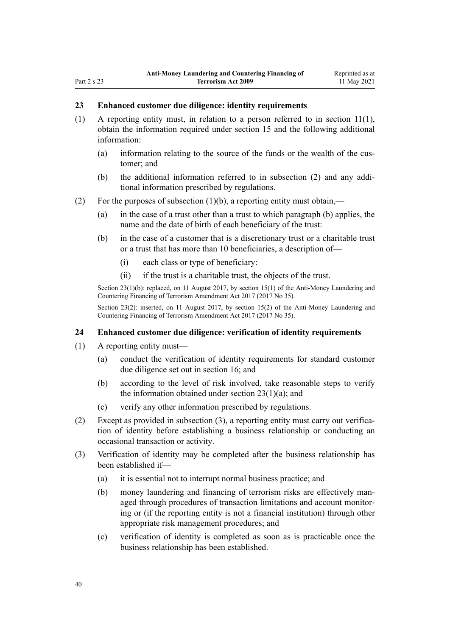#### <span id="page-39-0"></span>**23 Enhanced customer due diligence: identity requirements**

- (1) A reporting entity must, in relation to a person referred to in [section 11\(1\)](#page-31-0), obtain the information required under [section 15](#page-33-0) and the following additional information:
	- (a) information relating to the source of the funds or the wealth of the cus‐ tomer; and
	- (b) the additional information referred to in subsection (2) and any addi‐ tional information prescribed by regulations.
- (2) For the purposes of subsection  $(1)(b)$ , a reporting entity must obtain,—
	- (a) in the case of a trust other than a trust to which paragraph (b) applies, the name and the date of birth of each beneficiary of the trust:
	- (b) in the case of a customer that is a discretionary trust or a charitable trust or a trust that has more than 10 beneficiaries, a description of—
		- (i) each class or type of beneficiary:
		- (ii) if the trust is a charitable trust, the objects of the trust.

Section 23(1)(b): replaced, on 11 August 2017, by [section 15\(1\)](http://legislation.govt.nz/pdflink.aspx?id=DLM7161282) of the Anti-Money Laundering and Countering Financing of Terrorism Amendment Act 2017 (2017 No 35).

Section 23(2): inserted, on 11 August 2017, by [section 15\(2\)](http://legislation.govt.nz/pdflink.aspx?id=DLM7161282) of the Anti-Money Laundering and Countering Financing of Terrorism Amendment Act 2017 (2017 No 35).

#### **24 Enhanced customer due diligence: verification of identity requirements**

- (1) A reporting entity must—
	- (a) conduct the verification of identity requirements for standard customer due diligence set out in [section 16;](#page-33-0) and
	- (b) according to the level of risk involved, take reasonable steps to verify the information obtained under section  $23(1)(a)$ ; and
	- (c) verify any other information prescribed by regulations.
- $(2)$  Except as provided in subsection  $(3)$ , a reporting entity must carry out verification of identity before establishing a business relationship or conducting an occasional transaction or activity.
- (3) Verification of identity may be completed after the business relationship has been established if—
	- (a) it is essential not to interrupt normal business practice; and
	- (b) money laundering and financing of terrorism risks are effectively managed through procedures of transaction limitations and account monitor‐ ing or (if the reporting entity is not a financial institution) through other appropriate risk management procedures; and
	- (c) verification of identity is completed as soon as is practicable once the business relationship has been established.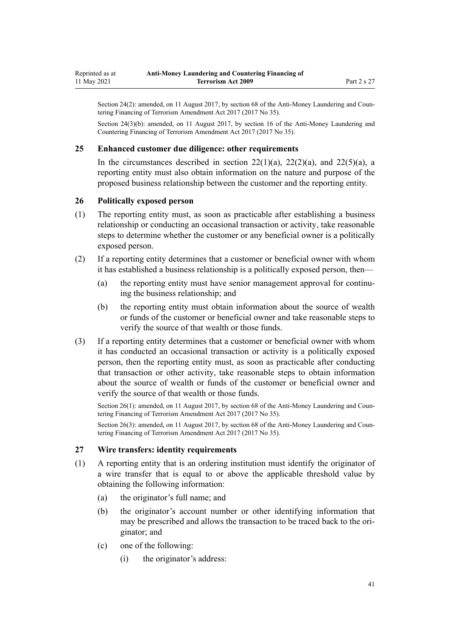<span id="page-40-0"></span>Section 24(3)(b): amended, on 11 August 2017, by [section 16](http://legislation.govt.nz/pdflink.aspx?id=DLM7340623) of the Anti-Money Laundering and Countering Financing of Terrorism Amendment Act 2017 (2017 No 35).

#### **25 Enhanced customer due diligence: other requirements**

In the circumstances described in section  $22(1)(a)$ ,  $22(2)(a)$ , and  $22(5)(a)$ , a reporting entity must also obtain information on the nature and purpose of the proposed business relationship between the customer and the reporting entity.

#### **26 Politically exposed person**

- (1) The reporting entity must, as soon as practicable after establishing a business relationship or conducting an occasional transaction or activity, take reasonable steps to determine whether the customer or any beneficial owner is a politically exposed person.
- (2) If a reporting entity determines that a customer or beneficial owner with whom it has established a business relationship is a politically exposed person, then—
	- (a) the reporting entity must have senior management approval for continuing the business relationship; and
	- (b) the reporting entity must obtain information about the source of wealth or funds of the customer or beneficial owner and take reasonable steps to verify the source of that wealth or those funds.
- (3) If a reporting entity determines that a customer or beneficial owner with whom it has conducted an occasional transaction or activity is a politically exposed person, then the reporting entity must, as soon as practicable after conducting that transaction or other activity, take reasonable steps to obtain information about the source of wealth or funds of the customer or beneficial owner and verify the source of that wealth or those funds.

Section 26(1): amended, on 11 August 2017, by [section 68](http://legislation.govt.nz/pdflink.aspx?id=DLM7340644) of the Anti-Money Laundering and Countering Financing of Terrorism Amendment Act 2017 (2017 No 35).

Section 26(3): amended, on 11 August 2017, by [section 68](http://legislation.govt.nz/pdflink.aspx?id=DLM7340644) of the Anti-Money Laundering and Countering Financing of Terrorism Amendment Act 2017 (2017 No 35).

### **27 Wire transfers: identity requirements**

- (1) A reporting entity that is an ordering institution must identify the originator of a wire transfer that is equal to or above the applicable threshold value by obtaining the following information:
	- (a) the originator's full name; and
	- (b) the originator's account number or other identifying information that may be prescribed and allows the transaction to be traced back to the originator; and
	- (c) one of the following:
		- (i) the originator's address: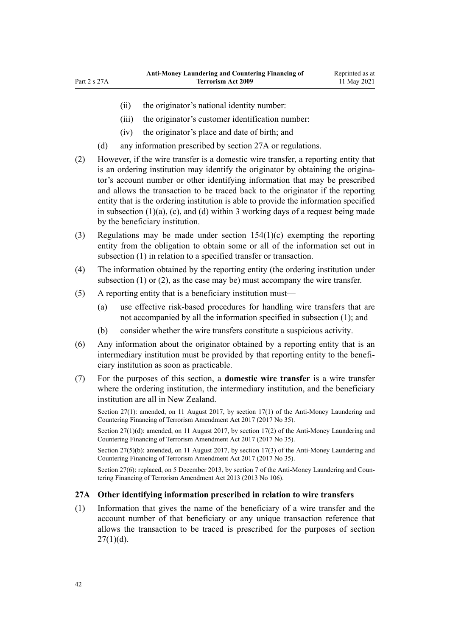- (ii) the originator's national identity number:
- (iii) the originator's customer identification number:
- (iv) the originator's place and date of birth; and
- (d) any information prescribed by section 27A or regulations.
- (2) However, if the wire transfer is a domestic wire transfer, a reporting entity that is an ordering institution may identify the originator by obtaining the originator's account number or other identifying information that may be prescribed and allows the transaction to be traced back to the originator if the reporting entity that is the ordering institution is able to provide the information specified in subsection  $(1)(a)$ ,  $(c)$ , and  $(d)$  within 3 working days of a request being made by the beneficiary institution.
- (3) Regulations may be made under [section 154\(1\)\(c\)](#page-107-0) exempting the reporting entity from the obligation to obtain some or all of the information set out in subsection (1) in relation to a specified transfer or transaction.
- (4) The information obtained by the reporting entity (the ordering institution under subsection (1) or (2), as the case may be) must accompany the wire transfer.
- (5) A reporting entity that is a beneficiary institution must—
	- (a) use effective risk-based procedures for handling wire transfers that are not accompanied by all the information specified in subsection (1); and
	- (b) consider whether the wire transfers constitute a suspicious activity.
- (6) Any information about the originator obtained by a reporting entity that is an intermediary institution must be provided by that reporting entity to the beneficiary institution as soon as practicable.
- (7) For the purposes of this section, a **domestic wire transfer** is a wire transfer where the ordering institution, the intermediary institution, and the beneficiary institution are all in New Zealand.

Section 27(1)(d): amended, on 11 August 2017, by [section 17\(2\)](http://legislation.govt.nz/pdflink.aspx?id=DLM7161283) of the Anti-Money Laundering and Countering Financing of Terrorism Amendment Act 2017 (2017 No 35).

Section 27(5)(b): amended, on 11 August 2017, by [section 17\(3\)](http://legislation.govt.nz/pdflink.aspx?id=DLM7161283) of the Anti-Money Laundering and Countering Financing of Terrorism Amendment Act 2017 (2017 No 35).

Section 27(6): replaced, on 5 December 2013, by [section 7](http://legislation.govt.nz/pdflink.aspx?id=DLM5621511) of the Anti-Money Laundering and Countering Financing of Terrorism Amendment Act 2013 (2013 No 106).

### **27A Other identifying information prescribed in relation to wire transfers**

(1) Information that gives the name of the beneficiary of a wire transfer and the account number of that beneficiary or any unique transaction reference that allows the transaction to be traced is prescribed for the purposes of [section](#page-40-0)  $27(1)(d)$ .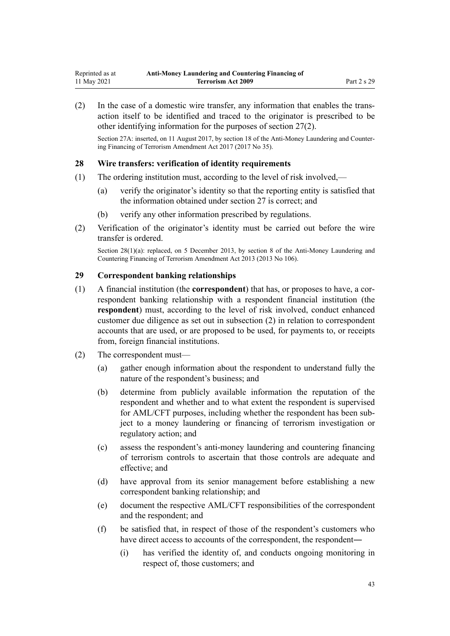<span id="page-42-0"></span>(2) In the case of a domestic wire transfer, any information that enables the trans‐ action itself to be identified and traced to the originator is prescribed to be other identifying information for the purposes of [section 27\(2\)](#page-40-0).

Section 27A: inserted, on 11 August 2017, by [section 18](http://legislation.govt.nz/pdflink.aspx?id=DLM7340624) of the Anti-Money Laundering and Countering Financing of Terrorism Amendment Act 2017 (2017 No 35).

#### **28 Wire transfers: verification of identity requirements**

- (1) The ordering institution must, according to the level of risk involved,—
	- (a) verify the originator's identity so that the reporting entity is satisfied that the information obtained under [section 27](#page-40-0) is correct; and
	- (b) verify any other information prescribed by regulations.
- (2) Verification of the originator's identity must be carried out before the wire transfer is ordered.

Section 28(1)(a): replaced, on 5 December 2013, by [section 8](http://legislation.govt.nz/pdflink.aspx?id=DLM5621512) of the Anti-Money Laundering and Countering Financing of Terrorism Amendment Act 2013 (2013 No 106).

#### **29 Correspondent banking relationships**

- (1) A financial institution (the **correspondent**) that has, or proposes to have, a cor‐ respondent banking relationship with a respondent financial institution (the **respondent**) must, according to the level of risk involved, conduct enhanced customer due diligence as set out in subsection (2) in relation to correspondent accounts that are used, or are proposed to be used, for payments to, or receipts from, foreign financial institutions.
- (2) The correspondent must—
	- (a) gather enough information about the respondent to understand fully the nature of the respondent's business; and
	- (b) determine from publicly available information the reputation of the respondent and whether and to what extent the respondent is supervised for AML/CFT purposes, including whether the respondent has been subject to a money laundering or financing of terrorism investigation or regulatory action; and
	- (c) assess the respondent's anti-money laundering and countering financing of terrorism controls to ascertain that those controls are adequate and effective; and
	- (d) have approval from its senior management before establishing a new correspondent banking relationship; and
	- (e) document the respective AML/CFT responsibilities of the correspondent and the respondent; and
	- (f) be satisfied that, in respect of those of the respondent's customers who have direct access to accounts of the correspondent, the respondent—
		- (i) has verified the identity of, and conducts ongoing monitoring in respect of, those customers; and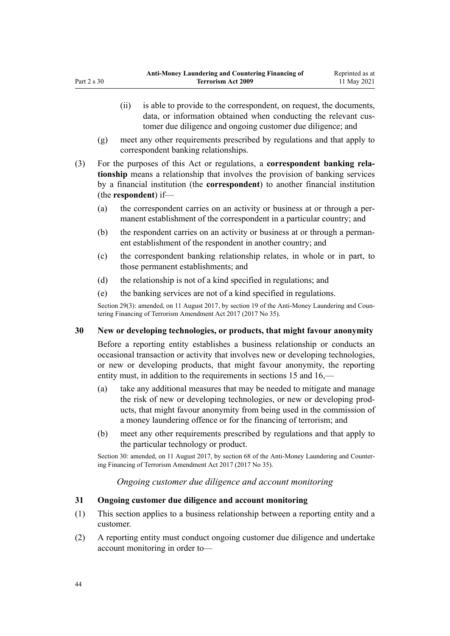- <span id="page-43-0"></span>(ii) is able to provide to the correspondent, on request, the documents, data, or information obtained when conducting the relevant customer due diligence and ongoing customer due diligence; and
- (g) meet any other requirements prescribed by regulations and that apply to correspondent banking relationships.
- (3) For the purposes of this Act or regulations, a **correspondent banking rela‐ tionship** means a relationship that involves the provision of banking services by a financial institution (the **correspondent**) to another financial institution (the **respondent**) if—
	- (a) the correspondent carries on an activity or business at or through a per‐ manent establishment of the correspondent in a particular country; and
	- (b) the respondent carries on an activity or business at or through a permanent establishment of the respondent in another country; and
	- (c) the correspondent banking relationship relates, in whole or in part, to those permanent establishments; and
	- (d) the relationship is not of a kind specified in regulations; and
	- (e) the banking services are not of a kind specified in regulations.

# **30 New or developing technologies, or products, that might favour anonymity**

Before a reporting entity establishes a business relationship or conducts an occasional transaction or activity that involves new or developing technologies, or new or developing products, that might favour anonymity, the reporting entity must, in addition to the requirements in [sections 15](#page-33-0) and [16,](#page-33-0)—

- (a) take any additional measures that may be needed to mitigate and manage the risk of new or developing technologies, or new or developing prod‐ ucts, that might favour anonymity from being used in the commission of a money laundering offence or for the financing of terrorism; and
- (b) meet any other requirements prescribed by regulations and that apply to the particular technology or product.

Section 30: amended, on 11 August 2017, by [section 68](http://legislation.govt.nz/pdflink.aspx?id=DLM7340644) of the Anti-Money Laundering and Countering Financing of Terrorism Amendment Act 2017 (2017 No 35).

# *Ongoing customer due diligence and account monitoring*

# **31 Ongoing customer due diligence and account monitoring**

- (1) This section applies to a business relationship between a reporting entity and a customer.
- (2) A reporting entity must conduct ongoing customer due diligence and undertake account monitoring in order to—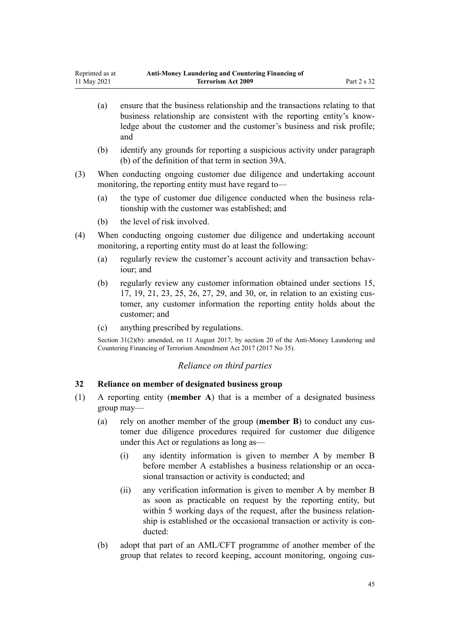- <span id="page-44-0"></span>(a) ensure that the business relationship and the transactions relating to that business relationship are consistent with the reporting entity's know‐ ledge about the customer and the customer's business and risk profile; and
- (b) identify any grounds for reporting a suspicious activity under paragraph (b) of the definition of that term in [section 39A](#page-50-0).
- (3) When conducting ongoing customer due diligence and undertaking account monitoring, the reporting entity must have regard to—
	- (a) the type of customer due diligence conducted when the business rela‐ tionship with the customer was established; and
	- (b) the level of risk involved.
- (4) When conducting ongoing customer due diligence and undertaking account monitoring, a reporting entity must do at least the following:
	- (a) regularly review the customer's account activity and transaction behaviour; and
	- (b) regularly review any customer information obtained under [sections 15](#page-33-0), [17,](#page-34-0) [19,](#page-36-0) [21,](#page-37-0) [23,](#page-39-0) [25](#page-40-0), [26](#page-40-0), [27](#page-40-0), [29](#page-42-0), and [30,](#page-43-0) or, in relation to an existing cus‐ tomer, any customer information the reporting entity holds about the customer; and
	- (c) anything prescribed by regulations.

Section 31(2)(b): amended, on 11 August 2017, by [section 20](http://legislation.govt.nz/pdflink.aspx?id=DLM7386133) of the Anti-Money Laundering and Countering Financing of Terrorism Amendment Act 2017 (2017 No 35).

### *Reliance on third parties*

### **32 Reliance on member of designated business group**

- (1) A reporting entity (**member A**) that is a member of a designated business group may—
	- (a) rely on another member of the group (**member B**) to conduct any cus‐ tomer due diligence procedures required for customer due diligence under this Act or regulations as long as—
		- (i) any identity information is given to member A by member B before member A establishes a business relationship or an occasional transaction or activity is conducted; and
		- (ii) any verification information is given to member A by member B as soon as practicable on request by the reporting entity, but within 5 working days of the request, after the business relationship is established or the occasional transaction or activity is conducted:
	- (b) adopt that part of an AML/CFT programme of another member of the group that relates to record keeping, account monitoring, ongoing cus‐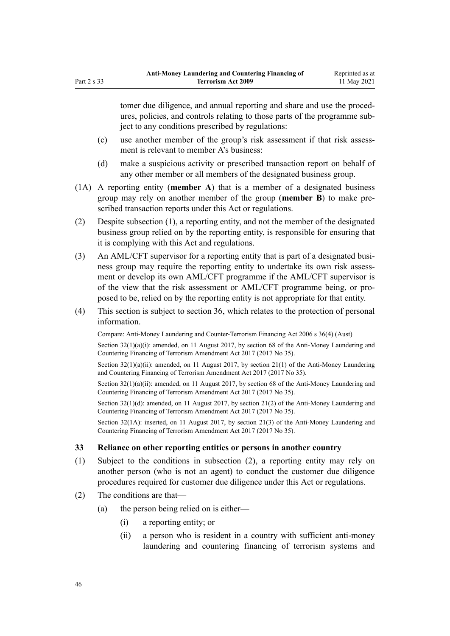tomer due diligence, and annual reporting and share and use the procedures, policies, and controls relating to those parts of the programme sub‐ ject to any conditions prescribed by regulations:

- (c) use another member of the group's risk assessment if that risk assessment is relevant to member A's business:
- (d) make a suspicious activity or prescribed transaction report on behalf of any other member or all members of the designated business group.
- (1A) A reporting entity (**member A**) that is a member of a designated business group may rely on another member of the group (**member B**) to make pre‐ scribed transaction reports under this Act or regulations.
- (2) Despite subsection (1), a reporting entity, and not the member of the designated business group relied on by the reporting entity, is responsible for ensuring that it is complying with this Act and regulations.
- (3) An AML/CFT supervisor for a reporting entity that is part of a designated business group may require the reporting entity to undertake its own risk assessment or develop its own AML/CFT programme if the AML/CFT supervisor is of the view that the risk assessment or AML/CFT programme being, or pro‐ posed to be, relied on by the reporting entity is not appropriate for that entity.
- (4) This section is subject to [section 36,](#page-47-0) which relates to the protection of personal information.

Compare: Anti-Money Laundering and Counter-Terrorism Financing Act 2006 s 36(4) (Aust)

Section  $32(1)(a)(i)$ : amended, on 11 August 2017, by [section 68](http://legislation.govt.nz/pdflink.aspx?id=DLM7340644) of the Anti-Money Laundering and Countering Financing of Terrorism Amendment Act 2017 (2017 No 35).

Section  $32(1)(a)(ii)$ : amended, on 11 August 2017, by section  $21(1)$  of the Anti-Money Laundering and Countering Financing of Terrorism Amendment Act 2017 (2017 No 35).

Section 32(1)(a)(ii): amended, on 11 August 2017, by [section 68](http://legislation.govt.nz/pdflink.aspx?id=DLM7340644) of the Anti-Money Laundering and Countering Financing of Terrorism Amendment Act 2017 (2017 No 35).

Section 32(1)(d): amended, on 11 August 2017, by [section 21\(2\)](http://legislation.govt.nz/pdflink.aspx?id=DLM7161285) of the Anti-Money Laundering and Countering Financing of Terrorism Amendment Act 2017 (2017 No 35).

Section 32(1A): inserted, on 11 August 2017, by [section 21\(3\)](http://legislation.govt.nz/pdflink.aspx?id=DLM7161285) of the Anti-Money Laundering and Countering Financing of Terrorism Amendment Act 2017 (2017 No 35).

### **33 Reliance on other reporting entities or persons in another country**

- (1) Subject to the conditions in subsection (2), a reporting entity may rely on another person (who is not an agent) to conduct the customer due diligence procedures required for customer due diligence under this Act or regulations.
- (2) The conditions are that—
	- (a) the person being relied on is either—
		- (i) a reporting entity; or
		- (ii) a person who is resident in a country with sufficient anti-money laundering and countering financing of terrorism systems and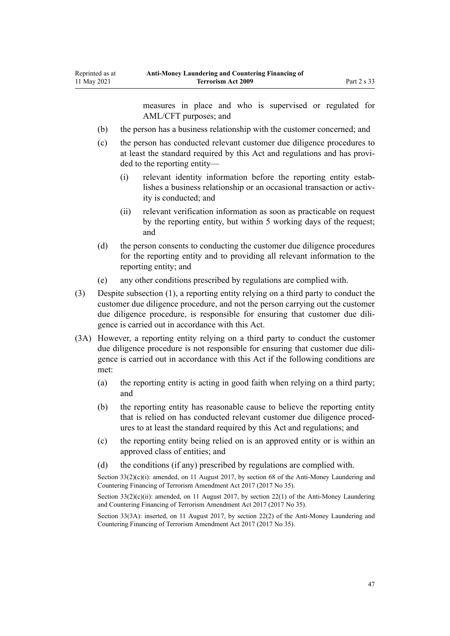Reprinted as at 11 May 2021

measures in place and who is supervised or regulated for AML/CFT purposes; and

- (b) the person has a business relationship with the customer concerned; and
- (c) the person has conducted relevant customer due diligence procedures to at least the standard required by this Act and regulations and has provi‐ ded to the reporting entity—
	- (i) relevant identity information before the reporting entity estab‐ lishes a business relationship or an occasional transaction or activity is conducted; and
	- (ii) relevant verification information as soon as practicable on request by the reporting entity, but within 5 working days of the request; and
- (d) the person consents to conducting the customer due diligence procedures for the reporting entity and to providing all relevant information to the reporting entity; and
- (e) any other conditions prescribed by regulations are complied with.
- (3) Despite subsection (1), a reporting entity relying on a third party to conduct the customer due diligence procedure, and not the person carrying out the customer due diligence procedure, is responsible for ensuring that customer due dili‐ gence is carried out in accordance with this Act.
- (3A) However, a reporting entity relying on a third party to conduct the customer due diligence procedure is not responsible for ensuring that customer due diligence is carried out in accordance with this Act if the following conditions are met:
	- (a) the reporting entity is acting in good faith when relying on a third party; and
	- (b) the reporting entity has reasonable cause to believe the reporting entity that is relied on has conducted relevant customer due diligence proced‐ ures to at least the standard required by this Act and regulations; and
	- (c) the reporting entity being relied on is an approved entity or is within an approved class of entities; and
	- (d) the conditions (if any) prescribed by regulations are complied with.

Section  $33(2)(c)(i)$ : amended, on 11 August 2017, by [section 68](http://legislation.govt.nz/pdflink.aspx?id=DLM7340644) of the Anti-Money Laundering and Countering Financing of Terrorism Amendment Act 2017 (2017 No 35).

Section 33(2)(c)(ii): amended, on 11 August 2017, by [section 22\(1\)](http://legislation.govt.nz/pdflink.aspx?id=DLM7161286) of the Anti-Money Laundering and Countering Financing of Terrorism Amendment Act 2017 (2017 No 35).

Section 33(3A): inserted, on 11 August 2017, by [section 22\(2\)](http://legislation.govt.nz/pdflink.aspx?id=DLM7161286) of the Anti-Money Laundering and Countering Financing of Terrorism Amendment Act 2017 (2017 No 35).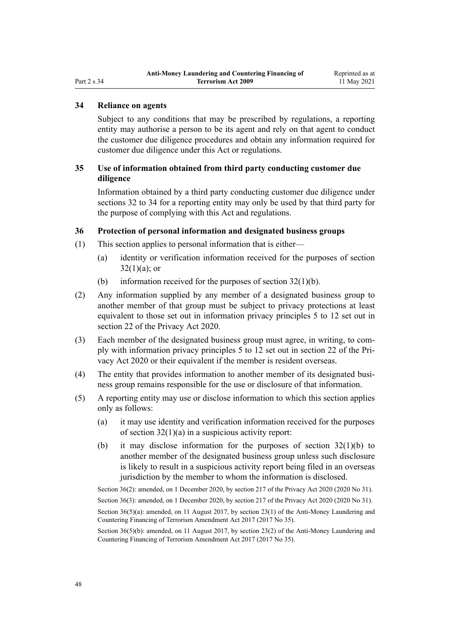# <span id="page-47-0"></span>**34 Reliance on agents**

Subject to any conditions that may be prescribed by regulations, a reporting entity may authorise a person to be its agent and rely on that agent to conduct the customer due diligence procedures and obtain any information required for customer due diligence under this Act or regulations.

### **35 Use of information obtained from third party conducting customer due diligence**

Information obtained by a third party conducting customer due diligence under [sections 32 to 34](#page-44-0) for a reporting entity may only be used by that third party for the purpose of complying with this Act and regulations.

### **36 Protection of personal information and designated business groups**

- (1) This section applies to personal information that is either—
	- (a) identity or verification information received for the purposes of [section](#page-44-0)  $32(1)(a)$ ; or
	- (b) information received for the purposes of section  $32(1)(b)$ .
- (2) Any information supplied by any member of a designated business group to another member of that group must be subject to privacy protections at least equivalent to those set out in information privacy principles 5 to 12 set out in [section 22](http://legislation.govt.nz/pdflink.aspx?id=LMS23342) of the Privacy Act 2020.
- (3) Each member of the designated business group must agree, in writing, to com‐ ply with information privacy principles 5 to 12 set out in [section 22](http://legislation.govt.nz/pdflink.aspx?id=LMS23342) of the Pri‐ vacy Act 2020 or their equivalent if the member is resident overseas.
- (4) The entity that provides information to another member of its designated busi‐ ness group remains responsible for the use or disclosure of that information.
- (5) A reporting entity may use or disclose information to which this section applies only as follows:
	- (a) it may use identity and verification information received for the purposes of [section 32\(1\)\(a\)](#page-44-0) in a suspicious activity report:
	- (b) it may disclose information for the purposes of [section 32\(1\)\(b\)](#page-44-0) to another member of the designated business group unless such disclosure is likely to result in a suspicious activity report being filed in an overseas jurisdiction by the member to whom the information is disclosed.

Section 36(2): amended, on 1 December 2020, by [section 217](http://legislation.govt.nz/pdflink.aspx?id=LMS23706) of the Privacy Act 2020 (2020 No 31).

Section 36(3): amended, on 1 December 2020, by [section 217](http://legislation.govt.nz/pdflink.aspx?id=LMS23706) of the Privacy Act 2020 (2020 No 31). Section 36(5)(a): amended, on 11 August 2017, by [section 23\(1\)](http://legislation.govt.nz/pdflink.aspx?id=DLM7161287) of the Anti-Money Laundering and

Countering Financing of Terrorism Amendment Act 2017 (2017 No 35).

Section 36(5)(b): amended, on 11 August 2017, by [section 23\(2\)](http://legislation.govt.nz/pdflink.aspx?id=DLM7161287) of the Anti-Money Laundering and Countering Financing of Terrorism Amendment Act 2017 (2017 No 35).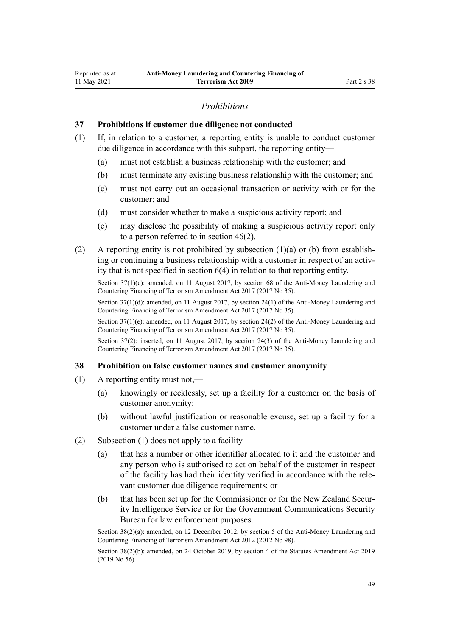### *Prohibitions*

#### **37 Prohibitions if customer due diligence not conducted**

- (1) If, in relation to a customer, a reporting entity is unable to conduct customer due diligence in accordance with this subpart, the reporting entity—
	- (a) must not establish a business relationship with the customer; and
	- (b) must terminate any existing business relationship with the customer; and
	- (c) must not carry out an occasional transaction or activity with or for the customer; and
	- (d) must consider whether to make a suspicious activity report; and
	- (e) may disclose the possibility of making a suspicious activity report only to a person referred to in [section 46\(2\).](#page-54-0)
- (2) A reporting entity is not prohibited by subsection (1)(a) or (b) from establishing or continuing a business relationship with a customer in respect of an activity that is not specified in [section 6\(4\)](#page-28-0) in relation to that reporting entity.

Section 37(1)(c): amended, on 11 August 2017, by [section 68](http://legislation.govt.nz/pdflink.aspx?id=DLM7340644) of the Anti-Money Laundering and Countering Financing of Terrorism Amendment Act 2017 (2017 No 35).

Section 37(1)(d): amended, on 11 August 2017, by [section 24\(1\)](http://legislation.govt.nz/pdflink.aspx?id=DLM7161288) of the Anti-Money Laundering and Countering Financing of Terrorism Amendment Act 2017 (2017 No 35).

Section 37(1)(e): amended, on 11 August 2017, by [section 24\(2\)](http://legislation.govt.nz/pdflink.aspx?id=DLM7161288) of the Anti-Money Laundering and Countering Financing of Terrorism Amendment Act 2017 (2017 No 35).

Section 37(2): inserted, on 11 August 2017, by [section 24\(3\)](http://legislation.govt.nz/pdflink.aspx?id=DLM7161288) of the Anti-Money Laundering and Countering Financing of Terrorism Amendment Act 2017 (2017 No 35).

#### **38 Prohibition on false customer names and customer anonymity**

- (1) A reporting entity must not,—
	- (a) knowingly or recklessly, set up a facility for a customer on the basis of customer anonymity:
	- (b) without lawful justification or reasonable excuse, set up a facility for a customer under a false customer name.
- (2) Subsection (1) does not apply to a facility—
	- (a) that has a number or other identifier allocated to it and the customer and any person who is authorised to act on behalf of the customer in respect of the facility has had their identity verified in accordance with the rele‐ vant customer due diligence requirements; or
	- (b) that has been set up for the Commissioner or for the New Zealand Security Intelligence Service or for the Government Communications Security Bureau for law enforcement purposes.

Section 38(2)(a): amended, on 12 December 2012, by [section 5](http://legislation.govt.nz/pdflink.aspx?id=DLM4989303) of the Anti-Money Laundering and Countering Financing of Terrorism Amendment Act 2012 (2012 No 98).

Section 38(2)(b): amended, on 24 October 2019, by [section 4](http://legislation.govt.nz/pdflink.aspx?id=LMS58872) of the Statutes Amendment Act 2019 (2019 No 56).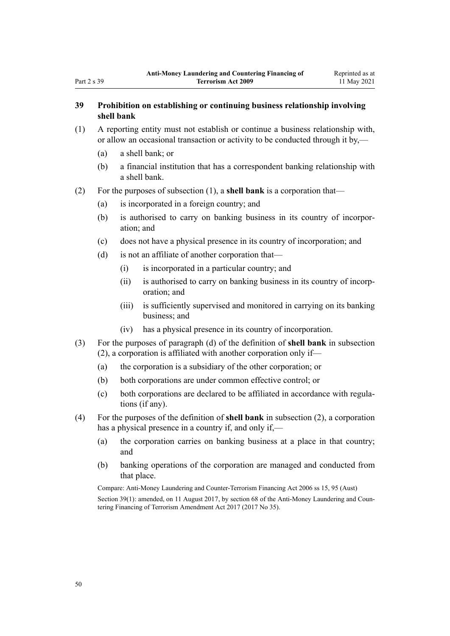# **39 Prohibition on establishing or continuing business relationship involving shell bank**

- (1) A reporting entity must not establish or continue a business relationship with, or allow an occasional transaction or activity to be conducted through it by,—
	- (a) a shell bank; or
	- (b) a financial institution that has a correspondent banking relationship with a shell bank.
- (2) For the purposes of subsection (1), a **shell bank** is a corporation that—
	- (a) is incorporated in a foreign country; and
	- (b) is authorised to carry on banking business in its country of incorpor‐ ation; and
	- (c) does not have a physical presence in its country of incorporation; and
	- (d) is not an affiliate of another corporation that—
		- (i) is incorporated in a particular country; and
		- (ii) is authorised to carry on banking business in its country of incorp‐ oration; and
		- (iii) is sufficiently supervised and monitored in carrying on its banking business; and
		- (iv) has a physical presence in its country of incorporation.
- (3) For the purposes of paragraph (d) of the definition of **shell bank** in subsection (2), a corporation is affiliated with another corporation only if—
	- (a) the corporation is a subsidiary of the other corporation; or
	- (b) both corporations are under common effective control; or
	- (c) both corporations are declared to be affiliated in accordance with regula‐ tions (if any).
- (4) For the purposes of the definition of **shell bank** in subsection (2), a corporation has a physical presence in a country if, and only if,—
	- (a) the corporation carries on banking business at a place in that country; and
	- (b) banking operations of the corporation are managed and conducted from that place.

Compare: Anti-Money Laundering and Counter-Terrorism Financing Act 2006 ss 15, 95 (Aust) Section 39(1): amended, on 11 August 2017, by [section 68](http://legislation.govt.nz/pdflink.aspx?id=DLM7340644) of the Anti-Money Laundering and Countering Financing of Terrorism Amendment Act 2017 (2017 No 35).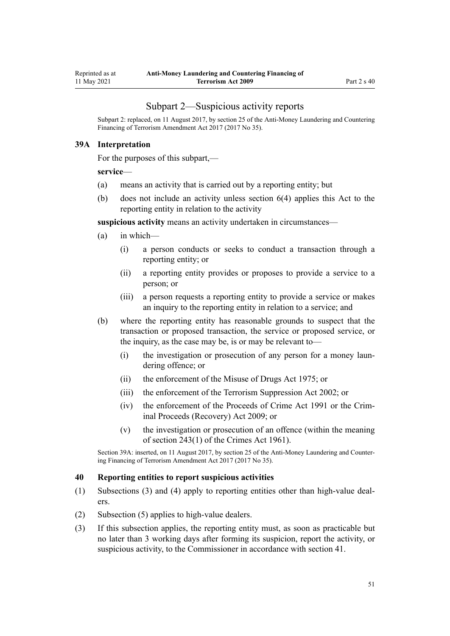### Subpart 2—Suspicious activity reports

<span id="page-50-0"></span>Subpart 2: replaced, on 11 August 2017, by [section 25](http://legislation.govt.nz/pdflink.aspx?id=DLM7161289) of the Anti-Money Laundering and Countering Financing of Terrorism Amendment Act 2017 (2017 No 35).

### **39A Interpretation**

For the purposes of this subpart,—

#### **service**—

- (a) means an activity that is carried out by a reporting entity; but
- (b) does not include an activity unless [section 6\(4\)](#page-28-0) applies this Act to the reporting entity in relation to the activity

**suspicious activity** means an activity undertaken in circumstances—

- (a) in which—
	- (i) a person conducts or seeks to conduct a transaction through a reporting entity; or
	- (ii) a reporting entity provides or proposes to provide a service to a person; or
	- (iii) a person requests a reporting entity to provide a service or makes an inquiry to the reporting entity in relation to a service; and
- (b) where the reporting entity has reasonable grounds to suspect that the transaction or proposed transaction, the service or proposed service, or the inquiry, as the case may be, is or may be relevant to—
	- (i) the investigation or prosecution of any person for a money laundering offence; or
	- (ii) the enforcement of the [Misuse of Drugs Act 1975;](http://legislation.govt.nz/pdflink.aspx?id=DLM436100) or
	- (iii) the enforcement of the [Terrorism Suppression Act 2002](http://legislation.govt.nz/pdflink.aspx?id=DLM151490); or
	- (iv) the enforcement of the [Proceeds of Crime Act 1991](http://legislation.govt.nz/pdflink.aspx?id=DLM250668) or the [Crim‐](http://legislation.govt.nz/pdflink.aspx?id=BILL-SCDRAFT-7242) [inal Proceeds \(Recovery\) Act 2009;](http://legislation.govt.nz/pdflink.aspx?id=BILL-SCDRAFT-7242) or
	- (v) the investigation or prosecution of an offence (within the meaning of [section 243\(1\)](http://legislation.govt.nz/pdflink.aspx?id=DLM330289) of the Crimes Act 1961).

Section 39A: inserted, on 11 August 2017, by [section 25](http://legislation.govt.nz/pdflink.aspx?id=DLM7161289) of the Anti-Money Laundering and Countering Financing of Terrorism Amendment Act 2017 (2017 No 35).

### **40 Reporting entities to report suspicious activities**

- (1) Subsections (3) and (4) apply to reporting entities other than high-value deal‐ ers.
- (2) Subsection (5) applies to high-value dealers.
- (3) If this subsection applies, the reporting entity must, as soon as practicable but no later than 3 working days after forming its suspicion, report the activity, or suspicious activity, to the Commissioner in accordance with [section 41.](#page-51-0)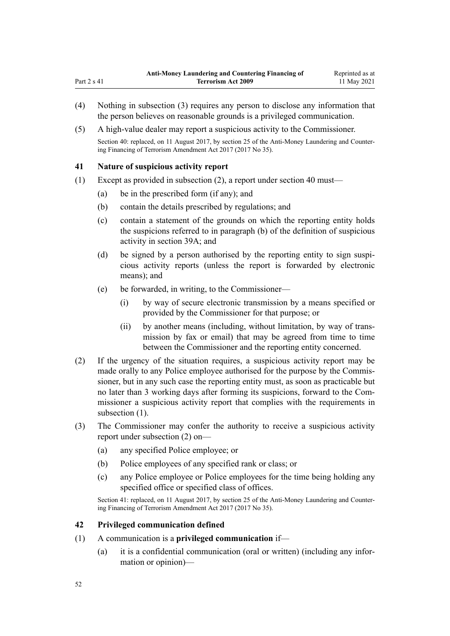- (4) Nothing in subsection (3) requires any person to disclose any information that the person believes on reasonable grounds is a privileged communication.
- (5) A high-value dealer may report a suspicious activity to the Commissioner.

### **41 Nature of suspicious activity report**

<span id="page-51-0"></span>Part  $2 s 41$ 

- (1) Except as provided in subsection (2), a report under [section 40](#page-50-0) must—
	- (a) be in the prescribed form (if any); and
	- (b) contain the details prescribed by regulations; and
	- (c) contain a statement of the grounds on which the reporting entity holds the suspicions referred to in paragraph (b) of the definition of suspicious activity in [section 39A;](#page-50-0) and
	- (d) be signed by a person authorised by the reporting entity to sign suspicious activity reports (unless the report is forwarded by electronic means); and
	- (e) be forwarded, in writing, to the Commissioner—
		- (i) by way of secure electronic transmission by a means specified or provided by the Commissioner for that purpose; or
		- (ii) by another means (including, without limitation, by way of trans‐ mission by fax or email) that may be agreed from time to time between the Commissioner and the reporting entity concerned.
- (2) If the urgency of the situation requires, a suspicious activity report may be made orally to any Police employee authorised for the purpose by the Commissioner, but in any such case the reporting entity must, as soon as practicable but no later than 3 working days after forming its suspicions, forward to the Com‐ missioner a suspicious activity report that complies with the requirements in subsection  $(1)$ .
- (3) The Commissioner may confer the authority to receive a suspicious activity report under subsection (2) on—
	- (a) any specified Police employee; or
	- (b) Police employees of any specified rank or class; or
	- (c) any Police employee or Police employees for the time being holding any specified office or specified class of offices.

Section 41: replaced, on 11 August 2017, by [section 25](http://legislation.govt.nz/pdflink.aspx?id=DLM7161289) of the Anti-Money Laundering and Countering Financing of Terrorism Amendment Act 2017 (2017 No 35).

### **42 Privileged communication defined**

- (1) A communication is a **privileged communication** if—
	- (a) it is a confidential communication (oral or written) (including any infor‐ mation or opinion)—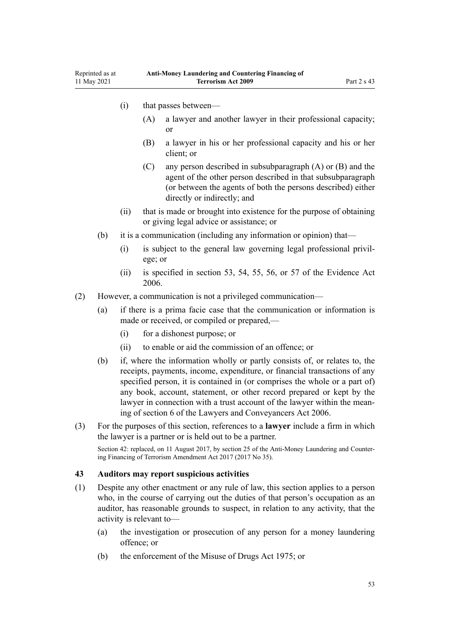- <span id="page-52-0"></span>(i) that passes between—
	- (A) a lawyer and another lawyer in their professional capacity; or
	- (B) a lawyer in his or her professional capacity and his or her client; or
	- (C) any person described in subsubparagraph (A) or (B) and the agent of the other person described in that subsubparagraph (or between the agents of both the persons described) either directly or indirectly; and
- (ii) that is made or brought into existence for the purpose of obtaining or giving legal advice or assistance; or
- (b) it is a communication (including any information or opinion) that—
	- (i) is subject to the general law governing legal professional privil‐ ege; or
	- (ii) is specified in [section 53](http://legislation.govt.nz/pdflink.aspx?id=DLM393658), [54,](http://legislation.govt.nz/pdflink.aspx?id=DLM393659) [55](http://legislation.govt.nz/pdflink.aspx?id=DLM393662), [56,](http://legislation.govt.nz/pdflink.aspx?id=DLM393663) or [57](http://legislation.govt.nz/pdflink.aspx?id=DLM393664) of the Evidence Act 2006.
- (2) However, a communication is not a privileged communication—
	- (a) if there is a prima facie case that the communication or information is made or received, or compiled or prepared,—
		- (i) for a dishonest purpose; or
		- (ii) to enable or aid the commission of an offence; or
	- (b) if, where the information wholly or partly consists of, or relates to, the receipts, payments, income, expenditure, or financial transactions of any specified person, it is contained in (or comprises the whole or a part of) any book, account, statement, or other record prepared or kept by the lawyer in connection with a trust account of the lawyer within the meaning of [section 6](http://legislation.govt.nz/pdflink.aspx?id=DLM364948) of the Lawyers and Conveyancers Act 2006.
- (3) For the purposes of this section, references to a **lawyer** include a firm in which the lawyer is a partner or is held out to be a partner.

### **43 Auditors may report suspicious activities**

- (1) Despite any other enactment or any rule of law, this section applies to a person who, in the course of carrying out the duties of that person's occupation as an auditor, has reasonable grounds to suspect, in relation to any activity, that the activity is relevant to—
	- (a) the investigation or prosecution of any person for a money laundering offence; or
	- (b) the enforcement of the [Misuse of Drugs Act 1975;](http://legislation.govt.nz/pdflink.aspx?id=DLM436100) or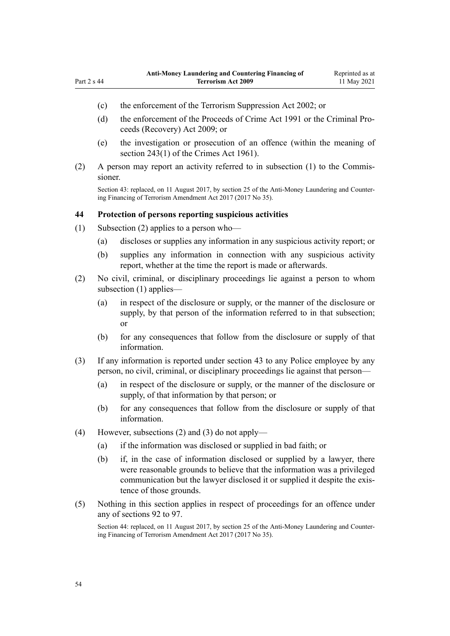- <span id="page-53-0"></span>(c) the enforcement of the [Terrorism Suppression Act 2002](http://legislation.govt.nz/pdflink.aspx?id=DLM151490); or
- (d) the enforcement of the [Proceeds of Crime Act 1991](http://legislation.govt.nz/pdflink.aspx?id=DLM250668) or the Criminal Pro[ceeds \(Recovery\) Act 2009;](http://legislation.govt.nz/pdflink.aspx?id=BILL-SCDRAFT-7242) or
- (e) the investigation or prosecution of an offence (within the meaning of [section 243\(1\)](http://legislation.govt.nz/pdflink.aspx?id=DLM330289) of the Crimes Act 1961).
- (2) A person may report an activity referred to in subsection (1) to the Commis‐ sioner.

### **44 Protection of persons reporting suspicious activities**

- (1) Subsection (2) applies to a person who—
	- (a) discloses or supplies any information in any suspicious activity report; or
	- (b) supplies any information in connection with any suspicious activity report, whether at the time the report is made or afterwards.
- (2) No civil, criminal, or disciplinary proceedings lie against a person to whom subsection (1) applies—
	- (a) in respect of the disclosure or supply, or the manner of the disclosure or supply, by that person of the information referred to in that subsection; or
	- (b) for any consequences that follow from the disclosure or supply of that information.
- (3) If any information is reported under [section 43](#page-52-0) to any Police employee by any person, no civil, criminal, or disciplinary proceedings lie against that person—
	- (a) in respect of the disclosure or supply, or the manner of the disclosure or supply, of that information by that person; or
	- (b) for any consequences that follow from the disclosure or supply of that information.
- (4) However, subsections (2) and (3) do not apply—
	- (a) if the information was disclosed or supplied in bad faith; or
	- (b) if, in the case of information disclosed or supplied by a lawyer, there were reasonable grounds to believe that the information was a privileged communication but the lawyer disclosed it or supplied it despite the existence of those grounds.
- (5) Nothing in this section applies in respect of proceedings for an offence under any of [sections 92 to 97.](#page-76-0)

Section 44: replaced, on 11 August 2017, by [section 25](http://legislation.govt.nz/pdflink.aspx?id=DLM7161289) of the Anti-Money Laundering and Countering Financing of Terrorism Amendment Act 2017 (2017 No 35).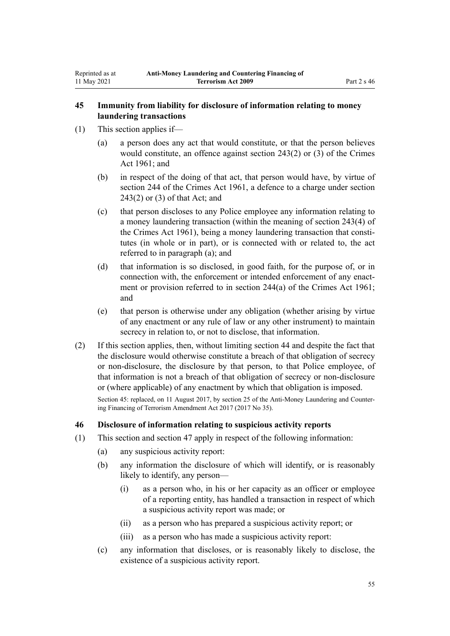### <span id="page-54-0"></span>**45 Immunity from liability for disclosure of information relating to money laundering transactions**

- (1) This section applies if—
	- (a) a person does any act that would constitute, or that the person believes would constitute, an offence against [section 243\(2\) or \(3\)](http://legislation.govt.nz/pdflink.aspx?id=DLM330289) of the Crimes Act 1961; and
	- (b) in respect of the doing of that act, that person would have, by virtue of [section 244](http://legislation.govt.nz/pdflink.aspx?id=DLM330403) of the Crimes Act 1961, a defence to a charge under [section](http://legislation.govt.nz/pdflink.aspx?id=DLM330289) [243\(2\) or \(3\)](http://legislation.govt.nz/pdflink.aspx?id=DLM330289) of that Act; and
	- (c) that person discloses to any Police employee any information relating to a money laundering transaction (within the meaning of [section 243\(4\)](http://legislation.govt.nz/pdflink.aspx?id=DLM330289) of the Crimes Act 1961), being a money laundering transaction that constitutes (in whole or in part), or is connected with or related to, the act referred to in paragraph (a); and
	- (d) that information is so disclosed, in good faith, for the purpose of, or in connection with, the enforcement or intended enforcement of any enactment or provision referred to in [section 244\(a\)](http://legislation.govt.nz/pdflink.aspx?id=DLM330403) of the Crimes Act 1961; and
	- (e) that person is otherwise under any obligation (whether arising by virtue of any enactment or any rule of law or any other instrument) to maintain secrecy in relation to, or not to disclose, that information.
- (2) If this section applies, then, without limiting [section 44](#page-53-0) and despite the fact that the disclosure would otherwise constitute a breach of that obligation of secrecy or non-disclosure, the disclosure by that person, to that Police employee, of that information is not a breach of that obligation of secrecy or non-disclosure or (where applicable) of any enactment by which that obligation is imposed.

Section 45: replaced, on 11 August 2017, by [section 25](http://legislation.govt.nz/pdflink.aspx?id=DLM7161289) of the Anti-Money Laundering and Counter‐ ing Financing of Terrorism Amendment Act 2017 (2017 No 35).

### **46 Disclosure of information relating to suspicious activity reports**

- (1) This section and [section 47](#page-55-0) apply in respect of the following information:
	- (a) any suspicious activity report:
	- (b) any information the disclosure of which will identify, or is reasonably likely to identify, any person—
		- (i) as a person who, in his or her capacity as an officer or employee of a reporting entity, has handled a transaction in respect of which a suspicious activity report was made; or
		- (ii) as a person who has prepared a suspicious activity report; or
		- (iii) as a person who has made a suspicious activity report:
	- (c) any information that discloses, or is reasonably likely to disclose, the existence of a suspicious activity report.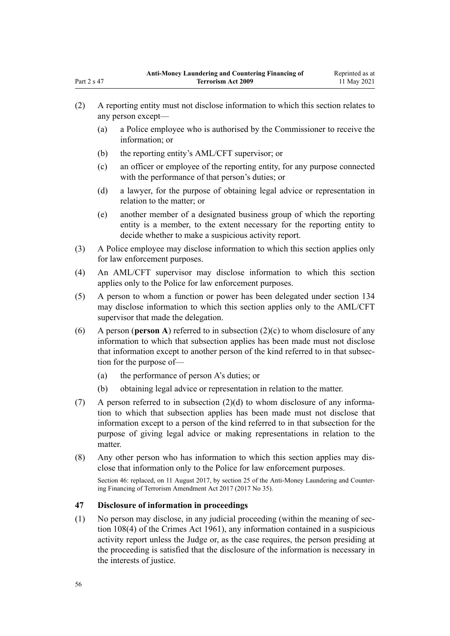- (2) A reporting entity must not disclose information to which this section relates to any person except—
	- (a) a Police employee who is authorised by the Commissioner to receive the information; or
	- (b) the reporting entity's AML/CFT supervisor; or
	- (c) an officer or employee of the reporting entity, for any purpose connected with the performance of that person's duties; or
	- (d) a lawyer, for the purpose of obtaining legal advice or representation in relation to the matter; or
	- (e) another member of a designated business group of which the reporting entity is a member, to the extent necessary for the reporting entity to decide whether to make a suspicious activity report.
- (3) A Police employee may disclose information to which this section applies only for law enforcement purposes.
- (4) An AML/CFT supervisor may disclose information to which this section applies only to the Police for law enforcement purposes.
- (5) A person to whom a function or power has been delegated under [section 134](#page-93-0) may disclose information to which this section applies only to the AML/CFT supervisor that made the delegation.
- (6) A person (**person A**) referred to in subsection (2)(c) to whom disclosure of any information to which that subsection applies has been made must not disclose that information except to another person of the kind referred to in that subsec‐ tion for the purpose of—
	- (a) the performance of person A's duties; or
	- (b) obtaining legal advice or representation in relation to the matter.
- (7) A person referred to in subsection (2)(d) to whom disclosure of any information to which that subsection applies has been made must not disclose that information except to a person of the kind referred to in that subsection for the purpose of giving legal advice or making representations in relation to the matter.
- (8) Any other person who has information to which this section applies may dis‐ close that information only to the Police for law enforcement purposes.

# **47 Disclosure of information in proceedings**

(1) No person may disclose, in any judicial proceeding (within the meaning of [sec‐](http://legislation.govt.nz/pdflink.aspx?id=DLM328793) [tion 108\(4\)](http://legislation.govt.nz/pdflink.aspx?id=DLM328793) of the Crimes Act 1961), any information contained in a suspicious activity report unless the Judge or, as the case requires, the person presiding at the proceeding is satisfied that the disclosure of the information is necessary in the interests of justice.

<span id="page-55-0"></span>Part 2 s 47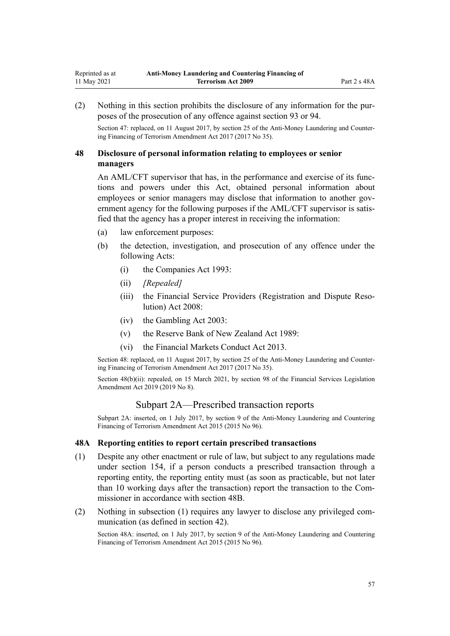<span id="page-56-0"></span>(2) Nothing in this section prohibits the disclosure of any information for the pur‐ poses of the prosecution of any offence against [section 93](#page-77-0) or [94.](#page-78-0)

Section 47: replaced, on 11 August 2017, by [section 25](http://legislation.govt.nz/pdflink.aspx?id=DLM7161289) of the Anti-Money Laundering and Countering Financing of Terrorism Amendment Act 2017 (2017 No 35).

# **48 Disclosure of personal information relating to employees or senior managers**

An AML/CFT supervisor that has, in the performance and exercise of its functions and powers under this Act, obtained personal information about employees or senior managers may disclose that information to another government agency for the following purposes if the AML/CFT supervisor is satis– fied that the agency has a proper interest in receiving the information:

- (a) law enforcement purposes:
- (b) the detection, investigation, and prosecution of any offence under the following Acts:
	- (i) the [Companies Act 1993](http://legislation.govt.nz/pdflink.aspx?id=DLM319569):
	- (ii) *[Repealed]*
	- (iii) the Financial Service Providers (Registration and Dispute Reso[lution\) Act 2008](http://legislation.govt.nz/pdflink.aspx?id=DLM1109400):
	- (iv) the [Gambling Act 2003](http://legislation.govt.nz/pdflink.aspx?id=DLM207496):
	- (v) the [Reserve Bank of New Zealand Act 1989:](http://legislation.govt.nz/pdflink.aspx?id=DLM199363)
	- (vi) the [Financial Markets Conduct Act 2013.](http://legislation.govt.nz/pdflink.aspx?id=DLM4090503)

Section 48: replaced, on 11 August 2017, by [section 25](http://legislation.govt.nz/pdflink.aspx?id=DLM7161289) of the Anti-Money Laundering and Countering Financing of Terrorism Amendment Act 2017 (2017 No 35).

Section 48(b)(ii): repealed, on 15 March 2021, by [section 98](http://legislation.govt.nz/pdflink.aspx?id=DLM7386624) of the Financial Services Legislation Amendment Act 2019 (2019 No 8).

# Subpart 2A—Prescribed transaction reports

Subpart 2A: inserted, on 1 July 2017, by [section 9](http://legislation.govt.nz/pdflink.aspx?id=DLM6602222) of the Anti-Money Laundering and Countering Financing of Terrorism Amendment Act 2015 (2015 No 96).

#### **48A Reporting entities to report certain prescribed transactions**

- (1) Despite any other enactment or rule of law, but subject to any regulations made under [section 154](#page-107-0), if a person conducts a prescribed transaction through a reporting entity, the reporting entity must (as soon as practicable, but not later than 10 working days after the transaction) report the transaction to the Commissioner in accordance with [section 48B](#page-57-0).
- (2) Nothing in subsection (1) requires any lawyer to disclose any privileged com‐ munication (as defined in [section 42](#page-51-0)).

Section 48A: inserted, on 1 July 2017, by [section 9](http://legislation.govt.nz/pdflink.aspx?id=DLM6602222) of the Anti-Money Laundering and Countering Financing of Terrorism Amendment Act 2015 (2015 No 96).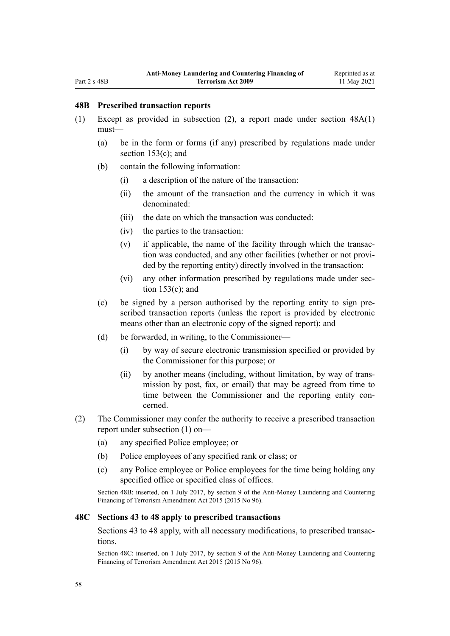### <span id="page-57-0"></span>**48B Prescribed transaction reports**

- (1) Except as provided in subsection (2), a report made under [section 48A\(1\)](#page-56-0) must—
	- (a) be in the form or forms (if any) prescribed by regulations made under [section 153\(c\);](#page-106-0) and
	- (b) contain the following information:
		- (i) a description of the nature of the transaction:
		- (ii) the amount of the transaction and the currency in which it was denominated:
		- (iii) the date on which the transaction was conducted:
		- (iv) the parties to the transaction:
		- $(v)$  if applicable, the name of the facility through which the transaction was conducted, and any other facilities (whether or not provided by the reporting entity) directly involved in the transaction:
		- (vi) any other information prescribed by regulations made under sec[tion 153\(c\);](#page-106-0) and
	- (c) be signed by a person authorised by the reporting entity to sign pre‐ scribed transaction reports (unless the report is provided by electronic means other than an electronic copy of the signed report); and
	- (d) be forwarded, in writing, to the Commissioner—
		- (i) by way of secure electronic transmission specified or provided by the Commissioner for this purpose; or
		- (ii) by another means (including, without limitation, by way of trans‐ mission by post, fax, or email) that may be agreed from time to time between the Commissioner and the reporting entity concerned.
- (2) The Commissioner may confer the authority to receive a prescribed transaction report under subsection (1) on—
	- (a) any specified Police employee; or
	- (b) Police employees of any specified rank or class; or
	- (c) any Police employee or Police employees for the time being holding any specified office or specified class of offices.

Section 48B: inserted, on 1 July 2017, by [section 9](http://legislation.govt.nz/pdflink.aspx?id=DLM6602222) of the Anti-Money Laundering and Countering Financing of Terrorism Amendment Act 2015 (2015 No 96).

### **48C Sections 43 to 48 apply to prescribed transactions**

[Sections 43 to 48](#page-52-0) apply, with all necessary modifications, to prescribed transac‐ tions.

Section 48C: inserted, on 1 July 2017, by [section 9](http://legislation.govt.nz/pdflink.aspx?id=DLM6602222) of the Anti-Money Laundering and Countering Financing of Terrorism Amendment Act 2015 (2015 No 96).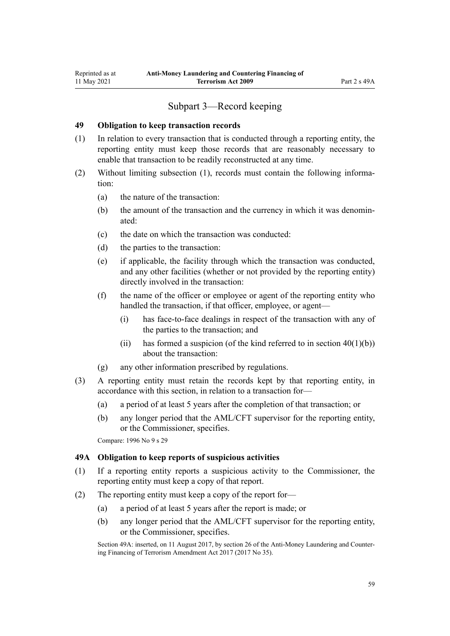# Subpart 3—Record keeping

### <span id="page-58-0"></span>**49 Obligation to keep transaction records**

- (1) In relation to every transaction that is conducted through a reporting entity, the reporting entity must keep those records that are reasonably necessary to enable that transaction to be readily reconstructed at any time.
- (2) Without limiting subsection (1), records must contain the following information:
	- (a) the nature of the transaction:
	- (b) the amount of the transaction and the currency in which it was denominated:
	- (c) the date on which the transaction was conducted:
	- (d) the parties to the transaction:
	- (e) if applicable, the facility through which the transaction was conducted, and any other facilities (whether or not provided by the reporting entity) directly involved in the transaction:
	- (f) the name of the officer or employee or agent of the reporting entity who handled the transaction, if that officer, employee, or agent—
		- (i) has face-to-face dealings in respect of the transaction with any of the parties to the transaction; and
		- (ii) has formed a suspicion (of the kind referred to in section  $40(1)(b)$ ) about the transaction:
	- (g) any other information prescribed by regulations.
- (3) A reporting entity must retain the records kept by that reporting entity, in accordance with this section, in relation to a transaction for—
	- (a) a period of at least 5 years after the completion of that transaction; or
	- (b) any longer period that the AML/CFT supervisor for the reporting entity, or the Commissioner, specifies.

Compare: 1996 No 9 [s 29](http://legislation.govt.nz/pdflink.aspx?id=DLM374132)

#### **49A Obligation to keep reports of suspicious activities**

- (1) If a reporting entity reports a suspicious activity to the Commissioner, the reporting entity must keep a copy of that report.
- (2) The reporting entity must keep a copy of the report for—
	- (a) a period of at least 5 years after the report is made; or
	- (b) any longer period that the AML/CFT supervisor for the reporting entity, or the Commissioner, specifies.

Section 49A: inserted, on 11 August 2017, by [section 26](http://legislation.govt.nz/pdflink.aspx?id=DLM7161306) of the Anti-Money Laundering and Countering Financing of Terrorism Amendment Act 2017 (2017 No 35).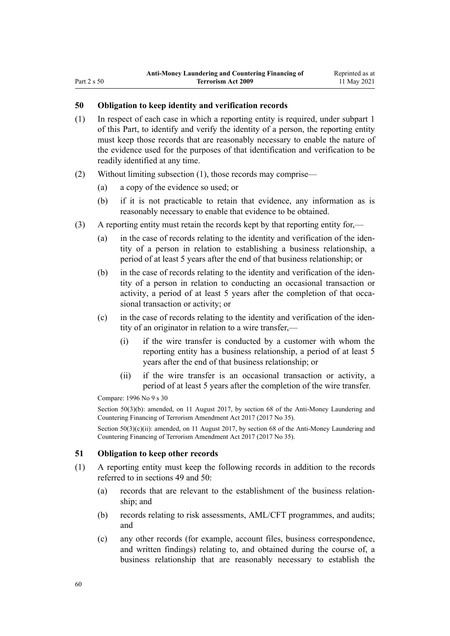# <span id="page-59-0"></span>**50 Obligation to keep identity and verification records**

- (1) In respect of each case in which a reporting entity is required, under [subpart 1](#page-31-0) of this Part, to identify and verify the identity of a person, the reporting entity must keep those records that are reasonably necessary to enable the nature of the evidence used for the purposes of that identification and verification to be readily identified at any time.
- (2) Without limiting subsection (1), those records may comprise—
	- (a) a copy of the evidence so used; or
	- (b) if it is not practicable to retain that evidence, any information as is reasonably necessary to enable that evidence to be obtained.
- (3) A reporting entity must retain the records kept by that reporting entity for,—
	- (a) in the case of records relating to the identity and verification of the iden‐ tity of a person in relation to establishing a business relationship, a period of at least 5 years after the end of that business relationship; or
	- (b) in the case of records relating to the identity and verification of the identity of a person in relation to conducting an occasional transaction or activity, a period of at least 5 years after the completion of that occasional transaction or activity; or
	- (c) in the case of records relating to the identity and verification of the iden‐ tity of an originator in relation to a wire transfer,—
		- (i) if the wire transfer is conducted by a customer with whom the reporting entity has a business relationship, a period of at least 5 years after the end of that business relationship; or
		- (ii) if the wire transfer is an occasional transaction or activity, a period of at least 5 years after the completion of the wire transfer.

Compare: 1996 No 9 [s 30](http://legislation.govt.nz/pdflink.aspx?id=DLM374134)

Section 50(3)(b): amended, on 11 August 2017, by [section 68](http://legislation.govt.nz/pdflink.aspx?id=DLM7340644) of the Anti-Money Laundering and Countering Financing of Terrorism Amendment Act 2017 (2017 No 35).

Section 50(3)(c)(ii): amended, on 11 August 2017, by [section 68](http://legislation.govt.nz/pdflink.aspx?id=DLM7340644) of the Anti-Money Laundering and Countering Financing of Terrorism Amendment Act 2017 (2017 No 35).

#### **51 Obligation to keep other records**

- (1) A reporting entity must keep the following records in addition to the records referred to in [sections 49](#page-58-0) and 50:
	- (a) records that are relevant to the establishment of the business relation‐ ship; and
	- (b) records relating to risk assessments, AML/CFT programmes, and audits; and
	- (c) any other records (for example, account files, business correspondence, and written findings) relating to, and obtained during the course of, a business relationship that are reasonably necessary to establish the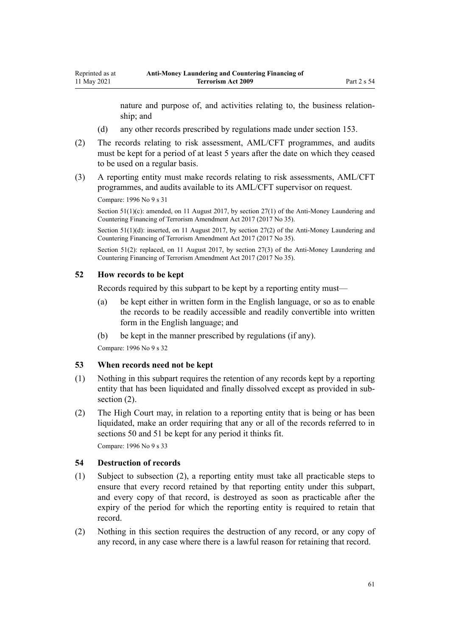nature and purpose of, and activities relating to, the business relation‐ ship; and

- (d) any other records prescribed by regulations made under [section 153.](#page-106-0)
- (2) The records relating to risk assessment, AML/CFT programmes, and audits must be kept for a period of at least 5 years after the date on which they ceased to be used on a regular basis.
- (3) A reporting entity must make records relating to risk assessments, AML/CFT programmes, and audits available to its AML/CFT supervisor on request.

Compare: 1996 No 9 [s 31](http://legislation.govt.nz/pdflink.aspx?id=DLM374136)

11 May 2021

Section 51(1)(c): amended, on 11 August 2017, by [section 27\(1\)](http://legislation.govt.nz/pdflink.aspx?id=DLM7161308) of the Anti-Money Laundering and Countering Financing of Terrorism Amendment Act 2017 (2017 No 35).

Section 51(1)(d): inserted, on 11 August 2017, by [section 27\(2\)](http://legislation.govt.nz/pdflink.aspx?id=DLM7161308) of the Anti-Money Laundering and Countering Financing of Terrorism Amendment Act 2017 (2017 No 35).

Section 51(2): replaced, on 11 August 2017, by [section 27\(3\)](http://legislation.govt.nz/pdflink.aspx?id=DLM7161308) of the Anti-Money Laundering and Countering Financing of Terrorism Amendment Act 2017 (2017 No 35).

### **52 How records to be kept**

Records required by this subpart to be kept by a reporting entity must—

- (a) be kept either in written form in the English language, or so as to enable the records to be readily accessible and readily convertible into written form in the English language; and
- (b) be kept in the manner prescribed by regulations (if any).

Compare: 1996 No 9 [s 32](http://legislation.govt.nz/pdflink.aspx?id=DLM374137)

#### **53 When records need not be kept**

- (1) Nothing in this subpart requires the retention of any records kept by a reporting entity that has been liquidated and finally dissolved except as provided in subsection  $(2)$ .
- (2) The High Court may, in relation to a reporting entity that is being or has been liquidated, make an order requiring that any or all of the records referred to in [sections 50](#page-59-0) and [51](#page-59-0) be kept for any period it thinks fit.

Compare: 1996 No 9 [s 33](http://legislation.govt.nz/pdflink.aspx?id=DLM374138)

## **54 Destruction of records**

- (1) Subject to subsection (2), a reporting entity must take all practicable steps to ensure that every record retained by that reporting entity under this subpart, and every copy of that record, is destroyed as soon as practicable after the expiry of the period for which the reporting entity is required to retain that record.
- (2) Nothing in this section requires the destruction of any record, or any copy of any record, in any case where there is a lawful reason for retaining that record.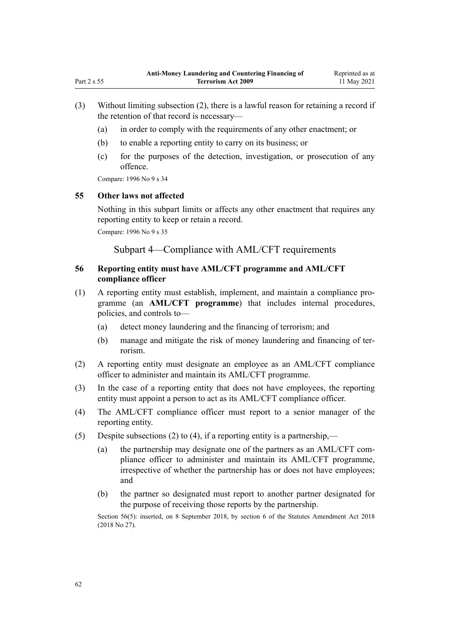- (3) Without limiting subsection (2), there is a lawful reason for retaining a record if the retention of that record is necessary—
	- (a) in order to comply with the requirements of any other enactment; or
	- (b) to enable a reporting entity to carry on its business; or
	- (c) for the purposes of the detection, investigation, or prosecution of any offence.

Compare: 1996 No 9 [s 34](http://legislation.govt.nz/pdflink.aspx?id=DLM374139)

### **55 Other laws not affected**

Nothing in this subpart limits or affects any other enactment that requires any reporting entity to keep or retain a record.

Compare: 1996 No 9 [s 35](http://legislation.govt.nz/pdflink.aspx?id=DLM374140)

Subpart 4—Compliance with AML/CFT requirements

# **56 Reporting entity must have AML/CFT programme and AML/CFT compliance officer**

- (1) A reporting entity must establish, implement, and maintain a compliance pro‐ gramme (an **AML/CFT programme**) that includes internal procedures, policies, and controls to—
	- (a) detect money laundering and the financing of terrorism; and
	- (b) manage and mitigate the risk of money laundering and financing of ter‐ rorism.
- (2) A reporting entity must designate an employee as an AML/CFT compliance officer to administer and maintain its AML/CFT programme.
- (3) In the case of a reporting entity that does not have employees, the reporting entity must appoint a person to act as its AML/CFT compliance officer.
- (4) The AML/CFT compliance officer must report to a senior manager of the reporting entity.
- (5) Despite subsections (2) to (4), if a reporting entity is a partnership,—
	- (a) the partnership may designate one of the partners as an AML/CFT compliance officer to administer and maintain its AML/CFT programme, irrespective of whether the partnership has or does not have employees; and
	- (b) the partner so designated must report to another partner designated for the purpose of receiving those reports by the partnership.

Section 56(5): inserted, on 8 September 2018, by [section 6](http://legislation.govt.nz/pdflink.aspx?id=LMS15910) of the Statutes Amendment Act 2018 (2018 No 27).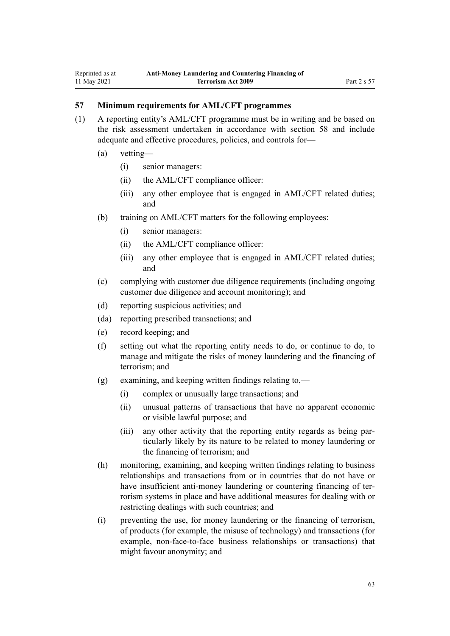### **57 Minimum requirements for AML/CFT programmes**

- (1) A reporting entity's AML/CFT programme must be in writing and be based on the risk assessment undertaken in accordance with [section 58](#page-63-0) and include adequate and effective procedures, policies, and controls for—
	- (a) vetting—
		- (i) senior managers:
		- (ii) the AML/CFT compliance officer:
		- (iii) any other employee that is engaged in AML/CFT related duties; and
	- (b) training on AML/CFT matters for the following employees:
		- (i) senior managers:
		- (ii) the AML/CFT compliance officer:
		- (iii) any other employee that is engaged in AML/CFT related duties; and
	- (c) complying with customer due diligence requirements (including ongoing customer due diligence and account monitoring); and
	- (d) reporting suspicious activities; and
	- (da) reporting prescribed transactions; and
	- (e) record keeping; and
	- (f) setting out what the reporting entity needs to do, or continue to do, to manage and mitigate the risks of money laundering and the financing of terrorism; and
	- (g) examining, and keeping written findings relating to,—
		- (i) complex or unusually large transactions; and
		- (ii) unusual patterns of transactions that have no apparent economic or visible lawful purpose; and
		- (iii) any other activity that the reporting entity regards as being particularly likely by its nature to be related to money laundering or the financing of terrorism; and
	- (h) monitoring, examining, and keeping written findings relating to business relationships and transactions from or in countries that do not have or have insufficient anti-money laundering or countering financing of terrorism systems in place and have additional measures for dealing with or restricting dealings with such countries; and
	- (i) preventing the use, for money laundering or the financing of terrorism, of products (for example, the misuse of technology) and transactions (for example, non-face-to-face business relationships or transactions) that might favour anonymity; and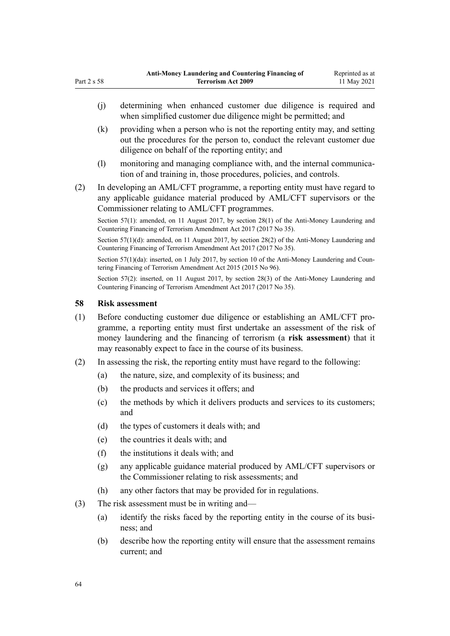- (j) determining when enhanced customer due diligence is required and when simplified customer due diligence might be permitted; and
- (k) providing when a person who is not the reporting entity may, and setting out the procedures for the person to, conduct the relevant customer due diligence on behalf of the reporting entity; and
- (l) monitoring and managing compliance with, and the internal communication of and training in, those procedures, policies, and controls.
- (2) In developing an AML/CFT programme, a reporting entity must have regard to any applicable guidance material produced by AML/CFT supervisors or the Commissioner relating to AML/CFT programmes.

Section 57(1): amended, on 11 August 2017, by [section 28\(1\)](http://legislation.govt.nz/pdflink.aspx?id=DLM7161309) of the Anti-Money Laundering and Countering Financing of Terrorism Amendment Act 2017 (2017 No 35).

Section 57(1)(d): amended, on 11 August 2017, by [section 28\(2\)](http://legislation.govt.nz/pdflink.aspx?id=DLM7161309) of the Anti-Money Laundering and Countering Financing of Terrorism Amendment Act 2017 (2017 No 35).

Section 57(1)(da): inserted, on 1 July 2017, by [section 10](http://legislation.govt.nz/pdflink.aspx?id=DLM6602227) of the Anti-Money Laundering and Countering Financing of Terrorism Amendment Act 2015 (2015 No 96).

Section 57(2): inserted, on 11 August 2017, by [section 28\(3\)](http://legislation.govt.nz/pdflink.aspx?id=DLM7161309) of the Anti-Money Laundering and Countering Financing of Terrorism Amendment Act 2017 (2017 No 35).

### **58 Risk assessment**

<span id="page-63-0"></span>Part 2 s 58

- (1) Before conducting customer due diligence or establishing an AML/CFT pro‐ gramme, a reporting entity must first undertake an assessment of the risk of money laundering and the financing of terrorism (a **risk assessment**) that it may reasonably expect to face in the course of its business.
- (2) In assessing the risk, the reporting entity must have regard to the following:
	- (a) the nature, size, and complexity of its business; and
	- (b) the products and services it offers; and
	- (c) the methods by which it delivers products and services to its customers; and
	- (d) the types of customers it deals with; and
	- (e) the countries it deals with; and
	- (f) the institutions it deals with; and
	- (g) any applicable guidance material produced by AML/CFT supervisors or the Commissioner relating to risk assessments; and
	- (h) any other factors that may be provided for in regulations.
- (3) The risk assessment must be in writing and—
	- (a) identify the risks faced by the reporting entity in the course of its business; and
	- (b) describe how the reporting entity will ensure that the assessment remains current; and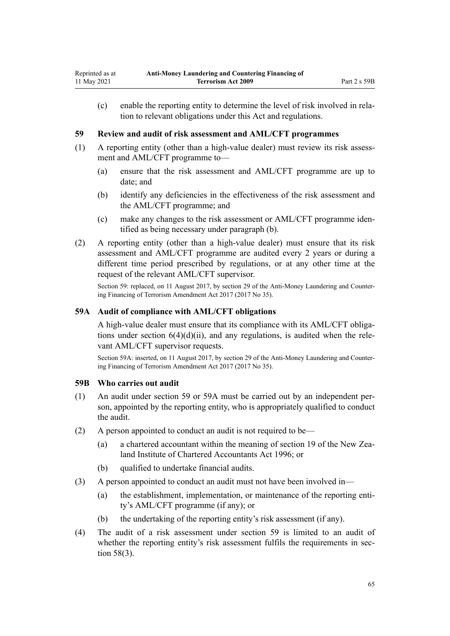<span id="page-64-0"></span>(c) enable the reporting entity to determine the level of risk involved in rela‐ tion to relevant obligations under this Act and regulations.

### **59 Review and audit of risk assessment and AML/CFT programmes**

- (1) A reporting entity (other than a high-value dealer) must review its risk assess‐ ment and AML/CFT programme to—
	- (a) ensure that the risk assessment and AML/CFT programme are up to date; and
	- (b) identify any deficiencies in the effectiveness of the risk assessment and the AML/CFT programme; and
	- (c) make any changes to the risk assessment or AML/CFT programme iden‐ tified as being necessary under paragraph (b).
- (2) A reporting entity (other than a high-value dealer) must ensure that its risk assessment and AML/CFT programme are audited every 2 years or during a different time period prescribed by regulations, or at any other time at the request of the relevant AML/CFT supervisor.

Section 59: replaced, on 11 August 2017, by [section 29](http://legislation.govt.nz/pdflink.aspx?id=DLM7161310) of the Anti-Money Laundering and Countering Financing of Terrorism Amendment Act 2017 (2017 No 35).

### **59A Audit of compliance with AML/CFT obligations**

A high-value dealer must ensure that its compliance with its AML/CFT obliga‐ tions under section  $6(4)(d)(ii)$ , and any regulations, is audited when the relevant AML/CFT supervisor requests.

Section 59A: inserted, on 11 August 2017, by [section 29](http://legislation.govt.nz/pdflink.aspx?id=DLM7161310) of the Anti-Money Laundering and Countering Financing of Terrorism Amendment Act 2017 (2017 No 35).

### **59B Who carries out audit**

- (1) An audit under section 59 or 59A must be carried out by an independent per‐ son, appointed by the reporting entity, who is appropriately qualified to conduct the audit.
- (2) A person appointed to conduct an audit is not required to be—
	- (a) a chartered accountant within the meaning of [section 19](http://legislation.govt.nz/pdflink.aspx?id=DLM391422) of the New Zea‐ land Institute of Chartered Accountants Act 1996; or
	- (b) qualified to undertake financial audits.
- (3) A person appointed to conduct an audit must not have been involved in—
	- (a) the establishment, implementation, or maintenance of the reporting entity's AML/CFT programme (if any); or
	- (b) the undertaking of the reporting entity's risk assessment (if any).
- (4) The audit of a risk assessment under section 59 is limited to an audit of whether the reporting entity's risk assessment fulfils the requirements in sec[tion 58\(3\).](#page-63-0)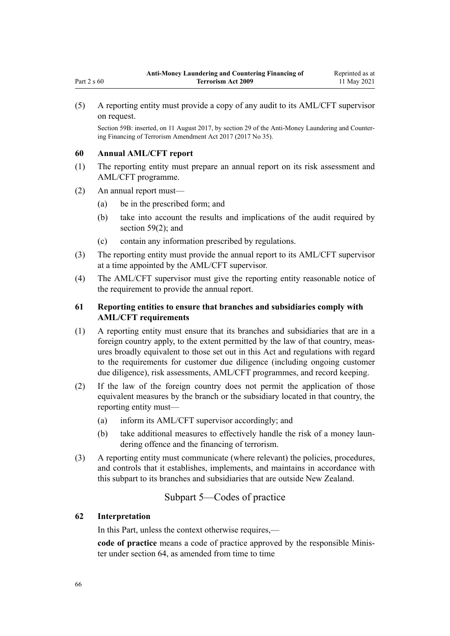(5) A reporting entity must provide a copy of any audit to its AML/CFT supervisor on request.

Section 59B: inserted, on 11 August 2017, by [section 29](http://legislation.govt.nz/pdflink.aspx?id=DLM7161310) of the Anti-Money Laundering and Counter‐ ing Financing of Terrorism Amendment Act 2017 (2017 No 35).

### **60 Annual AML/CFT report**

Part 2 s 60

- (1) The reporting entity must prepare an annual report on its risk assessment and AML/CFT programme.
- (2) An annual report must—
	- (a) be in the prescribed form; and
	- (b) take into account the results and implications of the audit required by [section 59\(2\);](#page-64-0) and
	- (c) contain any information prescribed by regulations.
- (3) The reporting entity must provide the annual report to its AML/CFT supervisor at a time appointed by the AML/CFT supervisor.
- (4) The AML/CFT supervisor must give the reporting entity reasonable notice of the requirement to provide the annual report.

## **61 Reporting entities to ensure that branches and subsidiaries comply with AML/CFT requirements**

- (1) A reporting entity must ensure that its branches and subsidiaries that are in a foreign country apply, to the extent permitted by the law of that country, measures broadly equivalent to those set out in this Act and regulations with regard to the requirements for customer due diligence (including ongoing customer due diligence), risk assessments, AML/CFT programmes, and record keeping.
- (2) If the law of the foreign country does not permit the application of those equivalent measures by the branch or the subsidiary located in that country, the reporting entity must—
	- (a) inform its AML/CFT supervisor accordingly; and
	- (b) take additional measures to effectively handle the risk of a money laundering offence and the financing of terrorism.
- (3) A reporting entity must communicate (where relevant) the policies, procedures, and controls that it establishes, implements, and maintains in accordance with this subpart to its branches and subsidiaries that are outside New Zealand.

# Subpart 5—Codes of practice

### **62 Interpretation**

In this Part, unless the context otherwise requires,—

code of practice means a code of practice approved by the responsible Minister under [section 64](#page-66-0), as amended from time to time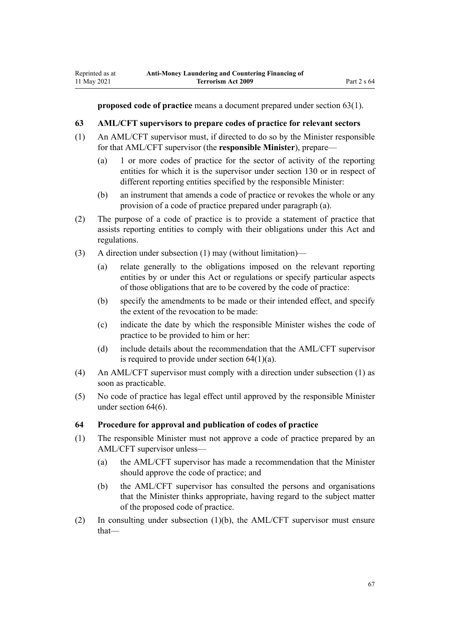<span id="page-66-0"></span>Reprinted as at 11 May 2021

**proposed code of practice** means a document prepared under section 63(1).

### **63 AML/CFT supervisors to prepare codes of practice for relevant sectors**

- (1) An AML/CFT supervisor must, if directed to do so by the Minister responsible for that AML/CFT supervisor (the **responsible Minister**), prepare—
	- (a) 1 or more codes of practice for the sector of activity of the reporting entities for which it is the supervisor under [section 130](#page-90-0) or in respect of different reporting entities specified by the responsible Minister:
	- (b) an instrument that amends a code of practice or revokes the whole or any provision of a code of practice prepared under paragraph (a).
- (2) The purpose of a code of practice is to provide a statement of practice that assists reporting entities to comply with their obligations under this Act and regulations.
- (3) A direction under subsection (1) may (without limitation)—
	- (a) relate generally to the obligations imposed on the relevant reporting entities by or under this Act or regulations or specify particular aspects of those obligations that are to be covered by the code of practice:
	- (b) specify the amendments to be made or their intended effect, and specify the extent of the revocation to be made:
	- (c) indicate the date by which the responsible Minister wishes the code of practice to be provided to him or her:
	- (d) include details about the recommendation that the AML/CFT supervisor is required to provide under section  $64(1)(a)$ .
- (4) An AML/CFT supervisor must comply with a direction under subsection (1) as soon as practicable.
- (5) No code of practice has legal effect until approved by the responsible Minister under section 64(6).

### **64 Procedure for approval and publication of codes of practice**

- (1) The responsible Minister must not approve a code of practice prepared by an AML/CFT supervisor unless—
	- (a) the AML/CFT supervisor has made a recommendation that the Minister should approve the code of practice; and
	- (b) the AML/CFT supervisor has consulted the persons and organisations that the Minister thinks appropriate, having regard to the subject matter of the proposed code of practice.
- (2) In consulting under subsection (1)(b), the AML/CFT supervisor must ensure that—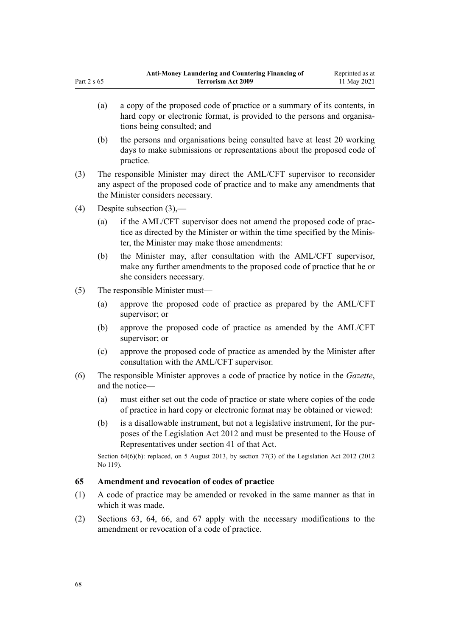- (a) a copy of the proposed code of practice or a summary of its contents, in hard copy or electronic format, is provided to the persons and organisations being consulted; and
- (b) the persons and organisations being consulted have at least 20 working days to make submissions or representations about the proposed code of practice.
- (3) The responsible Minister may direct the AML/CFT supervisor to reconsider any aspect of the proposed code of practice and to make any amendments that the Minister considers necessary.
- (4) Despite subsection (3),—
	- (a) if the AML/CFT supervisor does not amend the proposed code of practice as directed by the Minister or within the time specified by the Minis‐ ter, the Minister may make those amendments:
	- (b) the Minister may, after consultation with the AML/CFT supervisor, make any further amendments to the proposed code of practice that he or she considers necessary.
- (5) The responsible Minister must—
	- (a) approve the proposed code of practice as prepared by the AML/CFT supervisor; or
	- (b) approve the proposed code of practice as amended by the AML/CFT supervisor; or
	- (c) approve the proposed code of practice as amended by the Minister after consultation with the AML/CFT supervisor.
- (6) The responsible Minister approves a code of practice by notice in the *Gazette*, and the notice—
	- (a) must either set out the code of practice or state where copies of the code of practice in hard copy or electronic format may be obtained or viewed:
	- (b) is a disallowable instrument, but not a legislative instrument, for the pur‐ poses of the [Legislation Act 2012](http://legislation.govt.nz/pdflink.aspx?id=DLM2997643) and must be presented to the House of Representatives under [section 41](http://legislation.govt.nz/pdflink.aspx?id=DLM2998573) of that Act.

Section 64(6)(b): replaced, on 5 August 2013, by [section 77\(3\)](http://legislation.govt.nz/pdflink.aspx?id=DLM2998633) of the Legislation Act 2012 (2012 No 119).

### **65 Amendment and revocation of codes of practice**

- (1) A code of practice may be amended or revoked in the same manner as that in which it was made.
- (2) [Sections 63](#page-66-0), [64,](#page-66-0) [66,](#page-68-0) and [67](#page-68-0) apply with the necessary modifications to the amendment or revocation of a code of practice.

<span id="page-67-0"></span>Part  $2 \times 65$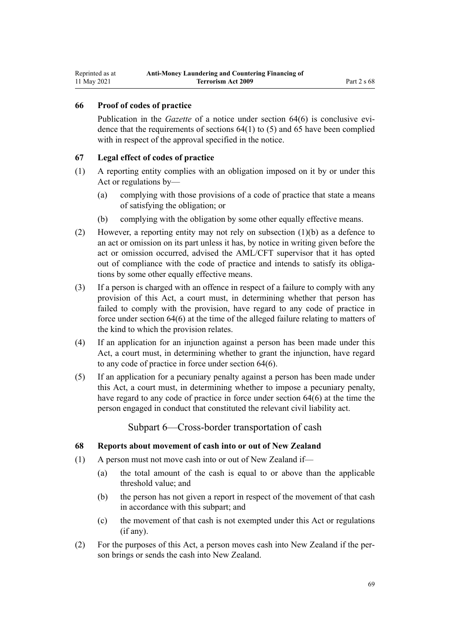### <span id="page-68-0"></span>**66 Proof of codes of practice**

Publication in the *Gazette* of a notice under [section 64\(6\)](#page-66-0) is conclusive evidence that the requirements of sections 64(1) to (5) and [65](#page-67-0) have been complied with in respect of the approval specified in the notice.

### **67 Legal effect of codes of practice**

- (1) A reporting entity complies with an obligation imposed on it by or under this Act or regulations by—
	- (a) complying with those provisions of a code of practice that state a means of satisfying the obligation; or
	- (b) complying with the obligation by some other equally effective means.
- (2) However, a reporting entity may not rely on subsection (1)(b) as a defence to an act or omission on its part unless it has, by notice in writing given before the act or omission occurred, advised the AML/CFT supervisor that it has opted out of compliance with the code of practice and intends to satisfy its obligations by some other equally effective means.
- (3) If a person is charged with an offence in respect of a failure to comply with any provision of this Act, a court must, in determining whether that person has failed to comply with the provision, have regard to any code of practice in force under [section 64\(6\)](#page-66-0) at the time of the alleged failure relating to matters of the kind to which the provision relates.
- (4) If an application for an injunction against a person has been made under this Act, a court must, in determining whether to grant the injunction, have regard to any code of practice in force under [section 64\(6\).](#page-66-0)
- (5) If an application for a pecuniary penalty against a person has been made under this Act, a court must, in determining whether to impose a pecuniary penalty, have regard to any code of practice in force under [section 64\(6\)](#page-66-0) at the time the person engaged in conduct that constituted the relevant civil liability act.

Subpart 6—Cross-border transportation of cash

### **68 Reports about movement of cash into or out of New Zealand**

- (1) A person must not move cash into or out of New Zealand if—
	- (a) the total amount of the cash is equal to or above than the applicable threshold value; and
	- (b) the person has not given a report in respect of the movement of that cash in accordance with this subpart; and
	- (c) the movement of that cash is not exempted under this Act or regulations (if any).
- (2) For the purposes of this Act, a person moves cash into New Zealand if the per‐ son brings or sends the cash into New Zealand.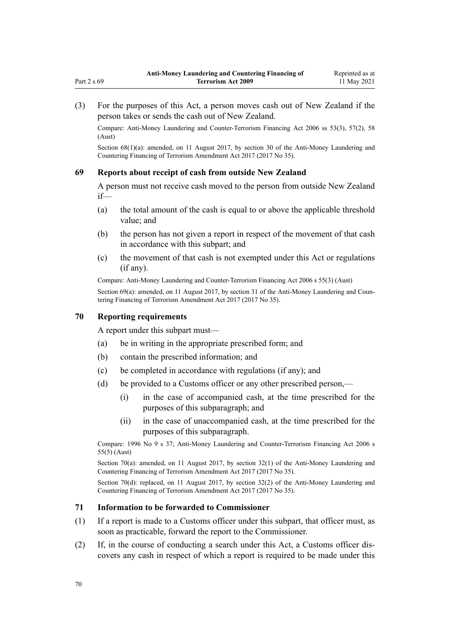(3) For the purposes of this Act, a person moves cash out of New Zealand if the person takes or sends the cash out of New Zealand.

Compare: Anti-Money Laundering and Counter-Terrorism Financing Act 2006 ss 53(3), 57(2), 58 (Aust)

Section 68(1)(a): amended, on 11 August 2017, by [section 30](http://legislation.govt.nz/pdflink.aspx?id=DLM7161314) of the Anti-Money Laundering and Countering Financing of Terrorism Amendment Act 2017 (2017 No 35).

#### **69 Reports about receipt of cash from outside New Zealand**

A person must not receive cash moved to the person from outside New Zealand if—

- (a) the total amount of the cash is equal to or above the applicable threshold value; and
- (b) the person has not given a report in respect of the movement of that cash in accordance with this subpart; and
- (c) the movement of that cash is not exempted under this Act or regulations (if any).

Compare: Anti-Money Laundering and Counter-Terrorism Financing Act 2006 s 55(3) (Aust)

Section 69(a): amended, on 11 August 2017, by [section 31](http://legislation.govt.nz/pdflink.aspx?id=DLM7161315) of the Anti-Money Laundering and Countering Financing of Terrorism Amendment Act 2017 (2017 No 35).

### **70 Reporting requirements**

A report under this subpart must—

- (a) be in writing in the appropriate prescribed form; and
- (b) contain the prescribed information; and
- (c) be completed in accordance with regulations (if any); and
- (d) be provided to a Customs officer or any other prescribed person,—
	- (i) in the case of accompanied cash, at the time prescribed for the purposes of this subparagraph; and
	- (ii) in the case of unaccompanied cash, at the time prescribed for the purposes of this subparagraph.

Compare: 1996 No 9 [s 37](http://legislation.govt.nz/pdflink.aspx?id=DLM374143); Anti-Money Laundering and Counter-Terrorism Financing Act 2006 s 55(5) (Aust)

Section 70(a): amended, on 11 August 2017, by [section 32\(1\)](http://legislation.govt.nz/pdflink.aspx?id=DLM7161316) of the Anti-Money Laundering and Countering Financing of Terrorism Amendment Act 2017 (2017 No 35).

Section 70(d): replaced, on 11 August 2017, by [section 32\(2\)](http://legislation.govt.nz/pdflink.aspx?id=DLM7161316) of the Anti-Money Laundering and Countering Financing of Terrorism Amendment Act 2017 (2017 No 35).

### **71 Information to be forwarded to Commissioner**

- (1) If a report is made to a Customs officer under this subpart, that officer must, as soon as practicable, forward the report to the Commissioner.
- (2) If, in the course of conducting a search under this Act, a Customs officer dis‐ covers any cash in respect of which a report is required to be made under this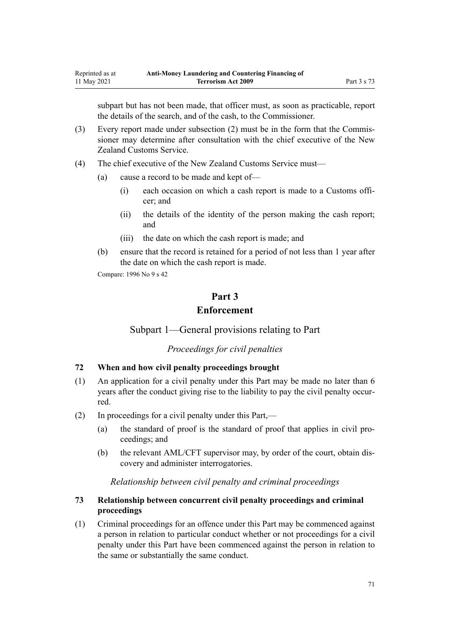subpart but has not been made, that officer must, as soon as practicable, report the details of the search, and of the cash, to the Commissioner.

- (3) Every report made under subsection  $(2)$  must be in the form that the Commissioner may determine after consultation with the chief executive of the New Zealand Customs Service.
- (4) The chief executive of the New Zealand Customs Service must—
	- (a) cause a record to be made and kept of—
		- (i) each occasion on which a cash report is made to a Customs offi‐ cer; and
		- (ii) the details of the identity of the person making the cash report; and
		- (iii) the date on which the cash report is made; and
	- (b) ensure that the record is retained for a period of not less than 1 year after the date on which the cash report is made.

Compare: 1996 No 9 [s 42](http://legislation.govt.nz/pdflink.aspx?id=DLM374162)

# **Part 3 Enforcement**

Subpart 1—General provisions relating to Part

*Proceedings for civil penalties*

### **72 When and how civil penalty proceedings brought**

- (1) An application for a civil penalty under this Part may be made no later than 6 years after the conduct giving rise to the liability to pay the civil penalty occurred.
- (2) In proceedings for a civil penalty under this Part,—
	- (a) the standard of proof is the standard of proof that applies in civil pro‐ ceedings; and
	- (b) the relevant AML/CFT supervisor may, by order of the court, obtain discovery and administer interrogatories.

### *Relationship between civil penalty and criminal proceedings*

# **73 Relationship between concurrent civil penalty proceedings and criminal proceedings**

(1) Criminal proceedings for an offence under this Part may be commenced against a person in relation to particular conduct whether or not proceedings for a civil penalty under this Part have been commenced against the person in relation to the same or substantially the same conduct.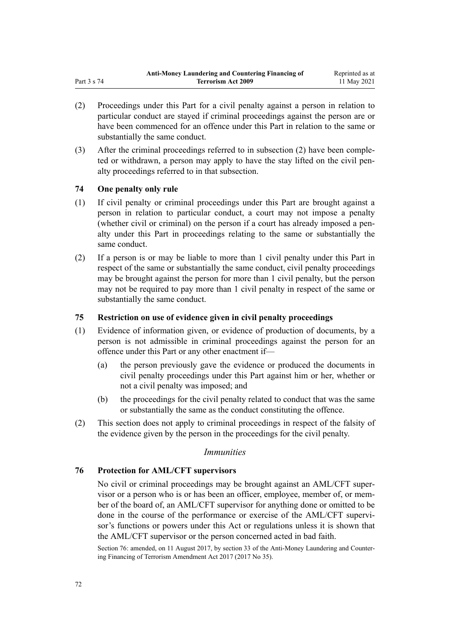- (2) Proceedings under this Part for a civil penalty against a person in relation to particular conduct are stayed if criminal proceedings against the person are or have been commenced for an offence under this Part in relation to the same or substantially the same conduct.
- (3) After the criminal proceedings referred to in subsection (2) have been comple‐ ted or withdrawn, a person may apply to have the stay lifted on the civil pen‐ alty proceedings referred to in that subsection.

### **74 One penalty only rule**

- (1) If civil penalty or criminal proceedings under this Part are brought against a person in relation to particular conduct, a court may not impose a penalty (whether civil or criminal) on the person if a court has already imposed a pen‐ alty under this Part in proceedings relating to the same or substantially the same conduct.
- (2) If a person is or may be liable to more than 1 civil penalty under this Part in respect of the same or substantially the same conduct, civil penalty proceedings may be brought against the person for more than 1 civil penalty, but the person may not be required to pay more than 1 civil penalty in respect of the same or substantially the same conduct.

### **75 Restriction on use of evidence given in civil penalty proceedings**

- (1) Evidence of information given, or evidence of production of documents, by a person is not admissible in criminal proceedings against the person for an offence under this Part or any other enactment if—
	- (a) the person previously gave the evidence or produced the documents in civil penalty proceedings under this Part against him or her, whether or not a civil penalty was imposed; and
	- (b) the proceedings for the civil penalty related to conduct that was the same or substantially the same as the conduct constituting the offence.
- (2) This section does not apply to criminal proceedings in respect of the falsity of the evidence given by the person in the proceedings for the civil penalty.

### *Immunities*

### **76 Protection for AML/CFT supervisors**

No civil or criminal proceedings may be brought against an AML/CFT super‐ visor or a person who is or has been an officer, employee, member of, or mem‐ ber of the board of, an AML/CFT supervisor for anything done or omitted to be done in the course of the performance or exercise of the AML/CFT supervisor's functions or powers under this Act or regulations unless it is shown that the AML/CFT supervisor or the person concerned acted in bad faith.

Section 76: amended, on 11 August 2017, by [section 33](http://legislation.govt.nz/pdflink.aspx?id=DLM7340630) of the Anti-Money Laundering and Countering Financing of Terrorism Amendment Act 2017 (2017 No 35).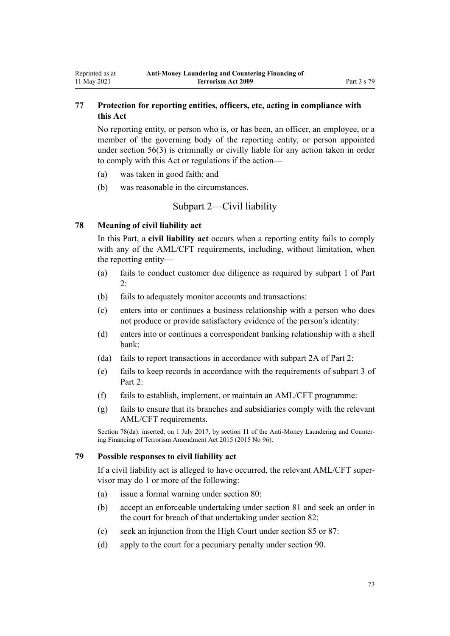# **77 Protection for reporting entities, officers, etc, acting in compliance with this Act**

No reporting entity, or person who is, or has been, an officer, an employee, or a member of the governing body of the reporting entity, or person appointed under [section 56\(3\)](#page-61-0) is criminally or civilly liable for any action taken in order to comply with this Act or regulations if the action—

- (a) was taken in good faith; and
- (b) was reasonable in the circumstances.

# Subpart 2—Civil liability

## **78 Meaning of civil liability act**

<span id="page-72-0"></span>Reprinted as at 11 May 2021

> In this Part, a **civil liability act** occurs when a reporting entity fails to comply with any of the AML/CFT requirements, including, without limitation, when the reporting entity—

- (a) fails to conduct customer due diligence as required by [subpart 1](#page-31-0) of Part 2:
- (b) fails to adequately monitor accounts and transactions:
- (c) enters into or continues a business relationship with a person who does not produce or provide satisfactory evidence of the person's identity:
- (d) enters into or continues a correspondent banking relationship with a shell bank:
- (da) fails to report transactions in accordance with [subpart 2A](#page-56-0) of Part 2:
- (e) fails to keep records in accordance with the requirements of [subpart 3](#page-58-0) of Part 2:
- (f) fails to establish, implement, or maintain an AML/CFT programme:
- (g) fails to ensure that its branches and subsidiaries comply with the relevant AML/CFT requirements.

Section 78(da): inserted, on 1 July 2017, by [section 11](http://legislation.govt.nz/pdflink.aspx?id=DLM6602228) of the Anti-Money Laundering and Countering Financing of Terrorism Amendment Act 2015 (2015 No 96).

## **79 Possible responses to civil liability act**

If a civil liability act is alleged to have occurred, the relevant AML/CFT super‐ visor may do 1 or more of the following:

- (a) issue a formal warning under [section 80](#page-73-0):
- (b) accept an enforceable undertaking under [section 81](#page-73-0) and seek an order in the court for breach of that undertaking under [section 82:](#page-73-0)
- (c) seek an injunction from the High Court under [section 85](#page-74-0) or [87:](#page-75-0)
- (d) apply to the court for a pecuniary penalty under [section 90](#page-75-0).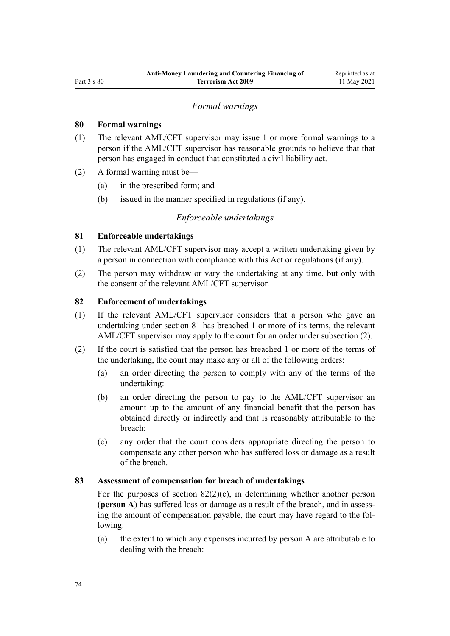## *Formal warnings*

## <span id="page-73-0"></span>**80 Formal warnings**

- (1) The relevant AML/CFT supervisor may issue 1 or more formal warnings to a person if the AML/CFT supervisor has reasonable grounds to believe that that person has engaged in conduct that constituted a civil liability act.
- (2) A formal warning must be—
	- (a) in the prescribed form; and
	- (b) issued in the manner specified in regulations (if any).

## *Enforceable undertakings*

## **81 Enforceable undertakings**

- (1) The relevant AML/CFT supervisor may accept a written undertaking given by a person in connection with compliance with this Act or regulations (if any).
- (2) The person may withdraw or vary the undertaking at any time, but only with the consent of the relevant AML/CFT supervisor.

# **82 Enforcement of undertakings**

- (1) If the relevant AML/CFT supervisor considers that a person who gave an undertaking under section 81 has breached 1 or more of its terms, the relevant AML/CFT supervisor may apply to the court for an order under subsection (2).
- (2) If the court is satisfied that the person has breached 1 or more of the terms of the undertaking, the court may make any or all of the following orders:
	- (a) an order directing the person to comply with any of the terms of the undertaking:
	- (b) an order directing the person to pay to the AML/CFT supervisor an amount up to the amount of any financial benefit that the person has obtained directly or indirectly and that is reasonably attributable to the breach:
	- (c) any order that the court considers appropriate directing the person to compensate any other person who has suffered loss or damage as a result of the breach.

### **83 Assessment of compensation for breach of undertakings**

For the purposes of section  $82(2)(c)$ , in determining whether another person (**person A**) has suffered loss or damage as a result of the breach, and in assess‐ ing the amount of compensation payable, the court may have regard to the following:

(a) the extent to which any expenses incurred by person A are attributable to dealing with the breach: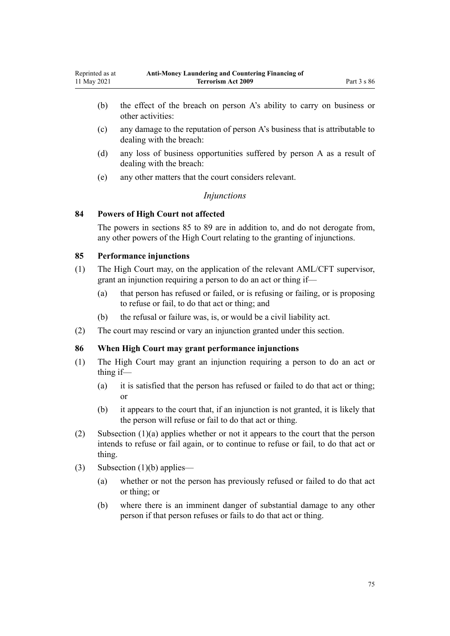- <span id="page-74-0"></span>(b) the effect of the breach on person A's ability to carry on business or other activities:
- (c) any damage to the reputation of person A's business that is attributable to dealing with the breach:
- (d) any loss of business opportunities suffered by person A as a result of dealing with the breach:
- (e) any other matters that the court considers relevant.

## *Injunctions*

## **84 Powers of High Court not affected**

The powers in sections 85 to [89](#page-75-0) are in addition to, and do not derogate from, any other powers of the High Court relating to the granting of injunctions.

## **85 Performance injunctions**

- (1) The High Court may, on the application of the relevant AML/CFT supervisor, grant an injunction requiring a person to do an act or thing if—
	- (a) that person has refused or failed, or is refusing or failing, or is proposing to refuse or fail, to do that act or thing; and
	- (b) the refusal or failure was, is, or would be a civil liability act.
- (2) The court may rescind or vary an injunction granted under this section.

## **86 When High Court may grant performance injunctions**

- (1) The High Court may grant an injunction requiring a person to do an act or thing if—
	- (a) it is satisfied that the person has refused or failed to do that act or thing; or
	- (b) it appears to the court that, if an injunction is not granted, it is likely that the person will refuse or fail to do that act or thing.
- (2) Subsection (1)(a) applies whether or not it appears to the court that the person intends to refuse or fail again, or to continue to refuse or fail, to do that act or thing.
- (3) Subsection (1)(b) applies—
	- (a) whether or not the person has previously refused or failed to do that act or thing; or
	- (b) where there is an imminent danger of substantial damage to any other person if that person refuses or fails to do that act or thing.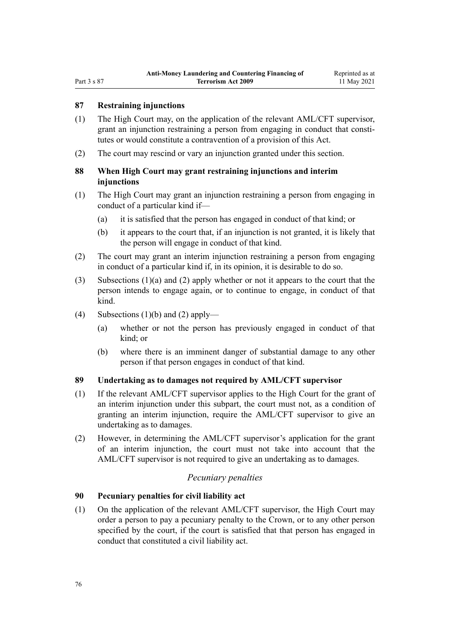## <span id="page-75-0"></span>**87 Restraining injunctions**

- (1) The High Court may, on the application of the relevant AML/CFT supervisor, grant an injunction restraining a person from engaging in conduct that constitutes or would constitute a contravention of a provision of this Act.
- (2) The court may rescind or vary an injunction granted under this section.

# **88 When High Court may grant restraining injunctions and interim injunctions**

- (1) The High Court may grant an injunction restraining a person from engaging in conduct of a particular kind if—
	- (a) it is satisfied that the person has engaged in conduct of that kind; or
	- (b) it appears to the court that, if an injunction is not granted, it is likely that the person will engage in conduct of that kind.
- (2) The court may grant an interim injunction restraining a person from engaging in conduct of a particular kind if, in its opinion, it is desirable to do so.
- (3) Subsections (1)(a) and (2) apply whether or not it appears to the court that the person intends to engage again, or to continue to engage, in conduct of that kind.
- (4) Subsections  $(1)(b)$  and  $(2)$  apply—
	- (a) whether or not the person has previously engaged in conduct of that kind; or
	- (b) where there is an imminent danger of substantial damage to any other person if that person engages in conduct of that kind.

## **89 Undertaking as to damages not required by AML/CFT supervisor**

- (1) If the relevant AML/CFT supervisor applies to the High Court for the grant of an interim injunction under this subpart, the court must not, as a condition of granting an interim injunction, require the AML/CFT supervisor to give an undertaking as to damages.
- (2) However, in determining the AML/CFT supervisor's application for the grant of an interim injunction, the court must not take into account that the AML/CFT supervisor is not required to give an undertaking as to damages.

# *Pecuniary penalties*

## **90 Pecuniary penalties for civil liability act**

(1) On the application of the relevant AML/CFT supervisor, the High Court may order a person to pay a pecuniary penalty to the Crown, or to any other person specified by the court, if the court is satisfied that that person has engaged in conduct that constituted a civil liability act.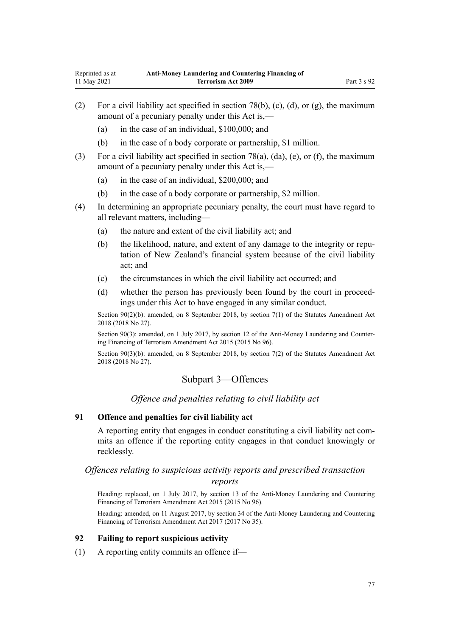- <span id="page-76-0"></span>(2) For a civil liability act specified in [section 78\(b\), \(c\), \(d\), or \(g\),](#page-72-0) the maximum amount of a pecuniary penalty under this Act is,—
	- (a) in the case of an individual, \$100,000; and
	- (b) in the case of a body corporate or partnership, \$1 million.
- (3) For a civil liability act specified in [section 78\(a\), \(da\), \(e\), or \(f\)](#page-72-0), the maximum amount of a pecuniary penalty under this Act is,—
	- (a) in the case of an individual, \$200,000; and
	- (b) in the case of a body corporate or partnership, \$2 million.
- (4) In determining an appropriate pecuniary penalty, the court must have regard to all relevant matters, including—
	- (a) the nature and extent of the civil liability act; and
	- (b) the likelihood, nature, and extent of any damage to the integrity or reputation of New Zealand's financial system because of the civil liability act; and
	- (c) the circumstances in which the civil liability act occurred; and
	- (d) whether the person has previously been found by the court in proceed‐ ings under this Act to have engaged in any similar conduct.

Section 90(2)(b): amended, on 8 September 2018, by [section 7\(1\)](http://legislation.govt.nz/pdflink.aspx?id=LMS15913) of the Statutes Amendment Act 2018 (2018 No 27).

Section 90(3): amended, on 1 July 2017, by [section 12](http://legislation.govt.nz/pdflink.aspx?id=DLM6602229) of the Anti-Money Laundering and Countering Financing of Terrorism Amendment Act 2015 (2015 No 96).

Section 90(3)(b): amended, on 8 September 2018, by [section 7\(2\)](http://legislation.govt.nz/pdflink.aspx?id=LMS15913) of the Statutes Amendment Act 2018 (2018 No 27).

## Subpart 3—Offences

*Offence and penalties relating to civil liability act*

## **91 Offence and penalties for civil liability act**

A reporting entity that engages in conduct constituting a civil liability act com‐ mits an offence if the reporting entity engages in that conduct knowingly or recklessly.

# *Offences relating to suspicious activity reports and prescribed transaction*

#### *reports*

Heading: replaced, on 1 July 2017, by [section 13](http://legislation.govt.nz/pdflink.aspx?id=DLM6602230) of the Anti-Money Laundering and Countering Financing of Terrorism Amendment Act 2015 (2015 No 96).

Heading: amended, on 11 August 2017, by [section 34](http://legislation.govt.nz/pdflink.aspx?id=DLM7161317) of the Anti-Money Laundering and Countering Financing of Terrorism Amendment Act 2017 (2017 No 35).

## **92 Failing to report suspicious activity**

(1) A reporting entity commits an offence if—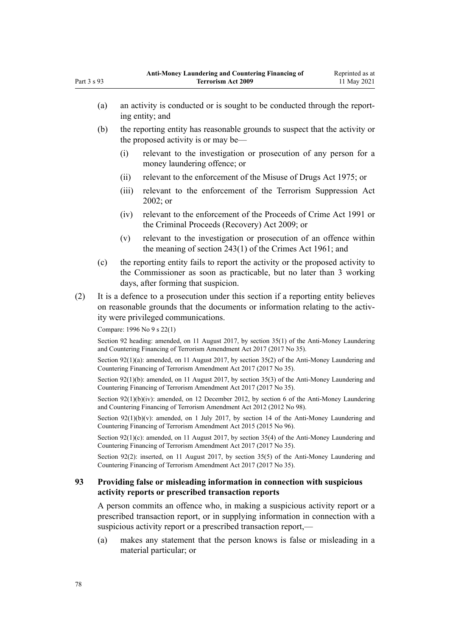- (a) an activity is conducted or is sought to be conducted through the report‐ ing entity; and (b) the reporting entity has reasonable grounds to suspect that the activity or the proposed activity is or may be— (i) relevant to the investigation or prosecution of any person for a money laundering offence; or (ii) relevant to the enforcement of the [Misuse of Drugs Act 1975;](http://legislation.govt.nz/pdflink.aspx?id=DLM436100) or (iii) relevant to the enforcement of the [Terrorism Suppression Act](http://legislation.govt.nz/pdflink.aspx?id=DLM151490) [2002](http://legislation.govt.nz/pdflink.aspx?id=DLM151490); or (iv) relevant to the enforcement of the [Proceeds of Crime Act 1991](http://legislation.govt.nz/pdflink.aspx?id=DLM250668) or the [Criminal Proceeds \(Recovery\) Act 2009](http://legislation.govt.nz/pdflink.aspx?id=BILL-SCDRAFT-7242); or (v) relevant to the investigation or prosecution of an offence within the meaning of [section 243\(1\)](http://legislation.govt.nz/pdflink.aspx?id=DLM330289) of the Crimes Act 1961; and (c) the reporting entity fails to report the activity or the proposed activity to the Commissioner as soon as practicable, but no later than 3 working days, after forming that suspicion. (2) It is a defence to a prosecution under this section if a reporting entity believes
- on reasonable grounds that the documents or information relating to the activity were privileged communications.

Compare: 1996 No 9 [s 22\(1\)](http://legislation.govt.nz/pdflink.aspx?id=DLM374118)

Section 92 heading: amended, on 11 August 2017, by [section 35\(1\)](http://legislation.govt.nz/pdflink.aspx?id=DLM7161318) of the Anti-Money Laundering and Countering Financing of Terrorism Amendment Act 2017 (2017 No 35).

Section 92(1)(a): amended, on 11 August 2017, by [section 35\(2\)](http://legislation.govt.nz/pdflink.aspx?id=DLM7161318) of the Anti-Money Laundering and Countering Financing of Terrorism Amendment Act 2017 (2017 No 35).

Section 92(1)(b): amended, on 11 August 2017, by [section 35\(3\)](http://legislation.govt.nz/pdflink.aspx?id=DLM7161318) of the Anti-Money Laundering and Countering Financing of Terrorism Amendment Act 2017 (2017 No 35).

Section 92(1)(b)(iv): amended, on 12 December 2012, by [section 6](http://legislation.govt.nz/pdflink.aspx?id=DLM4989304) of the Anti-Money Laundering and Countering Financing of Terrorism Amendment Act 2012 (2012 No 98).

Section 92(1)(b)(y): amended, on 1 July 2017, by [section 14](http://legislation.govt.nz/pdflink.aspx?id=DLM6602232) of the Anti-Money Laundering and Countering Financing of Terrorism Amendment Act 2015 (2015 No 96).

Section 92(1)(c): amended, on 11 August 2017, by [section 35\(4\)](http://legislation.govt.nz/pdflink.aspx?id=DLM7161318) of the Anti-Money Laundering and Countering Financing of Terrorism Amendment Act 2017 (2017 No 35).

Section 92(2): inserted, on 11 August 2017, by [section 35\(5\)](http://legislation.govt.nz/pdflink.aspx?id=DLM7161318) of the Anti-Money Laundering and Countering Financing of Terrorism Amendment Act 2017 (2017 No 35).

## **93 Providing false or misleading information in connection with suspicious activity reports or prescribed transaction reports**

A person commits an offence who, in making a suspicious activity report or a prescribed transaction report, or in supplying information in connection with a suspicious activity report or a prescribed transaction report,—

(a) makes any statement that the person knows is false or misleading in a material particular; or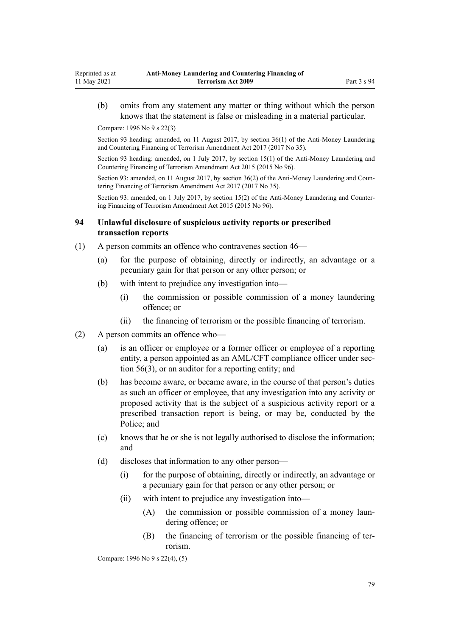(b) omits from any statement any matter or thing without which the person knows that the statement is false or misleading in a material particular.

Compare: 1996 No 9 [s 22\(3\)](http://legislation.govt.nz/pdflink.aspx?id=DLM374118)

Section 93 heading: amended, on 11 August 2017, by [section 36\(1\)](http://legislation.govt.nz/pdflink.aspx?id=DLM7161319) of the Anti-Money Laundering and Countering Financing of Terrorism Amendment Act 2017 (2017 No 35).

Section 93 heading: amended, on 1 July 2017, by [section 15\(1\)](http://legislation.govt.nz/pdflink.aspx?id=DLM6602233) of the Anti-Money Laundering and Countering Financing of Terrorism Amendment Act 2015 (2015 No 96).

Section 93: amended, on 11 August 2017, by [section 36\(2\)](http://legislation.govt.nz/pdflink.aspx?id=DLM7161319) of the Anti-Money Laundering and Countering Financing of Terrorism Amendment Act 2017 (2017 No 35).

Section 93: amended, on 1 July 2017, by [section 15\(2\)](http://legislation.govt.nz/pdflink.aspx?id=DLM6602233) of the Anti-Money Laundering and Countering Financing of Terrorism Amendment Act 2015 (2015 No 96).

### **94 Unlawful disclosure of suspicious activity reports or prescribed transaction reports**

- (1) A person commits an offence who contravenes [section 46—](#page-54-0)
	- (a) for the purpose of obtaining, directly or indirectly, an advantage or a pecuniary gain for that person or any other person; or
	- (b) with intent to prejudice any investigation into—
		- (i) the commission or possible commission of a money laundering offence; or
		- (ii) the financing of terrorism or the possible financing of terrorism.
- (2) A person commits an offence who—
	- (a) is an officer or employee or a former officer or employee of a reporting entity, a person appointed as an AML/CFT compliance officer under sec[tion 56\(3\),](#page-61-0) or an auditor for a reporting entity; and
	- (b) has become aware, or became aware, in the course of that person's duties as such an officer or employee, that any investigation into any activity or proposed activity that is the subject of a suspicious activity report or a prescribed transaction report is being, or may be, conducted by the Police; and
	- (c) knows that he or she is not legally authorised to disclose the information; and
	- (d) discloses that information to any other person—
		- (i) for the purpose of obtaining, directly or indirectly, an advantage or a pecuniary gain for that person or any other person; or
		- (ii) with intent to prejudice any investigation into—
			- (A) the commission or possible commission of a money laun‐ dering offence; or
			- (B) the financing of terrorism or the possible financing of terrorism.

Compare: 1996 No 9 [s 22\(4\), \(5\)](http://legislation.govt.nz/pdflink.aspx?id=DLM374118)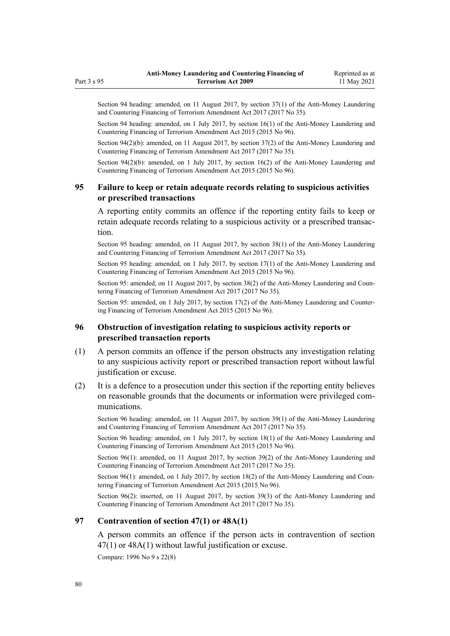Section 94 heading: amended, on 11 August 2017, by [section 37\(1\)](http://legislation.govt.nz/pdflink.aspx?id=DLM7161320) of the Anti-Money Laundering and Countering Financing of Terrorism Amendment Act 2017 (2017 No 35).

Section 94 heading: amended, on 1 July 2017, by [section 16\(1\)](http://legislation.govt.nz/pdflink.aspx?id=DLM6602234) of the Anti-Money Laundering and Countering Financing of Terrorism Amendment Act 2015 (2015 No 96).

Section 94(2)(b): amended, on 11 August 2017, by [section 37\(2\)](http://legislation.govt.nz/pdflink.aspx?id=DLM7161320) of the Anti-Money Laundering and Countering Financing of Terrorism Amendment Act 2017 (2017 No 35).

Section 94(2)(b): amended, on 1 July 2017, by [section 16\(2\)](http://legislation.govt.nz/pdflink.aspx?id=DLM6602234) of the Anti-Money Laundering and Countering Financing of Terrorism Amendment Act 2015 (2015 No 96).

## **95 Failure to keep or retain adequate records relating to suspicious activities or prescribed transactions**

A reporting entity commits an offence if the reporting entity fails to keep or retain adequate records relating to a suspicious activity or a prescribed transaction.

Section 95 heading: amended, on 11 August 2017, by [section 38\(1\)](http://legislation.govt.nz/pdflink.aspx?id=DLM7161321) of the Anti-Money Laundering and Countering Financing of Terrorism Amendment Act 2017 (2017 No 35).

Section 95 heading: amended, on 1 July 2017, by [section 17\(1\)](http://legislation.govt.nz/pdflink.aspx?id=DLM6602235) of the Anti-Money Laundering and Countering Financing of Terrorism Amendment Act 2015 (2015 No 96).

Section 95: amended, on 11 August 2017, by [section 38\(2\)](http://legislation.govt.nz/pdflink.aspx?id=DLM7161321) of the Anti-Money Laundering and Countering Financing of Terrorism Amendment Act 2017 (2017 No 35).

Section 95: amended, on 1 July 2017, by [section 17\(2\)](http://legislation.govt.nz/pdflink.aspx?id=DLM6602235) of the Anti-Money Laundering and Countering Financing of Terrorism Amendment Act 2015 (2015 No 96).

# **96 Obstruction of investigation relating to suspicious activity reports or prescribed transaction reports**

- (1) A person commits an offence if the person obstructs any investigation relating to any suspicious activity report or prescribed transaction report without lawful justification or excuse.
- (2) It is a defence to a prosecution under this section if the reporting entity believes on reasonable grounds that the documents or information were privileged com‐ munications.

Section 96 heading: amended, on 11 August 2017, by [section 39\(1\)](http://legislation.govt.nz/pdflink.aspx?id=DLM7161322) of the Anti-Money Laundering and Countering Financing of Terrorism Amendment Act 2017 (2017 No 35).

Section 96 heading: amended, on 1 July 2017, by [section 18\(1\)](http://legislation.govt.nz/pdflink.aspx?id=DLM6602236) of the Anti-Money Laundering and Countering Financing of Terrorism Amendment Act 2015 (2015 No 96).

Section 96(1): amended, on 11 August 2017, by [section 39\(2\)](http://legislation.govt.nz/pdflink.aspx?id=DLM7161322) of the Anti-Money Laundering and Countering Financing of Terrorism Amendment Act 2017 (2017 No 35).

Section  $96(1)$ : amended, on 1 July 2017, by [section 18\(2\)](http://legislation.govt.nz/pdflink.aspx?id=DLM6602236) of the Anti-Money Laundering and Countering Financing of Terrorism Amendment Act 2015 (2015 No 96).

Section 96(2): inserted, on 11 August 2017, by [section 39\(3\)](http://legislation.govt.nz/pdflink.aspx?id=DLM7161322) of the Anti-Money Laundering and Countering Financing of Terrorism Amendment Act 2017 (2017 No 35).

## **97 Contravention of section 47(1) or 48A(1)**

A person commits an offence if the person acts in contravention of [section](#page-55-0) [47\(1\)](#page-55-0) or [48A\(1\)](#page-56-0) without lawful justification or excuse.

Compare: 1996 No 9 [s 22\(8\)](http://legislation.govt.nz/pdflink.aspx?id=DLM374118)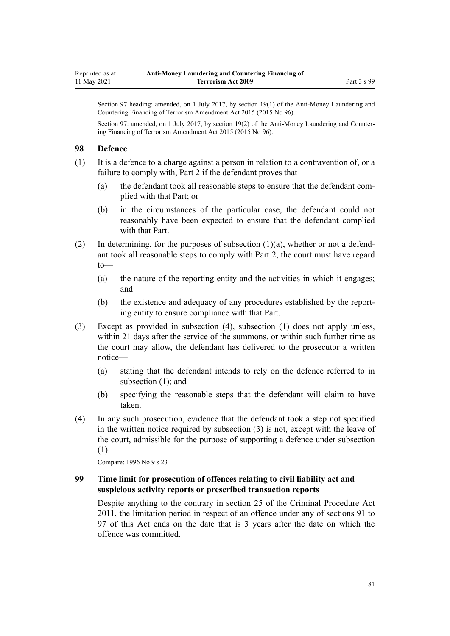Section 97 heading: amended, on 1 July 2017, by [section 19\(1\)](http://legislation.govt.nz/pdflink.aspx?id=DLM6602237) of the Anti-Money Laundering and Countering Financing of Terrorism Amendment Act 2015 (2015 No 96).

Section 97: amended, on 1 July 2017, by [section 19\(2\)](http://legislation.govt.nz/pdflink.aspx?id=DLM6602237) of the Anti-Money Laundering and Countering Financing of Terrorism Amendment Act 2015 (2015 No 96).

### **98 Defence**

(1) It is a defence to a charge against a person in relation to a contravention of, or a failure to comply with, [Part 2](#page-30-0) if the defendant proves that—

- (a) the defendant took all reasonable steps to ensure that the defendant complied with that Part; or
- (b) in the circumstances of the particular case, the defendant could not reasonably have been expected to ensure that the defendant complied with that Part.
- (2) In determining, for the purposes of subsection  $(1)(a)$ , whether or not a defendant took all reasonable steps to comply with [Part 2](#page-30-0), the court must have regard to—
	- (a) the nature of the reporting entity and the activities in which it engages; and
	- (b) the existence and adequacy of any procedures established by the report‐ ing entity to ensure compliance with that Part.
- (3) Except as provided in subsection (4), subsection (1) does not apply unless, within 21 days after the service of the summons, or within such further time as the court may allow, the defendant has delivered to the prosecutor a written notice—
	- (a) stating that the defendant intends to rely on the defence referred to in subsection (1); and
	- (b) specifying the reasonable steps that the defendant will claim to have taken.
- (4) In any such prosecution, evidence that the defendant took a step not specified in the written notice required by subsection (3) is not, except with the leave of the court, admissible for the purpose of supporting a defence under subsection (1).

Compare: 1996 No 9 [s 23](http://legislation.govt.nz/pdflink.aspx?id=DLM374121)

## **99 Time limit for prosecution of offences relating to civil liability act and suspicious activity reports or prescribed transaction reports**

Despite anything to the contrary in [section 25](http://legislation.govt.nz/pdflink.aspx?id=DLM3360067) of the Criminal Procedure Act 2011, the limitation period in respect of an offence under any of [sections 91 to](#page-76-0) [97](#page-76-0) of this Act ends on the date that is 3 years after the date on which the offence was committed.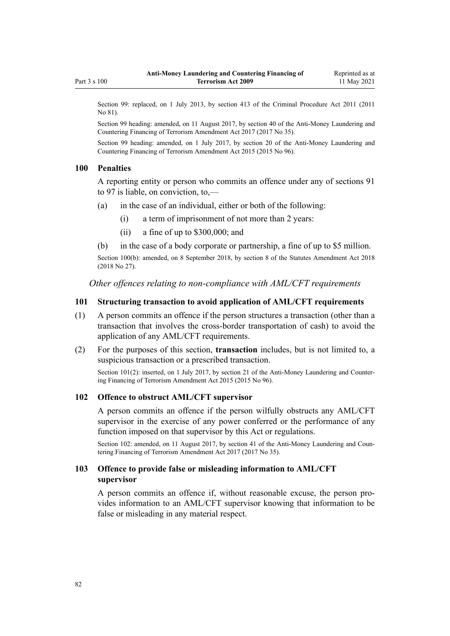<span id="page-81-0"></span>Section 99: replaced, on 1 July 2013, by [section 413](http://legislation.govt.nz/pdflink.aspx?id=DLM3360714) of the Criminal Procedure Act 2011 (2011) No 81).

Section 99 heading: amended, on 11 August 2017, by [section 40](http://legislation.govt.nz/pdflink.aspx?id=DLM7161323) of the Anti-Money Laundering and Countering Financing of Terrorism Amendment Act 2017 (2017 No 35).

Section 99 heading: amended, on 1 July 2017, by [section 20](http://legislation.govt.nz/pdflink.aspx?id=DLM6602238) of the Anti-Money Laundering and Countering Financing of Terrorism Amendment Act 2015 (2015 No 96).

#### **100 Penalties**

A reporting entity or person who commits an offence under any of [sections 91](#page-76-0) [to 97](#page-76-0) is liable, on conviction, to,—

- (a) in the case of an individual, either or both of the following:
	- (i) a term of imprisonment of not more than 2 years:
	- (ii) a fine of up to \$300,000; and
- (b) in the case of a body corporate or partnership, a fine of up to \$5 million.

Section 100(b): amended, on 8 September 2018, by [section 8](http://legislation.govt.nz/pdflink.aspx?id=LMS15920) of the Statutes Amendment Act 2018 (2018 No 27).

*Other offences relating to non-compliance with AML/CFT requirements*

### **101 Structuring transaction to avoid application of AML/CFT requirements**

- (1) A person commits an offence if the person structures a transaction (other than a transaction that involves the cross-border transportation of cash) to avoid the application of any AML/CFT requirements.
- (2) For the purposes of this section, **transaction** includes, but is not limited to, a suspicious transaction or a prescribed transaction.

Section 101(2): inserted, on 1 July 2017, by [section 21](http://legislation.govt.nz/pdflink.aspx?id=DLM6602239) of the Anti-Money Laundering and Countering Financing of Terrorism Amendment Act 2015 (2015 No 96).

#### **102 Offence to obstruct AML/CFT supervisor**

A person commits an offence if the person wilfully obstructs any AML/CFT supervisor in the exercise of any power conferred or the performance of any function imposed on that supervisor by this Act or regulations.

Section 102: amended, on 11 August 2017, by [section 41](http://legislation.govt.nz/pdflink.aspx?id=DLM7340631) of the Anti-Money Laundering and Countering Financing of Terrorism Amendment Act 2017 (2017 No 35).

## **103 Offence to provide false or misleading information to AML/CFT supervisor**

A person commits an offence if, without reasonable excuse, the person pro‐ vides information to an AML/CFT supervisor knowing that information to be false or misleading in any material respect.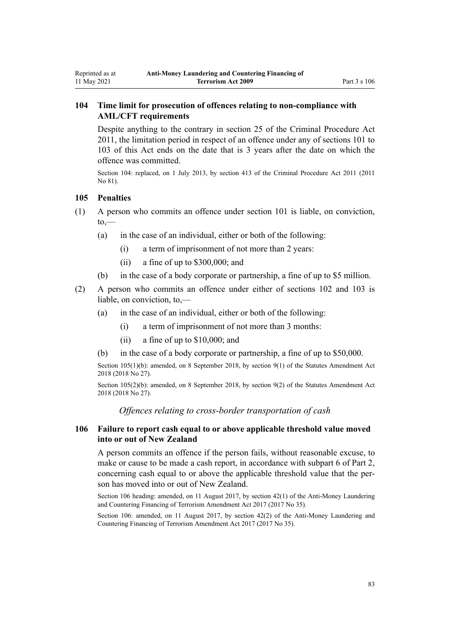# **104 Time limit for prosecution of offences relating to non-compliance with AML/CFT requirements**

Despite anything to the contrary in [section 25](http://legislation.govt.nz/pdflink.aspx?id=DLM3360067) of the Criminal Procedure Act 2011, the limitation period in respect of an offence under any of [sections 101 to](#page-81-0) [103](#page-81-0) of this Act ends on the date that is 3 years after the date on which the offence was committed.

Section 104: replaced, on 1 July 2013, by [section 413](http://legislation.govt.nz/pdflink.aspx?id=DLM3360714) of the Criminal Procedure Act 2011 (2011 No 81).

## **105 Penalties**

<span id="page-82-0"></span>Reprinted as at 11 May 2021

- (1) A person who commits an offence under [section 101](#page-81-0) is liable, on conviction,  $to,$ 
	- (a) in the case of an individual, either or both of the following:
		- (i) a term of imprisonment of not more than 2 years:
		- (ii) a fine of up to \$300,000; and
	- (b) in the case of a body corporate or partnership, a fine of up to \$5 million.
- (2) A person who commits an offence under either of [sections 102](#page-81-0) and [103](#page-81-0) is liable, on conviction, to,—
	- (a) in the case of an individual, either or both of the following:
		- (i) a term of imprisonment of not more than 3 months:
		- (ii) a fine of up to \$10,000; and
	- (b) in the case of a body corporate or partnership, a fine of up to \$50,000.

Section 105(1)(b): amended, on 8 September 2018, by [section 9\(1\)](http://legislation.govt.nz/pdflink.aspx?id=LMS15921) of the Statutes Amendment Act 2018 (2018 No 27).

Section 105(2)(b): amended, on 8 September 2018, by [section 9\(2\)](http://legislation.govt.nz/pdflink.aspx?id=LMS15921) of the Statutes Amendment Act 2018 (2018 No 27).

*Offences relating to cross-border transportation of cash*

## **106 Failure to report cash equal to or above applicable threshold value moved into or out of New Zealand**

A person commits an offence if the person fails, without reasonable excuse, to make or cause to be made a cash report, in accordance with [subpart 6](#page-68-0) of Part 2, concerning cash equal to or above the applicable threshold value that the person has moved into or out of New Zealand.

Section 106 heading: amended, on 11 August 2017, by [section 42\(1\)](http://legislation.govt.nz/pdflink.aspx?id=DLM7161324) of the Anti-Money Laundering and Countering Financing of Terrorism Amendment Act 2017 (2017 No 35).

Section 106: amended, on 11 August 2017, by [section 42\(2\)](http://legislation.govt.nz/pdflink.aspx?id=DLM7161324) of the Anti-Money Laundering and Countering Financing of Terrorism Amendment Act 2017 (2017 No 35).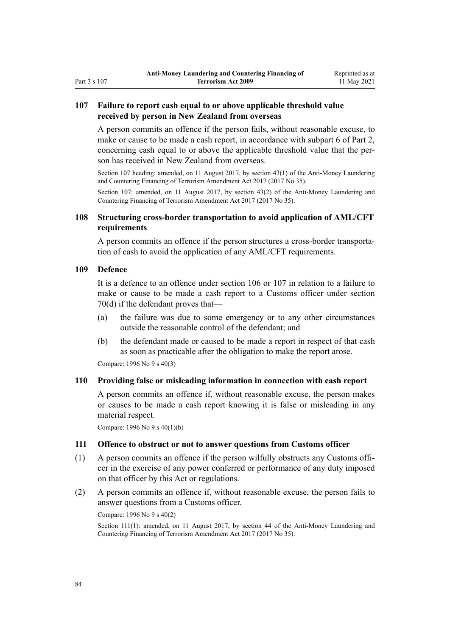## <span id="page-83-0"></span>**107 Failure to report cash equal to or above applicable threshold value received by person in New Zealand from overseas**

A person commits an offence if the person fails, without reasonable excuse, to make or cause to be made a cash report, in accordance with [subpart 6](#page-68-0) of Part 2, concerning cash equal to or above the applicable threshold value that the person has received in New Zealand from overseas.

Section 107 heading: amended, on 11 August 2017, by [section 43\(1\)](http://legislation.govt.nz/pdflink.aspx?id=DLM7161325) of the Anti-Money Laundering and Countering Financing of Terrorism Amendment Act 2017 (2017 No 35).

Section 107: amended, on 11 August 2017, by [section 43\(2\)](http://legislation.govt.nz/pdflink.aspx?id=DLM7161325) of the Anti-Money Laundering and Countering Financing of Terrorism Amendment Act 2017 (2017 No 35).

## **108 Structuring cross-border transportation to avoid application of AML/CFT requirements**

A person commits an offence if the person structures a cross-border transporta‐ tion of cash to avoid the application of any AML/CFT requirements.

## **109 Defence**

It is a defence to an offence under [section 106](#page-82-0) or 107 in relation to a failure to make or cause to be made a cash report to a Customs officer under [section](#page-69-0) [70\(d\)](#page-69-0) if the defendant proves that—

- (a) the failure was due to some emergency or to any other circumstances outside the reasonable control of the defendant; and
- (b) the defendant made or caused to be made a report in respect of that cash as soon as practicable after the obligation to make the report arose.

Compare: 1996 No 9 [s 40\(3\)](http://legislation.govt.nz/pdflink.aspx?id=DLM374157)

#### **110 Providing false or misleading information in connection with cash report**

A person commits an offence if, without reasonable excuse, the person makes or causes to be made a cash report knowing it is false or misleading in any material respect.

Compare: 1996 No 9 [s 40\(1\)\(b\)](http://legislation.govt.nz/pdflink.aspx?id=DLM374157)

## **111 Offence to obstruct or not to answer questions from Customs officer**

- $(1)$  A person commits an offence if the person wilfully obstructs any Customs officer in the exercise of any power conferred or performance of any duty imposed on that officer by this Act or regulations.
- (2) A person commits an offence if, without reasonable excuse, the person fails to answer questions from a Customs officer.

Compare: 1996 No 9 [s 40\(2\)](http://legislation.govt.nz/pdflink.aspx?id=DLM374157)

Section 111(1): amended, on 11 August 2017, by [section 44](http://legislation.govt.nz/pdflink.aspx?id=DLM7340632) of the Anti-Money Laundering and Countering Financing of Terrorism Amendment Act 2017 (2017 No 35).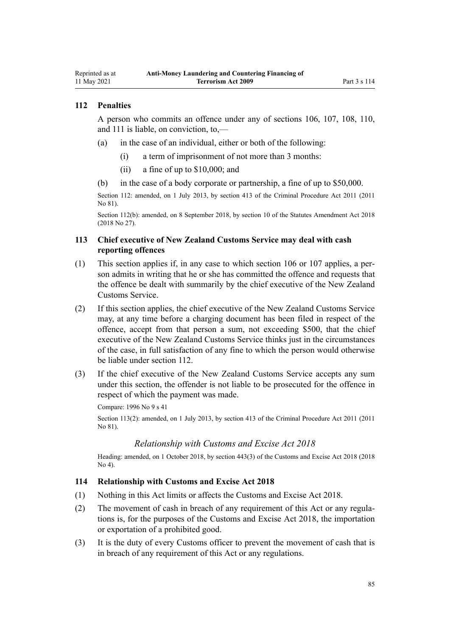## **112 Penalties**

<span id="page-84-0"></span>Reprinted as at 11 May 2021

> A person who commits an offence under any of [sections 106,](#page-82-0) [107](#page-83-0), [108](#page-83-0), [110](#page-83-0), and [111](#page-83-0) is liable, on conviction, to,—

- (a) in the case of an individual, either or both of the following:
	- (i) a term of imprisonment of not more than 3 months:
	- (ii) a fine of up to \$10,000; and
- (b) in the case of a body corporate or partnership, a fine of up to \$50,000.

Section 112: amended, on 1 July 2013, by [section 413](http://legislation.govt.nz/pdflink.aspx?id=DLM3360714) of the Criminal Procedure Act 2011 (2011 No 81).

Section 112(b): amended, on 8 September 2018, by [section 10](http://legislation.govt.nz/pdflink.aspx?id=LMS15922) of the Statutes Amendment Act 2018 (2018 No 27).

## **113 Chief executive of New Zealand Customs Service may deal with cash reporting offences**

- (1) This section applies if, in any case to which [section 106](#page-82-0) or [107](#page-83-0) applies, a per‐ son admits in writing that he or she has committed the offence and requests that the offence be dealt with summarily by the chief executive of the New Zealand Customs Service.
- (2) If this section applies, the chief executive of the New Zealand Customs Service may, at any time before a charging document has been filed in respect of the offence, accept from that person a sum, not exceeding \$500, that the chief executive of the New Zealand Customs Service thinks just in the circumstances of the case, in full satisfaction of any fine to which the person would otherwise be liable under section 112.
- (3) If the chief executive of the New Zealand Customs Service accepts any sum under this section, the offender is not liable to be prosecuted for the offence in respect of which the payment was made.

Compare: 1996 No 9 [s 41](http://legislation.govt.nz/pdflink.aspx?id=DLM374160)

Section 113(2): amended, on 1 July 2013, by [section 413](http://legislation.govt.nz/pdflink.aspx?id=DLM3360714) of the Criminal Procedure Act 2011 (2011 No 81).

#### *Relationship with Customs and Excise Act 2018*

Heading: amended, on 1 October 2018, by [section 443\(3\)](http://legislation.govt.nz/pdflink.aspx?id=DLM7039957) of the Customs and Excise Act 2018 (2018 No 4).

### **114 Relationship with Customs and Excise Act 2018**

- (1) Nothing in this Act limits or affects the [Customs and Excise Act 2018.](http://legislation.govt.nz/pdflink.aspx?id=DLM7038920)
- (2) The movement of cash in breach of any requirement of this Act or any regula‐ tions is, for the purposes of the [Customs and Excise Act 2018,](http://legislation.govt.nz/pdflink.aspx?id=DLM7038920) the importation or exportation of a prohibited good.
- (3) It is the duty of every Customs officer to prevent the movement of cash that is in breach of any requirement of this Act or any regulations.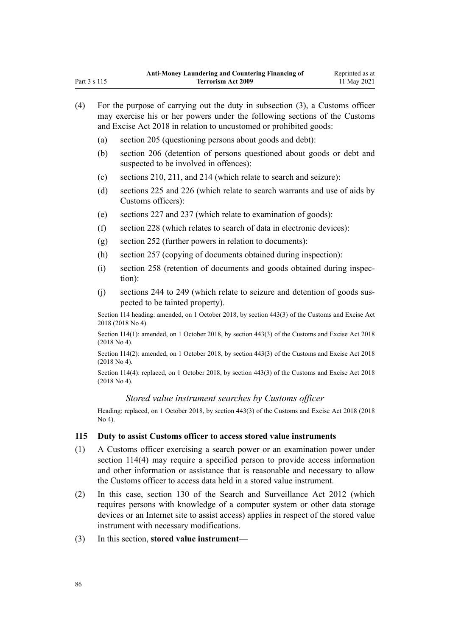| (4) | For the purpose of carrying out the duty in subsection $(3)$ , a Customs officer<br>may exercise his or her powers under the following sections of the Customs<br>and Excise Act 2018 in relation to uncustomed or prohibited goods: |                                                                                                                     |  |
|-----|--------------------------------------------------------------------------------------------------------------------------------------------------------------------------------------------------------------------------------------|---------------------------------------------------------------------------------------------------------------------|--|
|     | (a)                                                                                                                                                                                                                                  | section 205 (questioning persons about goods and debt):                                                             |  |
|     | (b)                                                                                                                                                                                                                                  | section 206 (detention of persons questioned about goods or debt and<br>suspected to be involved in offences):      |  |
|     | (c)                                                                                                                                                                                                                                  | sections 210, 211, and 214 (which relate to search and seizure):                                                    |  |
|     | (d)                                                                                                                                                                                                                                  | sections 225 and 226 (which relate to search warrants and use of aids by<br>Customs officers):                      |  |
|     | (e)                                                                                                                                                                                                                                  | sections 227 and 237 (which relate to examination of goods):                                                        |  |
|     | (f)                                                                                                                                                                                                                                  | section 228 (which relates to search of data in electronic devices):                                                |  |
|     | (g)                                                                                                                                                                                                                                  | section 252 (further powers in relation to documents):                                                              |  |
|     | (h)                                                                                                                                                                                                                                  | section 257 (copying of documents obtained during inspection):                                                      |  |
|     | (i)                                                                                                                                                                                                                                  | section 258 (retention of documents and goods obtained during inspec-<br>tion):                                     |  |
|     | (j)                                                                                                                                                                                                                                  | sections 244 to 249 (which relate to seizure and detention of goods sus-<br>pected to be tainted property).         |  |
|     | Section 114 heading: amended, on 1 October 2018, by section 443(3) of the Customs and Excise Act<br>2018 (2018 No 4).                                                                                                                |                                                                                                                     |  |
|     |                                                                                                                                                                                                                                      | Section 114(1): amended, on 1 October 2018, by section 443(3) of the Customs and Excise Act 2018<br>$(2018$ No 4).  |  |
|     |                                                                                                                                                                                                                                      | Section 114(2): amended, on 1 October 2018, by section 443(3) of the Customs and Excise Act 2018<br>$(2018$ No 4).  |  |
|     |                                                                                                                                                                                                                                      | Section 114(4): replaced, on 1 October 2018, by section 443(3) of the Customs and Excise Act 2018<br>$(2018$ No 4). |  |
|     |                                                                                                                                                                                                                                      | Stored value instrument searches by Customs officer                                                                 |  |
|     | No 4).                                                                                                                                                                                                                               | Heading: replaced, on 1 October 2018, by section 443(3) of the Customs and Excise Act 2018 (2018                    |  |
| 115 |                                                                                                                                                                                                                                      | Duty to assist Customs officer to access stored value instruments                                                   |  |
| (1) |                                                                                                                                                                                                                                      | A Customs officer exercising a search nower or an examination nower under                                           |  |

- (1) A Customs officer exercising a search power or an examination power under [section 114\(4\)](#page-84-0) may require a specified person to provide access information and other information or assistance that is reasonable and necessary to allow the Customs officer to access data held in a stored value instrument.
- (2) In this case, [section 130](http://legislation.govt.nz/pdflink.aspx?id=DLM4355803) of the Search and Surveillance Act 2012 (which requires persons with knowledge of a computer system or other data storage devices or an Internet site to assist access) applies in respect of the stored value instrument with necessary modifications.
- (3) In this section, **stored value instrument**—

Part 3 s 115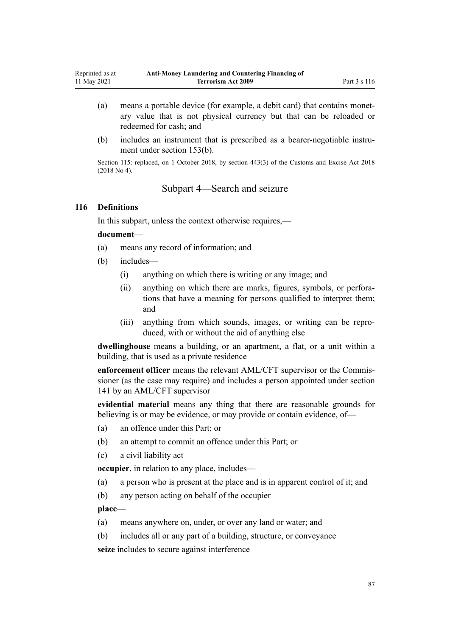- (a) means a portable device (for example, a debit card) that contains monet‐ ary value that is not physical currency but that can be reloaded or redeemed for cash; and
- (b) includes an instrument that is prescribed as a bearer-negotiable instrument under [section 153\(b\)](#page-106-0).

Section 115: replaced, on 1 October 2018, by [section 443\(3\)](http://legislation.govt.nz/pdflink.aspx?id=DLM7039957) of the Customs and Excise Act 2018 (2018 No 4).

## Subpart 4—Search and seizure

### **116 Definitions**

In this subpart, unless the context otherwise requires,—

### **document**—

- (a) means any record of information; and
- (b) includes—
	- (i) anything on which there is writing or any image; and
	- (ii) anything on which there are marks, figures, symbols, or perfora‐ tions that have a meaning for persons qualified to interpret them; and
	- (iii) anything from which sounds, images, or writing can be repro‐ duced, with or without the aid of anything else

**dwellinghouse** means a building, or an apartment, a flat, or a unit within a building, that is used as a private residence

**enforcement officer** means the relevant AML/CFT supervisor or the Commis‐ sioner (as the case may require) and includes a person appointed under [section](#page-99-0) [141](#page-99-0) by an AML/CFT supervisor

**evidential material** means any thing that there are reasonable grounds for believing is or may be evidence, or may provide or contain evidence, of—

- (a) an offence under this Part; or
- (b) an attempt to commit an offence under this Part; or
- (c) a civil liability act

**occupier**, in relation to any place, includes—

- (a) a person who is present at the place and is in apparent control of it; and
- (b) any person acting on behalf of the occupier

**place**—

- (a) means anywhere on, under, or over any land or water; and
- (b) includes all or any part of a building, structure, or conveyance

**seize** includes to secure against interference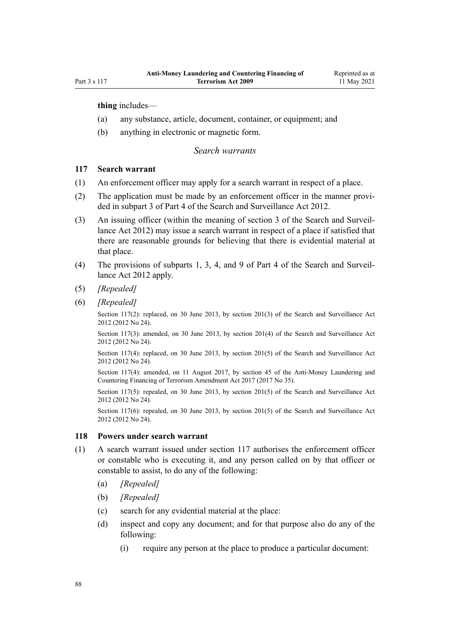**thing** includes—

- (a) any substance, article, document, container, or equipment; and
- (b) anything in electronic or magnetic form.

### *Search warrants*

## **117 Search warrant**

- (1) An enforcement officer may apply for a search warrant in respect of a place.
- (2) The application must be made by an enforcement officer in the manner provided in [subpart 3](http://legislation.govt.nz/pdflink.aspx?id=DLM2136781) of Part 4 of the Search and Surveillance Act 2012.
- (3) An issuing officer (within the meaning of [section 3](http://legislation.govt.nz/pdflink.aspx?id=DLM2136542) of the Search and Surveil‐ lance Act 2012) may issue a search warrant in respect of a place if satisfied that there are reasonable grounds for believing that there is evidential material at that place.
- (4) The provisions of [subparts 1](http://legislation.govt.nz/pdflink.aspx?id=DLM2136771), [3,](http://legislation.govt.nz/pdflink.aspx?id=DLM2136781) [4](http://legislation.govt.nz/pdflink.aspx?id=DLM2136801), and [9](http://legislation.govt.nz/pdflink.aspx?id=DLM2136888) of Part 4 of the Search and Surveil‐ lance Act 2012 apply.
- (5) *[Repealed]*
- (6) *[Repealed]*

Section 117(2): replaced, on 30 June 2013, by [section 201\(3\)](http://legislation.govt.nz/pdflink.aspx?id=DLM4355905) of the Search and Surveillance Act 2012 (2012 No 24).

Section 117(3): amended, on 30 June 2013, by [section 201\(4\)](http://legislation.govt.nz/pdflink.aspx?id=DLM4355905) of the Search and Surveillance Act 2012 (2012 No 24).

Section 117(4): replaced, on 30 June 2013, by [section 201\(5\)](http://legislation.govt.nz/pdflink.aspx?id=DLM4355905) of the Search and Surveillance Act 2012 (2012 No 24).

Section 117(4): amended, on 11 August 2017, by [section 45](http://legislation.govt.nz/pdflink.aspx?id=DLM7161326) of the Anti-Money Laundering and Countering Financing of Terrorism Amendment Act 2017 (2017 No 35).

Section 117(5): repealed, on 30 June 2013, by [section 201\(5\)](http://legislation.govt.nz/pdflink.aspx?id=DLM4355905) of the Search and Surveillance Act 2012 (2012 No 24).

Section 117(6): repealed, on 30 June 2013, by [section 201\(5\)](http://legislation.govt.nz/pdflink.aspx?id=DLM4355905) of the Search and Surveillance Act 2012 (2012 No 24).

### **118 Powers under search warrant**

- (1) A search warrant issued under section 117 authorises the enforcement officer or constable who is executing it, and any person called on by that officer or constable to assist, to do any of the following:
	- (a) *[Repealed]*
	- (b) *[Repealed]*
	- (c) search for any evidential material at the place:
	- (d) inspect and copy any document; and for that purpose also do any of the following:
		- (i) require any person at the place to produce a particular document: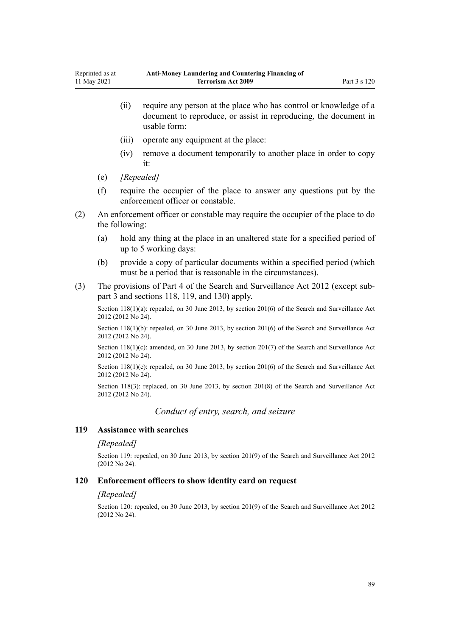- (ii) require any person at the place who has control or knowledge of a document to reproduce, or assist in reproducing, the document in usable form:
- (iii) operate any equipment at the place:
- (iv) remove a document temporarily to another place in order to copy it:
- (e) *[Repealed]*
- (f) require the occupier of the place to answer any questions put by the enforcement officer or constable.
- (2) An enforcement officer or constable may require the occupier of the place to do the following:
	- (a) hold any thing at the place in an unaltered state for a specified period of up to 5 working days:
	- (b) provide a copy of particular documents within a specified period (which must be a period that is reasonable in the circumstances).
- (3) The provisions of [Part 4](http://legislation.govt.nz/pdflink.aspx?id=DLM2136770) of the Search and Surveillance Act 2012 (except [sub‐](http://legislation.govt.nz/pdflink.aspx?id=DLM2136781) [part 3](http://legislation.govt.nz/pdflink.aspx?id=DLM2136781) and [sections 118,](http://legislation.govt.nz/pdflink.aspx?id=DLM2136813) [119](http://legislation.govt.nz/pdflink.aspx?id=DLM2136815), and [130\)](http://legislation.govt.nz/pdflink.aspx?id=DLM4355803) apply.

Section 118(1)(a): repealed, on 30 June 2013, by [section 201\(6\)](http://legislation.govt.nz/pdflink.aspx?id=DLM4355905) of the Search and Surveillance Act 2012 (2012 No 24).

Section 118(1)(b): repealed, on 30 June 2013, by [section 201\(6\)](http://legislation.govt.nz/pdflink.aspx?id=DLM4355905) of the Search and Surveillance Act 2012 (2012 No 24).

Section 118(1)(c): amended, on 30 June 2013, by [section 201\(7\)](http://legislation.govt.nz/pdflink.aspx?id=DLM4355905) of the Search and Surveillance Act 2012 (2012 No 24).

Section 118(1)(e): repealed, on 30 June 2013, by [section 201\(6\)](http://legislation.govt.nz/pdflink.aspx?id=DLM4355905) of the Search and Surveillance Act 2012 (2012 No 24).

Section 118(3): replaced, on 30 June 2013, by [section 201\(8\)](http://legislation.govt.nz/pdflink.aspx?id=DLM4355905) of the Search and Surveillance Act 2012 (2012 No 24).

*Conduct of entry, search, and seizure*

#### **119 Assistance with searches**

#### *[Repealed]*

Section 119: repealed, on 30 June 2013, by [section 201\(9\)](http://legislation.govt.nz/pdflink.aspx?id=DLM4355905) of the Search and Surveillance Act 2012 (2012 No 24).

#### **120 Enforcement officers to show identity card on request**

#### *[Repealed]*

Section 120: repealed, on 30 June 2013, by [section 201\(9\)](http://legislation.govt.nz/pdflink.aspx?id=DLM4355905) of the Search and Surveillance Act 2012 (2012 No 24).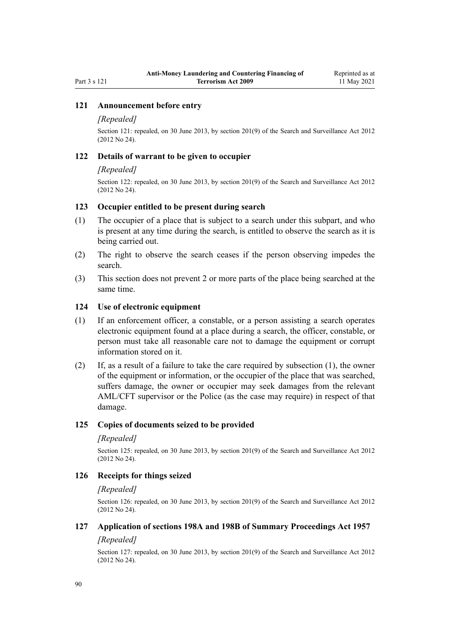## **121 Announcement before entry**

### *[Repealed]*

Section 121: repealed, on 30 June 2013, by [section 201\(9\)](http://legislation.govt.nz/pdflink.aspx?id=DLM4355905) of the Search and Surveillance Act 2012 (2012 No 24).

### **122 Details of warrant to be given to occupier**

#### *[Repealed]*

Section 122: repealed, on 30 June 2013, by [section 201\(9\)](http://legislation.govt.nz/pdflink.aspx?id=DLM4355905) of the Search and Surveillance Act 2012 (2012 No 24).

## **123 Occupier entitled to be present during search**

- (1) The occupier of a place that is subject to a search under this subpart, and who is present at any time during the search, is entitled to observe the search as it is being carried out.
- (2) The right to observe the search ceases if the person observing impedes the search.
- (3) This section does not prevent 2 or more parts of the place being searched at the same time.

### **124 Use of electronic equipment**

- (1) If an enforcement officer, a constable, or a person assisting a search operates electronic equipment found at a place during a search, the officer, constable, or person must take all reasonable care not to damage the equipment or corrupt information stored on it.
- (2) If, as a result of a failure to take the care required by subsection (1), the owner of the equipment or information, or the occupier of the place that was searched, suffers damage, the owner or occupier may seek damages from the relevant AML/CFT supervisor or the Police (as the case may require) in respect of that damage.

## **125 Copies of documents seized to be provided**

#### *[Repealed]*

Section 125: repealed, on 30 June 2013, by [section 201\(9\)](http://legislation.govt.nz/pdflink.aspx?id=DLM4355905) of the Search and Surveillance Act 2012 (2012 No 24).

## **126 Receipts for things seized**

#### *[Repealed]*

Section 126: repealed, on 30 June 2013, by [section 201\(9\)](http://legislation.govt.nz/pdflink.aspx?id=DLM4355905) of the Search and Surveillance Act 2012 (2012 No 24).

## **127 Application of sections 198A and 198B of Summary Proceedings Act 1957**

### *[Repealed]*

Section 127: repealed, on 30 June 2013, by [section 201\(9\)](http://legislation.govt.nz/pdflink.aspx?id=DLM4355905) of the Search and Surveillance Act 2012 (2012 No 24).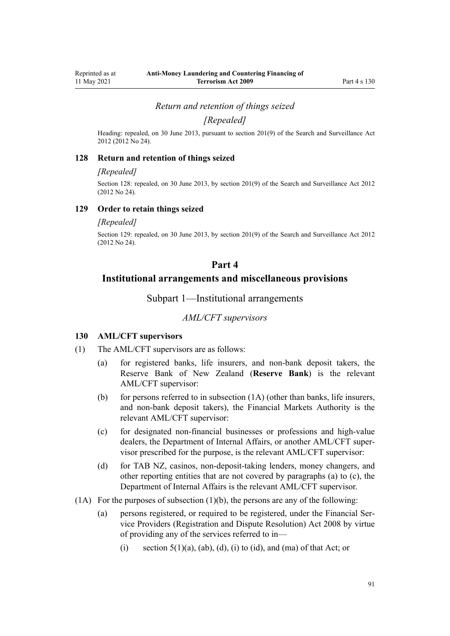*Return and retention of things seized*

*[Repealed]*

Heading: repealed, on 30 June 2013, pursuant to [section 201\(9\)](http://legislation.govt.nz/pdflink.aspx?id=DLM4355905) of the Search and Surveillance Act 2012 (2012 No 24).

#### **128 Return and retention of things seized**

#### *[Repealed]*

Section 128: repealed, on 30 June 2013, by [section 201\(9\)](http://legislation.govt.nz/pdflink.aspx?id=DLM4355905) of the Search and Surveillance Act 2012 (2012 No 24).

### **129 Order to retain things seized**

#### *[Repealed]*

Section 129: repealed, on 30 June 2013, by [section 201\(9\)](http://legislation.govt.nz/pdflink.aspx?id=DLM4355905) of the Search and Surveillance Act 2012 (2012 No 24).

## **Part 4**

## **Institutional arrangements and miscellaneous provisions**

Subpart 1—Institutional arrangements

## *AML/CFT supervisors*

### **130 AML/CFT supervisors**

- (1) The AML/CFT supervisors are as follows:
	- (a) for registered banks, life insurers, and non-bank deposit takers, the Reserve Bank of New Zealand (**Reserve Bank**) is the relevant AML/CFT supervisor:
	- (b) for persons referred to in subsection  $(1A)$  (other than banks, life insurers, and non-bank deposit takers), the Financial Markets Authority is the relevant AML/CFT supervisor:
	- (c) for designated non-financial businesses or professions and high-value dealers, the Department of Internal Affairs, or another AML/CFT super‐ visor prescribed for the purpose, is the relevant AML/CFT supervisor:
	- (d) for TAB NZ, casinos, non-deposit-taking lenders, money changers, and other reporting entities that are not covered by paragraphs (a) to (c), the Department of Internal Affairs is the relevant AML/CFT supervisor.
- $(1)$  For the purposes of subsection  $(1)$ (b), the persons are any of the following:
	- (a) persons registered, or required to be registered, under the [Financial Ser‐](http://legislation.govt.nz/pdflink.aspx?id=DLM1109400) [vice Providers \(Registration and Dispute Resolution\) Act 2008](http://legislation.govt.nz/pdflink.aspx?id=DLM1109400) by virtue of providing any of the services referred to in—
		- (i) section  $5(1)(a)$ ,  $(ab)$ ,  $(d)$ ,  $(i)$  to  $(id)$ , and  $(ma)$  of that Act; or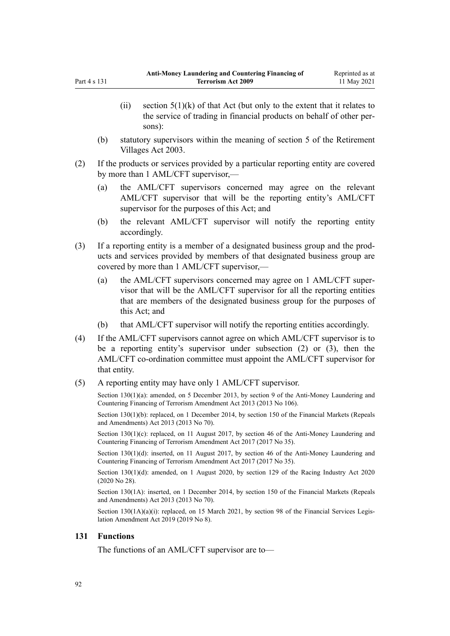- <span id="page-91-0"></span>(ii) [section 5\(1\)\(k\)](http://legislation.govt.nz/pdflink.aspx?id=DLM1109499) of that Act (but only to the extent that it relates to the service of trading in financial products on behalf of other per‐ sons):
- (b) statutory supervisors within the meaning of [section 5](http://legislation.govt.nz/pdflink.aspx?id=DLM220373) of the Retirement Villages Act 2003.
- (2) If the products or services provided by a particular reporting entity are covered by more than 1 AML/CFT supervisor,—
	- (a) the AML/CFT supervisors concerned may agree on the relevant AML/CFT supervisor that will be the reporting entity's AML/CFT supervisor for the purposes of this Act; and
	- (b) the relevant AML/CFT supervisor will notify the reporting entity accordingly.
- (3) If a reporting entity is a member of a designated business group and the prod‐ ucts and services provided by members of that designated business group are covered by more than 1 AML/CFT supervisor,—
	- (a) the AML/CFT supervisors concerned may agree on 1 AML/CFT super‐ visor that will be the AML/CFT supervisor for all the reporting entities that are members of the designated business group for the purposes of this Act; and
	- (b) that AML/CFT supervisor will notify the reporting entities accordingly.
- (4) If the AML/CFT supervisors cannot agree on which AML/CFT supervisor is to be a reporting entity's supervisor under subsection (2) or (3), then the AML/CFT co-ordination committee must appoint the AML/CFT supervisor for that entity.
- (5) A reporting entity may have only 1 AML/CFT supervisor.

Section 130(1)(a): amended, on 5 December 2013, by [section 9](http://legislation.govt.nz/pdflink.aspx?id=DLM5621513) of the Anti-Money Laundering and Countering Financing of Terrorism Amendment Act 2013 (2013 No 106).

Section 130(1)(b): replaced, on 1 December 2014, by [section 150](http://legislation.govt.nz/pdflink.aspx?id=DLM5561603) of the Financial Markets (Repeals and Amendments) Act 2013 (2013 No 70).

Section 130(1)(c): replaced, on 11 August 2017, by [section 46](http://legislation.govt.nz/pdflink.aspx?id=DLM7161327) of the Anti-Money Laundering and Countering Financing of Terrorism Amendment Act 2017 (2017 No 35).

Section 130(1)(d): inserted, on 11 August 2017, by [section 46](http://legislation.govt.nz/pdflink.aspx?id=DLM7161327) of the Anti-Money Laundering and Countering Financing of Terrorism Amendment Act 2017 (2017 No 35).

Section 130(1)(d): amended, on 1 August 2020, by [section 129](http://legislation.govt.nz/pdflink.aspx?id=LMS292230) of the Racing Industry Act 2020 (2020 No 28).

Section 130(1A): inserted, on 1 December 2014, by [section 150](http://legislation.govt.nz/pdflink.aspx?id=DLM5561603) of the Financial Markets (Repeals and Amendments) Act 2013 (2013 No 70).

Section  $130(1A)(a)(i)$ : replaced, on 15 March 2021, by [section 98](http://legislation.govt.nz/pdflink.aspx?id=DLM7386624) of the Financial Services Legislation Amendment Act 2019 (2019 No 8).

## **131 Functions**

The functions of an AML/CFT supervisor are to—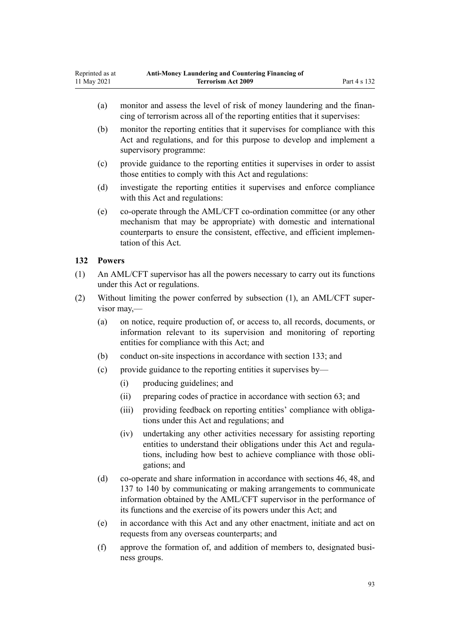- <span id="page-92-0"></span>(a) monitor and assess the level of risk of money laundering and the financing of terrorism across all of the reporting entities that it supervises:
- (b) monitor the reporting entities that it supervises for compliance with this Act and regulations, and for this purpose to develop and implement a supervisory programme:
- (c) provide guidance to the reporting entities it supervises in order to assist those entities to comply with this Act and regulations:
- (d) investigate the reporting entities it supervises and enforce compliance with this Act and regulations:
- (e) co-operate through the AML/CFT co-ordination committee (or any other mechanism that may be appropriate) with domestic and international counterparts to ensure the consistent, effective, and efficient implemen‐ tation of this Act.

## **132 Powers**

- (1) An AML/CFT supervisor has all the powers necessary to carry out its functions under this Act or regulations.
- (2) Without limiting the power conferred by subsection (1), an AML/CFT super‐ visor may,—
	- (a) on notice, require production of, or access to, all records, documents, or information relevant to its supervision and monitoring of reporting entities for compliance with this Act; and
	- (b) conduct on-site inspections in accordance with [section 133;](#page-93-0) and
	- (c) provide guidance to the reporting entities it supervises by—
		- (i) producing guidelines; and
		- (ii) preparing codes of practice in accordance with [section 63;](#page-66-0) and
		- (iii) providing feedback on reporting entities' compliance with obligations under this Act and regulations; and
		- (iv) undertaking any other activities necessary for assisting reporting entities to understand their obligations under this Act and regula‐ tions, including how best to achieve compliance with those obli‐ gations; and
	- (d) co-operate and share information in accordance with [sections 46](#page-54-0), [48,](#page-56-0) and [137 to 140](#page-95-0) by communicating or making arrangements to communicate information obtained by the AML/CFT supervisor in the performance of its functions and the exercise of its powers under this Act; and
	- (e) in accordance with this Act and any other enactment, initiate and act on requests from any overseas counterparts; and
	- (f) approve the formation of, and addition of members to, designated busi‐ ness groups.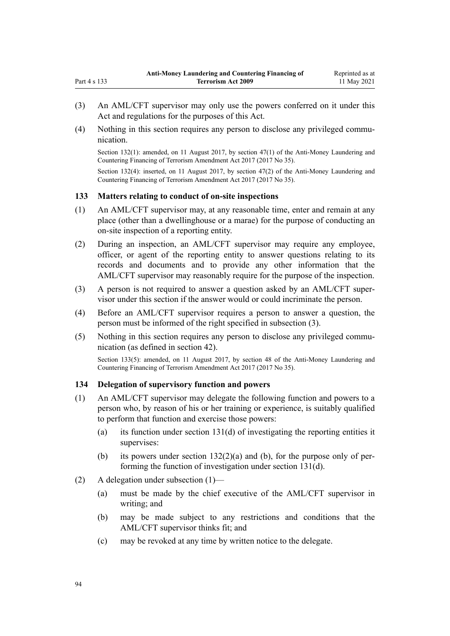- (3) An AML/CFT supervisor may only use the powers conferred on it under this Act and regulations for the purposes of this Act.
- (4) Nothing in this section requires any person to disclose any privileged communication.

Section 132(1): amended, on 11 August 2017, by [section 47\(1\)](http://legislation.govt.nz/pdflink.aspx?id=DLM7340633) of the Anti-Money Laundering and Countering Financing of Terrorism Amendment Act 2017 (2017 No 35).

Section 132(4): inserted, on 11 August 2017, by [section 47\(2\)](http://legislation.govt.nz/pdflink.aspx?id=DLM7340633) of the Anti-Money Laundering and Countering Financing of Terrorism Amendment Act 2017 (2017 No 35).

## **133 Matters relating to conduct of on-site inspections**

<span id="page-93-0"></span>Part 4 s 133

- (1) An AML/CFT supervisor may, at any reasonable time, enter and remain at any place (other than a dwellinghouse or a marae) for the purpose of conducting an on-site inspection of a reporting entity.
- (2) During an inspection, an AML/CFT supervisor may require any employee, officer, or agent of the reporting entity to answer questions relating to its records and documents and to provide any other information that the AML/CFT supervisor may reasonably require for the purpose of the inspection.
- (3) A person is not required to answer a question asked by an AML/CFT super‐ visor under this section if the answer would or could incriminate the person.
- (4) Before an AML/CFT supervisor requires a person to answer a question, the person must be informed of the right specified in subsection (3).
- (5) Nothing in this section requires any person to disclose any privileged commu‐ nication (as defined in [section 42\)](#page-51-0).

Section 133(5): amended, on 11 August 2017, by [section 48](http://legislation.govt.nz/pdflink.aspx?id=DLM7340634) of the Anti-Money Laundering and Countering Financing of Terrorism Amendment Act 2017 (2017 No 35).

## **134 Delegation of supervisory function and powers**

- (1) An AML/CFT supervisor may delegate the following function and powers to a person who, by reason of his or her training or experience, is suitably qualified to perform that function and exercise those powers:
	- (a) its function under [section 131\(d\)](#page-91-0) of investigating the reporting entities it supervises:
	- (b) its powers under section  $132(2)(a)$  and (b), for the purpose only of performing the function of investigation under [section 131\(d\)](#page-91-0).
- (2) A delegation under subsection (1)—
	- (a) must be made by the chief executive of the AML/CFT supervisor in writing; and
	- (b) may be made subject to any restrictions and conditions that the AML/CFT supervisor thinks fit; and
	- (c) may be revoked at any time by written notice to the delegate.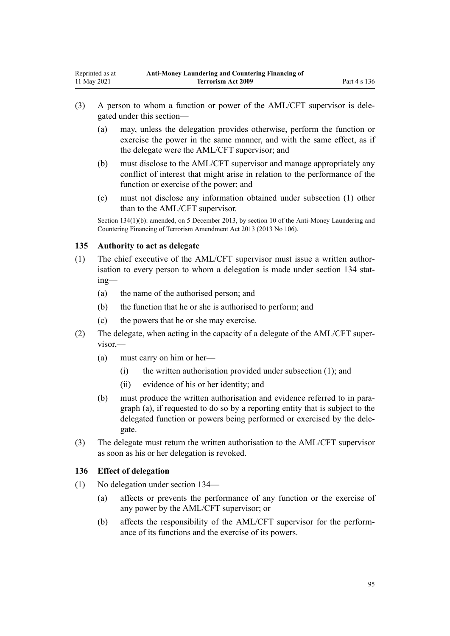- (3) A person to whom a function or power of the AML/CFT supervisor is dele‐ gated under this section—
	- (a) may, unless the delegation provides otherwise, perform the function or exercise the power in the same manner, and with the same effect, as if the delegate were the AML/CFT supervisor; and
	- (b) must disclose to the AML/CFT supervisor and manage appropriately any conflict of interest that might arise in relation to the performance of the function or exercise of the power; and
	- (c) must not disclose any information obtained under subsection (1) other than to the AML/CFT supervisor.

Section 134(1)(b): amended, on 5 December 2013, by [section 10](http://legislation.govt.nz/pdflink.aspx?id=DLM5621514) of the Anti-Money Laundering and Countering Financing of Terrorism Amendment Act 2013 (2013 No 106).

## **135 Authority to act as delegate**

- (1) The chief executive of the AML/CFT supervisor must issue a written author‐ isation to every person to whom a delegation is made under [section 134](#page-93-0) stating—
	- (a) the name of the authorised person; and
	- (b) the function that he or she is authorised to perform; and
	- (c) the powers that he or she may exercise.
- (2) The delegate, when acting in the capacity of a delegate of the AML/CFT super‐ visor,—
	- (a) must carry on him or her—
		- (i) the written authorisation provided under subsection (1); and
		- (ii) evidence of his or her identity; and
	- (b) must produce the written authorisation and evidence referred to in paragraph (a), if requested to do so by a reporting entity that is subject to the delegated function or powers being performed or exercised by the dele‐ gate.
- (3) The delegate must return the written authorisation to the AML/CFT supervisor as soon as his or her delegation is revoked.

## **136 Effect of delegation**

- (1) No delegation under [section 134—](#page-93-0)
	- (a) affects or prevents the performance of any function or the exercise of any power by the AML/CFT supervisor; or
	- (b) affects the responsibility of the AML/CFT supervisor for the perform‐ ance of its functions and the exercise of its powers.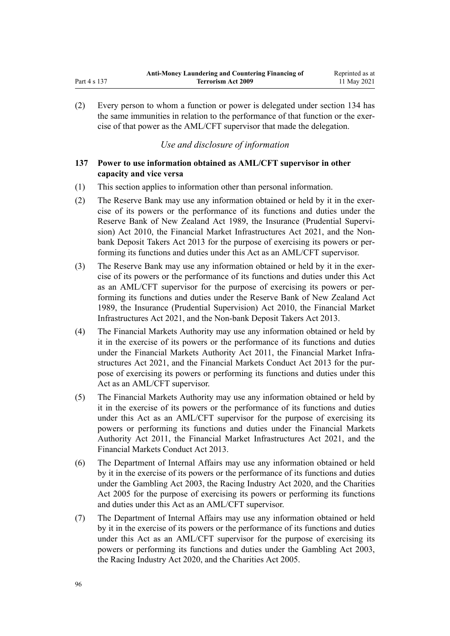(2) Every person to whom a function or power is delegated under [section 134](#page-93-0) has the same immunities in relation to the performance of that function or the exercise of that power as the AML/CFT supervisor that made the delegation.

# *Use and disclosure of information*

# **137 Power to use information obtained as AML/CFT supervisor in other capacity and vice versa**

- (1) This section applies to information other than personal information.
- (2) The Reserve Bank may use any information obtained or held by it in the exercise of its powers or the performance of its functions and duties under the [Reserve Bank of New Zealand Act 1989,](http://legislation.govt.nz/pdflink.aspx?id=DLM199363) the Insurance (Prudential Supervi[sion\) Act 2010](http://legislation.govt.nz/pdflink.aspx?id=DLM2478100), the [Financial Market Infrastructures Act 2021,](http://legislation.govt.nz/pdflink.aspx?id=LMS102904) and the [Non](http://legislation.govt.nz/pdflink.aspx?id=DLM3918902)[bank Deposit Takers Act 2013](http://legislation.govt.nz/pdflink.aspx?id=DLM3918902) for the purpose of exercising its powers or per‐ forming its functions and duties under this Act as an AML/CFT supervisor.
- (3) The Reserve Bank may use any information obtained or held by it in the exercise of its powers or the performance of its functions and duties under this Act as an AML/CFT supervisor for the purpose of exercising its powers or per‐ forming its functions and duties under the [Reserve Bank of New Zealand Act](http://legislation.govt.nz/pdflink.aspx?id=DLM199363) [1989](http://legislation.govt.nz/pdflink.aspx?id=DLM199363), the [Insurance \(Prudential Supervision\) Act 2010,](http://legislation.govt.nz/pdflink.aspx?id=DLM2478100) the [Financial Market](http://legislation.govt.nz/pdflink.aspx?id=LMS102904) [Infrastructures Act 2021,](http://legislation.govt.nz/pdflink.aspx?id=LMS102904) and the [Non-bank Deposit Takers Act 2013](http://legislation.govt.nz/pdflink.aspx?id=DLM3918902).
- (4) The Financial Markets Authority may use any information obtained or held by it in the exercise of its powers or the performance of its functions and duties under the [Financial Markets Authority Act 2011,](http://legislation.govt.nz/pdflink.aspx?id=DLM3231004) the Financial Market Infra[structures Act 2021,](http://legislation.govt.nz/pdflink.aspx?id=LMS102904) and the [Financial Markets Conduct Act 2013](http://legislation.govt.nz/pdflink.aspx?id=DLM4090503) for the purpose of exercising its powers or performing its functions and duties under this Act as an AML/CFT supervisor.
- (5) The Financial Markets Authority may use any information obtained or held by it in the exercise of its powers or the performance of its functions and duties under this Act as an AML/CFT supervisor for the purpose of exercising its powers or performing its functions and duties under the [Financial Markets](http://legislation.govt.nz/pdflink.aspx?id=DLM3231004) [Authority Act 2011](http://legislation.govt.nz/pdflink.aspx?id=DLM3231004), the [Financial Market Infrastructures Act 2021,](http://legislation.govt.nz/pdflink.aspx?id=LMS102904) and the [Financial Markets Conduct Act 2013.](http://legislation.govt.nz/pdflink.aspx?id=DLM4090503)
- (6) The Department of Internal Affairs may use any information obtained or held by it in the exercise of its powers or the performance of its functions and duties under the [Gambling Act 2003,](http://legislation.govt.nz/pdflink.aspx?id=DLM207496) the [Racing Industry Act 2020](http://legislation.govt.nz/pdflink.aspx?id=LMS291909), and the [Charities](http://legislation.govt.nz/pdflink.aspx?id=DLM344367) [Act 2005](http://legislation.govt.nz/pdflink.aspx?id=DLM344367) for the purpose of exercising its powers or performing its functions and duties under this Act as an AML/CFT supervisor.
- (7) The Department of Internal Affairs may use any information obtained or held by it in the exercise of its powers or the performance of its functions and duties under this Act as an AML/CFT supervisor for the purpose of exercising its powers or performing its functions and duties under the [Gambling Act 2003](http://legislation.govt.nz/pdflink.aspx?id=DLM207496), the [Racing Industry Act 2020](http://legislation.govt.nz/pdflink.aspx?id=LMS291909), and the [Charities Act 2005](http://legislation.govt.nz/pdflink.aspx?id=DLM344367).

<span id="page-95-0"></span>Part 4 s 137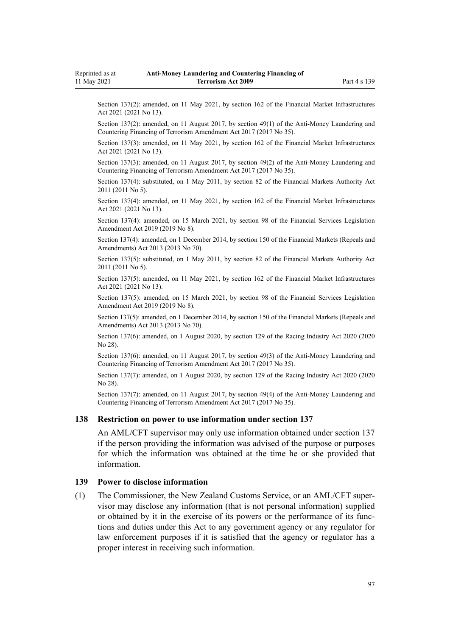<span id="page-96-0"></span>Section 137(2): amended, on 11 May 2021, by [section 162](http://legislation.govt.nz/pdflink.aspx?id=LMS464809) of the Financial Market Infrastructures Act 2021 (2021 No 13).

Section 137(2): amended, on 11 August 2017, by [section 49\(1\)](http://legislation.govt.nz/pdflink.aspx?id=DLM7161328) of the Anti-Money Laundering and Countering Financing of Terrorism Amendment Act 2017 (2017 No 35).

Section 137(3): amended, on 11 May 2021, by [section 162](http://legislation.govt.nz/pdflink.aspx?id=LMS464809) of the Financial Market Infrastructures Act 2021 (2021 No 13).

Section 137(3): amended, on 11 August 2017, by [section 49\(2\)](http://legislation.govt.nz/pdflink.aspx?id=DLM7161328) of the Anti-Money Laundering and Countering Financing of Terrorism Amendment Act 2017 (2017 No 35).

Section 137(4): substituted, on 1 May 2011, by [section 82](http://legislation.govt.nz/pdflink.aspx?id=DLM3231793) of the Financial Markets Authority Act 2011 (2011 No 5).

Section 137(4): amended, on 11 May 2021, by [section 162](http://legislation.govt.nz/pdflink.aspx?id=LMS464809) of the Financial Market Infrastructures Act 2021 (2021 No 13).

Section 137(4): amended, on 15 March 2021, by [section 98](http://legislation.govt.nz/pdflink.aspx?id=DLM7386624) of the Financial Services Legislation Amendment Act 2019 (2019 No 8).

Section 137(4): amended, on 1 December 2014, by [section 150](http://legislation.govt.nz/pdflink.aspx?id=DLM5561603) of the Financial Markets (Repeals and Amendments) Act 2013 (2013 No 70).

Section 137(5): substituted, on 1 May 2011, by [section 82](http://legislation.govt.nz/pdflink.aspx?id=DLM3231793) of the Financial Markets Authority Act 2011 (2011 No 5).

Section 137(5): amended, on 11 May 2021, by [section 162](http://legislation.govt.nz/pdflink.aspx?id=LMS464809) of the Financial Market Infrastructures Act 2021 (2021 No 13).

Section 137(5): amended, on 15 March 2021, by [section 98](http://legislation.govt.nz/pdflink.aspx?id=DLM7386624) of the Financial Services Legislation Amendment Act 2019 (2019 No 8).

Section 137(5): amended, on 1 December 2014, by [section 150](http://legislation.govt.nz/pdflink.aspx?id=DLM5561603) of the Financial Markets (Repeals and Amendments) Act 2013 (2013 No 70).

Section 137(6): amended, on 1 August 2020, by [section 129](http://legislation.govt.nz/pdflink.aspx?id=LMS292230) of the Racing Industry Act 2020 (2020 No 28).

Section 137(6): amended, on 11 August 2017, by [section 49\(3\)](http://legislation.govt.nz/pdflink.aspx?id=DLM7161328) of the Anti-Money Laundering and Countering Financing of Terrorism Amendment Act 2017 (2017 No 35).

Section 137(7): amended, on 1 August 2020, by [section 129](http://legislation.govt.nz/pdflink.aspx?id=LMS292230) of the Racing Industry Act 2020 (2020 No 28).

Section 137(7): amended, on 11 August 2017, by [section 49\(4\)](http://legislation.govt.nz/pdflink.aspx?id=DLM7161328) of the Anti-Money Laundering and Countering Financing of Terrorism Amendment Act 2017 (2017 No 35).

#### **138 Restriction on power to use information under section 137**

An AML/CFT supervisor may only use information obtained under [section 137](#page-95-0) if the person providing the information was advised of the purpose or purposes for which the information was obtained at the time he or she provided that information.

#### **139 Power to disclose information**

(1) The Commissioner, the New Zealand Customs Service, or an AML/CFT super‐ visor may disclose any information (that is not personal information) supplied or obtained by it in the exercise of its powers or the performance of its func‐ tions and duties under this Act to any government agency or any regulator for law enforcement purposes if it is satisfied that the agency or regulator has a proper interest in receiving such information.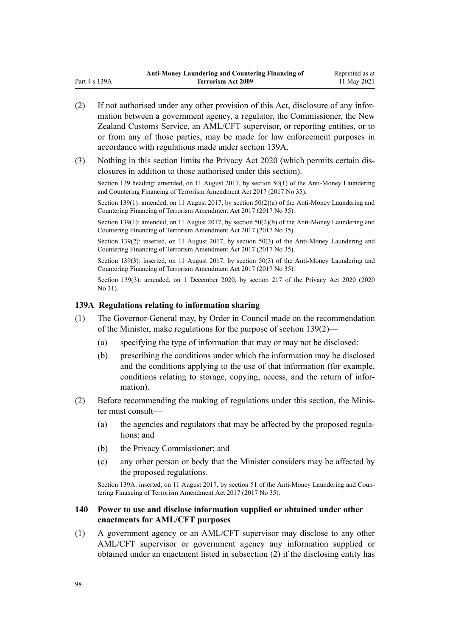- (2) If not authorised under any other provision of this Act, disclosure of any infor‐ mation between a government agency, a regulator, the Commissioner, the New Zealand Customs Service, an AML/CFT supervisor, or reporting entities, or to or from any of those parties, may be made for law enforcement purposes in accordance with regulations made under section 139A.
- (3) Nothing in this section limits the [Privacy Act 2020](http://legislation.govt.nz/pdflink.aspx?id=LMS23193) (which permits certain dis‐ closures in addition to those authorised under this section).

Section 139 heading: amended, on 11 August 2017, by [section 50\(1\)](http://legislation.govt.nz/pdflink.aspx?id=DLM7161329) of the Anti-Money Laundering and Countering Financing of Terrorism Amendment Act 2017 (2017 No 35).

Section 139(1): amended, on 11 August 2017, by [section 50\(2\)\(a\)](http://legislation.govt.nz/pdflink.aspx?id=DLM7161329) of the Anti-Money Laundering and Countering Financing of Terrorism Amendment Act 2017 (2017 No 35).

Section 139(1): amended, on 11 August 2017, by [section 50\(2\)\(b\)](http://legislation.govt.nz/pdflink.aspx?id=DLM7161329) of the Anti-Money Laundering and Countering Financing of Terrorism Amendment Act 2017 (2017 No 35).

Section 139(2): inserted, on 11 August 2017, by [section 50\(3\)](http://legislation.govt.nz/pdflink.aspx?id=DLM7161329) of the Anti-Money Laundering and Countering Financing of Terrorism Amendment Act 2017 (2017 No 35).

Section 139(3): inserted, on 11 August 2017, by [section 50\(3\)](http://legislation.govt.nz/pdflink.aspx?id=DLM7161329) of the Anti-Money Laundering and Countering Financing of Terrorism Amendment Act 2017 (2017 No 35).

Section 139(3): amended, on 1 December 2020, by [section 217](http://legislation.govt.nz/pdflink.aspx?id=LMS23706) of the Privacy Act 2020 (2020) No 31).

### **139A Regulations relating to information sharing**

- (1) The Governor-General may, by Order in Council made on the recommendation of the Minister, make regulations for the purpose of [section 139\(2\)—](#page-96-0)
	- (a) specifying the type of information that may or may not be disclosed:
	- (b) prescribing the conditions under which the information may be disclosed and the conditions applying to the use of that information (for example, conditions relating to storage, copying, access, and the return of information).
- (2) Before recommending the making of regulations under this section, the Minis‐ ter must consult—
	- (a) the agencies and regulators that may be affected by the proposed regula‐ tions; and
	- (b) the Privacy Commissioner; and
	- (c) any other person or body that the Minister considers may be affected by the proposed regulations.

Section 139A: inserted, on 11 August 2017, by [section 51](http://legislation.govt.nz/pdflink.aspx?id=DLM7340635) of the Anti-Money Laundering and Countering Financing of Terrorism Amendment Act 2017 (2017 No 35).

## **140 Power to use and disclose information supplied or obtained under other enactments for AML/CFT purposes**

(1) A government agency or an AML/CFT supervisor may disclose to any other AML/CFT supervisor or government agency any information supplied or obtained under an enactment listed in subsection (2) if the disclosing entity has

Part 4 s 139A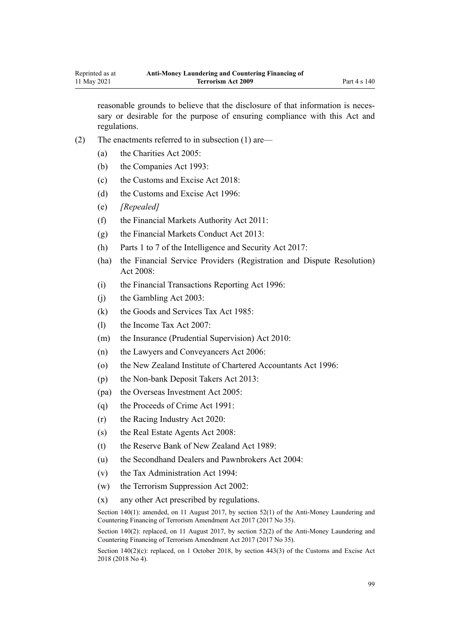reasonable grounds to believe that the disclosure of that information is necessary or desirable for the purpose of ensuring compliance with this Act and regulations.

- (2) The enactments referred to in subsection (1) are—
	- (a) the [Charities Act 2005](http://legislation.govt.nz/pdflink.aspx?id=DLM344367):
	- (b) the [Companies Act 1993](http://legislation.govt.nz/pdflink.aspx?id=DLM319569):
	- (c) the [Customs and Excise Act 2018:](http://legislation.govt.nz/pdflink.aspx?id=DLM7038920)
	- (d) the [Customs and Excise Act 1996:](http://legislation.govt.nz/pdflink.aspx?id=DLM377336)
	- (e) *[Repealed]*
	- (f) the [Financial Markets Authority Act 2011](http://legislation.govt.nz/pdflink.aspx?id=DLM3231004):
	- (g) the [Financial Markets Conduct Act 2013:](http://legislation.govt.nz/pdflink.aspx?id=DLM4090503)
	- (h) [Parts 1 to 7](http://legislation.govt.nz/pdflink.aspx?id=DLM6920828) of the Intelligence and Security Act 2017:
	- (ha) the [Financial Service Providers \(Registration and Dispute Resolution\)](http://legislation.govt.nz/pdflink.aspx?id=DLM1109400) [Act 2008:](http://legislation.govt.nz/pdflink.aspx?id=DLM1109400)
	- (i) the [Financial Transactions Reporting Act 1996](http://legislation.govt.nz/pdflink.aspx?id=DLM373803):
	- (j) the [Gambling Act 2003](http://legislation.govt.nz/pdflink.aspx?id=DLM207496):
	- (k) the [Goods and Services Tax Act 1985:](http://legislation.govt.nz/pdflink.aspx?id=DLM81034)
	- (l) the [Income Tax Act 2007:](http://legislation.govt.nz/pdflink.aspx?id=DLM1512300)
	- (m) the [Insurance \(Prudential Supervision\) Act 2010:](http://legislation.govt.nz/pdflink.aspx?id=DLM2478100)
	- (n) the [Lawyers and Conveyancers Act 2006:](http://legislation.govt.nz/pdflink.aspx?id=DLM364938)
	- (o) the [New Zealand Institute of Chartered Accountants Act 1996:](http://legislation.govt.nz/pdflink.aspx?id=DLM391363)
	- (p) the [Non-bank Deposit Takers Act 2013](http://legislation.govt.nz/pdflink.aspx?id=DLM3918902):
	- (pa) the [Overseas Investment Act 2005:](http://legislation.govt.nz/pdflink.aspx?id=DLM356880)
	- (q) the [Proceeds of Crime Act 1991](http://legislation.govt.nz/pdflink.aspx?id=DLM250668):
	- (r) the [Racing Industry Act 2020](http://legislation.govt.nz/pdflink.aspx?id=LMS291909):
	- (s) the [Real Estate Agents Act 2008:](http://legislation.govt.nz/pdflink.aspx?id=DLM1151900)
	- (t) the [Reserve Bank of New Zealand Act 1989:](http://legislation.govt.nz/pdflink.aspx?id=DLM199363)
	- (u) the [Secondhand Dealers and Pawnbrokers Act 2004](http://legislation.govt.nz/pdflink.aspx?id=DLM305111):
	- (v) the [Tax Administration Act 1994](http://legislation.govt.nz/pdflink.aspx?id=DLM348342):
	- (w) the [Terrorism Suppression Act 2002:](http://legislation.govt.nz/pdflink.aspx?id=DLM151490)
	- (x) any other Act prescribed by regulations.

Section 140(1): amended, on 11 August 2017, by [section 52\(1\)](http://legislation.govt.nz/pdflink.aspx?id=DLM7161332) of the Anti-Money Laundering and Countering Financing of Terrorism Amendment Act 2017 (2017 No 35).

Section 140(2): replaced, on 11 August 2017, by [section 52\(2\)](http://legislation.govt.nz/pdflink.aspx?id=DLM7161332) of the Anti-Money Laundering and Countering Financing of Terrorism Amendment Act 2017 (2017 No 35).

Section  $140(2)(c)$ : replaced, on 1 October 2018, by section  $443(3)$  of the Customs and Excise Act 2018 (2018 No 4).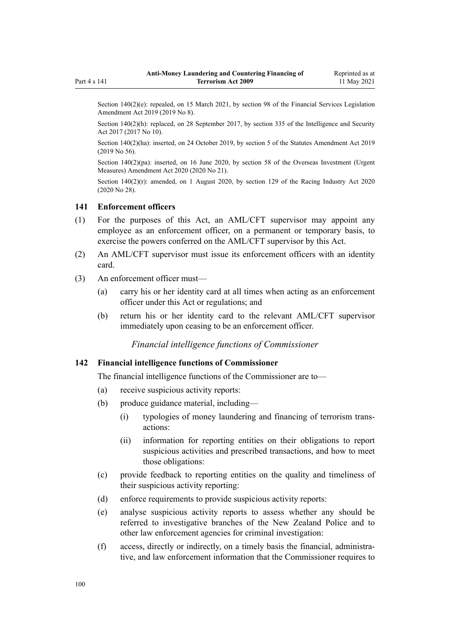<span id="page-99-0"></span>Section 140(2)(e): repealed, on 15 March 2021, by [section 98](http://legislation.govt.nz/pdflink.aspx?id=DLM7386624) of the Financial Services Legislation

Section 140(2)(h): replaced, on 28 September 2017, by [section 335](http://legislation.govt.nz/pdflink.aspx?id=DLM6921475) of the Intelligence and Security Act 2017 (2017 No 10).

Section 140(2)(ha): inserted, on 24 October 2019, by [section 5](http://legislation.govt.nz/pdflink.aspx?id=LMS58873) of the Statutes Amendment Act 2019 (2019 No 56).

Section 140(2)(pa): inserted, on 16 June 2020, by [section 58](http://legislation.govt.nz/pdflink.aspx?id=LMS342576) of the Overseas Investment (Urgent Measures) Amendment Act 2020 (2020 No 21).

Section  $140(2)(r)$ : amended, on 1 August 2020, by [section 129](http://legislation.govt.nz/pdflink.aspx?id=LMS292230) of the Racing Industry Act 2020 (2020 No 28).

## **141 Enforcement officers**

- (1) For the purposes of this Act, an AML/CFT supervisor may appoint any employee as an enforcement officer, on a permanent or temporary basis, to exercise the powers conferred on the AML/CFT supervisor by this Act.
- (2) An AML/CFT supervisor must issue its enforcement officers with an identity card.
- (3) An enforcement officer must—

Amendment Act 2019 (2019 No 8).

- (a) carry his or her identity card at all times when acting as an enforcement officer under this Act or regulations; and
- (b) return his or her identity card to the relevant AML/CFT supervisor immediately upon ceasing to be an enforcement officer.

*Financial intelligence functions of Commissioner*

## **142 Financial intelligence functions of Commissioner**

The financial intelligence functions of the Commissioner are to—

- (a) receive suspicious activity reports:
- (b) produce guidance material, including—
	- (i) typologies of money laundering and financing of terrorism trans‐ actions:
	- (ii) information for reporting entities on their obligations to report suspicious activities and prescribed transactions, and how to meet those obligations:
- (c) provide feedback to reporting entities on the quality and timeliness of their suspicious activity reporting:
- (d) enforce requirements to provide suspicious activity reports:
- (e) analyse suspicious activity reports to assess whether any should be referred to investigative branches of the New Zealand Police and to other law enforcement agencies for criminal investigation:
- (f) access, directly or indirectly, on a timely basis the financial, administra‐ tive, and law enforcement information that the Commissioner requires to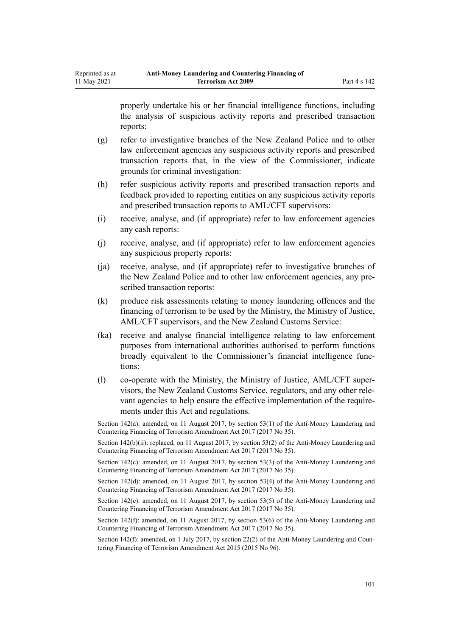properly undertake his or her financial intelligence functions, including the analysis of suspicious activity reports and prescribed transaction reports:

- (g) refer to investigative branches of the New Zealand Police and to other law enforcement agencies any suspicious activity reports and prescribed transaction reports that, in the view of the Commissioner, indicate grounds for criminal investigation:
- (h) refer suspicious activity reports and prescribed transaction reports and feedback provided to reporting entities on any suspicious activity reports and prescribed transaction reports to AML/CFT supervisors:
- (i) receive, analyse, and (if appropriate) refer to law enforcement agencies any cash reports:
- (j) receive, analyse, and (if appropriate) refer to law enforcement agencies any suspicious property reports:
- (ja) receive, analyse, and (if appropriate) refer to investigative branches of the New Zealand Police and to other law enforcement agencies, any pre‐ scribed transaction reports:
- (k) produce risk assessments relating to money laundering offences and the financing of terrorism to be used by the Ministry, the Ministry of Justice, AML/CFT supervisors, and the New Zealand Customs Service:
- (ka) receive and analyse financial intelligence relating to law enforcement purposes from international authorities authorised to perform functions broadly equivalent to the Commissioner's financial intelligence func‐ tions:
- (l) co-operate with the Ministry, the Ministry of Justice, AML/CFT super‐ visors, the New Zealand Customs Service, regulators, and any other rele‐ vant agencies to help ensure the effective implementation of the require‐ ments under this Act and regulations.

Section 142(a): amended, on 11 August 2017, by [section 53\(1\)](http://legislation.govt.nz/pdflink.aspx?id=DLM7161335) of the Anti-Money Laundering and Countering Financing of Terrorism Amendment Act 2017 (2017 No 35).

Section 142(b)(ii): replaced, on 11 August 2017, by [section 53\(2\)](http://legislation.govt.nz/pdflink.aspx?id=DLM7161335) of the Anti-Money Laundering and Countering Financing of Terrorism Amendment Act 2017 (2017 No 35).

Section 142(c): amended, on 11 August 2017, by [section 53\(3\)](http://legislation.govt.nz/pdflink.aspx?id=DLM7161335) of the Anti-Money Laundering and Countering Financing of Terrorism Amendment Act 2017 (2017 No 35).

Section 142(d): amended, on 11 August 2017, by [section 53\(4\)](http://legislation.govt.nz/pdflink.aspx?id=DLM7161335) of the Anti-Money Laundering and Countering Financing of Terrorism Amendment Act 2017 (2017 No 35).

Section 142(e): amended, on 11 August 2017, by [section 53\(5\)](http://legislation.govt.nz/pdflink.aspx?id=DLM7161335) of the Anti-Money Laundering and Countering Financing of Terrorism Amendment Act 2017 (2017 No 35).

Section 142(f): amended, on 11 August 2017, by [section 53\(6\)](http://legislation.govt.nz/pdflink.aspx?id=DLM7161335) of the Anti-Money Laundering and Countering Financing of Terrorism Amendment Act 2017 (2017 No 35).

Section 142(f): amended, on 1 July 2017, by [section 22\(2\)](http://legislation.govt.nz/pdflink.aspx?id=DLM6602241) of the Anti-Money Laundering and Countering Financing of Terrorism Amendment Act 2015 (2015 No 96).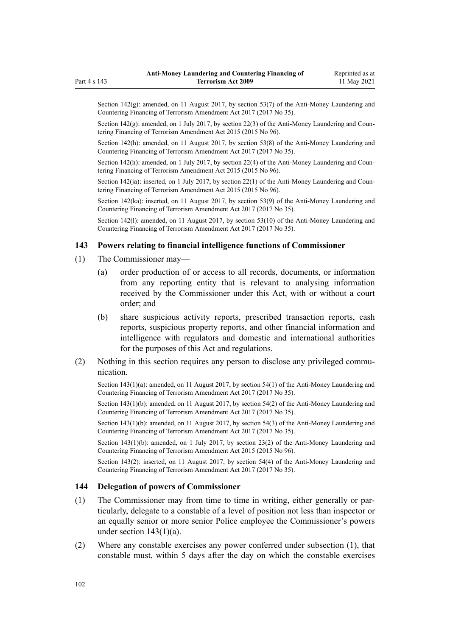Section  $142(g)$ : amended, on 11 August 2017, by [section 53\(7\)](http://legislation.govt.nz/pdflink.aspx?id=DLM7161335) of the Anti-Money Laundering and Countering Financing of Terrorism Amendment Act 2017 (2017 No 35).

Section  $142(g)$ : amended, on 1 July 2017, by [section 22\(3\)](http://legislation.govt.nz/pdflink.aspx?id=DLM6602241) of the Anti-Money Laundering and Countering Financing of Terrorism Amendment Act 2015 (2015 No 96).

Section 142(h): amended, on 11 August 2017, by [section 53\(8\)](http://legislation.govt.nz/pdflink.aspx?id=DLM7161335) of the Anti-Money Laundering and Countering Financing of Terrorism Amendment Act 2017 (2017 No 35).

Section 142(h): amended, on 1 July 2017, by [section 22\(4\)](http://legislation.govt.nz/pdflink.aspx?id=DLM6602241) of the Anti-Money Laundering and Countering Financing of Terrorism Amendment Act 2015 (2015 No 96).

Section  $142(ia)$ : inserted, on 1 July 2017, by [section 22\(1\)](http://legislation.govt.nz/pdflink.aspx?id=DLM6602241) of the Anti-Money Laundering and Countering Financing of Terrorism Amendment Act 2015 (2015 No 96).

Section 142(ka): inserted, on 11 August 2017, by [section 53\(9\)](http://legislation.govt.nz/pdflink.aspx?id=DLM7161335) of the Anti-Money Laundering and Countering Financing of Terrorism Amendment Act 2017 (2017 No 35).

Section 142(1): amended, on 11 August 2017, by [section 53\(10\)](http://legislation.govt.nz/pdflink.aspx?id=DLM7161335) of the Anti-Money Laundering and Countering Financing of Terrorism Amendment Act 2017 (2017 No 35).

#### **143 Powers relating to financial intelligence functions of Commissioner**

- (1) The Commissioner may—
	- (a) order production of or access to all records, documents, or information from any reporting entity that is relevant to analysing information received by the Commissioner under this Act, with or without a court order; and
	- (b) share suspicious activity reports, prescribed transaction reports, cash reports, suspicious property reports, and other financial information and intelligence with regulators and domestic and international authorities for the purposes of this Act and regulations.
- (2) Nothing in this section requires any person to disclose any privileged communication.

Section 143(1)(a): amended, on 11 August 2017, by [section 54\(1\)](http://legislation.govt.nz/pdflink.aspx?id=DLM7161336) of the Anti-Money Laundering and Countering Financing of Terrorism Amendment Act 2017 (2017 No 35).

Section 143(1)(b): amended, on 11 August 2017, by [section 54\(2\)](http://legislation.govt.nz/pdflink.aspx?id=DLM7161336) of the Anti-Money Laundering and Countering Financing of Terrorism Amendment Act 2017 (2017 No 35).

Section 143(1)(b): amended, on 11 August 2017, by [section 54\(3\)](http://legislation.govt.nz/pdflink.aspx?id=DLM7161336) of the Anti-Money Laundering and Countering Financing of Terrorism Amendment Act 2017 (2017 No 35).

Section 143(1)(b): amended, on 1 July 2017, by [section 23\(2\)](http://legislation.govt.nz/pdflink.aspx?id=DLM6602242) of the Anti-Money Laundering and Countering Financing of Terrorism Amendment Act 2015 (2015 No 96).

Section 143(2): inserted, on 11 August 2017, by [section 54\(4\)](http://legislation.govt.nz/pdflink.aspx?id=DLM7161336) of the Anti-Money Laundering and Countering Financing of Terrorism Amendment Act 2017 (2017 No 35).

### **144 Delegation of powers of Commissioner**

- (1) The Commissioner may from time to time in writing, either generally or par‐ ticularly, delegate to a constable of a level of position not less than inspector or an equally senior or more senior Police employee the Commissioner's powers under section  $143(1)(a)$ .
- (2) Where any constable exercises any power conferred under subsection (1), that constable must, within 5 days after the day on which the constable exercises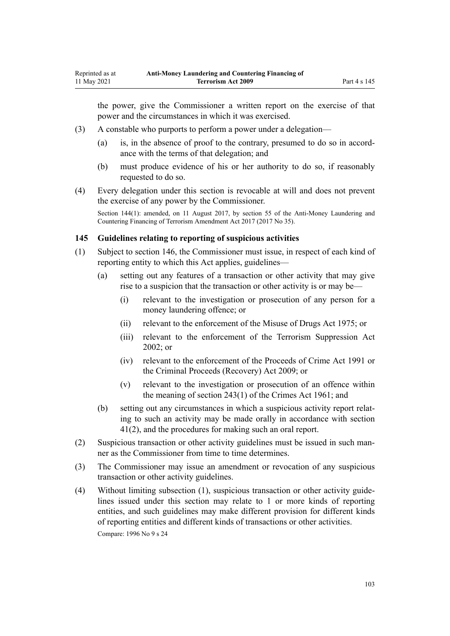<span id="page-102-0"></span>the power, give the Commissioner a written report on the exercise of that power and the circumstances in which it was exercised.

- (3) A constable who purports to perform a power under a delegation—
	- (a) is, in the absence of proof to the contrary, presumed to do so in accord‐ ance with the terms of that delegation; and
	- (b) must produce evidence of his or her authority to do so, if reasonably requested to do so.
- (4) Every delegation under this section is revocable at will and does not prevent the exercise of any power by the Commissioner.

Section 144(1): amended, on 11 August 2017, by [section 55](http://legislation.govt.nz/pdflink.aspx?id=DLM7161338) of the Anti-Money Laundering and Countering Financing of Terrorism Amendment Act 2017 (2017 No 35).

## **145 Guidelines relating to reporting of suspicious activities**

- (1) Subject to [section 146,](#page-103-0) the Commissioner must issue, in respect of each kind of reporting entity to which this Act applies, guidelines—
	- (a) setting out any features of a transaction or other activity that may give rise to a suspicion that the transaction or other activity is or may be—
		- (i) relevant to the investigation or prosecution of any person for a money laundering offence; or
		- (ii) relevant to the enforcement of the [Misuse of Drugs Act 1975;](http://legislation.govt.nz/pdflink.aspx?id=DLM436100) or
		- (iii) relevant to the enforcement of the [Terrorism Suppression Act](http://legislation.govt.nz/pdflink.aspx?id=DLM151490) [2002](http://legislation.govt.nz/pdflink.aspx?id=DLM151490); or
		- (iv) relevant to the enforcement of the [Proceeds of Crime Act 1991](http://legislation.govt.nz/pdflink.aspx?id=DLM250668) or the [Criminal Proceeds \(Recovery\) Act 2009](http://legislation.govt.nz/pdflink.aspx?id=BILL-SCDRAFT-7242); or
		- (v) relevant to the investigation or prosecution of an offence within the meaning of [section 243\(1\)](http://legislation.govt.nz/pdflink.aspx?id=DLM330289) of the Crimes Act 1961; and
	- (b) setting out any circumstances in which a suspicious activity report relat‐ ing to such an activity may be made orally in accordance with [section](#page-51-0) [41\(2\)](#page-51-0), and the procedures for making such an oral report.
- (2) Suspicious transaction or other activity guidelines must be issued in such man‐ ner as the Commissioner from time to time determines.
- (3) The Commissioner may issue an amendment or revocation of any suspicious transaction or other activity guidelines.
- (4) Without limiting subsection (1), suspicious transaction or other activity guide‐ lines issued under this section may relate to 1 or more kinds of reporting entities, and such guidelines may make different provision for different kinds of reporting entities and different kinds of transactions or other activities.

Compare: 1996 No 9 [s 24](http://legislation.govt.nz/pdflink.aspx?id=DLM374123)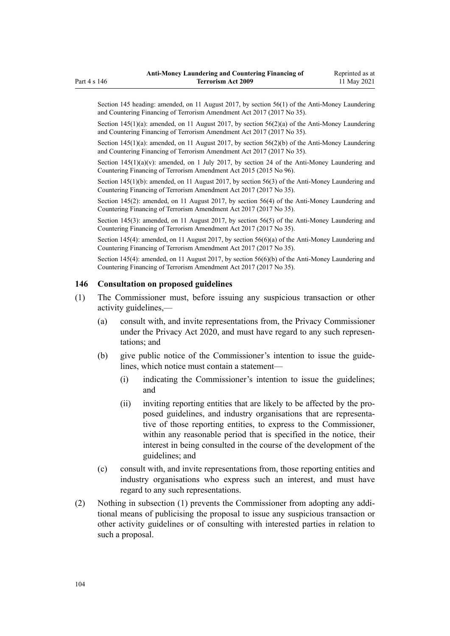<span id="page-103-0"></span>Section 145 heading: amended, on 11 August 2017, by [section 56\(1\)](http://legislation.govt.nz/pdflink.aspx?id=DLM7161339) of the Anti-Money Laundering and Countering Financing of Terrorism Amendment Act 2017 (2017 No 35).

Section 145(1)(a): amended, on 11 August 2017, by section  $56(2)(a)$  of the Anti-Money Laundering and Countering Financing of Terrorism Amendment Act 2017 (2017 No 35).

Section 145(1)(a): amended, on 11 August 2017, by [section 56\(2\)\(b\)](http://legislation.govt.nz/pdflink.aspx?id=DLM7161339) of the Anti-Money Laundering and Countering Financing of Terrorism Amendment Act 2017 (2017 No 35).

Section  $145(1)(a)(v)$ : amended, on 1 July 2017, by [section 24](http://legislation.govt.nz/pdflink.aspx?id=DLM6602243) of the Anti-Money Laundering and Countering Financing of Terrorism Amendment Act 2015 (2015 No 96).

Section 145(1)(b): amended, on 11 August 2017, by [section 56\(3\)](http://legislation.govt.nz/pdflink.aspx?id=DLM7161339) of the Anti-Money Laundering and Countering Financing of Terrorism Amendment Act 2017 (2017 No 35).

Section 145(2): amended, on 11 August 2017, by [section 56\(4\)](http://legislation.govt.nz/pdflink.aspx?id=DLM7161339) of the Anti-Money Laundering and Countering Financing of Terrorism Amendment Act 2017 (2017 No 35).

Section 145(3): amended, on 11 August 2017, by [section 56\(5\)](http://legislation.govt.nz/pdflink.aspx?id=DLM7161339) of the Anti-Money Laundering and Countering Financing of Terrorism Amendment Act 2017 (2017 No 35).

Section 145(4): amended, on 11 August 2017, by [section 56\(6\)\(a\)](http://legislation.govt.nz/pdflink.aspx?id=DLM7161339) of the Anti-Money Laundering and Countering Financing of Terrorism Amendment Act 2017 (2017 No 35).

Section 145(4): amended, on 11 August 2017, by [section 56\(6\)\(b\)](http://legislation.govt.nz/pdflink.aspx?id=DLM7161339) of the Anti-Money Laundering and Countering Financing of Terrorism Amendment Act 2017 (2017 No 35).

## **146 Consultation on proposed guidelines**

- (1) The Commissioner must, before issuing any suspicious transaction or other activity guidelines,—
	- (a) consult with, and invite representations from, the Privacy Commissioner under the [Privacy Act 2020](http://legislation.govt.nz/pdflink.aspx?id=LMS23193), and must have regard to any such representations; and
	- (b) give public notice of the Commissioner's intention to issue the guide‐ lines, which notice must contain a statement—
		- (i) indicating the Commissioner's intention to issue the guidelines; and
		- (ii) inviting reporting entities that are likely to be affected by the pro‐ posed guidelines, and industry organisations that are representative of those reporting entities, to express to the Commissioner, within any reasonable period that is specified in the notice, their interest in being consulted in the course of the development of the guidelines; and
	- (c) consult with, and invite representations from, those reporting entities and industry organisations who express such an interest, and must have regard to any such representations.
- (2) Nothing in subsection (1) prevents the Commissioner from adopting any addi‐ tional means of publicising the proposal to issue any suspicious transaction or other activity guidelines or of consulting with interested parties in relation to such a proposal.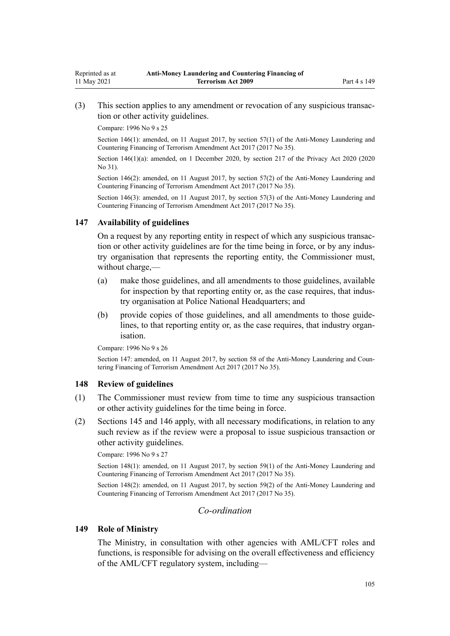(3) This section applies to any amendment or revocation of any suspicious transac‐ tion or other activity guidelines.

Compare: 1996 No 9 [s 25](http://legislation.govt.nz/pdflink.aspx?id=DLM374124)

Section 146(1): amended, on 11 August 2017, by [section 57\(1\)](http://legislation.govt.nz/pdflink.aspx?id=DLM7161340) of the Anti-Money Laundering and Countering Financing of Terrorism Amendment Act 2017 (2017 No 35).

Section 146(1)(a): amended, on 1 December 2020, by [section 217](http://legislation.govt.nz/pdflink.aspx?id=LMS23706) of the Privacy Act 2020 (2020 No 31).

Section 146(2): amended, on 11 August 2017, by [section 57\(2\)](http://legislation.govt.nz/pdflink.aspx?id=DLM7161340) of the Anti-Money Laundering and Countering Financing of Terrorism Amendment Act 2017 (2017 No 35).

Section 146(3): amended, on 11 August 2017, by [section 57\(3\)](http://legislation.govt.nz/pdflink.aspx?id=DLM7161340) of the Anti-Money Laundering and Countering Financing of Terrorism Amendment Act 2017 (2017 No 35).

#### **147 Availability of guidelines**

On a request by any reporting entity in respect of which any suspicious transac‐ tion or other activity guidelines are for the time being in force, or by any indus‐ try organisation that represents the reporting entity, the Commissioner must, without charge,—

- (a) make those guidelines, and all amendments to those guidelines, available for inspection by that reporting entity or, as the case requires, that industry organisation at Police National Headquarters; and
- (b) provide copies of those guidelines, and all amendments to those guide‐ lines, to that reporting entity or, as the case requires, that industry organisation.

Compare: 1996 No 9 [s 26](http://legislation.govt.nz/pdflink.aspx?id=DLM374125)

Section 147: amended, on 11 August 2017, by [section 58](http://legislation.govt.nz/pdflink.aspx?id=DLM7161341) of the Anti-Money Laundering and Countering Financing of Terrorism Amendment Act 2017 (2017 No 35).

### **148 Review of guidelines**

- (1) The Commissioner must review from time to time any suspicious transaction or other activity guidelines for the time being in force.
- (2) [Sections 145](#page-102-0) and [146](#page-103-0) apply, with all necessary modifications, in relation to any such review as if the review were a proposal to issue suspicious transaction or other activity guidelines.

Compare: 1996 No 9 [s 27](http://legislation.govt.nz/pdflink.aspx?id=DLM374126)

Section 148(1): amended, on 11 August 2017, by [section 59\(1\)](http://legislation.govt.nz/pdflink.aspx?id=DLM7161342) of the Anti-Money Laundering and Countering Financing of Terrorism Amendment Act 2017 (2017 No 35).

Section 148(2): amended, on 11 August 2017, by [section 59\(2\)](http://legislation.govt.nz/pdflink.aspx?id=DLM7161342) of the Anti-Money Laundering and Countering Financing of Terrorism Amendment Act 2017 (2017 No 35).

## *Co-ordination*

### **149 Role of Ministry**

The Ministry, in consultation with other agencies with AML/CFT roles and functions, is responsible for advising on the overall effectiveness and efficiency of the AML/CFT regulatory system, including—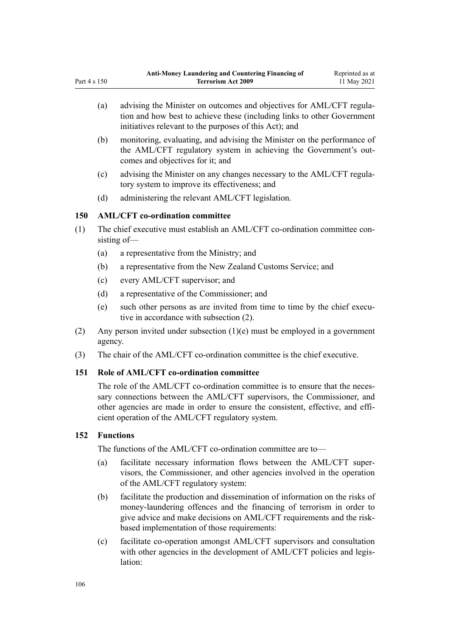- (a) advising the Minister on outcomes and objectives for AML/CFT regulation and how best to achieve these (including links to other Government initiatives relevant to the purposes of this Act); and
- (b) monitoring, evaluating, and advising the Minister on the performance of the AML/CFT regulatory system in achieving the Government's out‐ comes and objectives for it; and
- (c) advising the Minister on any changes necessary to the AML/CFT regula‐ tory system to improve its effectiveness; and
- (d) administering the relevant AML/CFT legislation.

# **150 AML/CFT co-ordination committee**

- $(1)$  The chief executive must establish an AML/CFT co-ordination committee consisting of—
	- (a) a representative from the Ministry; and
	- (b) a representative from the New Zealand Customs Service; and
	- (c) every AML/CFT supervisor; and
	- (d) a representative of the Commissioner; and
	- (e) such other persons as are invited from time to time by the chief executive in accordance with subsection (2).
- (2) Any person invited under subsection  $(1)(e)$  must be employed in a government agency.
- (3) The chair of the AML/CFT co-ordination committee is the chief executive.

## **151 Role of AML/CFT co-ordination committee**

The role of the AML/CFT co-ordination committee is to ensure that the necessary connections between the AML/CFT supervisors, the Commissioner, and other agencies are made in order to ensure the consistent, effective, and efficient operation of the AML/CFT regulatory system.

## **152 Functions**

Part 4 s 150

The functions of the AML/CFT co-ordination committee are to—

- (a) facilitate necessary information flows between the AML/CFT super‐ visors, the Commissioner, and other agencies involved in the operation of the AML/CFT regulatory system:
- (b) facilitate the production and dissemination of information on the risks of money-laundering offences and the financing of terrorism in order to give advice and make decisions on AML/CFT requirements and the riskbased implementation of those requirements:
- (c) facilitate co-operation amongst AML/CFT supervisors and consultation with other agencies in the development of AML/CFT policies and legislation: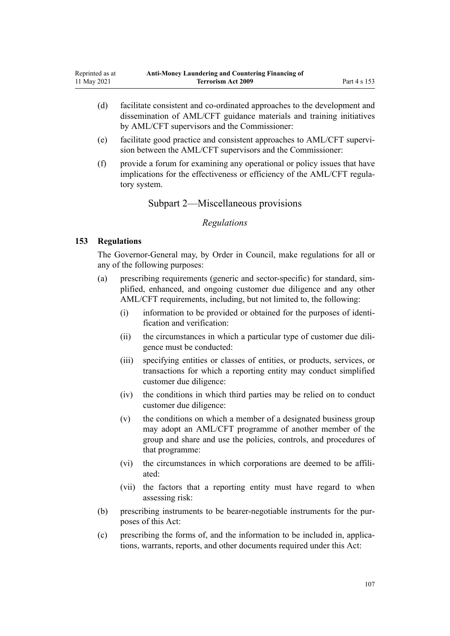- <span id="page-106-0"></span>(d) facilitate consistent and co-ordinated approaches to the development and dissemination of AML/CFT guidance materials and training initiatives by AML/CFT supervisors and the Commissioner:
- (e) facilitate good practice and consistent approaches to AML/CFT supervi‐ sion between the AML/CFT supervisors and the Commissioner:
- (f) provide a forum for examining any operational or policy issues that have implications for the effectiveness or efficiency of the AML/CFT regulatory system.

Subpart 2—Miscellaneous provisions

## *Regulations*

## **153 Regulations**

The Governor-General may, by Order in Council, make regulations for all or any of the following purposes:

- (a) prescribing requirements (generic and sector-specific) for standard, sim‐ plified, enhanced, and ongoing customer due diligence and any other AML/CFT requirements, including, but not limited to, the following:
	- (i) information to be provided or obtained for the purposes of identi‐ fication and verification:
	- (ii) the circumstances in which a particular type of customer due diligence must be conducted:
	- (iii) specifying entities or classes of entities, or products, services, or transactions for which a reporting entity may conduct simplified customer due diligence:
	- (iv) the conditions in which third parties may be relied on to conduct customer due diligence:
	- (v) the conditions on which a member of a designated business group may adopt an AML/CFT programme of another member of the group and share and use the policies, controls, and procedures of that programme:
	- (vi) the circumstances in which corporations are deemed to be affiliated:
	- (vii) the factors that a reporting entity must have regard to when assessing risk:
- (b) prescribing instruments to be bearer-negotiable instruments for the purposes of this Act:
- (c) prescribing the forms of, and the information to be included in, applica‐ tions, warrants, reports, and other documents required under this Act: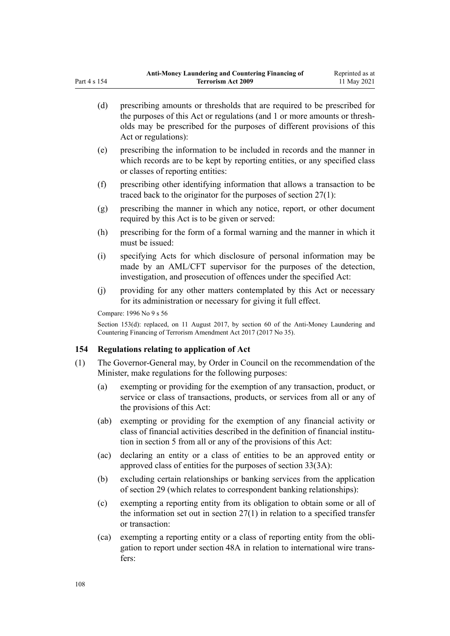|     | (d)                                                                                                                                                               | prescribing amounts or thresholds that are required to be prescribed for<br>the purposes of this Act or regulations (and 1 or more amounts or thresh-<br>olds may be prescribed for the purposes of different provisions of this<br>Act or regulations): |  |
|-----|-------------------------------------------------------------------------------------------------------------------------------------------------------------------|----------------------------------------------------------------------------------------------------------------------------------------------------------------------------------------------------------------------------------------------------------|--|
|     | (e)                                                                                                                                                               | prescribing the information to be included in records and the manner in<br>which records are to be kept by reporting entities, or any specified class<br>or classes of reporting entities:                                                               |  |
|     | (f)                                                                                                                                                               | prescribing other identifying information that allows a transaction to be<br>traced back to the originator for the purposes of section $27(1)$ :                                                                                                         |  |
|     | (g)                                                                                                                                                               | prescribing the manner in which any notice, report, or other document<br>required by this Act is to be given or served:                                                                                                                                  |  |
|     | (h)                                                                                                                                                               | prescribing for the form of a formal warning and the manner in which it<br>must be issued:                                                                                                                                                               |  |
|     | (i)                                                                                                                                                               | specifying Acts for which disclosure of personal information may be<br>made by an AML/CFT supervisor for the purposes of the detection,<br>investigation, and prosecution of offences under the specified Act:                                           |  |
|     | (j)                                                                                                                                                               | providing for any other matters contemplated by this Act or necessary<br>for its administration or necessary for giving it full effect.                                                                                                                  |  |
|     | Compare: 1996 No 9 s 56                                                                                                                                           |                                                                                                                                                                                                                                                          |  |
|     | Section 153(d): replaced, on 11 August 2017, by section 60 of the Anti-Money Laundering and<br>Countering Financing of Terrorism Amendment Act 2017 (2017 No 35). |                                                                                                                                                                                                                                                          |  |
| 154 |                                                                                                                                                                   | Regulations relating to application of Act                                                                                                                                                                                                               |  |
| (1) | The Governor-General may, by Order in Council on the recommendation of the<br>Minister, make regulations for the following purposes:                              |                                                                                                                                                                                                                                                          |  |
|     | (a)                                                                                                                                                               | exempting or providing for the exemption of any transaction, product, or<br>service or class of transactions, products, or services from all or any of<br>the provisions of this Act:                                                                    |  |
|     | (ab)                                                                                                                                                              | exempting or providing for the exemption of any financial activity or<br>class of financial activities described in the definition of financial institu-<br>tion in section 5 from all or any of the provisions of this Act:                             |  |
|     | (ac)                                                                                                                                                              | declaring an entity or a class of entities to be an approved entity or<br>approved class of entities for the purposes of section 33(3A):                                                                                                                 |  |
|     | (b)                                                                                                                                                               | excluding certain relationships or banking services from the application<br>of section 29 (which relates to correspondent banking relationships):                                                                                                        |  |
|     | (c)                                                                                                                                                               | exempting a reporting entity from its obligation to obtain some or all of<br>the information set out in section $27(1)$ in relation to a specified transfer                                                                                              |  |
|     |                                                                                                                                                                   |                                                                                                                                                                                                                                                          |  |

or transaction: (ca) exempting a reporting entity or a class of reporting entity from the obli‐ gation to report under [section 48A](#page-56-0) in relation to international wire trans‐ fers:

Part 4 s 154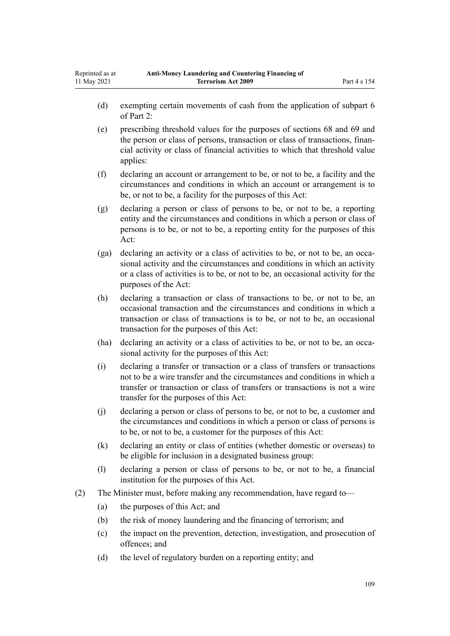- (d) exempting certain movements of cash from the application of [subpart 6](#page-68-0) of Part 2:
- (e) prescribing threshold values for the purposes of [sections 68](#page-68-0) and [69](#page-69-0) and the person or class of persons, transaction or class of transactions, finan‐ cial activity or class of financial activities to which that threshold value applies:
- (f) declaring an account or arrangement to be, or not to be, a facility and the circumstances and conditions in which an account or arrangement is to be, or not to be, a facility for the purposes of this Act:
- (g) declaring a person or class of persons to be, or not to be, a reporting entity and the circumstances and conditions in which a person or class of persons is to be, or not to be, a reporting entity for the purposes of this Act:
- (ga) declaring an activity or a class of activities to be, or not to be, an occasional activity and the circumstances and conditions in which an activity or a class of activities is to be, or not to be, an occasional activity for the purposes of the Act:
- (h) declaring a transaction or class of transactions to be, or not to be, an occasional transaction and the circumstances and conditions in which a transaction or class of transactions is to be, or not to be, an occasional transaction for the purposes of this Act:
- (ha) declaring an activity or a class of activities to be, or not to be, an occasional activity for the purposes of this Act:
- (i) declaring a transfer or transaction or a class of transfers or transactions not to be a wire transfer and the circumstances and conditions in which a transfer or transaction or class of transfers or transactions is not a wire transfer for the purposes of this Act:
- (j) declaring a person or class of persons to be, or not to be, a customer and the circumstances and conditions in which a person or class of persons is to be, or not to be, a customer for the purposes of this Act:
- (k) declaring an entity or class of entities (whether domestic or overseas) to be eligible for inclusion in a designated business group:
- (l) declaring a person or class of persons to be, or not to be, a financial institution for the purposes of this Act.
- (2) The Minister must, before making any recommendation, have regard to—
	- (a) the purposes of this Act; and
	- (b) the risk of money laundering and the financing of terrorism; and
	- (c) the impact on the prevention, detection, investigation, and prosecution of offences; and
	- (d) the level of regulatory burden on a reporting entity; and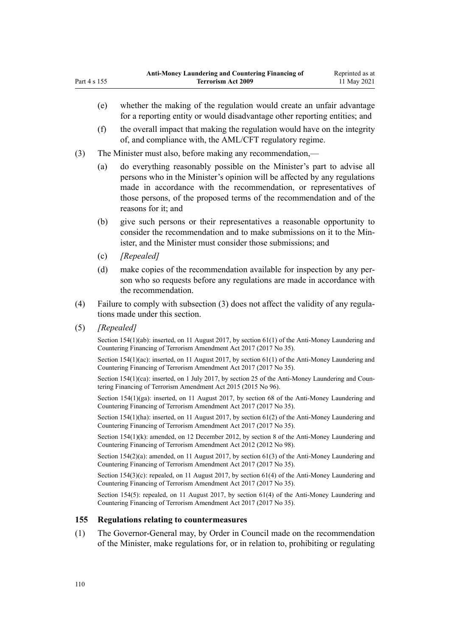- (f) the overall impact that making the regulation would have on the integrity of, and compliance with, the AML/CFT regulatory regime.
- (3) The Minister must also, before making any recommendation,—
	- (a) do everything reasonably possible on the Minister's part to advise all persons who in the Minister's opinion will be affected by any regulations made in accordance with the recommendation, or representatives of those persons, of the proposed terms of the recommendation and of the reasons for it; and
	- (b) give such persons or their representatives a reasonable opportunity to consider the recommendation and to make submissions on it to the Min‐ ister, and the Minister must consider those submissions; and
	- (c) *[Repealed]*
	- (d) make copies of the recommendation available for inspection by any person who so requests before any regulations are made in accordance with the recommendation.
- (4) Failure to comply with subsection (3) does not affect the validity of any regula‐ tions made under this section.
- (5) *[Repealed]*

Part 4 s 155

Section 154(1)(ab): inserted, on 11 August 2017, by [section 61\(1\)](http://legislation.govt.nz/pdflink.aspx?id=DLM7161344) of the Anti-Money Laundering and Countering Financing of Terrorism Amendment Act 2017 (2017 No 35).

Section 154(1)(ac): inserted, on 11 August 2017, by [section 61\(1\)](http://legislation.govt.nz/pdflink.aspx?id=DLM7161344) of the Anti-Money Laundering and Countering Financing of Terrorism Amendment Act 2017 (2017 No 35).

Section 154(1)(ca): inserted, on 1 July 2017, by [section 25](http://legislation.govt.nz/pdflink.aspx?id=DLM6602244) of the Anti-Money Laundering and Countering Financing of Terrorism Amendment Act 2015 (2015 No 96).

Section 154(1)(ga): inserted, on 11 August 2017, by [section 68](http://legislation.govt.nz/pdflink.aspx?id=DLM7340644) of the Anti-Money Laundering and Countering Financing of Terrorism Amendment Act 2017 (2017 No 35).

Section 154(1)(ha): inserted, on 11 August 2017, by [section 61\(2\)](http://legislation.govt.nz/pdflink.aspx?id=DLM7161344) of the Anti-Money Laundering and Countering Financing of Terrorism Amendment Act 2017 (2017 No 35).

Section 154(1)(k): amended, on 12 December 2012, by [section 8](http://legislation.govt.nz/pdflink.aspx?id=DLM4989306) of the Anti-Money Laundering and Countering Financing of Terrorism Amendment Act 2012 (2012 No 98).

Section 154(2)(a): amended, on 11 August 2017, by [section 61\(3\)](http://legislation.govt.nz/pdflink.aspx?id=DLM7161344) of the Anti-Money Laundering and Countering Financing of Terrorism Amendment Act 2017 (2017 No 35).

Section 154(3)(c): repealed, on 11 August 2017, by [section 61\(4\)](http://legislation.govt.nz/pdflink.aspx?id=DLM7161344) of the Anti-Money Laundering and Countering Financing of Terrorism Amendment Act 2017 (2017 No 35).

Section 154(5): repealed, on 11 August 2017, by [section 61\(4\)](http://legislation.govt.nz/pdflink.aspx?id=DLM7161344) of the Anti-Money Laundering and Countering Financing of Terrorism Amendment Act 2017 (2017 No 35).

## **155 Regulations relating to countermeasures**

(1) The Governor-General may, by Order in Council made on the recommendation of the Minister, make regulations for, or in relation to, prohibiting or regulating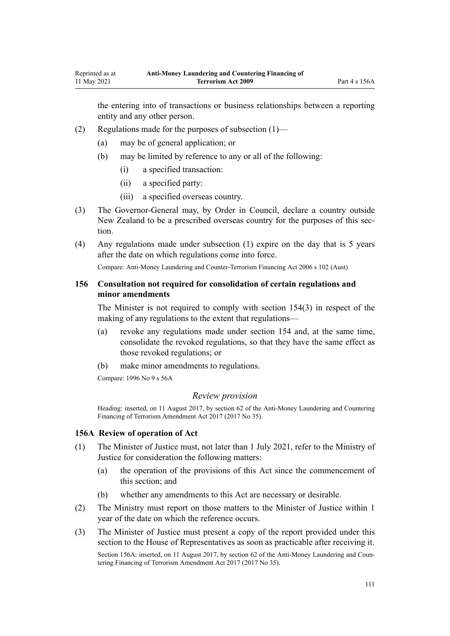the entering into of transactions or business relationships between a reporting entity and any other person.

- (2) Regulations made for the purposes of subsection (1)—
	- (a) may be of general application; or
	- (b) may be limited by reference to any or all of the following:
		- (i) a specified transaction:
		- (ii) a specified party:
		- (iii) a specified overseas country.
- (3) The Governor-General may, by Order in Council, declare a country outside New Zealand to be a prescribed overseas country for the purposes of this sec‐ tion.
- (4) Any regulations made under subsection (1) expire on the day that is 5 years after the date on which regulations come into force.

Compare: Anti-Money Laundering and Counter-Terrorism Financing Act 2006 s 102 (Aust)

# **156 Consultation not required for consolidation of certain regulations and minor amendments**

The Minister is not required to comply with [section 154\(3\)](#page-107-0) in respect of the making of any regulations to the extent that regulations—

- (a) revoke any regulations made under section 154 and, at the same time, consolidate the revoked regulations, so that they have the same effect as those revoked regulations; or
- (b) make minor amendments to regulations.

Compare: 1996 No 9 [s 56A](http://legislation.govt.nz/pdflink.aspx?id=DLM374192)

#### *Review provision*

Heading: inserted, on 11 August 2017, by [section 62](http://legislation.govt.nz/pdflink.aspx?id=DLM7161345) of the Anti-Money Laundering and Countering Financing of Terrorism Amendment Act 2017 (2017 No 35).

## **156A Review of operation of Act**

- (1) The Minister of Justice must, not later than 1 July 2021, refer to the Ministry of Justice for consideration the following matters:
	- (a) the operation of the provisions of this Act since the commencement of this section; and
	- (b) whether any amendments to this Act are necessary or desirable.
- (2) The Ministry must report on those matters to the Minister of Justice within 1 year of the date on which the reference occurs.
- (3) The Minister of Justice must present a copy of the report provided under this section to the House of Representatives as soon as practicable after receiving it. Section 156A: inserted, on 11 August 2017, by [section 62](http://legislation.govt.nz/pdflink.aspx?id=DLM7161345) of the Anti-Money Laundering and Countering Financing of Terrorism Amendment Act 2017 (2017 No 35).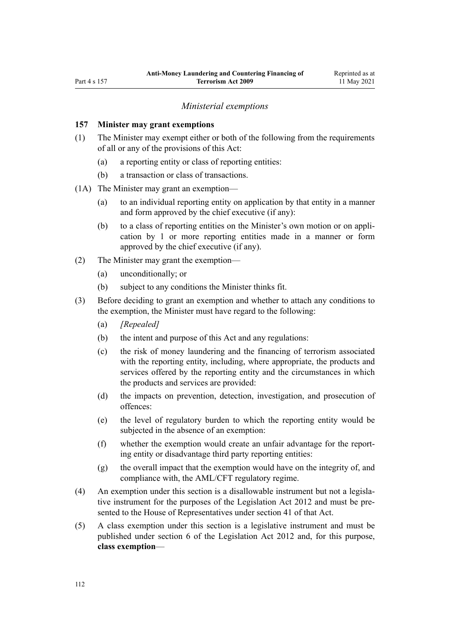#### *Ministerial exemptions*

### <span id="page-111-0"></span>**157 Minister may grant exemptions**

- (1) The Minister may exempt either or both of the following from the requirements of all or any of the provisions of this Act:
	- (a) a reporting entity or class of reporting entities:
	- (b) a transaction or class of transactions.
- (1A) The Minister may grant an exemption—
	- (a) to an individual reporting entity on application by that entity in a manner and form approved by the chief executive (if any):
	- (b) to a class of reporting entities on the Minister's own motion or on appli‐ cation by 1 or more reporting entities made in a manner or form approved by the chief executive (if any).
- (2) The Minister may grant the exemption—
	- (a) unconditionally; or
	- (b) subject to any conditions the Minister thinks fit.
- (3) Before deciding to grant an exemption and whether to attach any conditions to the exemption, the Minister must have regard to the following:
	- (a) *[Repealed]*
	- (b) the intent and purpose of this Act and any regulations:
	- (c) the risk of money laundering and the financing of terrorism associated with the reporting entity, including, where appropriate, the products and services offered by the reporting entity and the circumstances in which the products and services are provided:
	- (d) the impacts on prevention, detection, investigation, and prosecution of offences:
	- (e) the level of regulatory burden to which the reporting entity would be subjected in the absence of an exemption:
	- (f) whether the exemption would create an unfair advantage for the report‐ ing entity or disadvantage third party reporting entities:
	- (g) the overall impact that the exemption would have on the integrity of, and compliance with, the AML/CFT regulatory regime.
- (4) An exemption under this section is a disallowable instrument but not a legisla‐ tive instrument for the purposes of the [Legislation Act 2012](http://legislation.govt.nz/pdflink.aspx?id=DLM2997643) and must be presented to the House of Representatives under [section 41](http://legislation.govt.nz/pdflink.aspx?id=DLM2998573) of that Act.
- (5) A class exemption under this section is a legislative instrument and must be published under [section 6](http://legislation.govt.nz/pdflink.aspx?id=DLM2997696) of the Legislation Act 2012 and, for this purpose, **class exemption**—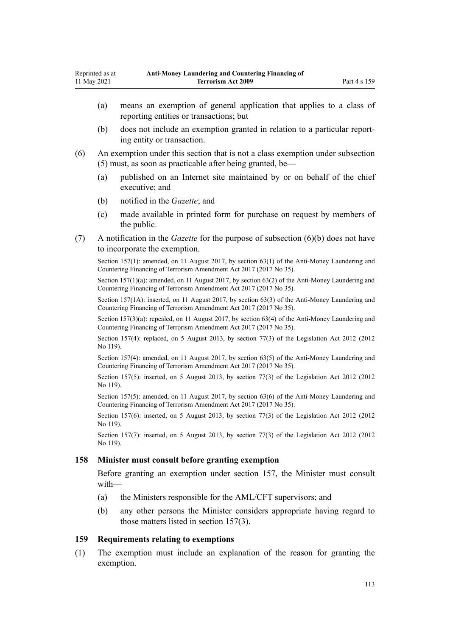- (a) means an exemption of general application that applies to a class of reporting entities or transactions; but
- (b) does not include an exemption granted in relation to a particular report‐ ing entity or transaction.
- (6) An exemption under this section that is not a class exemption under subsection (5) must, as soon as practicable after being granted, be—
	- (a) published on an Internet site maintained by or on behalf of the chief executive; and
	- (b) notified in the *Gazette*; and
	- (c) made available in printed form for purchase on request by members of the public.
- (7) A notification in the *Gazette* for the purpose of subsection (6)(b) does not have to incorporate the exemption.

Section 157(1): amended, on 11 August 2017, by [section 63\(1\)](http://legislation.govt.nz/pdflink.aspx?id=DLM7340637) of the Anti-Money Laundering and Countering Financing of Terrorism Amendment Act 2017 (2017 No 35).

Section 157(1)(a): amended, on 11 August 2017, by [section 63\(2\)](http://legislation.govt.nz/pdflink.aspx?id=DLM7340637) of the Anti-Money Laundering and Countering Financing of Terrorism Amendment Act 2017 (2017 No 35).

Section 157(1A): inserted, on 11 August 2017, by [section 63\(3\)](http://legislation.govt.nz/pdflink.aspx?id=DLM7340637) of the Anti-Money Laundering and Countering Financing of Terrorism Amendment Act 2017 (2017 No 35).

Section 157(3)(a): repealed, on 11 August 2017, by [section 63\(4\)](http://legislation.govt.nz/pdflink.aspx?id=DLM7340637) of the Anti-Money Laundering and Countering Financing of Terrorism Amendment Act 2017 (2017 No 35).

Section 157(4): replaced, on 5 August 2013, by [section 77\(3\)](http://legislation.govt.nz/pdflink.aspx?id=DLM2998633) of the Legislation Act 2012 (2012 No 119).

Section 157(4): amended, on 11 August 2017, by [section 63\(5\)](http://legislation.govt.nz/pdflink.aspx?id=DLM7340637) of the Anti-Money Laundering and Countering Financing of Terrorism Amendment Act 2017 (2017 No 35).

Section 157(5): inserted, on 5 August 2013, by [section 77\(3\)](http://legislation.govt.nz/pdflink.aspx?id=DLM2998633) of the Legislation Act 2012 (2012) No 119).

Section 157(5): amended, on 11 August 2017, by [section 63\(6\)](http://legislation.govt.nz/pdflink.aspx?id=DLM7340637) of the Anti-Money Laundering and Countering Financing of Terrorism Amendment Act 2017 (2017 No 35).

Section 157(6): inserted, on 5 August 2013, by [section 77\(3\)](http://legislation.govt.nz/pdflink.aspx?id=DLM2998633) of the Legislation Act 2012 (2012) No 119).

Section 157(7): inserted, on 5 August 2013, by [section 77\(3\)](http://legislation.govt.nz/pdflink.aspx?id=DLM2998633) of the Legislation Act 2012 (2012 No 119).

#### **158 Minister must consult before granting exemption**

Before granting an exemption under [section 157](#page-111-0), the Minister must consult with—

- (a) the Ministers responsible for the AML/CFT supervisors; and
- (b) any other persons the Minister considers appropriate having regard to those matters listed in section 157(3).

#### **159 Requirements relating to exemptions**

(1) The exemption must include an explanation of the reason for granting the exemption.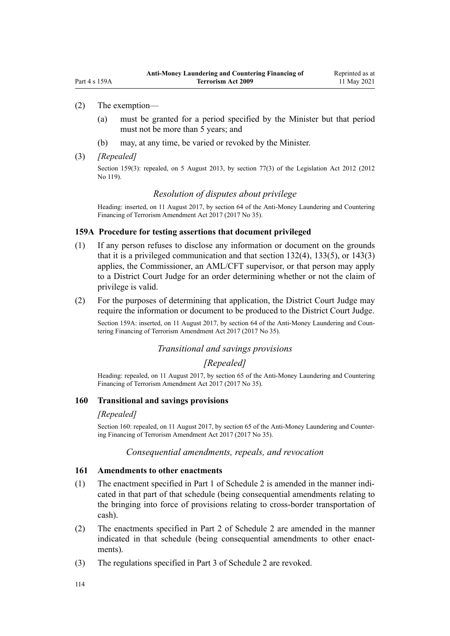## <span id="page-113-0"></span>(2) The exemption—

- (a) must be granted for a period specified by the Minister but that period must not be more than 5 years; and
- (b) may, at any time, be varied or revoked by the Minister.

#### (3) *[Repealed]*

Section 159(3): repealed, on 5 August 2013, by [section 77\(3\)](http://legislation.govt.nz/pdflink.aspx?id=DLM2998633) of the Legislation Act 2012 (2012 No 119).

# *Resolution of disputes about privilege*

Heading: inserted, on 11 August 2017, by [section 64](http://legislation.govt.nz/pdflink.aspx?id=DLM7340638) of the Anti-Money Laundering and Countering Financing of Terrorism Amendment Act 2017 (2017 No 35).

#### **159A Procedure for testing assertions that document privileged**

- (1) If any person refuses to disclose any information or document on the grounds that it is a privileged communication and that [section 132\(4\),](#page-92-0) [133\(5\),](#page-93-0) or [143\(3\)](#page-101-0) applies, the Commissioner, an AML/CFT supervisor, or that person may apply to a District Court Judge for an order determining whether or not the claim of privilege is valid.
- (2) For the purposes of determining that application, the District Court Judge may require the information or document to be produced to the District Court Judge.

Section 159A: inserted, on 11 August 2017, by [section 64](http://legislation.govt.nz/pdflink.aspx?id=DLM7340638) of the Anti-Money Laundering and Countering Financing of Terrorism Amendment Act 2017 (2017 No 35).

#### *Transitional and savings provisions*

## *[Repealed]*

Heading: repealed, on 11 August 2017, by [section 65](http://legislation.govt.nz/pdflink.aspx?id=DLM7340641) of the Anti-Money Laundering and Countering Financing of Terrorism Amendment Act 2017 (2017 No 35).

## **160 Transitional and savings provisions**

#### *[Repealed]*

Section 160: repealed, on 11 August 2017, by [section 65](http://legislation.govt.nz/pdflink.aspx?id=DLM7340641) of the Anti-Money Laundering and Countering Financing of Terrorism Amendment Act 2017 (2017 No 35).

## *Consequential amendments, repeals, and revocation*

#### **161 Amendments to other enactments**

- (1) The enactment specified in [Part 1](#page-118-0) of Schedule 2 is amended in the manner indi‐ cated in that part of that schedule (being consequential amendments relating to the bringing into force of provisions relating to cross-border transportation of cash).
- (2) The enactments specified in [Part 2](#page-118-0) of Schedule 2 are amended in the manner indicated in that schedule (being consequential amendments to other enactments).
- (3) The regulations specified in [Part 3](#page-120-0) of Schedule 2 are revoked.

114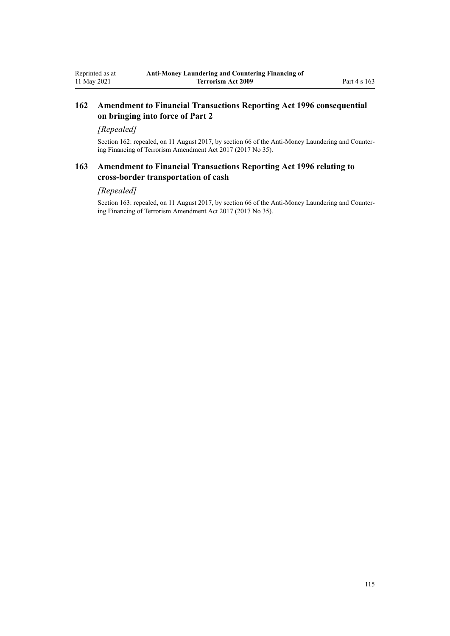# **162 Amendment to Financial Transactions Reporting Act 1996 consequential on bringing into force of Part 2**

# *[Repealed]*

Section 162: repealed, on 11 August 2017, by [section 66](http://legislation.govt.nz/pdflink.aspx?id=DLM7161354) of the Anti-Money Laundering and Countering Financing of Terrorism Amendment Act 2017 (2017 No 35).

# **163 Amendment to Financial Transactions Reporting Act 1996 relating to cross-border transportation of cash**

# *[Repealed]*

Section 163: repealed, on 11 August 2017, by [section 66](http://legislation.govt.nz/pdflink.aspx?id=DLM7161354) of the Anti-Money Laundering and Countering Financing of Terrorism Amendment Act 2017 (2017 No 35).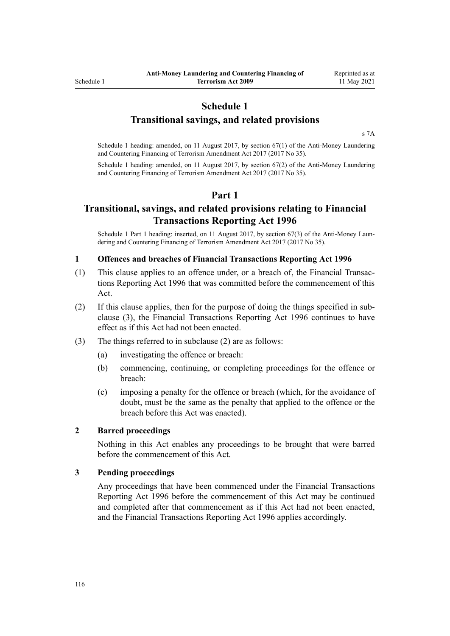# **Schedule 1**

# **Transitional savings, and related provisions**

[s 7A](#page-30-0)

Schedule 1 heading: amended, on 11 August 2017, by [section 67\(1\)](http://legislation.govt.nz/pdflink.aspx?id=DLM7340642) of the Anti-Money Laundering and Countering Financing of Terrorism Amendment Act 2017 (2017 No 35).

Schedule 1 heading: amended, on 11 August 2017, by [section 67\(2\)](http://legislation.govt.nz/pdflink.aspx?id=DLM7340642) of the Anti-Money Laundering and Countering Financing of Terrorism Amendment Act 2017 (2017 No 35).

# **Part 1**

# **Transitional, savings, and related provisions relating to Financial Transactions Reporting Act 1996**

Schedule 1 Part 1 heading: inserted, on 11 August 2017, by [section 67\(3\)](http://legislation.govt.nz/pdflink.aspx?id=DLM7340642) of the Anti-Money Laun– dering and Countering Financing of Terrorism Amendment Act 2017 (2017 No 35).

#### **1 Offences and breaches of Financial Transactions Reporting Act 1996**

- (1) This clause applies to an offence under, or a breach of, the [Financial Transac‐](http://legislation.govt.nz/pdflink.aspx?id=DLM373803) [tions Reporting Act 1996](http://legislation.govt.nz/pdflink.aspx?id=DLM373803) that was committed before the commencement of this Act.
- (2) If this clause applies, then for the purpose of doing the things specified in sub‐ clause (3), the [Financial Transactions Reporting Act 1996](http://legislation.govt.nz/pdflink.aspx?id=DLM373803) continues to have effect as if this Act had not been enacted.
- (3) The things referred to in subclause (2) are as follows:
	- (a) investigating the offence or breach:
	- (b) commencing, continuing, or completing proceedings for the offence or breach:
	- (c) imposing a penalty for the offence or breach (which, for the avoidance of doubt, must be the same as the penalty that applied to the offence or the breach before this Act was enacted).

#### **2 Barred proceedings**

Nothing in this Act enables any proceedings to be brought that were barred before the commencement of this Act.

#### **3 Pending proceedings**

Any proceedings that have been commenced under the [Financial Transactions](http://legislation.govt.nz/pdflink.aspx?id=DLM373803) [Reporting Act 1996](http://legislation.govt.nz/pdflink.aspx?id=DLM373803) before the commencement of this Act may be continued and completed after that commencement as if this Act had not been enacted, and the Financial Transactions Reporting Act 1996 applies accordingly.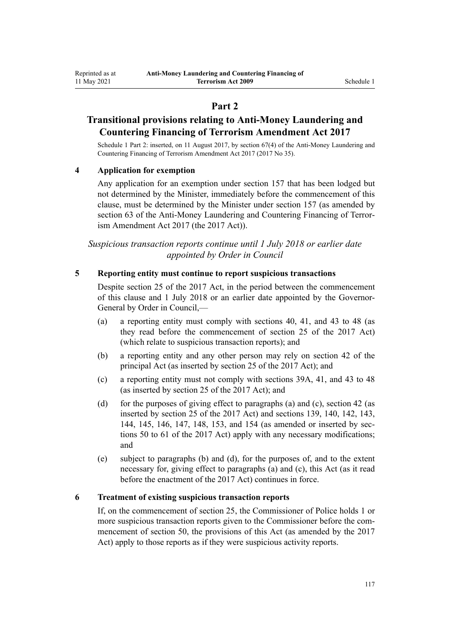# **Part 2**

# **Transitional provisions relating to Anti-Money Laundering and Countering Financing of Terrorism Amendment Act 2017**

Schedule 1 Part 2: inserted, on 11 August 2017, by [section 67\(4\)](http://legislation.govt.nz/pdflink.aspx?id=DLM7340642) of the Anti-Money Laundering and Countering Financing of Terrorism Amendment Act 2017 (2017 No 35).

## **4 Application for exemption**

Any application for an exemption under [section 157](#page-111-0) that has been lodged but not determined by the Minister, immediately before the commencement of this clause, must be determined by the Minister under section 157 (as amended by [section 63](http://legislation.govt.nz/pdflink.aspx?id=DLM7340637) of the Anti-Money Laundering and Countering Financing of Terrorism Amendment Act 2017 (the 2017 Act)).

*Suspicious transaction reports continue until 1 July 2018 or earlier date appointed by Order in Council*

#### **5 Reporting entity must continue to report suspicious transactions**

Despite [section 25](http://legislation.govt.nz/pdflink.aspx?id=DLM7161289) of the 2017 Act, in the period between the commencement of this clause and 1 July 2018 or an earlier date appointed by the Governor-General by Order in Council,—

- (a) a reporting entity must comply with [sections 40,](#page-50-0) [41,](#page-51-0) and [43 to 48](#page-52-0) (as they read before the commencement of [section 25](http://legislation.govt.nz/pdflink.aspx?id=DLM7161289) of the 2017 Act) (which relate to suspicious transaction reports); and
- (b) a reporting entity and any other person may rely on [section 42](#page-51-0) of the principal Act (as inserted by [section 25](http://legislation.govt.nz/pdflink.aspx?id=DLM7161289) of the 2017 Act); and
- (c) a reporting entity must not comply with [sections 39A,](#page-50-0) [41,](#page-51-0) and [43 to 48](#page-52-0) (as inserted by [section 25](http://legislation.govt.nz/pdflink.aspx?id=DLM7161289) of the 2017 Act); and
- (d) for the purposes of giving effect to paragraphs (a) and (c), [section 42](#page-51-0) (as inserted by [section 25](http://legislation.govt.nz/pdflink.aspx?id=DLM7161289) of the 2017 Act) and [sections 139,](#page-96-0) [140](#page-97-0), [142,](#page-99-0) [143](#page-101-0), [144](#page-101-0), [145,](#page-102-0) [146,](#page-103-0) [147,](#page-104-0) [148,](#page-104-0) [153,](#page-106-0) and [154](#page-107-0) (as amended or inserted by [sec‐](http://legislation.govt.nz/pdflink.aspx?id=DLM7161329) [tions 50 to 61](http://legislation.govt.nz/pdflink.aspx?id=DLM7161329) of the 2017 Act) apply with any necessary modifications; and
- (e) subject to paragraphs (b) and (d), for the purposes of, and to the extent necessary for, giving effect to paragraphs (a) and (c), this Act (as it read before the enactment of the 2017 Act) continues in force.

#### **6 Treatment of existing suspicious transaction reports**

If, on the commencement of [section 25](http://legislation.govt.nz/pdflink.aspx?id=DLM7161289), the Commissioner of Police holds 1 or more suspicious transaction reports given to the Commissioner before the commencement of [section 50](http://legislation.govt.nz/pdflink.aspx?id=DLM7161329), the provisions of this Act (as amended by the 2017 Act) apply to those reports as if they were suspicious activity reports.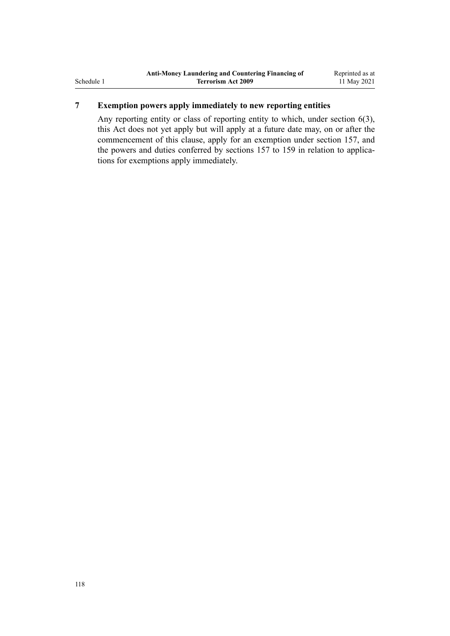# **7 Exemption powers apply immediately to new reporting entities**

Any reporting entity or class of reporting entity to which, under [section 6\(3\)](#page-28-0), this Act does not yet apply but will apply at a future date may, on or after the commencement of this clause, apply for an exemption under [section 157,](#page-111-0) and the powers and duties conferred by sections 157 to 159 in relation to applications for exemptions apply immediately.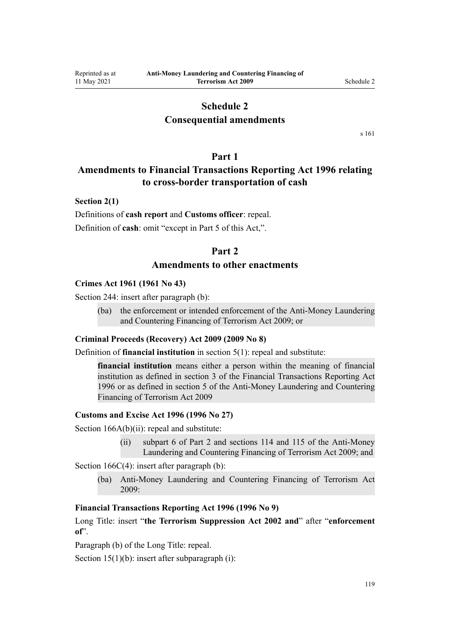# **Schedule 2**

# **Consequential amendments**

[s 161](#page-113-0)

# **Part 1**

# <span id="page-118-0"></span>**Amendments to Financial Transactions Reporting Act 1996 relating to cross-border transportation of cash**

### **Section 2(1)**

Definitions of **cash report** and **Customs officer**: repeal. Definition of **cash**: omit "except in Part 5 of this Act,".

# **Part 2**

# **Amendments to other enactments**

#### **Crimes Act 1961 (1961 No 43)**

[Section 244:](http://legislation.govt.nz/pdflink.aspx?id=DLM330403) insert after paragraph (b):

(ba) the enforcement or intended enforcement of the Anti-Money Laundering and Countering Financing of Terrorism Act 2009; or

#### **Criminal Proceeds (Recovery) Act 2009 (2009 No 8)**

Definition of **financial institution** in [section 5\(1\)](http://legislation.govt.nz/pdflink.aspx?id=DLM1451012): repeal and substitute:

**financial institution** means either a person within the meaning of financial institution as defined in section 3 of the Financial Transactions Reporting Act 1996 or as defined in section 5 of the Anti-Money Laundering and Countering Financing of Terrorism Act 2009

#### **Customs and Excise Act 1996 (1996 No 27)**

[Section 166A\(b\)\(ii\):](http://legislation.govt.nz/pdflink.aspx?id=DLM379246) repeal and substitute:

(ii) subpart 6 of Part 2 and sections 114 and 115 of the Anti-Money Laundering and Countering Financing of Terrorism Act 2009; and

[Section 166C\(4\):](http://legislation.govt.nz/pdflink.aspx?id=DLM379250) insert after paragraph (b):

(ba) Anti-Money Laundering and Countering Financing of Terrorism Act 2009:

## **Financial Transactions Reporting Act 1996 (1996 No 9)**

[Long Title:](http://legislation.govt.nz/pdflink.aspx?id=DLM373806) insert "**the Terrorism Suppression Act 2002 and**" after "**enforcement of**".

Paragraph (b) of the Long Title: repeal.

[Section 15\(1\)\(b\):](http://legislation.govt.nz/pdflink.aspx?id=DLM373899) insert after subparagraph (i):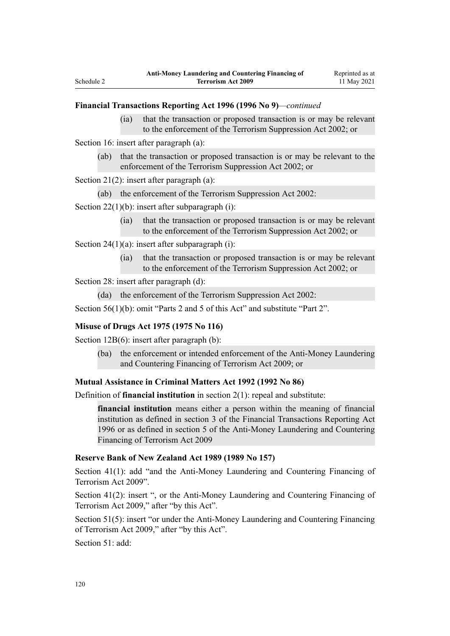### **Financial Transactions Reporting Act 1996 (1996 No 9)***—continued*

(ia) that the transaction or proposed transaction is or may be relevant to the enforcement of the Terrorism Suppression Act 2002; or

[Section 16](http://legislation.govt.nz/pdflink.aspx?id=DLM374103): insert after paragraph (a):

(ab) that the transaction or proposed transaction is or may be relevant to the enforcement of the Terrorism Suppression Act 2002; or

[Section 21\(2\)](http://legislation.govt.nz/pdflink.aspx?id=DLM374114): insert after paragraph (a):

(ab) the enforcement of the Terrorism Suppression Act 2002:

[Section 22\(1\)\(b\):](http://legislation.govt.nz/pdflink.aspx?id=DLM374118) insert after subparagraph (i):

(ia) that the transaction or proposed transaction is or may be relevant to the enforcement of the Terrorism Suppression Act 2002; or

[Section 24\(1\)\(a\)](http://legislation.govt.nz/pdflink.aspx?id=DLM374123): insert after subparagraph (i):

(ia) that the transaction or proposed transaction is or may be relevant to the enforcement of the Terrorism Suppression Act 2002; or

Section 28: insert after paragraph (d):

(da) the enforcement of the Terrorism Suppression Act 2002:

[Section 56\(1\)\(b\):](http://legislation.govt.nz/pdflink.aspx?id=DLM374191) omit "Parts 2 and 5 of this Act" and substitute "Part 2".

#### **Misuse of Drugs Act 1975 (1975 No 116)**

[Section 12B\(6\)](http://legislation.govt.nz/pdflink.aspx?id=DLM436285): insert after paragraph (b):

(ba) the enforcement or intended enforcement of the Anti-Money Laundering and Countering Financing of Terrorism Act 2009; or

#### **Mutual Assistance in Criminal Matters Act 1992 (1992 No 86)**

Definition of **financial institution** in [section 2\(1\)](http://legislation.govt.nz/pdflink.aspx?id=DLM273063): repeal and substitute:

**financial institution** means either a person within the meaning of financial institution as defined in section 3 of the Financial Transactions Reporting Act 1996 or as defined in section 5 of the Anti-Money Laundering and Countering Financing of Terrorism Act 2009

## **Reserve Bank of New Zealand Act 1989 (1989 No 157)**

[Section 41\(1\)](http://legislation.govt.nz/pdflink.aspx?id=DLM200032): add "and the Anti-Money Laundering and Countering Financing of Terrorism Act 2009".

[Section 41\(2\):](http://legislation.govt.nz/pdflink.aspx?id=DLM200032) insert ", or the Anti-Money Laundering and Countering Financing of Terrorism Act 2009," after "by this Act".

[Section 51\(5\):](http://legislation.govt.nz/pdflink.aspx?id=DLM200048) insert "or under the Anti-Money Laundering and Countering Financing of Terrorism Act 2009," after "by this Act".

[Section 51](http://legislation.govt.nz/pdflink.aspx?id=DLM200048): add: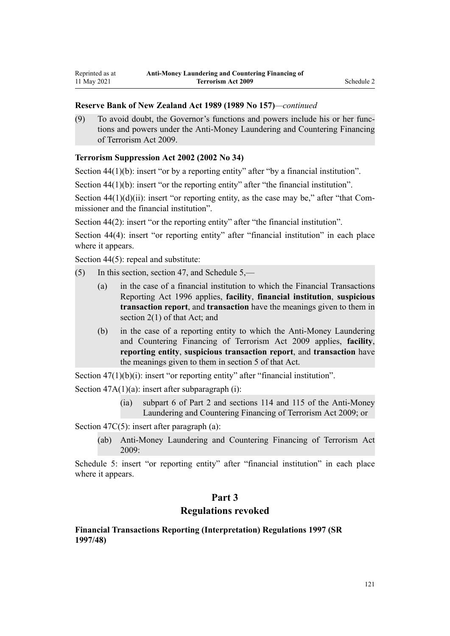## <span id="page-120-0"></span>**Reserve Bank of New Zealand Act 1989 (1989 No 157)***—continued*

(9) To avoid doubt, the Governor's functions and powers include his or her func‐ tions and powers under the Anti-Money Laundering and Countering Financing of Terrorism Act 2009.

## **Terrorism Suppression Act 2002 (2002 No 34)**

[Section 44\(1\)\(b\):](http://legislation.govt.nz/pdflink.aspx?id=DLM152784) insert "or by a reporting entity" after "by a financial institution".

[Section 44\(1\)\(b\):](http://legislation.govt.nz/pdflink.aspx?id=DLM152784) insert "or the reporting entity" after "the financial institution".

Section  $44(1)(d)(ii)$ : insert "or reporting entity, as the case may be," after "that Commissioner and the financial institution".

[Section 44\(2\)](http://legislation.govt.nz/pdflink.aspx?id=DLM152784): insert "or the reporting entity" after "the financial institution".

[Section 44\(4\):](http://legislation.govt.nz/pdflink.aspx?id=DLM152784) insert "or reporting entity" after "financial institution" in each place where it appears.

[Section 44\(5\)](http://legislation.govt.nz/pdflink.aspx?id=DLM152784): repeal and substitute:

- (5) In this section, section 47, and Schedule 5,—
	- (a) in the case of a financial institution to which the Financial Transactions Reporting Act 1996 applies, **facility**, **financial institution**, **suspicious transaction report**, and **transaction** have the meanings given to them in section 2(1) of that Act; and
	- (b) in the case of a reporting entity to which the Anti-Money Laundering and Countering Financing of Terrorism Act 2009 applies, **facility**, **reporting entity**, **suspicious transaction report**, and **transaction** have the meanings given to them in section 5 of that Act.

[Section 47\(1\)\(b\)\(i\):](http://legislation.govt.nz/pdflink.aspx?id=DLM152787) insert "or reporting entity" after "financial institution".

Section  $47A(1)(a)$ : insert after subparagraph (i):

(ia) subpart 6 of Part 2 and sections 114 and 115 of the Anti-Money Laundering and Countering Financing of Terrorism Act 2009; or

[Section 47C\(5\)](http://legislation.govt.nz/pdflink.aspx?id=DLM153305): insert after paragraph (a):

(ab) Anti-Money Laundering and Countering Financing of Terrorism Act 2009:

[Schedule 5:](http://legislation.govt.nz/pdflink.aspx?id=DLM154177) insert "or reporting entity" after "financial institution" in each place where it appears.

# **Part 3**

# **Regulations revoked**

## **Financial Transactions Reporting (Interpretation) Regulations 1997 (SR 1997/48)**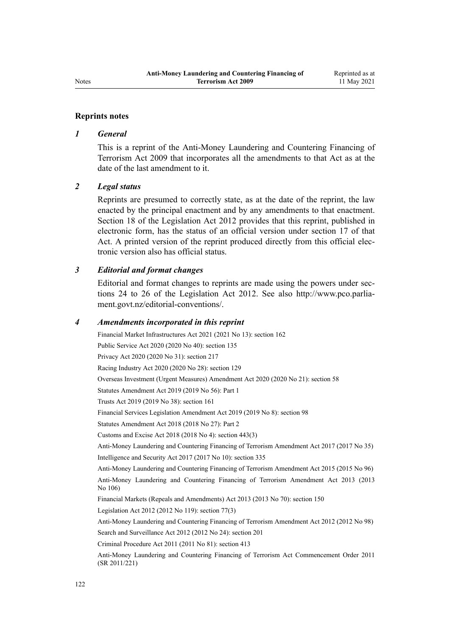#### **Reprints notes**

#### *1 General*

This is a reprint of the Anti-Money Laundering and Countering Financing of Terrorism Act 2009 that incorporates all the amendments to that Act as at the date of the last amendment to it.

### *2 Legal status*

Reprints are presumed to correctly state, as at the date of the reprint, the law enacted by the principal enactment and by any amendments to that enactment. [Section 18](http://legislation.govt.nz/pdflink.aspx?id=DLM2998516) of the Legislation Act 2012 provides that this reprint, published in electronic form, has the status of an official version under [section 17](http://legislation.govt.nz/pdflink.aspx?id=DLM2998515) of that Act. A printed version of the reprint produced directly from this official electronic version also has official status.

## *3 Editorial and format changes*

Editorial and format changes to reprints are made using the powers under sec[tions 24 to 26](http://legislation.govt.nz/pdflink.aspx?id=DLM2998532) of the Legislation Act 2012. See also [http://www.pco.parlia‐](http://www.pco.parliament.govt.nz/editorial-conventions/) [ment.govt.nz/editorial-conventions/](http://www.pco.parliament.govt.nz/editorial-conventions/).

#### *4 Amendments incorporated in this reprint*

Financial Market Infrastructures Act 2021 (2021 No 13): [section 162](http://legislation.govt.nz/pdflink.aspx?id=LMS464809) Public Service Act 2020 (2020 No 40): [section 135](http://legislation.govt.nz/pdflink.aspx?id=LMS176959) Privacy Act 2020 (2020 No 31): [section 217](http://legislation.govt.nz/pdflink.aspx?id=LMS23706) Racing Industry Act 2020 (2020 No 28): [section 129](http://legislation.govt.nz/pdflink.aspx?id=LMS292230) Overseas Investment (Urgent Measures) Amendment Act 2020 (2020 No 21): [section 58](http://legislation.govt.nz/pdflink.aspx?id=LMS342576) Statutes Amendment Act 2019 (2019 No 56): [Part 1](http://legislation.govt.nz/pdflink.aspx?id=LMS58874) Trusts Act 2019 (2019 No 38): [section 161](http://legislation.govt.nz/pdflink.aspx?id=DLM7383110) Financial Services Legislation Amendment Act 2019 (2019 No 8): [section 98](http://legislation.govt.nz/pdflink.aspx?id=DLM7386624) Statutes Amendment Act 2018 (2018 No 27): [Part 2](http://legislation.govt.nz/pdflink.aspx?id=LMS11629) Customs and Excise Act 2018 (2018 No 4): [section 443\(3\)](http://legislation.govt.nz/pdflink.aspx?id=DLM7039957) [Anti-Money Laundering and Countering Financing of Terrorism Amendment Act 2017](http://legislation.govt.nz/pdflink.aspx?id=DLM7161200) (2017 No 35) Intelligence and Security Act 2017 (2017 No 10): [section 335](http://legislation.govt.nz/pdflink.aspx?id=DLM6921475) [Anti-Money Laundering and Countering Financing of Terrorism Amendment Act 2015](http://legislation.govt.nz/pdflink.aspx?id=DLM6602202) (2015 No 96) [Anti-Money Laundering and Countering Financing of Terrorism Amendment Act 2013](http://legislation.govt.nz/pdflink.aspx?id=DLM5621500) (2013 No 106) Financial Markets (Repeals and Amendments) Act 2013 (2013 No 70): [section 150](http://legislation.govt.nz/pdflink.aspx?id=DLM5561603) Legislation Act 2012 (2012 No 119): [section 77\(3\)](http://legislation.govt.nz/pdflink.aspx?id=DLM2998633) [Anti-Money Laundering and Countering Financing of Terrorism Amendment Act 2012](http://legislation.govt.nz/pdflink.aspx?id=DLM4109800) (2012 No 98) Search and Surveillance Act 2012 (2012 No 24): [section 201](http://legislation.govt.nz/pdflink.aspx?id=DLM4355905) Criminal Procedure Act 2011 (2011 No 81): [section 413](http://legislation.govt.nz/pdflink.aspx?id=DLM3360714) [Anti-Money Laundering and Countering Financing of Terrorism Act Commencement Order 2011](http://legislation.govt.nz/pdflink.aspx?id=DLM3831000) (SR 2011/221)